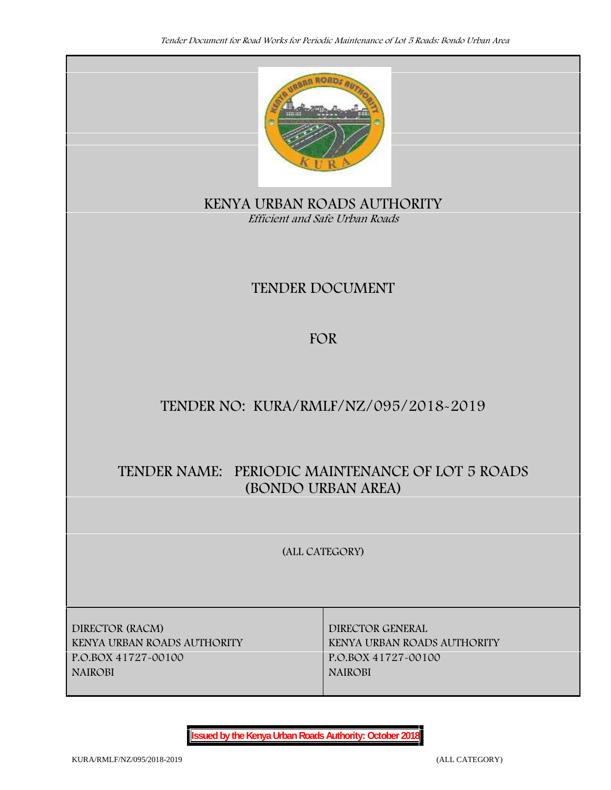

**KENYA URBAN ROADS AUTHORITY** *Efficient and Safe Urban Roads*

# **TENDER DOCUMENT**

# **FOR**

# **TENDER NO: KURA/RMLF/NZ/095/2018-2019**

# **TENDER NAME: PERIODIC MAINTENANCE OF LOT 5 ROADS (BONDO URBAN AREA)**

**(ALL CATEGORY)**

**DIRECTOR (RACM) DIRECTOR GENERAL KENYA URBAN ROADS AUTHORITY KENYA URBAN ROADS AUTHORITY P.O.BOX 41727-00100 P.O.BOX 41727-00100 NAIROBI NAIROBI**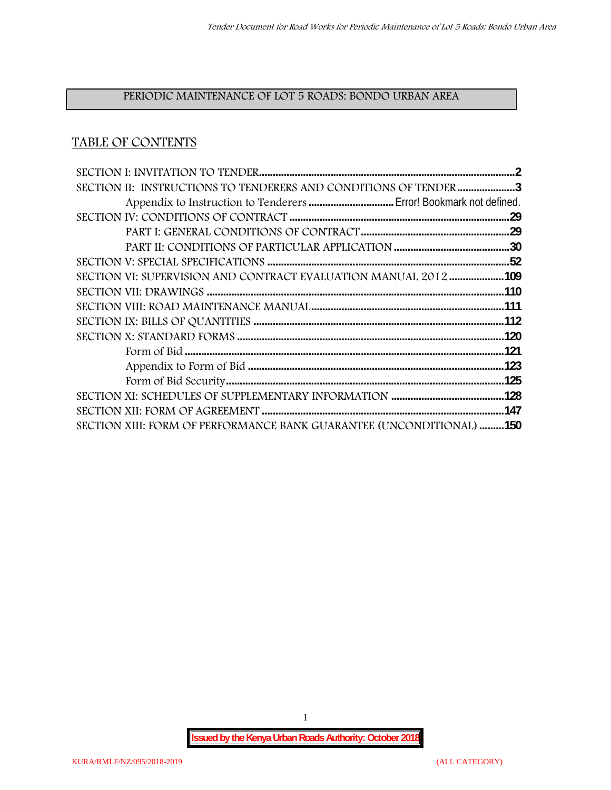## **PERIODIC MAINTENANCE OF LOT 5 ROADS: BONDO URBAN AREA**

## **TABLE OF CONTENTS**

| SECTION II: INSTRUCTIONS TO TENDERERS AND CONDITIONS OF TENDER 3     |
|----------------------------------------------------------------------|
|                                                                      |
|                                                                      |
|                                                                      |
|                                                                      |
|                                                                      |
| SECTION VI: SUPERVISION AND CONTRACT EVALUATION MANUAL 2012109       |
|                                                                      |
|                                                                      |
|                                                                      |
|                                                                      |
|                                                                      |
|                                                                      |
|                                                                      |
|                                                                      |
|                                                                      |
| SECTION XIII: FORM OF PERFORMANCE BANK GUARANTEE (UNCONDITIONAL) 150 |

1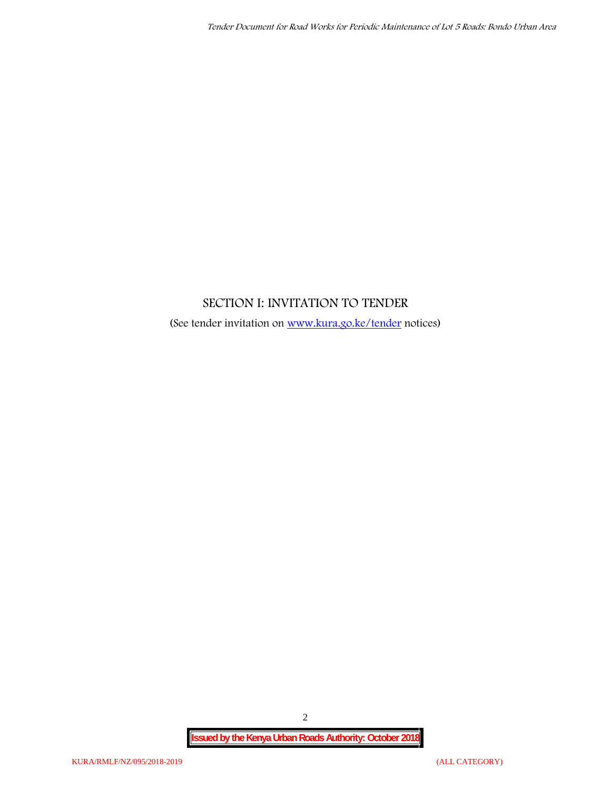## **SECTION I: INVITATION TO TENDER**

(See tender invitation on www.kura.go.ke/tender notices)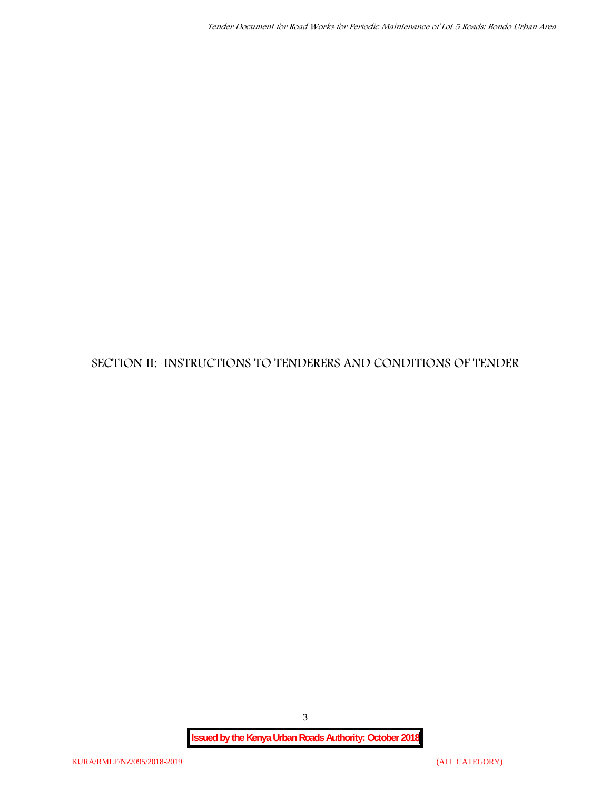**SECTION II: INSTRUCTIONS TO TENDERERS AND CONDITIONS OF TENDER**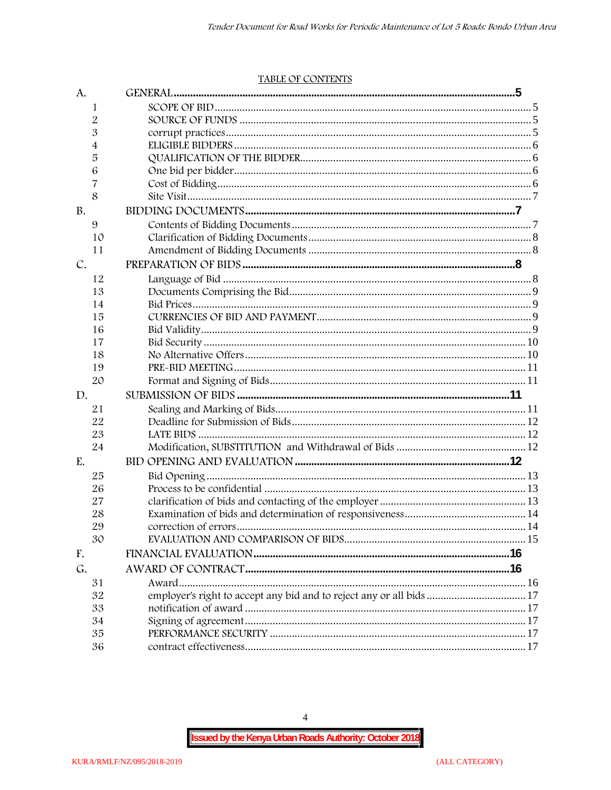#### TABLE OF CONTENTS

| A.        |                                                                      |  |
|-----------|----------------------------------------------------------------------|--|
| 1         |                                                                      |  |
| 2         |                                                                      |  |
| 3         |                                                                      |  |
| 4         |                                                                      |  |
| 5         |                                                                      |  |
| 6         |                                                                      |  |
| 7         |                                                                      |  |
| 8         |                                                                      |  |
| <b>B.</b> |                                                                      |  |
| 9         |                                                                      |  |
| 10        |                                                                      |  |
| 11        |                                                                      |  |
| C.        |                                                                      |  |
| 12        |                                                                      |  |
| 13        |                                                                      |  |
| 14        |                                                                      |  |
| 15        |                                                                      |  |
| 16        |                                                                      |  |
| 17        |                                                                      |  |
| 18        |                                                                      |  |
| 19        |                                                                      |  |
| 20        |                                                                      |  |
| D.        |                                                                      |  |
| 21        |                                                                      |  |
| 22        |                                                                      |  |
| 23        |                                                                      |  |
| 24        |                                                                      |  |
| E.        |                                                                      |  |
| 25        |                                                                      |  |
| 26        |                                                                      |  |
| 27        |                                                                      |  |
| 28        |                                                                      |  |
| 29        |                                                                      |  |
| 30        |                                                                      |  |
| F.        |                                                                      |  |
| G.        |                                                                      |  |
| 31        |                                                                      |  |
| 32        | employer's right to accept any bid and to reject any or all bids  17 |  |
| 33        |                                                                      |  |
| 34        |                                                                      |  |
| 35        |                                                                      |  |
| 36        |                                                                      |  |

 $\overline{4}$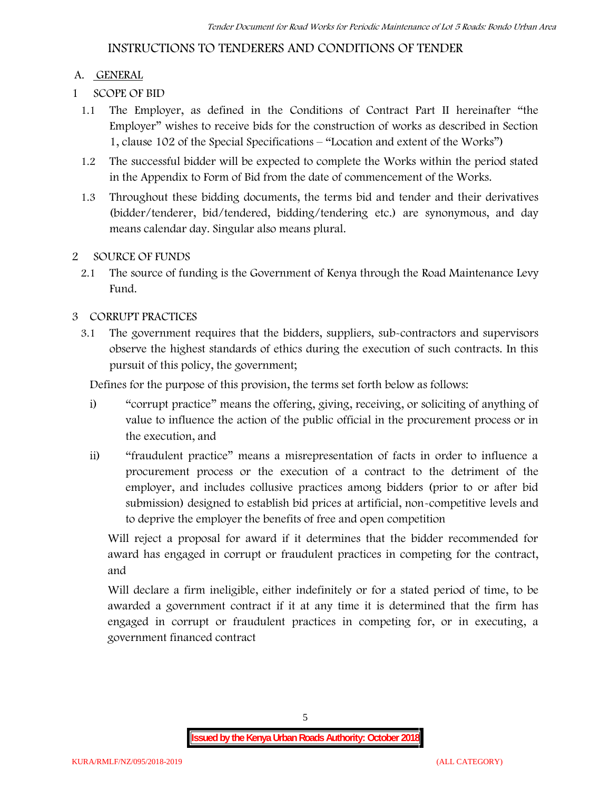## **INSTRUCTIONS TO TENDERERS AND CONDITIONS OF TENDER**

## **A. GENERAL**

- **1 SCOPE OF BID**
	- 1.1 The Employer, as defined in the Conditions of Contract Part II hereinafter "the Employer" wishes to receive bids for the construction of works as described in Section 1, clause 102 of the Special Specifications – "Location and extent of the Works")
	- 1.2 The successful bidder will be expected to complete the Works within the period stated in the Appendix to Form of Bid from the date of commencement of the Works.
	- 1.3 Throughout these bidding documents, the terms bid and tender and their derivatives (bidder/tenderer, bid/tendered, bidding/tendering etc.) are synonymous, and day means calendar day. Singular also means plural.

## **2 SOURCE OF FUNDS**

2.1 The source of funding is the Government of Kenya through the Road Maintenance Levy Fund.

## **3 CORRUPT PRACTICES**

3.1 The government requires that the bidders, suppliers, sub-contractors and supervisors observe the highest standards of ethics during the execution of such contracts. In this pursuit of this policy, the government;

Defines for the purpose of this provision, the terms set forth below as follows:

- i) "corrupt practice" means the offering, giving, receiving, or soliciting of anything of value to influence the action of the public official in the procurement process or in the execution, and
- ii) "fraudulent practice" means a misrepresentation of facts in order to influence a procurement process or the execution of a contract to the detriment of the employer, and includes collusive practices among bidders (prior to or after bid submission) designed to establish bid prices at artificial, non-competitive levels and to deprive the employer the benefits of free and open competition

Will reject a proposal for award if it determines that the bidder recommended for award has engaged in corrupt or fraudulent practices in competing for the contract, and

Will declare a firm ineligible, either indefinitely or for a stated period of time, to be awarded a government contract if it at any time it is determined that the firm has engaged in corrupt or fraudulent practices in competing for, or in executing, a government financed contract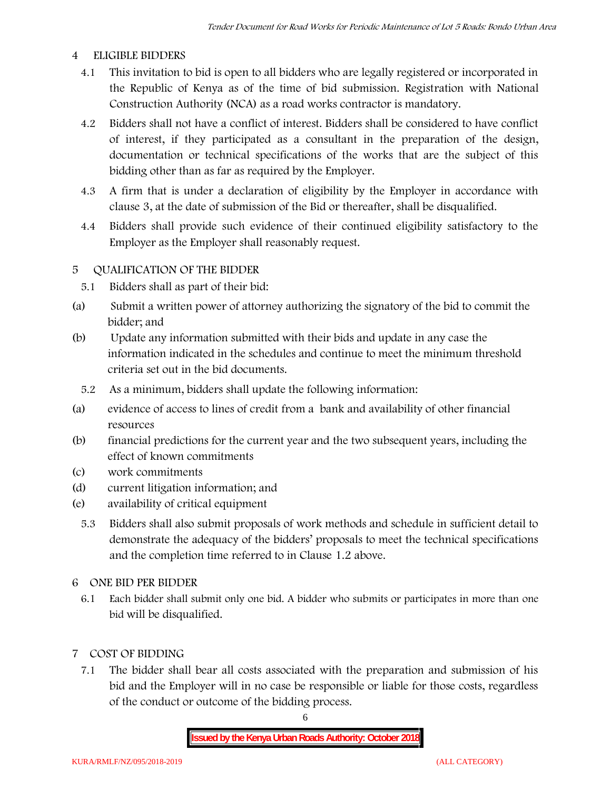#### **4 ELIGIBLE BIDDERS**

- 4.1 This invitation to bid is open to all bidders who are legally registered or incorporated in the Republic of Kenya as of the time of bid submission. Registration with National Construction Authority (NCA) as a road works contractor is mandatory.
- 4.2 Bidders shall not have a conflict of interest. Bidders shall be considered to have conflict of interest, if they participated as a consultant in the preparation of the design, documentation or technical specifications of the works that are the subject of this bidding other than as far as required by the Employer.
- 4.3 A firm that is under a declaration of eligibility by the Employer in accordance with clause 3, at the date of submission of the Bid or thereafter, shall be disqualified.
- 4.4 Bidders shall provide such evidence of their continued eligibility satisfactory to the Employer as the Employer shall reasonably request.

#### **5 QUALIFICATION OF THE BIDDER**

- 5.1 Bidders shall as part of their bid:
- (a) Submit a written power of attorney authorizing the signatory of the bid to commit the bidder; and
- (b) Update any information submitted with their bids and update in any case the information indicated in the schedules and continue to meet the minimum threshold criteria set out in the bid documents.
	- 5.2 As a minimum, bidders shall update the following information:
- (a) evidence of access to lines of credit from a bank and availability of other financial resources
- (b) financial predictions for the current year and the two subsequent years, including the effect of known commitments
- (c) work commitments
- (d) current litigation information; and
- (e) availability of critical equipment
	- 5.3 Bidders shall also submit proposals of work methods and schedule in sufficient detail to demonstrate the adequacy of the bidders' proposals to meet the technical specifications and the completion time referred to in Clause 1.2 above.
- **6 ONE BID PER BIDDER**
	- 6.1 Each bidder shall submit only one bid. A bidder who submits or participates in more than one bid will be disqualified.
- **7 COST OF BIDDING**
	- 7.1 The bidder shall bear all costs associated with the preparation and submission of his bid and the Employer will in no case be responsible or liable for those costs, regardless of the conduct or outcome of the bidding process.

6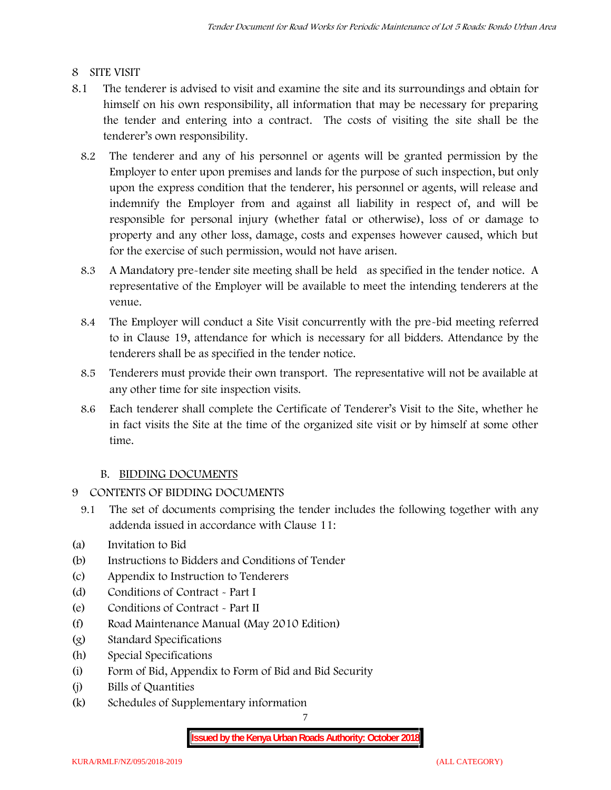### **8 SITE VISIT**

- 8.1 The tenderer is advised to visit and examine the site and its surroundings and obtain for himself on his own responsibility, all information that may be necessary for preparing the tender and entering into a contract. The costs of visiting the site shall be the tenderer's own responsibility.
	- 8.2 The tenderer and any of his personnel or agents will be granted permission by the Employer to enter upon premises and lands for the purpose of such inspection, but only upon the express condition that the tenderer, his personnel or agents, will release and indemnify the Employer from and against all liability in respect of, and will be responsible for personal injury (whether fatal or otherwise), loss of or damage to property and any other loss, damage, costs and expenses however caused, which but for the exercise of such permission, would not have arisen.
	- 8.3 A Mandatory pre-tender site meeting shall be held as specified in the tender notice. A representative of the Employer will be available to meet the intending tenderers at the venue.
	- 8.4 The Employer will conduct a Site Visit concurrently with the pre-bid meeting referred to in Clause 19, attendance for which is necessary for all bidders. Attendance by the tenderers shall be as specified in the tender notice.
	- 8.5 Tenderers must provide their own transport. The representative will not be available at any other time for site inspection visits.
	- 8.6 Each tenderer shall complete the Certificate of Tenderer's Visit to the Site, whether he in fact visits the Site at the time of the organized site visit or by himself at some other time.

## **B. BIDDING DOCUMENTS**

- **9 CONTENTS OF BIDDING DOCUMENTS**
	- 9.1 The set of documents comprising the tender includes the following together with any addenda issued in accordance with Clause 11:
- (a) Invitation to Bid
- (b) Instructions to Bidders and Conditions of Tender
- (c) Appendix to Instruction to Tenderers
- (d) Conditions of Contract Part I
- (e) Conditions of Contract Part II
- (f) Road Maintenance Manual (May 2010 Edition)
- (g) Standard Specifications
- (h) Special Specifications
- (i) Form of Bid, Appendix to Form of Bid and Bid Security
- (j) Bills of Quantities
- (k) Schedules of Supplementary information

7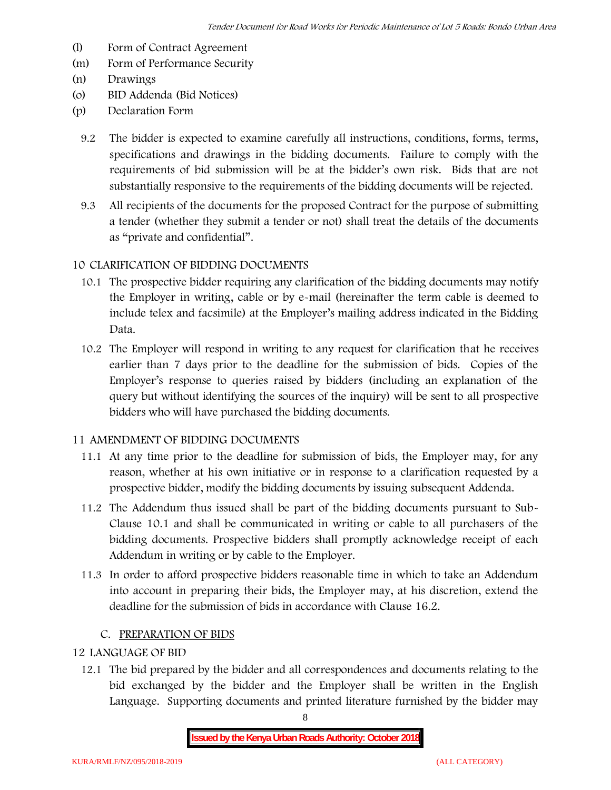- (l) Form of Contract Agreement
- (m) Form of Performance Security
- (n) Drawings
- (o) BID Addenda (Bid Notices)
- (p) Declaration Form
	- 9.2 The bidder is expected to examine carefully all instructions, conditions, forms, terms, specifications and drawings in the bidding documents. Failure to comply with the requirements of bid submission will be at the bidder's own risk. Bids that are not substantially responsive to the requirements of the bidding documents will be rejected.
	- 9.3 All recipients of the documents for the proposed Contract for the purpose of submitting a tender (whether they submit a tender or not) shall treat the details of the documents as "private and confidential".

## **10 CLARIFICATION OF BIDDING DOCUMENTS**

- 10.1 The prospective bidder requiring any clarification of the bidding documents may notify the Employer in writing, cable or by e-mail (hereinafter the term cable is deemed to include telex and facsimile) at the Employer's mailing address indicated in the Bidding Data.
- 10.2 The Employer will respond in writing to any request for clarification that he receives earlier than 7 days prior to the deadline for the submission of bids. Copies of the Employer's response to queries raised by bidders (including an explanation of the query but without identifying the sources of the inquiry) will be sent to all prospective bidders who will have purchased the bidding documents.

#### **11 AMENDMENT OF BIDDING DOCUMENTS**

- 11.1 At any time prior to the deadline for submission of bids, the Employer may, for any reason, whether at his own initiative or in response to a clarification requested by a prospective bidder, modify the bidding documents by issuing subsequent Addenda.
- 11.2 The Addendum thus issued shall be part of the bidding documents pursuant to Sub- Clause 10.1 and shall be communicated in writing or cable to all purchasers of the bidding documents. Prospective bidders shall promptly acknowledge receipt of each Addendum in writing or by cable to the Employer.
- 11.3 In order to afford prospective bidders reasonable time in which to take an Addendum into account in preparing their bids, the Employer may, at his discretion, extend the deadline for the submission of bids in accordance with Clause 16.2.

## **C. PREPARATION OF BIDS**

### **12 LANGUAGE OF BID**

12.1 The bid prepared by the bidder and all correspondences and documents relating to the bid exchanged by the bidder and the Employer shall be written in the English Language. Supporting documents and printed literature furnished by the bidder may

8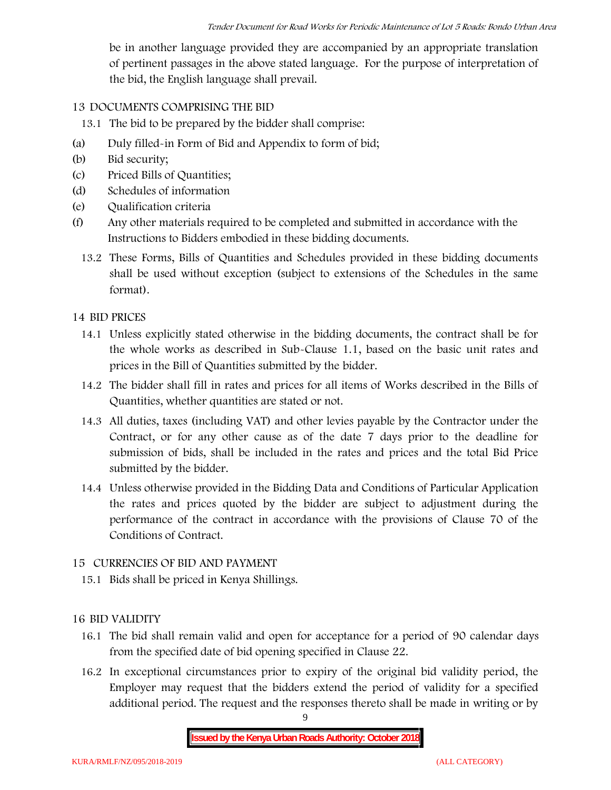be in another language provided they are accompanied by an appropriate translation of pertinent passages in the above stated language. For the purpose of interpretation of the bid, the English language shall prevail.

### **13 DOCUMENTS COMPRISING THE BID**

13.1 The bid to be prepared by the bidder shall comprise:

- (a) Duly filled-in Form of Bid and Appendix to form of bid;
- (b) Bid security;
- (c) Priced Bills of Quantities;
- (d) Schedules of information
- (e) Qualification criteria
- (f) Any other materials required to be completed and submitted in accordance with the Instructions to Bidders embodied in these bidding documents.
	- 13.2 These Forms, Bills of Quantities and Schedules provided in these bidding documents shall be used without exception (subject to extensions of the Schedules in the same format).

### **14 BID PRICES**

- 14.1 Unless explicitly stated otherwise in the bidding documents, the contract shall be for the whole works as described in Sub-Clause 1.1, based on the basic unit rates and prices in the Bill of Quantities submitted by the bidder.
- 14.2 The bidder shall fill in rates and prices for all items of Works described in the Bills of Quantities, whether quantities are stated or not.
- 14.3 All duties, taxes (including VAT) and other levies payable by the Contractor under the Contract, or for any other cause as of the date 7 days prior to the deadline for submission of bids, shall be included in the rates and prices and the total Bid Price submitted by the bidder.
- 14.4 Unless otherwise provided in the Bidding Data and Conditions of Particular Application the rates and prices quoted by the bidder are subject to adjustment during the performance of the contract in accordance with the provisions of Clause 70 of the Conditions of Contract.

#### **15 CURRENCIES OF BID AND PAYMENT**

15.1 Bids shall be priced in Kenya Shillings.

## **16 BID VALIDITY**

- 16.1 The bid shall remain valid and open for acceptance for a period of 90 calendar days from the specified date of bid opening specified in Clause 22.
- 16.2 In exceptional circumstances prior to expiry of the original bid validity period, the Employer may request that the bidders extend the period of validity for a specified additional period. The request and the responses thereto shall be made in writing or by

9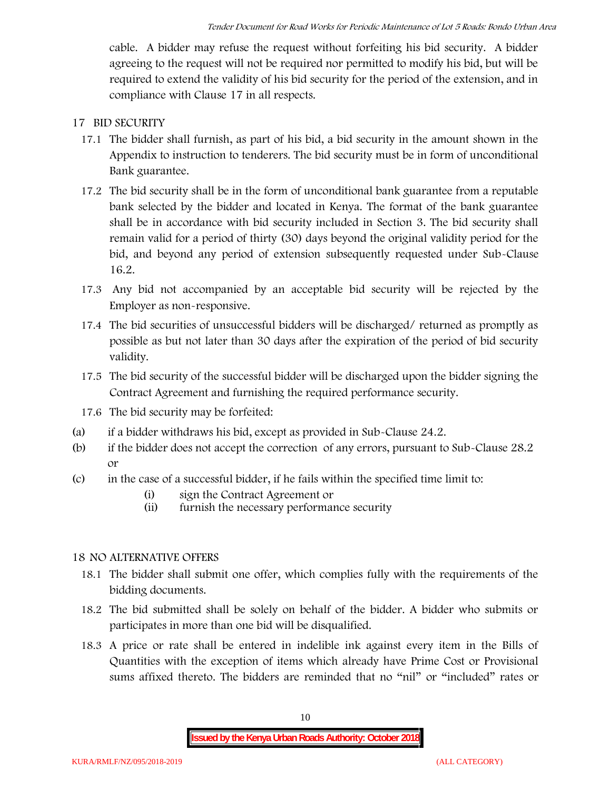cable. A bidder may refuse the request without forfeiting his bid security. A bidder agreeing to the request will not be required nor permitted to modify his bid, but will be required to extend the validity of his bid security for the period of the extension, and in compliance with Clause 17 in all respects.

### **17 BID SECURITY**

- **17.1** The bidder shall furnish, as part of his bid, a bid security in the amount shown in the Appendix to instruction to tenderers. **The bid security must be in form of unconditional Bank guarantee.**
- 17.2 The bid security shall be in the form of unconditional bank guarantee from a reputable bank selected by the bidder and located in Kenya. The format of the bank guarantee shall be in accordance with bid security included in Section 3. The bid security shall remain valid for a period of thirty (30) days beyond the original validity period for the bid, and beyond any period of extension subsequently requested under Sub-Clause 16.2.
- 17.3 Any bid not accompanied by an acceptable bid security will be rejected by the Employer as non-responsive.
- 17.4 The bid securities of unsuccessful bidders will be discharged/ returned as promptly as possible as but not later than 30 days after the expiration of the period of bid security validity.
- 17.5 The bid security of the successful bidder will be discharged upon the bidder signing the Contract Agreement and furnishing the required performance security.
- 17.6 The bid security may be forfeited:
- (a) if a bidder withdraws his bid, except as provided in Sub-Clause 24.2.
- (b) if the bidder does not accept the correction of any errors, pursuant to Sub-Clause 28.2 or
- (c) in the case of a successful bidder, if he fails within the specified time limit to:
	- (i) sign the Contract Agreement or
	- (ii) furnish the necessary performance security

#### **18 NO ALTERNATIVE OFFERS**

- 18.1 The bidder shall submit one offer, which complies fully with the requirements of the bidding documents.
- 18.2 The bid submitted shall be solely on behalf of the bidder. A bidder who submits or participates in more than one bid will be disqualified.
- 18.3 A price or rate shall be entered in indelible ink against every item in the Bills of Quantities with the exception of items which already have Prime Cost or Provisional sums affixed thereto. The bidders are reminded that no "nil" or "included" rates or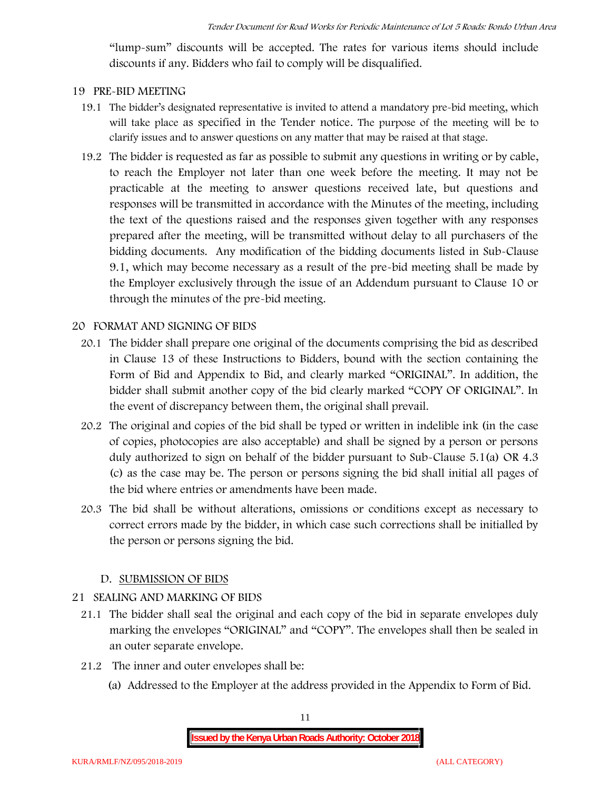"lump-sum" discounts will be accepted. The rates for various items should include discounts if any. Bidders who fail to comply will be disqualified.

#### **19 PRE-BID MEETING**

- 19.1 The bidder's designated representative is invited to attend a mandatory pre-bid meeting, which will take place as specified in the Tender notice. The purpose of the meeting will be to clarify issues and to answer questions on any matter that may be raised at that stage.
- 19.2 The bidder is requested as far as possible to submit any questions in writing or by cable, to reach the Employer not later than one week before the meeting. It may not be practicable at the meeting to answer questions received late, but questions and responses will be transmitted in accordance with the Minutes of the meeting, including the text of the questions raised and the responses given together with any responses prepared after the meeting, will be transmitted without delay to all purchasers of the bidding documents. Any modification of the bidding documents listed in Sub-Clause 9.1, which may become necessary as a result of the pre-bid meeting shall be made by the Employer exclusively through the issue of an Addendum pursuant to Clause 10 or through the minutes of the pre-bid meeting.

#### **20 FORMAT AND SIGNING OF BIDS**

- 20.1 The bidder shall prepare one original of the documents comprising the bid as described in Clause 13 of these Instructions to Bidders, bound with the section containing the Form of Bid and Appendix to Bid, and clearly marked "ORIGINAL". In addition, the bidder shall submit another copy of the bid clearly marked "COPY OF ORIGINAL". In the event of discrepancy between them, the original shall prevail.
- 20.2 The original and copies of the bid shall be typed or written in indelible ink (in the case of copies, photocopies are also acceptable) and shall be signed by a person or persons duly authorized to sign on behalf of the bidder pursuant to Sub-Clause 5.1(a) OR 4.3 (c) as the case may be. The person or persons signing the bid shall initial all pages of the bid where entries or amendments have been made.
- 20.3 The bid shall be without alterations, omissions or conditions except as necessary to correct errors made by the bidder, in which case such corrections shall be initialled by the person or persons signing the bid.

#### **D. SUBMISSION OF BIDS**

#### **21 SEALING AND MARKING OF BIDS**

- 21.1 The bidder shall seal the original and each copy of the bid in separate envelopes duly marking the envelopes "ORIGINAL" and "COPY". The envelopes shall then be sealed in an outer separate envelope.
- 21.2 The inner and outer envelopes shall be:
	- (a) Addressed to the Employer at the address provided in the Appendix to Form of Bid.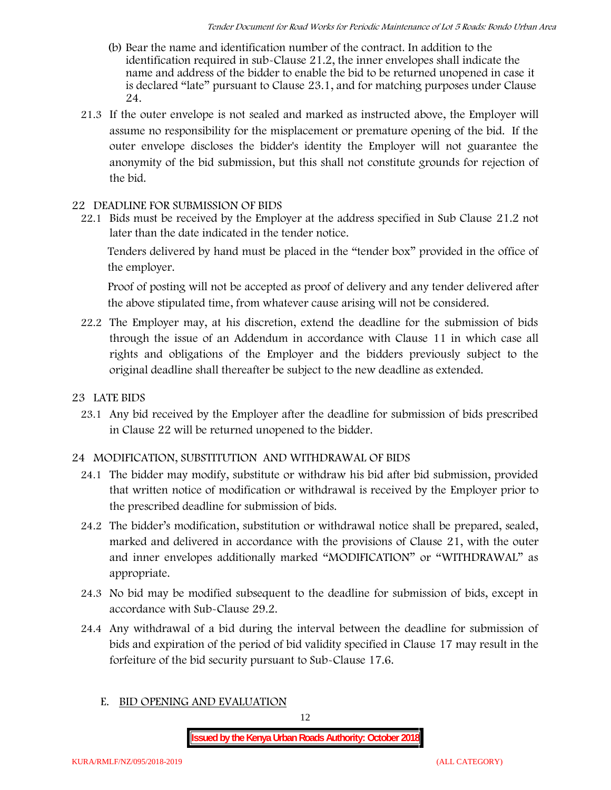- (b) Bear the name and identification number of the contract. In addition to the identification required in sub-Clause 21.2, the inner envelopes shall indicate the name and address of the bidder to enable the bid to be returned unopened in case it is declared "late" pursuant to Clause 23.1, and for matching purposes under Clause 24.
- 21.3 If the outer envelope is not sealed and marked as instructed above, the Employer will assume no responsibility for the misplacement or premature opening of the bid. If the outer envelope discloses the bidder's identity the Employer will not guarantee the anonymity of the bid submission, but this shall not constitute grounds for rejection of the bid.

#### **22 DEADLINE FOR SUBMISSION OF BIDS**

22.1 Bids must be received by the Employer at the address specified in Sub Clause 21.2 not later than **the date indicated in the tender notice.**

Tenders delivered by hand must be placed in the "tender box" provided in the office of the employer.

Proof of posting will not be accepted as proof of delivery and any tender delivered after the above stipulated time, from whatever cause arising will not be considered.

- 22.2 The Employer may, at his discretion, extend the deadline for the submission of bids through the issue of an Addendum in accordance with Clause 11 in which case all rights and obligations of the Employer and the bidders previously subject to the original deadline shall thereafter be subject to the new deadline as extended.
- **23 LATE BIDS**
	- 23.1 Any bid received by the Employer after the deadline for submission of bids prescribed in Clause 22 will be returned unopened to the bidder.

#### **24 MODIFICATION, SUBSTITUTION AND WITHDRAWAL OF BIDS**

- 24.1 The bidder may modify, substitute or withdraw his bid after bid submission, provided that written notice of modification or withdrawal is received by the Employer prior to the prescribed deadline for submission of bids.
- 24.2 The bidder's modification, substitution or withdrawal notice shall be prepared, sealed, marked and delivered in accordance with the provisions of Clause 21, with the outer and inner envelopes additionally marked "MODIFICATION" or "WITHDRAWAL" as appropriate.
- 24.3 No bid may be modified subsequent to the deadline for submission of bids, except in accordance with Sub-Clause 29.2.
- 24.4 Any withdrawal of a bid during the interval between the deadline for submission of bids and expiration of the period of bid validity specified in Clause 17 may result in the forfeiture of the bid security pursuant to Sub-Clause 17.6.
	- **E. BID OPENING AND EVALUATION**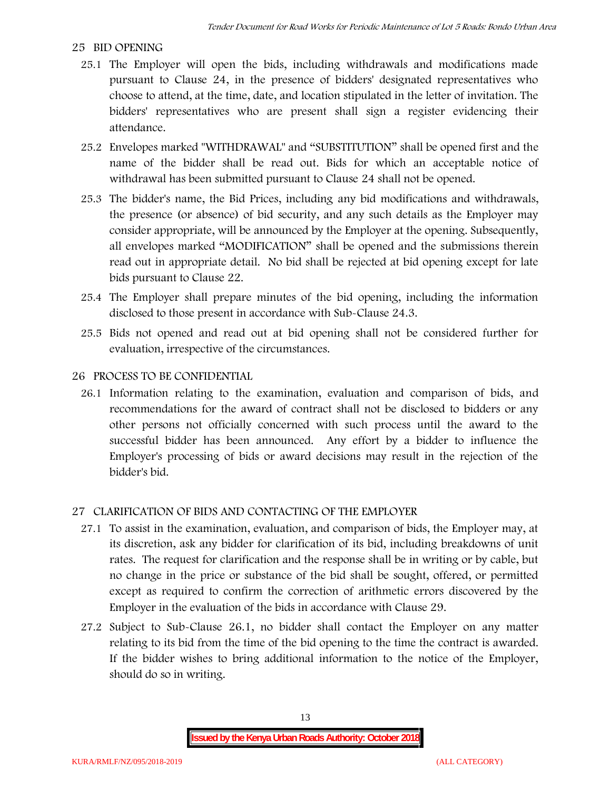#### **25 BID OPENING**

- 25.1 The Employer will open the bids, including withdrawals and modifications made pursuant to Clause 24, in the presence of bidders' designated representatives who choose to attend, at the time, date, and location stipulated in the letter of invitation. The bidders' representatives who are present shall sign a register evidencing their attendance.
- 25.2 Envelopes marked "WITHDRAWAL" and "SUBSTITUTION" shall be opened first and the name of the bidder shall be read out. Bids for which an acceptable notice of withdrawal has been submitted pursuant to Clause 24 shall not be opened.
- 25.3 The bidder's name, the Bid Prices, including any bid modifications and withdrawals, the presence (or absence) of bid security, and any such details as the Employer may consider appropriate, will be announced by the Employer at the opening. Subsequently, all envelopes marked "MODIFICATION" shall be opened and the submissions therein read out in appropriate detail. No bid shall be rejected at bid opening except for late bids pursuant to Clause 22.
- 25.4 The Employer shall prepare minutes of the bid opening, including the information disclosed to those present in accordance with Sub-Clause 24.3.
- 25.5 Bids not opened and read out at bid opening shall not be considered further for evaluation, irrespective of the circumstances.

#### **26 PROCESS TO BE CONFIDENTIAL**

26.1 Information relating to the examination, evaluation and comparison of bids, and recommendations for the award of contract shall not be disclosed to bidders or any other persons not officially concerned with such process until the award to the successful bidder has been announced. Any effort by a bidder to influence the Employer's processing of bids or award decisions may result in the rejection of the bidder's bid.

#### **27 CLARIFICATION OF BIDS AND CONTACTING OF THE EMPLOYER**

- 27.1 To assist in the examination, evaluation, and comparison of bids, the Employer may, at its discretion, ask any bidder for clarification of its bid, including breakdowns of unit rates. The request for clarification and the response shall be in writing or by cable, but no change in the price or substance of the bid shall be sought, offered, or permitted except as required to confirm the correction of arithmetic errors discovered by the Employer in the evaluation of the bids in accordance with Clause 29.
- 27.2 Subject to Sub-Clause 26.1, no bidder shall contact the Employer on any matter relating to its bid from the time of the bid opening to the time the contract is awarded. If the bidder wishes to bring additional information to the notice of the Employer, should do so in writing.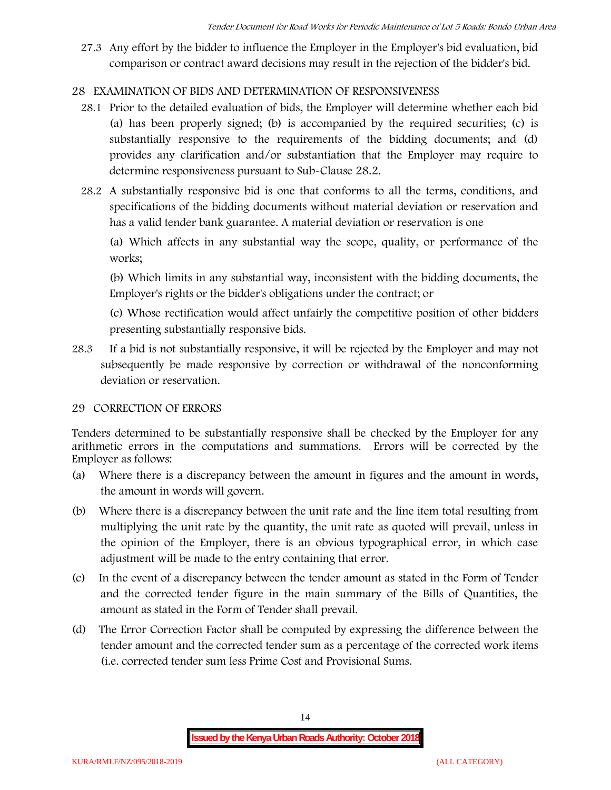27.3 Any effort by the bidder to influence the Employer in the Employer's bid evaluation, bid comparison or contract award decisions may result in the rejection of the bidder's bid.

## **28 EXAMINATION OF BIDS AND DETERMINATION OF RESPONSIVENESS**

- 28.1 Prior to the detailed evaluation of bids, the Employer will determine whether each bid (a) has been properly signed; (b) is accompanied by the required securities; (c) is substantially responsive to the requirements of the bidding documents; and (d) provides any clarification and/or substantiation that the Employer may require to determine responsiveness pursuant to Sub-Clause 28.2.
- 28.2 A substantially responsive bid is one that conforms to all the terms, conditions, and specifications of the bidding documents without material deviation or reservation and has a valid tender bank guarantee. A material deviation or reservation is one

(a) Which affects in any substantial way the scope, quality, or performance of the works;

(b) Which limits in any substantial way, inconsistent with the bidding documents, the Employer's rights or the bidder's obligations under the contract; or

(c) Whose rectification would affect unfairly the competitive position of other bidders presenting substantially responsive bids.

28.3 If a bid is not substantially responsive, it will be rejected by the Employer and may not subsequently be made responsive by correction or withdrawal of the nonconforming deviation or reservation.

## **29 CORRECTION OF ERRORS**

Tenders determined to be substantially responsive shall be checked by the Employer for any arithmetic errors in the computations and summations. Errors will be corrected by the Employer as follows:

- (a) Where there is a discrepancy between the amount in figures and the amount in words, the amount in words will govern.
- (b) Where there is a discrepancy between the unit rate and the line item total resulting from multiplying the unit rate by the quantity, the unit rate as quoted will prevail, unless in the opinion of the Employer, there is an obvious typographical error, in which case adjustment will be made to the entry containing that error.
- (c) In the event of a discrepancy between the tender amount as stated in the Form of Tender and the corrected tender figure in the main summary of the Bills of Quantities, the amount as stated in the Form of Tender shall prevail.
- (d) The Error Correction Factor shall be computed by expressing the difference between the tender amount and the corrected tender sum as a percentage of the corrected work items (i.e. corrected tender sum less Prime Cost and Provisional Sums.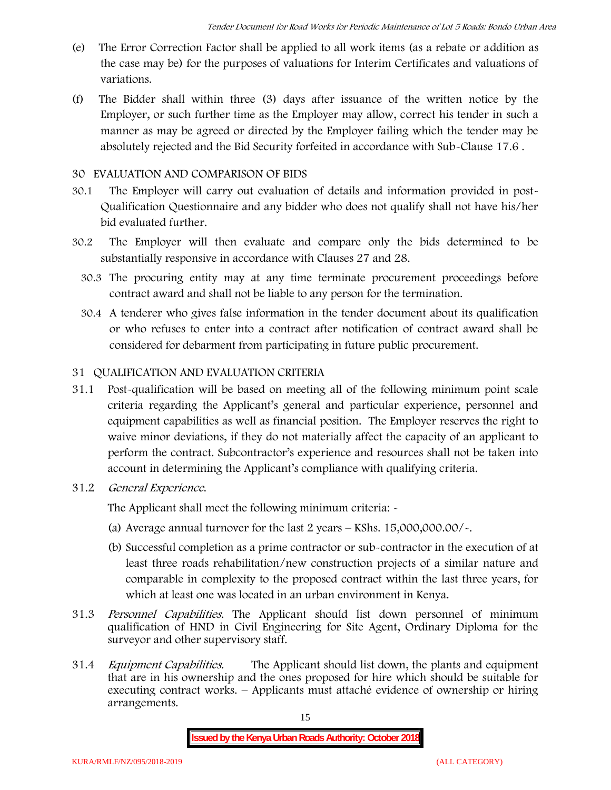- (e) The Error Correction Factor shall be applied to all work items (as a rebate or addition as the case may be) for the purposes of valuations for Interim Certificates and valuations of variations.
- (f) The Bidder shall within three (3) days after issuance of the written notice by the Employer, or such further time as the Employer may allow, correct his tender in such a manner as may be agreed or directed by the Employer failing which the tender may be absolutely rejected and the Bid Security forfeited in accordance with Sub-Clause 17.6 .

#### **30 EVALUATION AND COMPARISON OF BIDS**

- 30.1 The Employer will carry out evaluation of details and information provided in post- Qualification Questionnaire and any bidder who does not qualify shall not have his/her bid evaluated further.
- 30.2 The Employer will then evaluate and compare only the bids determined to be substantially responsive in accordance with Clauses 27 and 28.
	- 30.3 The procuring entity may at any time terminate procurement proceedings before contract award and shall not be liable to any person for the termination.
	- 30.4 A tenderer who gives false information in the tender document about its qualification or who refuses to enter into a contract after notification of contract award shall be considered for debarment from participating in future public procurement.

#### **31 QUALIFICATION AND EVALUATION CRITERIA**

- 31.1 Post-qualification will be based on meeting all of the following minimum point scale criteria regarding the Applicant's general and particular experience, personnel and equipment capabilities as well as financial position. The Employer reserves the right to waive minor deviations, if they do not materially affect the capacity of an applicant to perform the contract. Subcontractor's experience and resources shall not be taken into account in determining the Applicant's compliance with qualifying criteria.
- **31.2** *General Experience***.**

The Applicant shall meet the following minimum criteria: -

- (a) Average annual turnover for the last 2 years **KShs. 15,000,000.00/-.**
- (b) Successful completion as a prime contractor or sub-contractor in the execution of at least three roads rehabilitation/new construction projects of a similar nature and comparable in complexity to the proposed contract within the last three years, for which at least one was located in an urban environment in Kenya.
- 31.3 *Personnel Capabilities***.** The Applicant should list down personnel of minimum qualification of HND in Civil Engineering for Site Agent, Ordinary Diploma for the surveyor and other supervisory staff.
- 31.4 *Equipment Capabilities.* The Applicant should list down, the plants and equipment that are in his ownership and the ones proposed for hire which should be suitable for executing contract works. – Applicants must attaché evidence of ownership or hiring arrangements.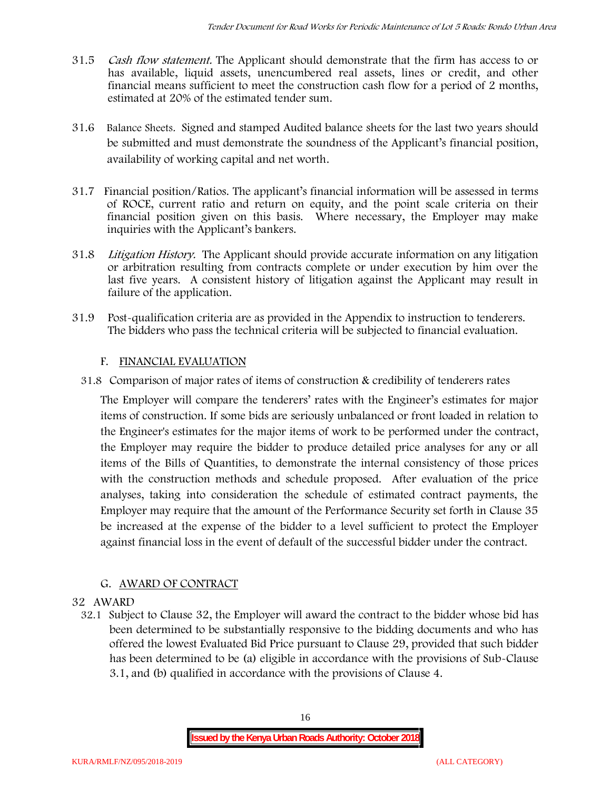- 31.5 *Cash flow statement.* The Applicant should demonstrate that the firm has access to or has available, liquid assets, unencumbered real assets, lines or credit, and other financial means sufficient to meet the construction cash flow for a period of 2 months, estimated at 20% of the estimated tender sum.
- 31.6 **Balance Sheets***.* Signed and stamped Audited balance sheets for the last two years should be submitted and must demonstrate the soundness of the Applicant's financial position, availability of working capital and net worth.
- 31.7 **Financial position/Ratios.** The applicant's financial information will be assessed in terms of ROCE, current ratio and return on equity, and the point scale criteria on their financial position given on this basis. Where necessary, the Employer may make inquiries with the Applicant's bankers.
- 31.8 *Litigation History.* The Applicant should provide accurate information on any litigation or arbitration resulting from contracts complete or under execution by him over the last five years. A consistent history of litigation against the Applicant may result in failure of the application.
- 31.9 Post-qualification criteria are as provided in the Appendix to instruction to tenderers. The bidders who pass the technical criteria will be subjected to financial evaluation.

## **F. FINANCIAL EVALUATION**

31.8 Comparison of major rates of items of construction & credibility of tenderers rates

The Employer will compare the tenderers' rates with the Engineer's estimates for major items of construction. If some bids are seriously unbalanced or front loaded in relation to the Engineer's estimates for the major items of work to be performed under the contract, the Employer may require the bidder to produce detailed price analyses for any or all items of the Bills of Quantities, to demonstrate the internal consistency of those prices with the construction methods and schedule proposed. After evaluation of the price analyses, taking into consideration the schedule of estimated contract payments, the Employer may require that the amount of the Performance Security set forth in Clause 35 be increased at the expense of the bidder to a level sufficient to protect the Employer against financial loss in the event of default of the successful bidder under the contract.

## **G. AWARD OF CONTRACT**

#### **32 AWARD**

32.1 Subject to Clause 32, the Employer will award the contract to the bidder whose bid has been determined to be substantially responsive to the bidding documents and who has offered the lowest Evaluated Bid Price pursuant to Clause 29, provided that such bidder has been determined to be (a) eligible in accordance with the provisions of Sub-Clause 3.1, and (b) qualified in accordance with the provisions of Clause 4.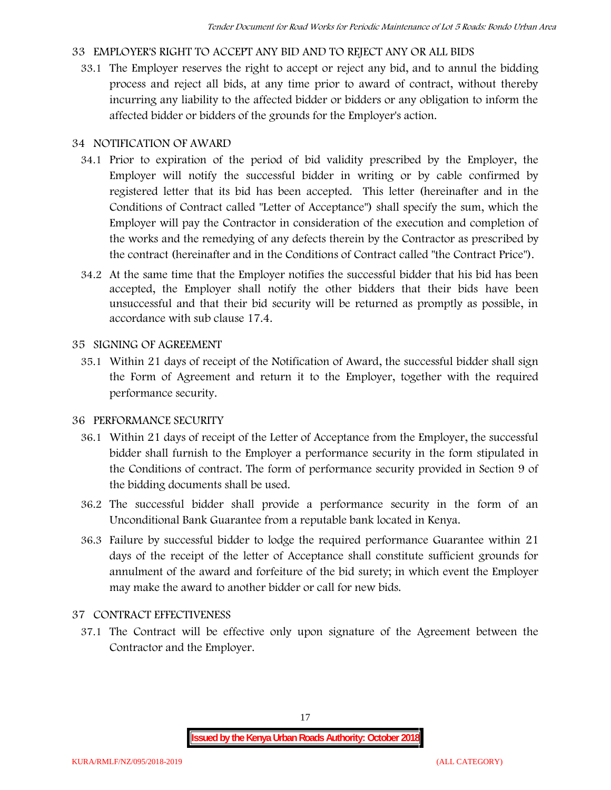## **33 EMPLOYER'S RIGHT TO ACCEPT ANY BID AND TO REJECT ANY OR ALL BIDS**

33.1 The Employer reserves the right to accept or reject any bid, and to annul the bidding process and reject all bids, at any time prior to award of contract, without thereby incurring any liability to the affected bidder or bidders or any obligation to inform the affected bidder or bidders of the grounds for the Employer's action.

### **34 NOTIFICATION OF AWARD**

- 34.1 Prior to expiration of the period of bid validity prescribed by the Employer, the Employer will notify the successful bidder in writing or by cable confirmed by registered letter that its bid has been accepted. This letter (hereinafter and in the Conditions of Contract called "Letter of Acceptance") shall specify the sum, which the Employer will pay the Contractor in consideration of the execution and completion of the works and the remedying of any defects therein by the Contractor as prescribed by the contract (hereinafter and in the Conditions of Contract called "the Contract Price").
- 34.2 At the same time that the Employer notifies the successful bidder that his bid has been accepted, the Employer shall notify the other bidders that their bids have been unsuccessful and that their bid security will be returned as promptly as possible, in accordance with sub clause 17.4.

#### **35 SIGNING OF AGREEMENT**

35.1 Within 21 days of receipt of the Notification of Award, the successful bidder shall sign the Form of Agreement and return it to the Employer, together with the required performance security.

## **36 PERFORMANCE SECURITY**

- 36.1 Within 21 days of receipt of the Letter of Acceptance from the Employer, the successful bidder shall furnish to the Employer a performance security in the form stipulated in the Conditions of contract. The form of performance security provided in Section 9 of the bidding documents shall be used.
- 36.2 The successful bidder shall provide a performance security in the form of an Unconditional Bank Guarantee from a reputable bank located in Kenya.
- 36.3 Failure by successful bidder to lodge the required performance Guarantee within 21 days of the receipt of the letter of Acceptance shall constitute sufficient grounds for annulment of the award and forfeiture of the bid surety; in which event the Employer may make the award to another bidder or call for new bids.

## **37 CONTRACT EFFECTIVENESS**

37.1 The Contract will be effective only upon signature of the Agreement between the Contractor and the Employer.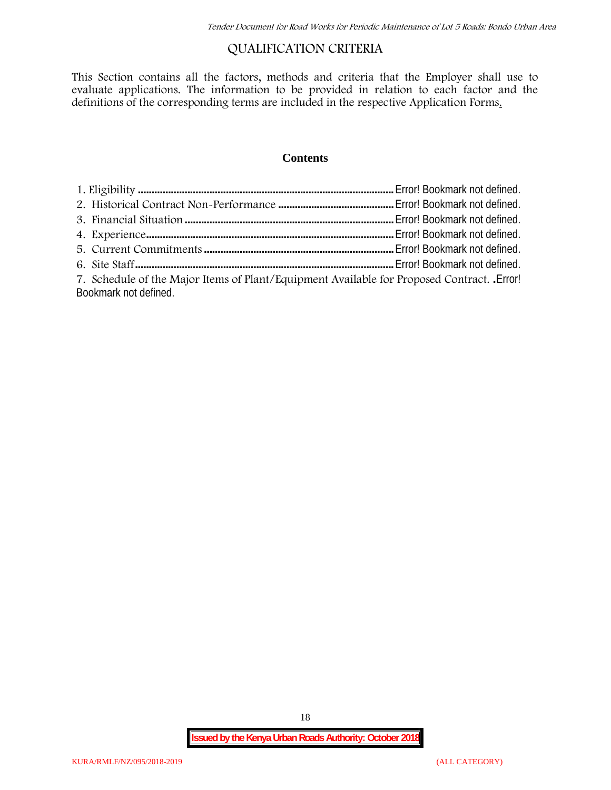## **QUALIFICATION CRITERIA**

This Section contains all the factors, methods and criteria that the Employer shall use to evaluate applications. The information to be provided in relation to each factor and the definitions of the corresponding terms are included in the respective Application Forms.

#### **Contents**

| 7. Schedule of the Major Items of Plant/Equipment Available for Proposed Contract. Error! |  |
|-------------------------------------------------------------------------------------------|--|
| Bookmark not defined.                                                                     |  |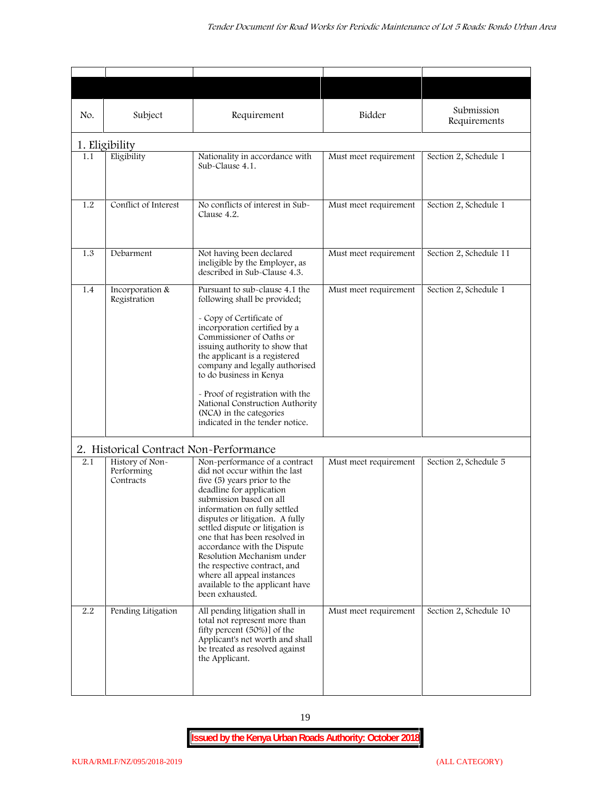| No. | Subject                                                                              | Requirement                                                                                                                                                                                                                                                                                                                                                                                                                                                                   | Bidder                | Submission<br>Requirements |
|-----|--------------------------------------------------------------------------------------|-------------------------------------------------------------------------------------------------------------------------------------------------------------------------------------------------------------------------------------------------------------------------------------------------------------------------------------------------------------------------------------------------------------------------------------------------------------------------------|-----------------------|----------------------------|
|     | 1. Eligibility                                                                       |                                                                                                                                                                                                                                                                                                                                                                                                                                                                               |                       |                            |
| 1.1 | Eligibility                                                                          | Nationality in accordance with<br>Sub-Clause 4.1.                                                                                                                                                                                                                                                                                                                                                                                                                             | Must meet requirement | Section 2, Schedule 1      |
| 1.2 | Conflict of Interest                                                                 | No conflicts of interest in Sub-<br>Clause 4.2.                                                                                                                                                                                                                                                                                                                                                                                                                               | Must meet requirement | Section 2, Schedule 1      |
| 1.3 | Debarment                                                                            | Not having been declared<br>ineligible by the Employer, as<br>described in Sub-Clause 4.3.                                                                                                                                                                                                                                                                                                                                                                                    | Must meet requirement | Section 2, Schedule 11     |
| 1.4 | Incorporation &<br>Registration                                                      | Pursuant to sub-clause 4.1 the<br>following shall be provided;<br>- Copy of Certificate of<br>incorporation certified by a<br>Commissioner of Oaths or<br>issuing authority to show that<br>the applicant is a registered<br>company and legally authorised<br>to do business in Kenya<br>- Proof of registration with the<br>National Construction Authority<br>(NCA) in the categories<br>indicated in the tender notice.                                                   | Must meet requirement | Section 2, Schedule 1      |
| 2.1 | 2. Historical Contract Non-Performance<br>History of Non-<br>Performing<br>Contracts | Non-performance of a contract<br>did not occur within the last<br>five (5) years prior to the<br>deadline for application<br>submission based on all<br>information on fully settled<br>disputes or litigation. A fully<br>settled dispute or litigation is<br>one that has been resolved in<br>accordance with the Dispute<br>Resolution Mechanism under<br>the respective contract, and<br>where all appeal instances<br>available to the applicant have<br>been exhausted. | Must meet requirement | Section 2, Schedule 5      |
| 2.2 | Pending Litigation                                                                   | All pending litigation shall in<br>total not represent more than<br>fifty percent (50%)] of the<br>Applicant's net worth and shall<br>be treated as resolved against<br>the Applicant.                                                                                                                                                                                                                                                                                        | Must meet requirement | Section 2, Schedule 10     |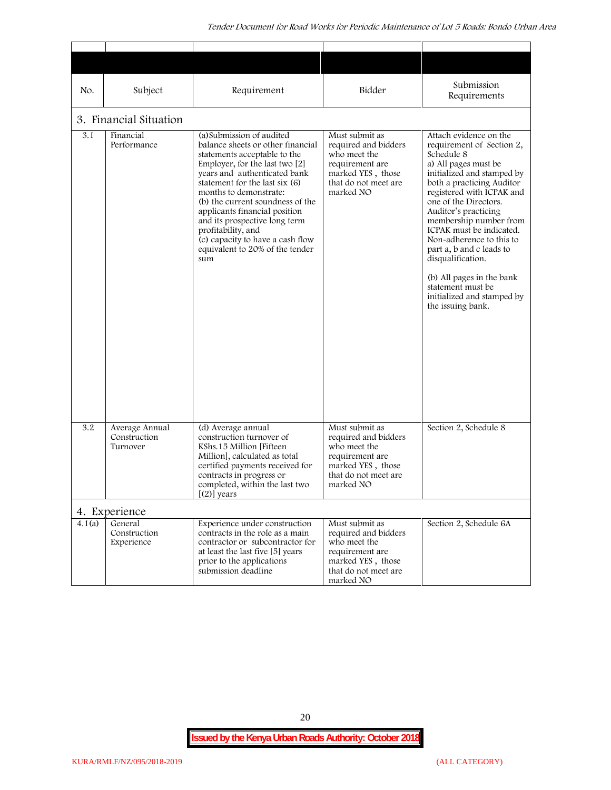| No.    | Subject                                    | Requirement                                                                                                                                                                                                                                                                                                                                                                                                                            | Bidder                                                                                                                              | Submission<br>Requirements                                                                                                                                                                                                                                                                                                                                                                                                                                                 |
|--------|--------------------------------------------|----------------------------------------------------------------------------------------------------------------------------------------------------------------------------------------------------------------------------------------------------------------------------------------------------------------------------------------------------------------------------------------------------------------------------------------|-------------------------------------------------------------------------------------------------------------------------------------|----------------------------------------------------------------------------------------------------------------------------------------------------------------------------------------------------------------------------------------------------------------------------------------------------------------------------------------------------------------------------------------------------------------------------------------------------------------------------|
|        | 3. Financial Situation                     |                                                                                                                                                                                                                                                                                                                                                                                                                                        |                                                                                                                                     |                                                                                                                                                                                                                                                                                                                                                                                                                                                                            |
| 3.1    | Financial<br>Performance                   | (a) Submission of audited<br>balance sheets or other financial<br>statements acceptable to the<br>Employer, for the last two [2]<br>years and authenticated bank<br>statement for the last six (6)<br>months to demonstrate:<br>(b) the current soundness of the<br>applicants financial position<br>and its prospective long term<br>profitability, and<br>(c) capacity to have a cash flow<br>equivalent to 20% of the tender<br>sum | Must submit as<br>required and bidders<br>who meet the<br>requirement are<br>marked YES, those<br>that do not meet are<br>marked NO | Attach evidence on the<br>requirement of Section 2,<br>Schedule 8<br>a) All pages must be<br>initialized and stamped by<br>both a practicing Auditor<br>registered with ICPAK and<br>one of the Directors.<br>Auditor's practicing<br>membership number from<br>ICPAK must be indicated.<br>Non-adherence to this to<br>part a, b and c leads to<br>disqualification.<br>(b) All pages in the bank<br>statement must be<br>initialized and stamped by<br>the issuing bank. |
| 3.2    | Average Annual<br>Construction<br>Turnover | (d) Average annual<br>construction turnover of<br>KShs.15 Million [Fifteen]<br>Million], calculated as total<br>certified payments received for<br>contracts in progress or<br>completed, within the last two<br>$[ (2) ]$ years                                                                                                                                                                                                       | Must submit as<br>required and bidders<br>who meet the<br>requirement are<br>marked YES, those<br>that do not meet are<br>marked NO | Section 2, Schedule 8                                                                                                                                                                                                                                                                                                                                                                                                                                                      |
|        | 4. Experience                              |                                                                                                                                                                                                                                                                                                                                                                                                                                        |                                                                                                                                     |                                                                                                                                                                                                                                                                                                                                                                                                                                                                            |
| 4.1(a) | General<br>Construction<br>Experience      | Experience under construction<br>contracts in the role as a main<br>contractor or subcontractor for<br>at least the last five [5] years<br>prior to the applications<br>submission deadline                                                                                                                                                                                                                                            | Must submit as<br>required and bidders<br>who meet the<br>requirement are<br>marked YES, those<br>that do not meet are<br>marked NO | Section 2, Schedule 6A                                                                                                                                                                                                                                                                                                                                                                                                                                                     |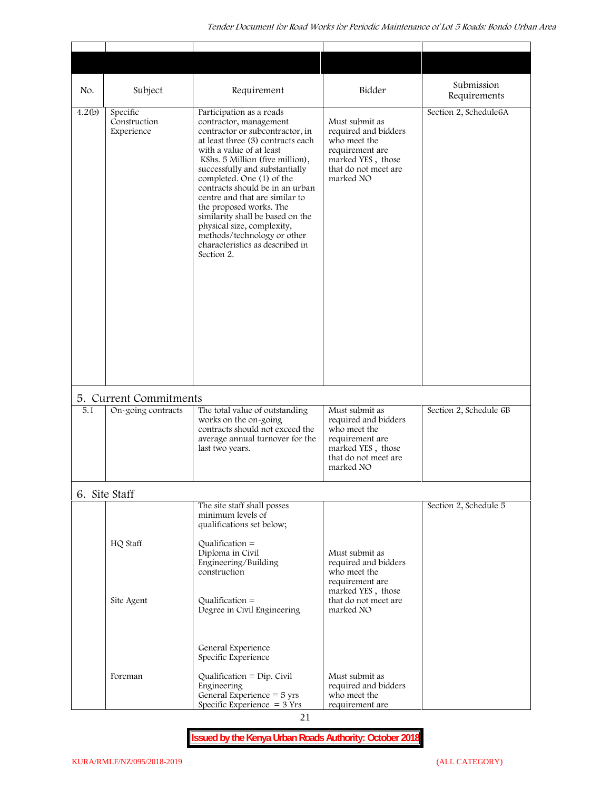| No.    | Subject                                      | Requirement                                                                                                                                                                                                                                                                                                                                                                                                                                                                                                | Bidder                                                                                                                              | Submission<br>Requirements |
|--------|----------------------------------------------|------------------------------------------------------------------------------------------------------------------------------------------------------------------------------------------------------------------------------------------------------------------------------------------------------------------------------------------------------------------------------------------------------------------------------------------------------------------------------------------------------------|-------------------------------------------------------------------------------------------------------------------------------------|----------------------------|
| 4.2(b) | Specific<br>Construction<br>Experience       | Participation as a roads<br>contractor, management<br>contractor or subcontractor, in<br>at least three (3) contracts each<br>with a value of at least<br>KShs. 5 Million (five million),<br>successfully and substantially<br>completed. One (1) of the<br>contracts should be in an urban<br>centre and that are similar to<br>the proposed works. The<br>similarity shall be based on the<br>physical size, complexity,<br>methods/technology or other<br>characteristics as described in<br>Section 2. | Must submit as<br>required and bidders<br>who meet the<br>requirement are<br>marked YES, those<br>that do not meet are<br>marked NO | Section 2, Schedule6A      |
| 5.1    | 5. Current Commitments<br>On-going contracts | The total value of outstanding<br>works on the on-going<br>contracts should not exceed the<br>average annual turnover for the<br>last two years.                                                                                                                                                                                                                                                                                                                                                           | Must submit as<br>required and bidders<br>who meet the<br>requirement are<br>marked YES, those<br>that do not meet are<br>marked NO | Section 2, Schedule 6B     |
|        | 6. Site Staff                                |                                                                                                                                                                                                                                                                                                                                                                                                                                                                                                            |                                                                                                                                     |                            |
|        | HQ Staff                                     | The site staff shall posses<br>minimum levels of<br>qualifications set below;<br>Qualification $=$<br>Diploma in Civil<br>Engineering/Building<br>construction                                                                                                                                                                                                                                                                                                                                             | Must submit as<br>required and bidders<br>who meet the<br>requirement are<br>marked YES, those                                      | Section 2, Schedule 5      |
|        | Site Agent<br>Foreman                        | $Qualification =$<br>Degree in Civil Engineering<br>General Experience<br>Specific Experience<br>Qualification = $Dip$ . Civil<br>Engineering<br>General Experience $=$ 5 yrs                                                                                                                                                                                                                                                                                                                              | that do not meet are<br>marked NO<br>Must submit as<br>required and bidders<br>who meet the                                         |                            |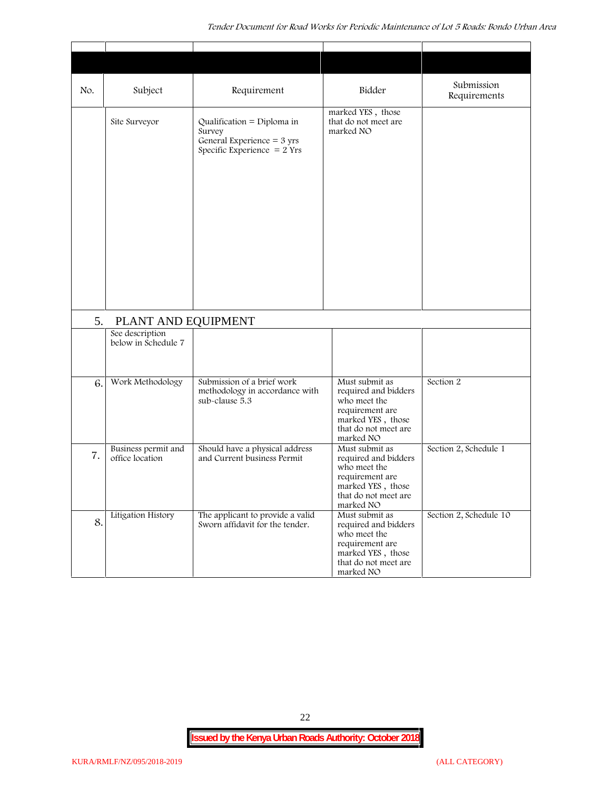| No. | Subject                                | Requirement                                                                                                   | Bidder                                                                                                                              | Submission<br>Requirements |
|-----|----------------------------------------|---------------------------------------------------------------------------------------------------------------|-------------------------------------------------------------------------------------------------------------------------------------|----------------------------|
|     | Site Surveyor                          | Qualification = Diploma in<br>Survey<br>General Experience = $3 \text{ yrs}$<br>Specific Experience $= 2$ Yrs | marked YES, those<br>that do not meet are<br>marked NO                                                                              |                            |
| 5.  | PLANT AND EQUIPMENT                    |                                                                                                               |                                                                                                                                     |                            |
|     | See description<br>below in Schedule 7 |                                                                                                               |                                                                                                                                     |                            |
| 6.  | Work Methodology                       | Submission of a brief work<br>methodology in accordance with<br>sub-clause 5.3                                | Must submit as<br>required and bidders<br>who meet the<br>requirement are<br>marked YES, those<br>that do not meet are<br>marked NO | Section 2                  |
| 7.  | Business permit and<br>office location | Should have a physical address<br>and Current business Permit                                                 | Must submit as<br>required and bidders<br>who meet the<br>requirement are<br>marked YES, those<br>that do not meet are<br>marked NO | Section 2, Schedule 1      |
| 8.  | Litigation History                     | The applicant to provide a valid<br>Sworn affidavit for the tender.                                           | Must submit as<br>required and bidders<br>who meet the<br>requirement are<br>marked YES, those<br>that do not meet are<br>marked NO | Section 2, Schedule 10     |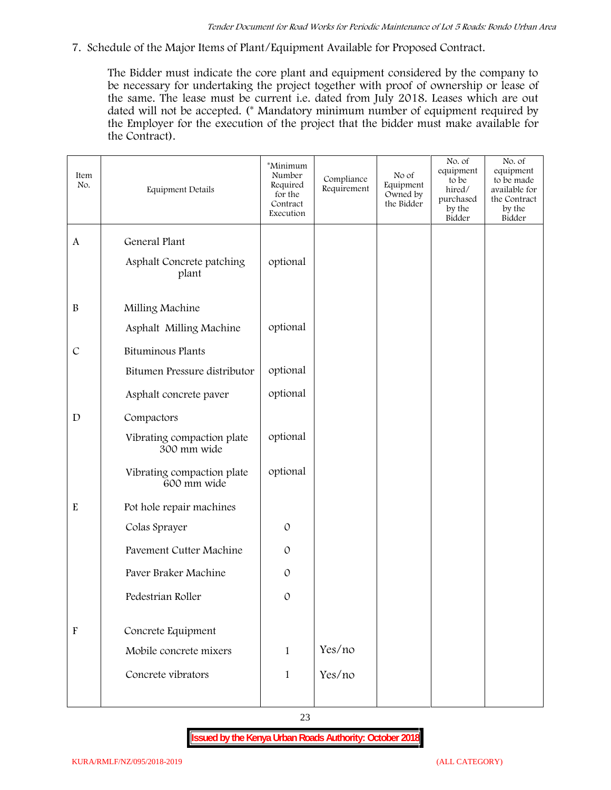**7. Schedule of the Major Items of Plant/Equipment Available for Proposed Contract.**

The Bidder must indicate the core plant and equipment considered by the company to be necessary for undertaking the project together with proof of ownership or lease of the same. The lease must be current i.e. dated from July 2018. Leases which are out dated will not be accepted. (\* Mandatory minimum number of equipment required by the Employer for the execution of the project that the bidder must make available for the Contract).

| Item<br>No.               | Equipment Details                         | *Minimum<br>Number<br>Required<br>for the<br>Contract<br>Execution | Compliance<br>Requirement | No of<br>Equipment<br>Owned by<br>the Bidder | No. of<br>equipment<br>to be<br>hired/<br>purchased<br>by the<br>Bidder | No. of<br>equipment<br>to be made<br>available for<br>the Contract<br>by the<br>Bidder |  |
|---------------------------|-------------------------------------------|--------------------------------------------------------------------|---------------------------|----------------------------------------------|-------------------------------------------------------------------------|----------------------------------------------------------------------------------------|--|
| A                         | General Plant                             |                                                                    |                           |                                              |                                                                         |                                                                                        |  |
|                           | Asphalt Concrete patching<br>plant        | optional                                                           |                           |                                              |                                                                         |                                                                                        |  |
| $\, {\bf B}$              | Milling Machine                           |                                                                    |                           |                                              |                                                                         |                                                                                        |  |
|                           | Asphalt Milling Machine                   | optional                                                           |                           |                                              |                                                                         |                                                                                        |  |
| $\mathcal{C}$             | Bituminous Plants                         |                                                                    |                           |                                              |                                                                         |                                                                                        |  |
|                           | Bitumen Pressure distributor              | optional                                                           |                           |                                              |                                                                         |                                                                                        |  |
|                           | Asphalt concrete paver                    | optional                                                           |                           |                                              |                                                                         |                                                                                        |  |
| $\mathbf D$               | Compactors                                |                                                                    |                           |                                              |                                                                         |                                                                                        |  |
|                           | Vibrating compaction plate<br>300 mm wide | optional                                                           |                           |                                              |                                                                         |                                                                                        |  |
|                           | Vibrating compaction plate<br>600 mm wide | optional                                                           |                           |                                              |                                                                         |                                                                                        |  |
| ${\bf E}$                 | Pot hole repair machines                  |                                                                    |                           |                                              |                                                                         |                                                                                        |  |
|                           | Colas Sprayer                             | $\mathcal{O}$                                                      |                           |                                              |                                                                         |                                                                                        |  |
|                           | Pavement Cutter Machine                   | $\mathcal{O}$                                                      |                           |                                              |                                                                         |                                                                                        |  |
|                           | Paver Braker Machine                      | $\mathcal{O}$                                                      |                           |                                              |                                                                         |                                                                                        |  |
|                           | Pedestrian Roller                         | 0                                                                  |                           |                                              |                                                                         |                                                                                        |  |
| $\boldsymbol{\mathrm{F}}$ | Concrete Equipment                        |                                                                    |                           |                                              |                                                                         |                                                                                        |  |
|                           | Mobile concrete mixers                    | $\mathbf{1}$                                                       | Yes/no                    |                                              |                                                                         |                                                                                        |  |
|                           | Concrete vibrators                        | $\mathbf{1}$                                                       | Yes/no                    |                                              |                                                                         |                                                                                        |  |
|                           |                                           |                                                                    |                           |                                              |                                                                         |                                                                                        |  |

23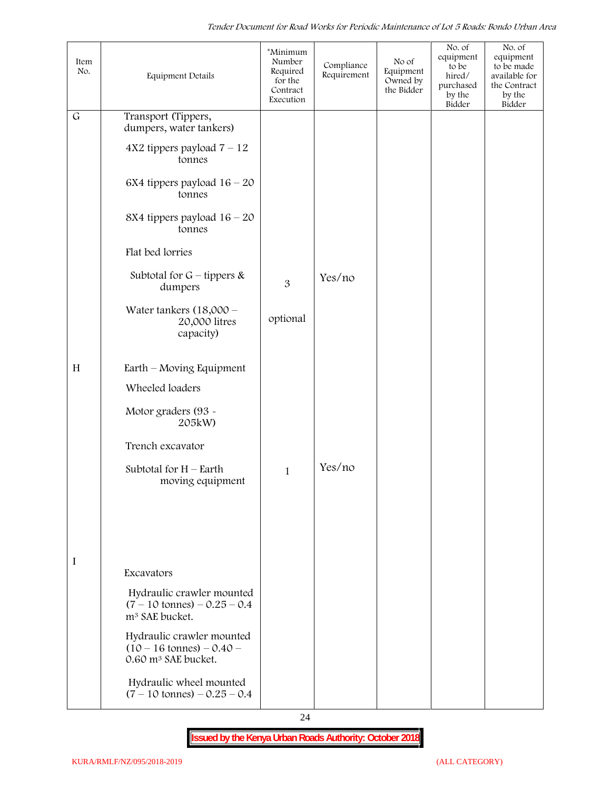| Item<br>No. | Equipment Details                                                                                 | *Minimum<br>Number<br>Required<br>for the<br>Contract<br>Execution | Compliance<br>Requirement | No of<br>Equipment<br>Owned by<br>the Bidder | No. of<br>equipment<br>to be<br>hired/<br>purchased<br>by the<br>Bidder | No. of<br>equipment<br>to be made<br>available for<br>the Contract<br>by the<br>Bidder |
|-------------|---------------------------------------------------------------------------------------------------|--------------------------------------------------------------------|---------------------------|----------------------------------------------|-------------------------------------------------------------------------|----------------------------------------------------------------------------------------|
| $\mathsf G$ | Transport (Tippers,<br>dumpers, water tankers)                                                    |                                                                    |                           |                                              |                                                                         |                                                                                        |
|             | $4X2$ tippers payload $7 - 12$<br>tonnes                                                          |                                                                    |                           |                                              |                                                                         |                                                                                        |
|             | 6X4 tippers payload $16 - 20$<br>tonnes                                                           |                                                                    |                           |                                              |                                                                         |                                                                                        |
|             | 8X4 tippers payload $16 - 20$<br>tonnes                                                           |                                                                    |                           |                                              |                                                                         |                                                                                        |
|             | Flat bed lorries                                                                                  |                                                                    |                           |                                              |                                                                         |                                                                                        |
|             | Subtotal for $G$ – tippers &<br>dumpers                                                           | 3                                                                  | Yes/no                    |                                              |                                                                         |                                                                                        |
|             | Water tankers $(18,000 -$<br>20,000 litres<br>capacity)                                           | optional                                                           |                           |                                              |                                                                         |                                                                                        |
| H           | Earth – Moving Equipment                                                                          |                                                                    |                           |                                              |                                                                         |                                                                                        |
|             | Wheeled loaders                                                                                   |                                                                    |                           |                                              |                                                                         |                                                                                        |
|             | Motor graders (93 ~<br>205kW)                                                                     |                                                                    |                           |                                              |                                                                         |                                                                                        |
|             | Trench excavator                                                                                  |                                                                    |                           |                                              |                                                                         |                                                                                        |
|             | Subtotal for $H$ – Earth<br>moving equipment                                                      | $\mathbf{1}$                                                       | Yes/no                    |                                              |                                                                         |                                                                                        |
|             |                                                                                                   |                                                                    |                           |                                              |                                                                         |                                                                                        |
|             |                                                                                                   |                                                                    |                           |                                              |                                                                         |                                                                                        |
| I           |                                                                                                   |                                                                    |                           |                                              |                                                                         |                                                                                        |
|             | Excavators                                                                                        |                                                                    |                           |                                              |                                                                         |                                                                                        |
|             | Hydraulic crawler mounted<br>$(7 - 10 \text{ tonnes}) - 0.25 - 0.4$<br>m <sup>3</sup> SAE bucket. |                                                                    |                           |                                              |                                                                         |                                                                                        |
|             | Hydraulic crawler mounted<br>$(10 - 16 \text{ tonnes}) - 0.40$<br>0.60 m <sup>3</sup> SAE bucket. |                                                                    |                           |                                              |                                                                         |                                                                                        |
|             | Hydraulic wheel mounted<br>$(7 - 10 \text{ tonnes}) - 0.25 - 0.4$                                 |                                                                    |                           |                                              |                                                                         |                                                                                        |

24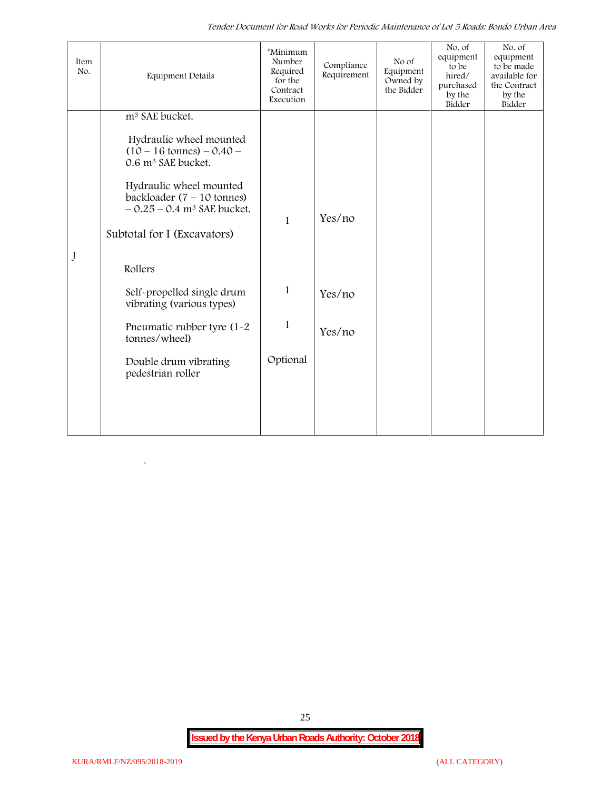*Tender Document for Road Works for Periodic Maintenance of Lot 5 Roads: Bondo Urban Area*

| Item<br>No. | <b>Equipment Details</b>                                                                            | *Minimum<br>Number<br>Required<br>for the<br>Contract<br>Execution | Compliance<br>Requirement | No of<br>Equipment<br>Owned by<br>the Bidder | No. of<br>equipment<br>to be<br>hired/<br>purchased<br>by the<br>Bidder | No. of<br>equipment<br>to be made<br>available for<br>the Contract<br>by the<br>Bidder |
|-------------|-----------------------------------------------------------------------------------------------------|--------------------------------------------------------------------|---------------------------|----------------------------------------------|-------------------------------------------------------------------------|----------------------------------------------------------------------------------------|
|             | m <sup>3</sup> SAE bucket.                                                                          |                                                                    |                           |                                              |                                                                         |                                                                                        |
|             | Hydraulic wheel mounted<br>$(10 - 16 \text{ tonnes}) - 0.40 -$<br>0.6 m <sup>3</sup> SAE bucket.    |                                                                    |                           |                                              |                                                                         |                                                                                        |
|             | Hydraulic wheel mounted<br>backloader $(7 - 10$ tonnes)<br>$-0.25 - 0.4$ m <sup>3</sup> SAE bucket. | $\mathbf{1}$                                                       | Yes/no                    |                                              |                                                                         |                                                                                        |
|             | Subtotal for I (Excavators)                                                                         |                                                                    |                           |                                              |                                                                         |                                                                                        |
| J           | Rollers                                                                                             |                                                                    |                           |                                              |                                                                         |                                                                                        |
|             | Self-propelled single drum<br>vibrating (various types)                                             | $\mathbf{1}$                                                       | Yes/no                    |                                              |                                                                         |                                                                                        |
|             | Pneumatic rubber tyre (1-2<br>tonnes/wheel)                                                         | $\mathbf{1}$                                                       | Yes/no                    |                                              |                                                                         |                                                                                        |
|             | Double drum vibrating<br>pedestrian roller                                                          | Optional                                                           |                           |                                              |                                                                         |                                                                                        |
|             |                                                                                                     |                                                                    |                           |                                              |                                                                         |                                                                                        |
|             |                                                                                                     |                                                                    |                           |                                              |                                                                         |                                                                                        |
|             |                                                                                                     |                                                                    |                           |                                              |                                                                         |                                                                                        |

25

 $\overline{\phantom{a}}$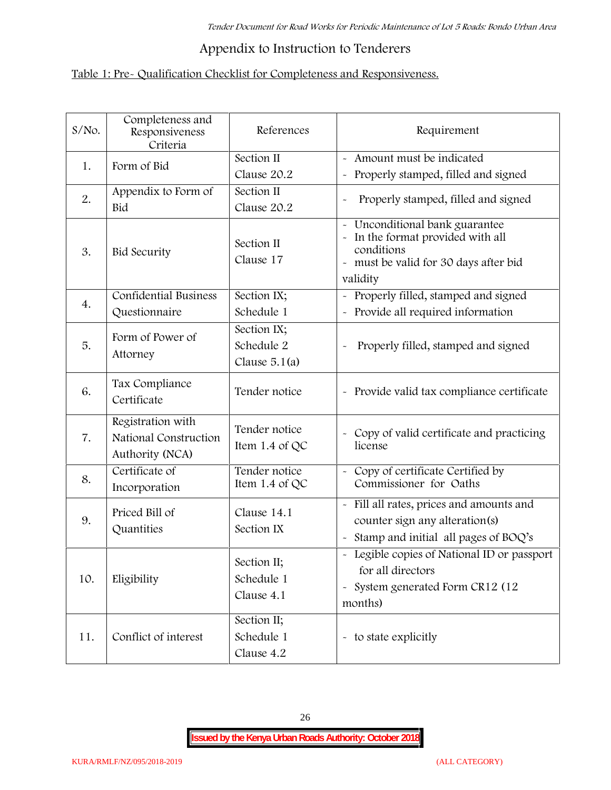## **Appendix to Instruction to Tenderers**

## **Table 1: Pre- Qualification Checklist for Completeness and Responsiveness.**

| S/No. | Completeness and<br>Responsiveness<br>Criteria                | References                                   | Requirement                                                                                                                          |
|-------|---------------------------------------------------------------|----------------------------------------------|--------------------------------------------------------------------------------------------------------------------------------------|
| 1.    | Form of Bid                                                   | Section II<br>Clause 20.2                    | - Amount must be indicated<br>- Properly stamped, filled and signed                                                                  |
| 2.    | Appendix to Form of<br>Bid                                    | Section II<br>Clause 20.2                    | Properly stamped, filled and signed                                                                                                  |
| 3.    | <b>Bid Security</b>                                           | Section II<br>Clause 17                      | - Unconditional bank guarantee<br>In the format provided with all<br>conditions<br>- must be valid for 30 days after bid<br>validity |
| 4.    | Confidential Business<br>Questionnaire                        | Section IX;<br>Schedule 1                    | - Properly filled, stamped and signed<br>- Provide all required information                                                          |
| 5.    | Form of Power of<br>Attorney                                  | Section IX;<br>Schedule 2<br>Clause $5.1(a)$ | Properly filled, stamped and signed                                                                                                  |
| 6.    | Tax Compliance<br>Certificate                                 | Tender notice                                | - Provide valid tax compliance certificate                                                                                           |
| 7.    | Registration with<br>National Construction<br>Authority (NCA) | Tender notice<br>Item 1.4 of QC              | - Copy of valid certificate and practicing<br>license                                                                                |
| 8.    | Certificate of<br>Incorporation                               | Tender notice<br>Item 1.4 of QC              | - Copy of certificate Certified by<br>Commissioner for Oaths                                                                         |
| 9.    | Priced Bill of<br>Quantities                                  | Clause 14.1<br>Section IX                    | - Fill all rates, prices and amounts and<br>counter sign any alteration(s)<br>Stamp and initial all pages of BOQ's                   |
| 10.   | Eligibility                                                   | Section II;<br>Schedule 1<br>Clause 4.1      | - Legible copies of National ID or passport<br>for all directors<br>- System generated Form CR12 (12<br>months)                      |
| 11.   | Conflict of interest                                          | Section II;<br>Schedule 1<br>Clause 4.2      | - to state explicitly                                                                                                                |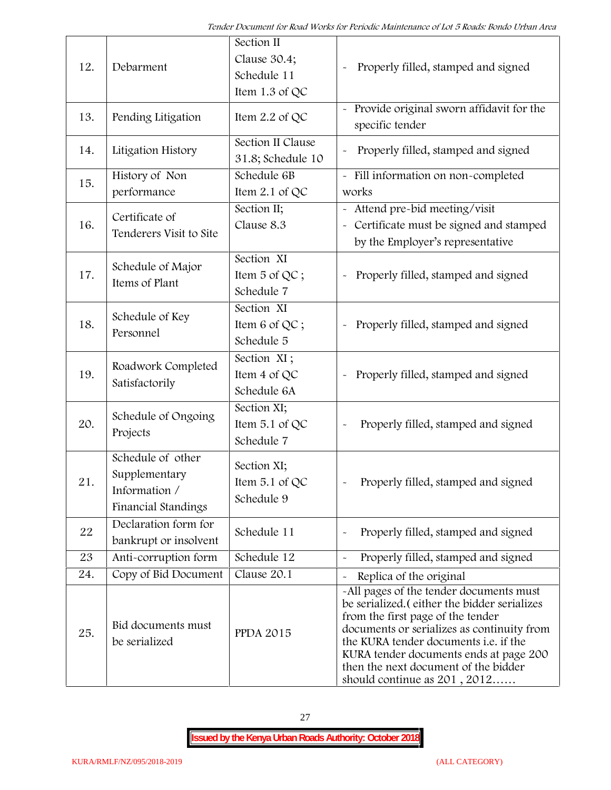| 12. | Debarment                                                                  | Section II<br>Clause 30.4;<br>Schedule 11<br>Item 1.3 of QC | Properly filled, stamped and signed                                                                                                                                                                                                                                                                                                            |
|-----|----------------------------------------------------------------------------|-------------------------------------------------------------|------------------------------------------------------------------------------------------------------------------------------------------------------------------------------------------------------------------------------------------------------------------------------------------------------------------------------------------------|
| 13. | Pending Litigation                                                         | Item 2.2 of QC                                              | Provide original sworn affidavit for the<br>specific tender                                                                                                                                                                                                                                                                                    |
| 14. | Litigation History                                                         | Section II Clause<br>31.8; Schedule 10                      | Properly filled, stamped and signed                                                                                                                                                                                                                                                                                                            |
| 15. | History of Non<br>performance                                              | Schedule 6B<br>Item $2.1$ of QC                             | - Fill information on non-completed<br>works                                                                                                                                                                                                                                                                                                   |
| 16. | Certificate of<br>Tenderers Visit to Site                                  | Section II;<br>Clause 8.3                                   | - Attend pre-bid meeting/visit<br>- Certificate must be signed and stamped<br>by the Employer's representative                                                                                                                                                                                                                                 |
| 17. | Schedule of Major<br>Items of Plant                                        | Section XI<br>Item 5 of QC;<br>Schedule 7                   | Properly filled, stamped and signed                                                                                                                                                                                                                                                                                                            |
| 18. | Schedule of Key<br>Personnel                                               | Section XI<br>Item 6 of QC;<br>Schedule 5                   | Properly filled, stamped and signed                                                                                                                                                                                                                                                                                                            |
| 19. | Roadwork Completed<br>Satisfactorily                                       | Section XI;<br>Item 4 of QC<br>Schedule 6A                  | Properly filled, stamped and signed<br>$\tilde{\phantom{a}}$                                                                                                                                                                                                                                                                                   |
| 20. | Schedule of Ongoing<br>Projects                                            | Section XI;<br>Item 5.1 of QC<br>Schedule 7                 | Properly filled, stamped and signed                                                                                                                                                                                                                                                                                                            |
| 21  | Schedule of other<br>Supplementary<br>Information /<br>Financial Standings | Section XI;<br>Item $5.1$ of QC<br>Schedule 9               | Properly filled, stamped and signed                                                                                                                                                                                                                                                                                                            |
| 22  | Declaration form for<br>bankrupt or insolvent                              | Schedule 11                                                 | Properly filled, stamped and signed                                                                                                                                                                                                                                                                                                            |
| 23  | Anti-corruption form                                                       | Schedule 12                                                 | Properly filled, stamped and signed                                                                                                                                                                                                                                                                                                            |
| 24. | Copy of Bid Document                                                       | Clause 20.1                                                 | Replica of the original                                                                                                                                                                                                                                                                                                                        |
| 25. | Bid documents must<br>be serialized                                        | <b>PPDA 2015</b>                                            | -All pages of the tender documents must<br>be serialized. (either the bidder serializes<br>from the first page of the tender<br>documents or serializes as continuity from<br>the KURA tender documents <i>i.e.</i> if the<br>KURA tender documents ends at page 200<br>then the next document of the bidder<br>should continue as $201, 2012$ |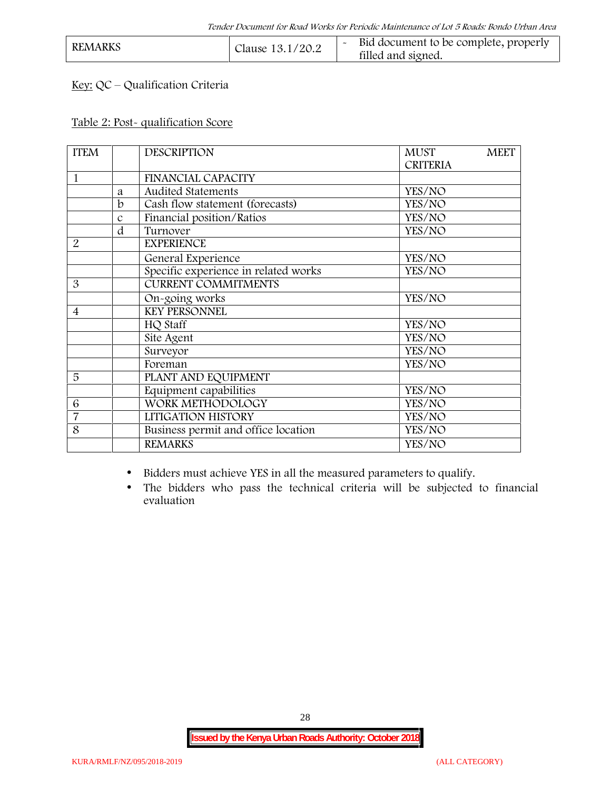| <b>REMARKS</b> | Clause 13.1/20.2 | Bid document to be complete, properly<br>filled and signed. |  |
|----------------|------------------|-------------------------------------------------------------|--|
|                |                  |                                                             |  |

## **Key:** QC – Qualification Criteria

#### **Table 2: Post- qualification Score**

| <b>ITEM</b>    |               | <b>DESCRIPTION</b>                   | <b>MUST</b><br><b>MEET</b> |
|----------------|---------------|--------------------------------------|----------------------------|
|                |               |                                      | <b>CRITERIA</b>            |
| 1              |               | <b>FINANCIAL CAPACITY</b>            |                            |
|                | a             | Audited Statements                   | YES/NO                     |
|                | b             | Cash flow statement (forecasts)      | YES/NO                     |
|                | $\mathcal{C}$ | Financial position/Ratios            | YES/NO                     |
|                | d             | Turnover                             | YES/NO                     |
| $\overline{2}$ |               | <b>EXPERIENCE</b>                    |                            |
|                |               | General Experience                   | YES/NO                     |
|                |               | Specific experience in related works | YES/NO                     |
| 3              |               | <b>CURRENT COMMITMENTS</b>           |                            |
|                |               | On-going works                       | YES/NO                     |
| $\overline{4}$ |               | <b>KEY PERSONNEL</b>                 |                            |
|                |               | HQ Staff                             | YES/NO                     |
|                |               | Site Agent                           | YES/NO                     |
|                |               | Surveyor                             | YES/NO                     |
|                |               | Foreman                              | YES/NO                     |
| 5              |               | PLANT AND EQUIPMENT                  |                            |
|                |               | Equipment capabilities               | YES/NO                     |
| 6              |               | WORK METHODOLOGY                     | YES/NO                     |
| $\overline{7}$ |               | LITIGATION HISTORY                   | YES/NO                     |
| 8              |               | Business permit and office location  | YES/NO                     |
|                |               | <b>REMARKS</b>                       | YES/NO                     |
|                |               |                                      |                            |

Bidders must achieve YES in all the measured parameters to qualify.

 The bidders who pass the technical criteria will be subjected to financial evaluation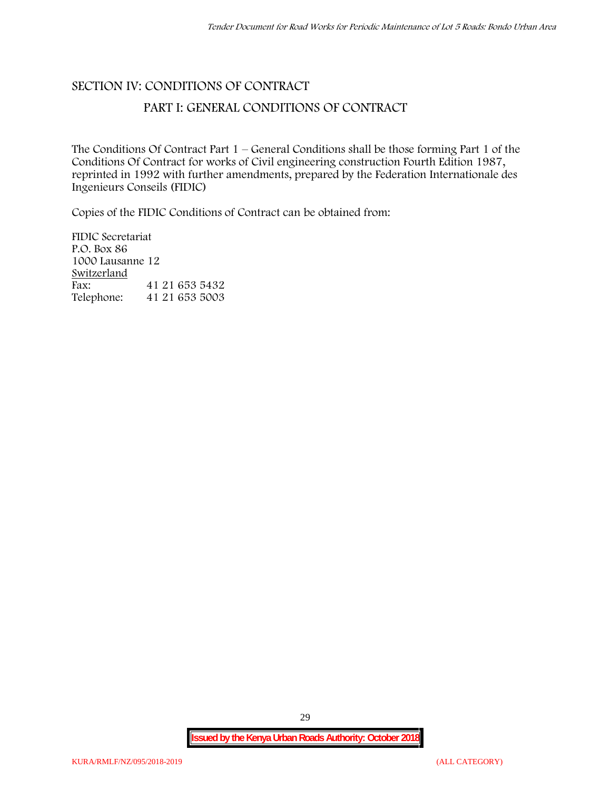# **SECTION IV: CONDITIONS OF CONTRACT PART I: GENERAL CONDITIONS OF CONTRACT**

The Conditions Of Contract Part 1 – General Conditions shall be those forming Part 1 of the Conditions Of Contract for works of Civil engineering construction Fourth Edition 1987, reprinted in 1992 with further amendments, prepared by the Federation Internationale des Ingenieurs Conseils (FIDIC)

Copies of the FIDIC Conditions of Contract can be obtained from:

FIDIC Secretariat P.O. Box 86 1000 Lausanne 12 **Switzerland** Fax: 41 21 653 5432 Telephone: 41 21 653 5003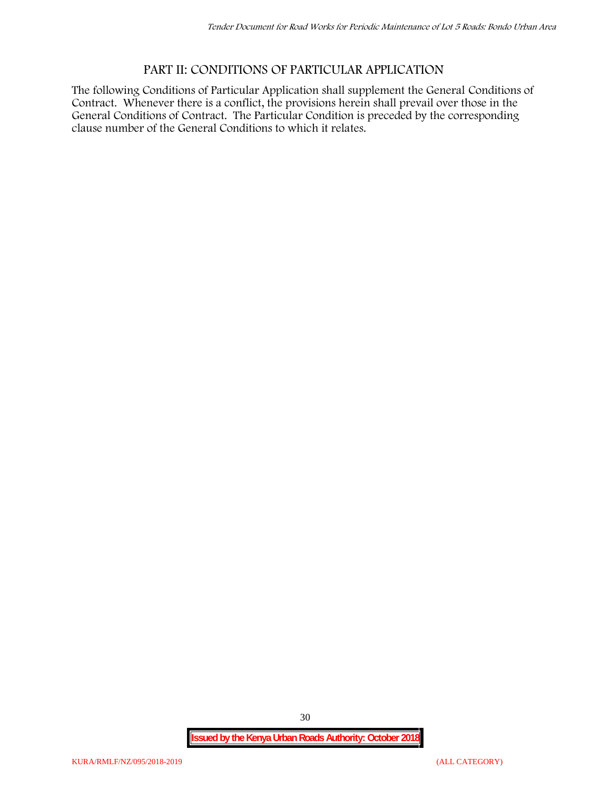### **PART II: CONDITIONS OF PARTICULAR APPLICATION**

The following Conditions of Particular Application shall supplement the General Conditions of Contract. Whenever there is a conflict, the provisions herein shall prevail over those in the General Conditions of Contract. The Particular Condition is preceded by the corresponding clause number of the General Conditions to which it relates.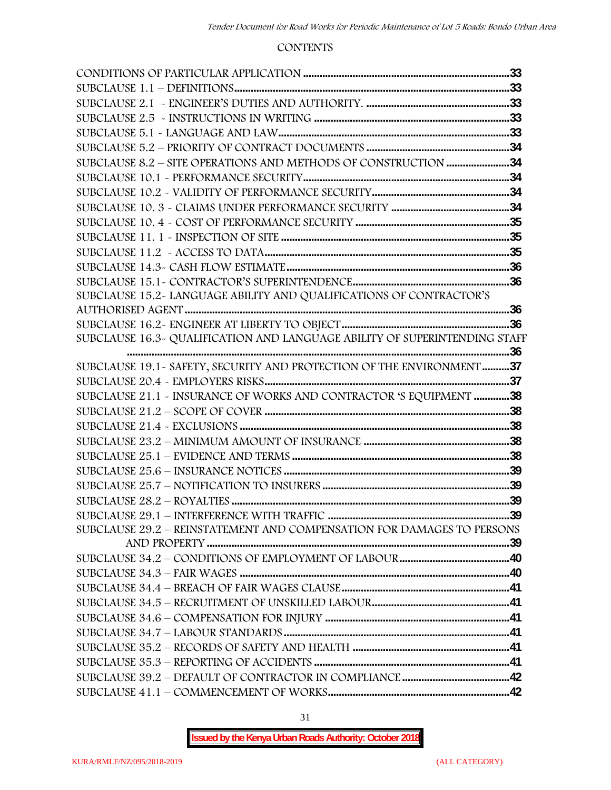#### **CONTENTS**

| SUBCLAUSE 15.2-LANGUAGE ABILITY AND QUALIFICATIONS OF CONTRACTOR'S         |  |
|----------------------------------------------------------------------------|--|
|                                                                            |  |
|                                                                            |  |
| SUBCLAUSE 16.3~ QUALIFICATION AND LANGUAGE ABILITY OF SUPERINTENDING STAFF |  |
|                                                                            |  |
| SUBCLAUSE 19.1 - SAFETY, SECURITY AND PROTECTION OF THE ENVIRONMENT 37     |  |
|                                                                            |  |
| SUBCLAUSE 21.1 - INSURANCE OF WORKS AND CONTRACTOR 'S EQUIPMENT 38         |  |
|                                                                            |  |
|                                                                            |  |
|                                                                            |  |
|                                                                            |  |
|                                                                            |  |
|                                                                            |  |
|                                                                            |  |
|                                                                            |  |
| SUBCLAUSE 29.2 - REINSTATEMENT AND COMPENSATION FOR DAMAGES TO PERSONS     |  |
|                                                                            |  |
|                                                                            |  |
|                                                                            |  |
|                                                                            |  |
|                                                                            |  |
|                                                                            |  |
|                                                                            |  |
|                                                                            |  |
|                                                                            |  |
|                                                                            |  |
|                                                                            |  |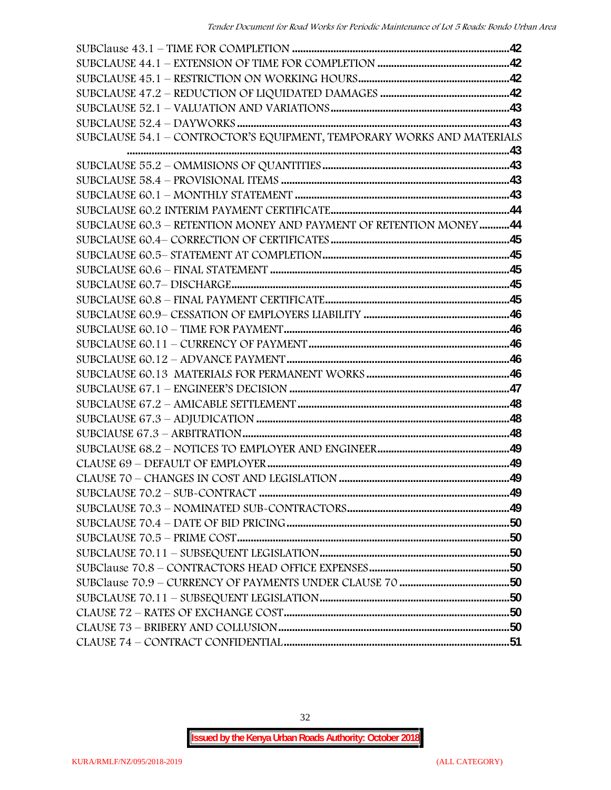| SUBCLAUSE 54.1 - CONTROCTOR'S EQUIPMENT, TEMPORARY WORKS AND MATERIALS |  |
|------------------------------------------------------------------------|--|
|                                                                        |  |
|                                                                        |  |
|                                                                        |  |
|                                                                        |  |
|                                                                        |  |
| SUBCLAUSE 60.3 - RETENTION MONEY AND PAYMENT OF RETENTION MONEY44      |  |
|                                                                        |  |
|                                                                        |  |
|                                                                        |  |
|                                                                        |  |
|                                                                        |  |
|                                                                        |  |
|                                                                        |  |
|                                                                        |  |
|                                                                        |  |
|                                                                        |  |
|                                                                        |  |
|                                                                        |  |
|                                                                        |  |
|                                                                        |  |
|                                                                        |  |
|                                                                        |  |
|                                                                        |  |
|                                                                        |  |
|                                                                        |  |
|                                                                        |  |
|                                                                        |  |
|                                                                        |  |
|                                                                        |  |
|                                                                        |  |
|                                                                        |  |
|                                                                        |  |
|                                                                        |  |
|                                                                        |  |

32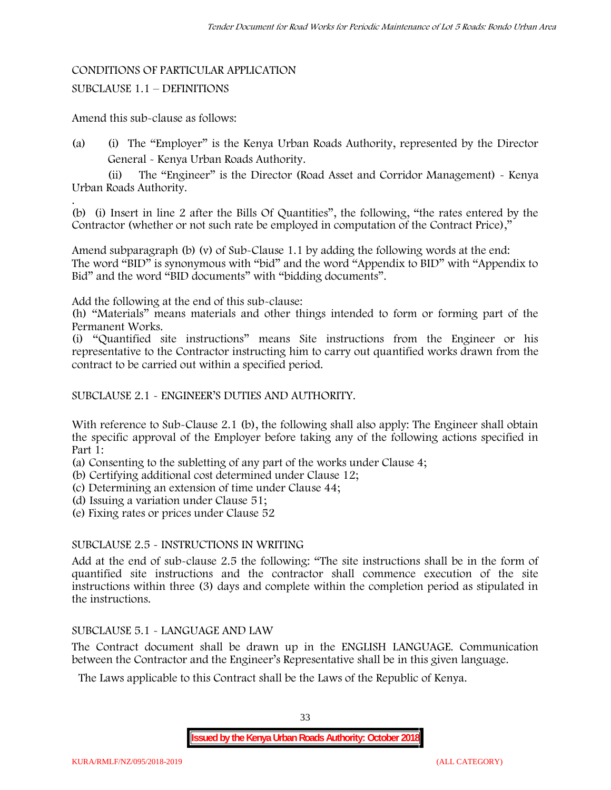#### CONDITIONS OF PARTICULAR APPLICATION

#### SUBCLAUSE 1.1 – DEFINITIONS

Amend this sub-clause as follows:

(a) (i) The "Employer" is the Kenya Urban Roads Authority, represented by the Director General - Kenya Urban Roads Authority.

(ii) The "Engineer" is the Director (Road Asset and Corridor Management) - Kenya Urban Roads Authority.

.(b) (i) Insert in line 2 after the Bills Of Quantities", the following, "the rates entered by the Contractor (whether or not such rate be employed in computation of the Contract Price),"

Amend subparagraph (b) (v) of Sub-Clause 1.1 by adding the following words at the end: The word "BID" is synonymous with "bid" and the word "Appendix to BID" with "Appendix to Bid" and the word "BID documents" with "bidding documents".

Add the following at the end of this sub-clause:

(h) "Materials" means materials and other things intended to form or forming part of the Permanent Works.

(i) "Quantified site instructions" means Site instructions from the Engineer or his representative to the Contractor instructing him to carry out quantified works drawn from the contract to be carried out within a specified period.

SUBCLAUSE 2.1 - ENGINEER'S DUTIES AND AUTHORITY.

With reference to Sub-Clause 2.1 (b), the following shall also apply: The Engineer shall obtain the specific approval of the Employer before taking any of the following actions specified in Part 1:

(a) Consenting to the subletting of any part of the works under Clause 4;

- (b) Certifying additional cost determined under Clause 12;
- (c) Determining an extension of time under Clause 44;

(d) Issuing a variation under Clause 51;

(e) Fixing rates or prices under Clause 52

#### SUBCLAUSE 2.5 - INSTRUCTIONS IN WRITING

Add at the end of sub-clause 2.5 the following: "The site instructions shall be in the form of quantified site instructions and the contractor shall commence execution of the site instructions within three (3) days and complete within the completion period as stipulated in the instructions.

#### SUBCLAUSE 5.1 - LANGUAGE AND LAW

The Contract document shall be drawn up in the ENGLISH LANGUAGE. Communication between the Contractor and the Engineer's Representative shall be in this given language.

The Laws applicable to this Contract shall be the Laws of the Republic of Kenya.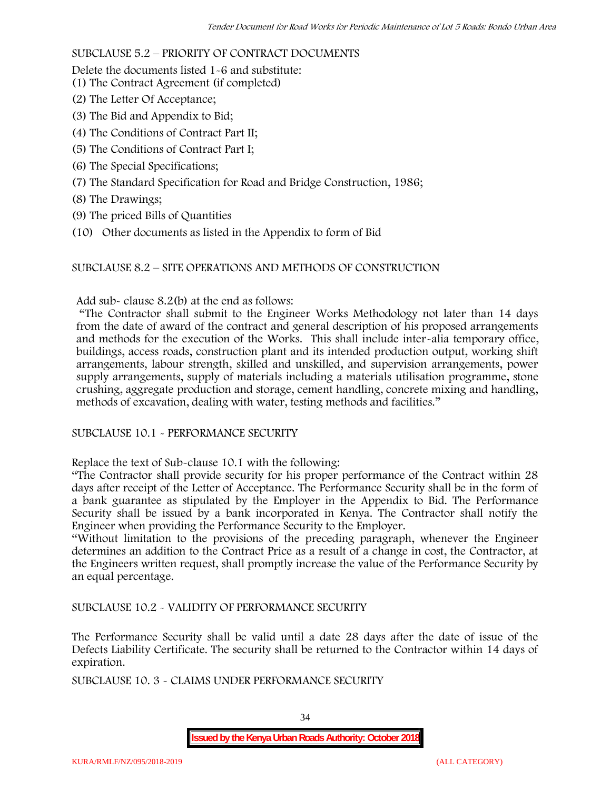#### SUBCLAUSE 5.2 – PRIORITY OF CONTRACT DOCUMENTS

Delete the documents listed 1-6 and substitute:

- (1) The Contract Agreement (if completed)
- (2) The Letter Of Acceptance;
- (3) The Bid and Appendix to Bid;
- (4) The Conditions of Contract Part II;
- (5) The Conditions of Contract Part I;
- (6) The Special Specifications;
- (7) The Standard Specification for Road and Bridge Construction, 1986;
- (8) The Drawings;
- (9) The priced Bills of Quantities
- (10) Other documents as listed in the Appendix to form of Bid

#### SUBCLAUSE 8.2 – SITE OPERATIONS AND METHODS OF CONSTRUCTION

Add sub- clause 8.2(b) at the end as follows:

"The Contractor shall submit to the Engineer Works Methodology not later than 14 days from the date of award of the contract and general description of his proposed arrangements and methods for the execution of the Works. This shall include inter-alia temporary office, buildings, access roads, construction plant and its intended production output, working shift arrangements, labour strength, skilled and unskilled, and supervision arrangements, power supply arrangements, supply of materials including a materials utilisation programme, stone crushing, aggregate production and storage, cement handling, concrete mixing and handling, methods of excavation, dealing with water, testing methods and facilities."

#### SUBCLAUSE 10.1 - PERFORMANCE SECURITY

Replace the text of Sub-clause 10.1 with the following:

"The Contractor shall provide security for his proper performance of the Contract within 28 days after receipt of the Letter of Acceptance. The Performance Security shall be in the form of a bank guarantee as stipulated by the Employer in the Appendix to Bid. The Performance Security shall be issued by a bank incorporated in Kenya. The Contractor shall notify the Engineer when providing the Performance Security to the Employer.

"Without limitation to the provisions of the preceding paragraph, whenever the Engineer determines an addition to the Contract Price as a result of a change in cost, the Contractor, at the Engineers written request, shall promptly increase the value of the Performance Security by an equal percentage.

SUBCLAUSE 10.2 - VALIDITY OF PERFORMANCE SECURITY

The Performance Security shall be valid until a date 28 days after the date of issue of the Defects Liability Certificate. The security shall be returned to the Contractor within 14 days of expiration.

SUBCLAUSE 10. 3 - CLAIMS UNDER PERFORMANCE SECURITY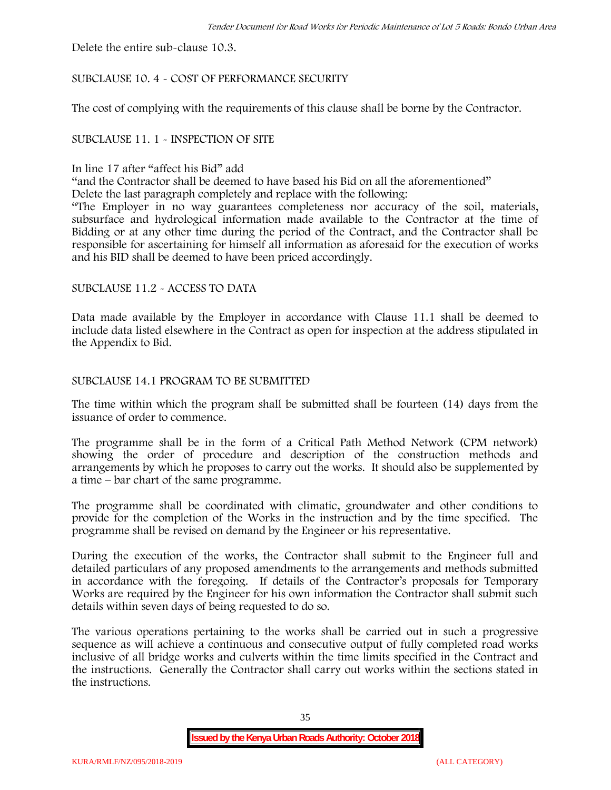Delete the entire sub-clause 10.3.

#### SUBCLAUSE 10. 4 - COST OF PERFORMANCE SECURITY

The cost of complying with the requirements of this clause shall be borne by the Contractor.

#### SUBCLAUSE 11. 1 - INSPECTION OF SITE

#### In line 17 after "affect his Bid" add

"and the Contractor shall be deemed to have based his Bid on all the aforementioned"

Delete the last paragraph completely and replace with the following:

"The Employer in no way guarantees completeness nor accuracy of the soil, materials, subsurface and hydrological information made available to the Contractor at the time of Bidding or at any other time during the period of the Contract, and the Contractor shall be responsible for ascertaining for himself all information as aforesaid for the execution of works and his BID shall be deemed to have been priced accordingly.

#### SUBCLAUSE 11.2 - ACCESS TO DATA

Data made available by the Employer in accordance with Clause 11.1 shall be deemed to include data listed elsewhere in the Contract as open for inspection at the address stipulated in the Appendix to Bid.

#### SUBCLAUSE 14.1 PROGRAM TO BE SUBMITTED

The time within which the program shall be submitted shall be fourteen (14) days from the issuance of order to commence**.**

The programme shall be in the form of a Critical Path Method Network (CPM network) showing the order of procedure and description of the construction methods and arrangements by which he proposes to carry out the works. It should also be supplemented by a time – bar chart of the same programme.

The programme shall be coordinated with climatic, groundwater and other conditions to provide for the completion of the Works in the instruction and by the time specified. The programme shall be revised on demand by the Engineer or his representative.

During the execution of the works, the Contractor shall submit to the Engineer full and detailed particulars of any proposed amendments to the arrangements and methods submitted in accordance with the foregoing. If details of the Contractor's proposals for Temporary Works are required by the Engineer for his own information the Contractor shall submit such details within seven days of being requested to do so.

The various operations pertaining to the works shall be carried out in such a progressive sequence as will achieve a continuous and consecutive output of fully completed road works inclusive of all bridge works and culverts within the time limits specified in the Contract and the instructions. Generally the Contractor shall carry out works within the sections stated in the instructions.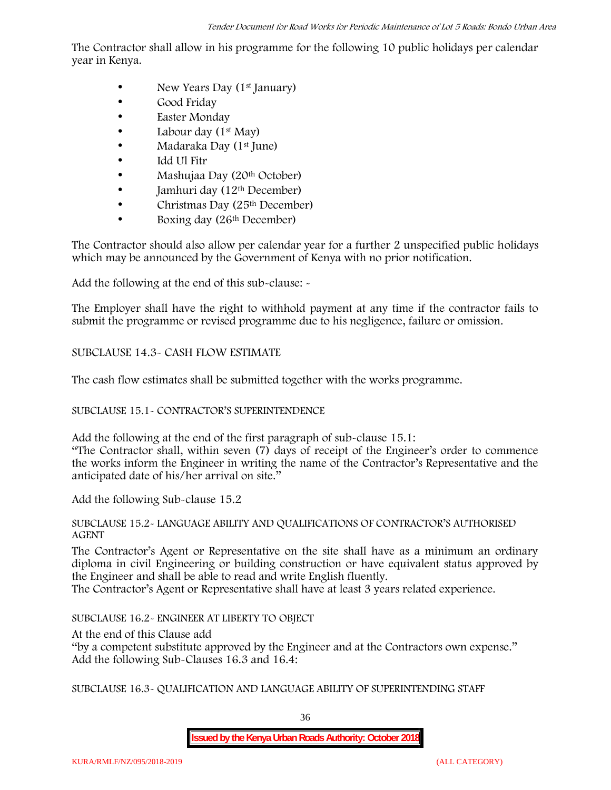The Contractor shall allow in his programme for the following 10 public holidays per calendar year in Kenya.

- New Years Day  $(1<sup>st</sup>$  January)
- Good Friday
- Easter Monday
- Labour day (1<sup>st</sup> May)
- Madaraka Day (1<sup>st</sup> June)
- Idd Ul Fitr
- Mashujaa Day (20<sup>th</sup> October)
- Jamhuri day (12<sup>th</sup> December)
- $\bullet$  Christmas Day (25<sup>th</sup> December)
- Boxing day (26<sup>th</sup> December)

The Contractor should also allow per calendar year for a further 2 unspecified public holidays which may be announced by the Government of Kenya with no prior notification.

Add the following at the end of this sub-clause: -

The Employer shall have the right to withhold payment at any time if the contractor fails to submit the programme or revised programme due to his negligence, failure or omission.

# SUBCLAUSE 14.3- CASH FLOW ESTIMATE

The cash flow estimates shall be submitted together with the works programme.

# SUBCLAUSE 15.1- CONTRACTOR'S SUPERINTENDENCE

Add the following at the end of the first paragraph of sub-clause 15.1: "The Contractor shall, within seven (7) days of receipt of the Engineer's order to commence the works inform the Engineer in writing the name of the Contractor's Representative and the anticipated date of his/her arrival on site."

Add the following Sub-clause 15.2

# SUBCLAUSE 15.2- LANGUAGE ABILITY AND QUALIFICATIONS OF CONTRACTOR'S AUTHORISED AGENT

The Contractor's Agent or Representative on the site shall have as a minimum an ordinary diploma in civil Engineering or building construction or have equivalent status approved by the Engineer and shall be able to read and write English fluently.

The Contractor's Agent or Representative shall have at least 3 years related experience.

SUBCLAUSE 16.2- ENGINEER AT LIBERTY TO OBJECT

At the end of this Clause add

"by a competent substitute approved by the Engineer and at the Contractors own expense." Add the following Sub-Clauses 16.3 and 16.4:

SUBCLAUSE 16.3- QUALIFICATION AND LANGUAGE ABILITY OF SUPERINTENDING STAFF

36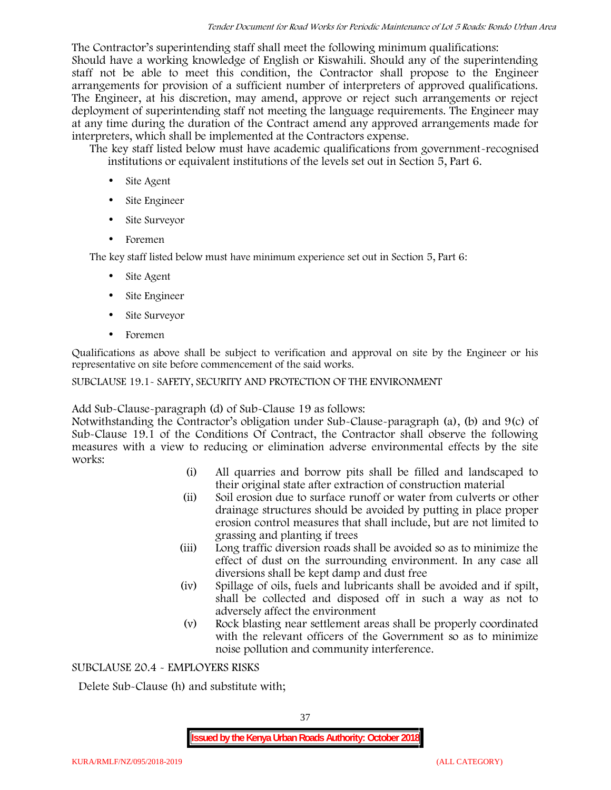The Contractor's superintending staff shall meet the following minimum qualifications: Should have a working knowledge of English or Kiswahili. Should any of the superintending staff not be able to meet this condition, the Contractor shall propose to the Engineer arrangements for provision of a sufficient number of interpreters of approved qualifications. The Engineer, at his discretion, may amend, approve or reject such arrangements or reject deployment of superintending staff not meeting the language requirements. The Engineer may at any time during the duration of the Contract amend any approved arrangements made for interpreters, which shall be implemented at the Contractors expense.

The key staff listed below must have academic qualifications from government-recognised institutions or equivalent institutions of the levels set out in Section 5, Part 6.

- Site Agent
- Site Engineer
- Site Surveyor
- Foremen

The key staff listed below must have minimum experience set out in Section 5, Part 6:

- Site Agent
- Site Engineer
- Site Surveyor
- Foremen

Qualifications as above shall be subject to verification and approval on site by the Engineer or his representative on site before commencement of the said works.

SUBCLAUSE 19.1- SAFETY, SECURITY AND PROTECTION OF THE ENVIRONMENT

Add Sub-Clause-paragraph (d) of Sub-Clause 19 as follows:

Notwithstanding the Contractor's obligation under Sub-Clause-paragraph (a), (b) and 9(c) of Sub-Clause 19.1 of the Conditions Of Contract, the Contractor shall observe the following measures with a view to reducing or elimination adverse environmental effects by the site works:

- (i) All quarries and borrow pits shall be filled and landscaped to their original state after extraction of construction material
- (ii) Soil erosion due to surface runoff or water from culverts or other drainage structures should be avoided by putting in place proper erosion control measures that shall include, but are not limited to grassing and planting if trees
- (iii) Long traffic diversion roads shall be avoided so as to minimize the effect of dust on the surrounding environment. In any case all diversions shall be kept damp and dust free
- (iv) Spillage of oils, fuels and lubricants shall be avoided and if spilt, shall be collected and disposed off in such a way as not to adversely affect the environment
- (v) Rock blasting near settlement areas shall be properly coordinated with the relevant officers of the Government so as to minimize noise pollution and community interference.

# SUBCLAUSE 20.4 - EMPLOYERS RISKS

Delete Sub-Clause (h) and substitute with;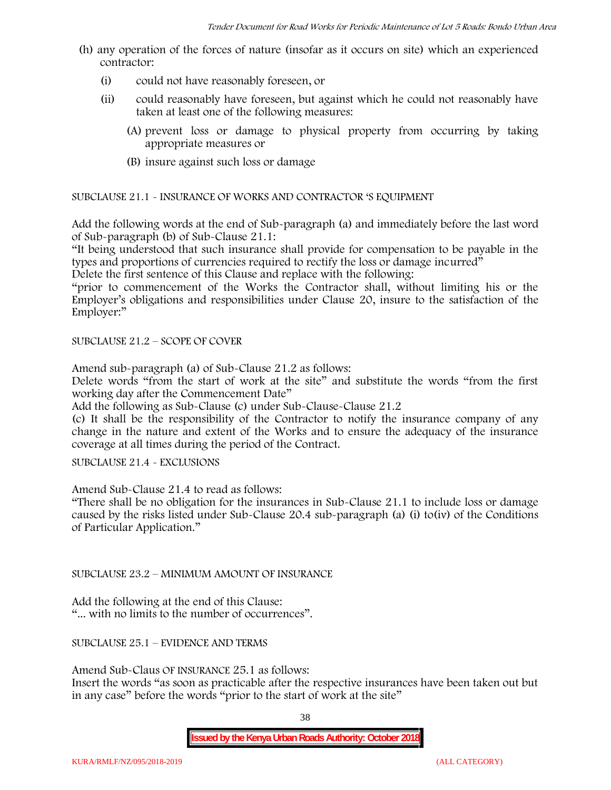- (h) any operation of the forces of nature (insofar as it occurs on site) which an experienced contractor:
	- (i) could not have reasonably foreseen, or
	- (ii) could reasonably have foreseen, but against which he could not reasonably have taken at least one of the following measures:
		- (A) prevent loss or damage to physical property from occurring by taking appropriate measures or
		- (B) insure against such loss or damage

SUBCLAUSE 21.1 - INSURANCE OF WORKS AND CONTRACTOR 'S EQUIPMENT

Add the following words at the end of Sub-paragraph (a) and immediately before the last word of Sub-paragraph (b) of Sub-Clause 21.1:

"It being understood that such insurance shall provide for compensation to be payable in the types and proportions of currencies required to rectify the loss or damage incurred"

Delete the first sentence of this Clause and replace with the following:

"prior to commencement of the Works the Contractor shall, without limiting his or the Employer's obligations and responsibilities under Clause 20, insure to the satisfaction of the Employer:"

SUBCLAUSE 21.2 – SCOPE OF COVER

Amend sub-paragraph (a) of Sub-Clause 21.2 as follows:

Delete words "from the start of work at the site" and substitute the words "from the first working day after the Commencement Date"

Add the following as Sub-Clause (c) under Sub-Clause-Clause 21.2

(c) It shall be the responsibility of the Contractor to notify the insurance company of any change in the nature and extent of the Works and to ensure the adequacy of the insurance coverage at all times during the period of the Contract.

SUBCLAUSE 21.4 - EXCLUSIONS

Amend Sub-Clause 21.4 to read as follows:

"There shall be no obligation for the insurances in Sub-Clause 21.1 to include loss or damage caused by the risks listed under Sub-Clause 20.4 sub-paragraph (a) (i) to(iv) of the Conditions of Particular Application."

SUBCLAUSE 23.2 – MINIMUM AMOUNT OF INSURANCE

Add the following at the end of this Clause: "... with no limits to the number of occurrences".

SUBCLAUSE 25.1 – EVIDENCE AND TERMS

Amend Sub-Claus OF INSURANCE 25.1 as follows:

Insert the words "as soon as practicable after the respective insurances have been taken out but in any case" before the words "prior to the start of work at the site"

38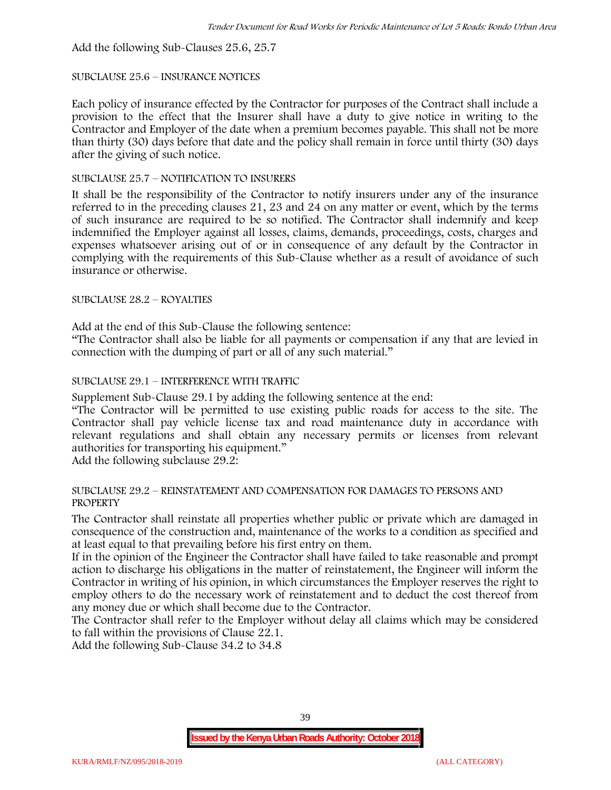Add the following Sub-Clauses 25.6, 25.7

# SUBCLAUSE 25.6 – INSURANCE NOTICES

Each policy of insurance effected by the Contractor for purposes of the Contract shall include a provision to the effect that the Insurer shall have a duty to give notice in writing to the Contractor and Employer of the date when a premium becomes payable. This shall not be more than thirty (30) days before that date and the policy shall remain in force until thirty (30) days after the giving of such notice.

# SUBCLAUSE 25.7 – NOTIFICATION TO INSURERS

It shall be the responsibility of the Contractor to notify insurers under any of the insurance referred to in the preceding clauses 21, 23 and 24 on any matter or event, which by the terms of such insurance are required to be so notified. The Contractor shall indemnify and keep indemnified the Employer against all losses, claims, demands, proceedings, costs, charges and expenses whatsoever arising out of or in consequence of any default by the Contractor in complying with the requirements of this Sub-Clause whether as a result of avoidance of such insurance or otherwise.

# SUBCLAUSE 28.2 – ROYALTIES

Add at the end of this Sub-Clause the following sentence:

"The Contractor shall also be liable for all payments or compensation if any that are levied in connection with the dumping of part or all of any such material."

# SUBCLAUSE 29.1 – INTERFERENCE WITH TRAFFIC

Supplement Sub-Clause 29.1 by adding the following sentence at the end:

"The Contractor will be permitted to use existing public roads for access to the site. The Contractor shall pay vehicle license tax and road maintenance duty in accordance with relevant regulations and shall obtain any necessary permits or licenses from relevant authorities for transporting his equipment."

Add the following subclause 29.2:

### SUBCLAUSE 29.2 – REINSTATEMENT AND COMPENSATION FOR DAMAGES TO PERSONS AND PROPERTY

The Contractor shall reinstate all properties whether public or private which are damaged in consequence of the construction and, maintenance of the works to a condition as specified and at least equal to that prevailing before his first entry on them.

If in the opinion of the Engineer the Contractor shall have failed to take reasonable and prompt action to discharge his obligations in the matter of reinstatement, the Engineer will inform the Contractor in writing of his opinion, in which circumstances the Employer reserves the right to employ others to do the necessary work of reinstatement and to deduct the cost thereof from any money due or which shall become due to the Contractor.

The Contractor shall refer to the Employer without delay all claims which may be considered to fall within the provisions of Clause 22.1.

Add the following Sub-Clause 34.2 to 34.8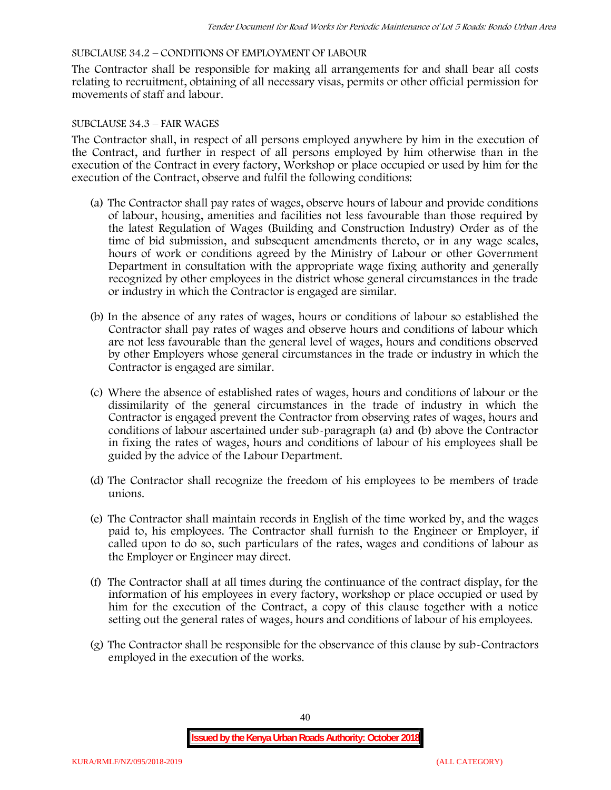# SUBCLAUSE 34.2 – CONDITIONS OF EMPLOYMENT OF LABOUR

The Contractor shall be responsible for making all arrangements for and shall bear all costs relating to recruitment, obtaining of all necessary visas, permits or other official permission for movements of staff and labour.

### SUBCLAUSE 34.3 – FAIR WAGES

The Contractor shall, in respect of all persons employed anywhere by him in the execution of the Contract, and further in respect of all persons employed by him otherwise than in the execution of the Contract in every factory, Workshop or place occupied or used by him for the execution of the Contract, observe and fulfil the following conditions:

- (a) The Contractor shall pay rates of wages, observe hours of labour and provide conditions of labour, housing, amenities and facilities not less favourable than those required by the latest Regulation of Wages (Building and Construction Industry) Order as of the time of bid submission, and subsequent amendments thereto, or in any wage scales, hours of work or conditions agreed by the Ministry of Labour or other Government Department in consultation with the appropriate wage fixing authority and generally recognized by other employees in the district whose general circumstances in the trade or industry in which the Contractor is engaged are similar.
- (b) In the absence of any rates of wages, hours or conditions of labour so established the Contractor shall pay rates of wages and observe hours and conditions of labour which are not less favourable than the general level of wages, hours and conditions observed by other Employers whose general circumstances in the trade or industry in which the Contractor is engaged are similar.
- (c) Where the absence of established rates of wages, hours and conditions of labour or the dissimilarity of the general circumstances in the trade of industry in which the Contractor is engaged prevent the Contractor from observing rates of wages, hours and conditions of labour ascertained under sub-paragraph (a) and (b) above the Contractor in fixing the rates of wages, hours and conditions of labour of his employees shall be guided by the advice of the Labour Department.
- (d) The Contractor shall recognize the freedom of his employees to be members of trade unions.
- (e) The Contractor shall maintain records in English of the time worked by, and the wages paid to, his employees. The Contractor shall furnish to the Engineer or Employer, if called upon to do so, such particulars of the rates, wages and conditions of labour as the Employer or Engineer may direct.
- (f) The Contractor shall at all times during the continuance of the contract display, for the information of his employees in every factory, workshop or place occupied or used by him for the execution of the Contract, a copy of this clause together with a notice setting out the general rates of wages, hours and conditions of labour of his employees.
- (g) The Contractor shall be responsible for the observance of this clause by sub-Contractors employed in the execution of the works.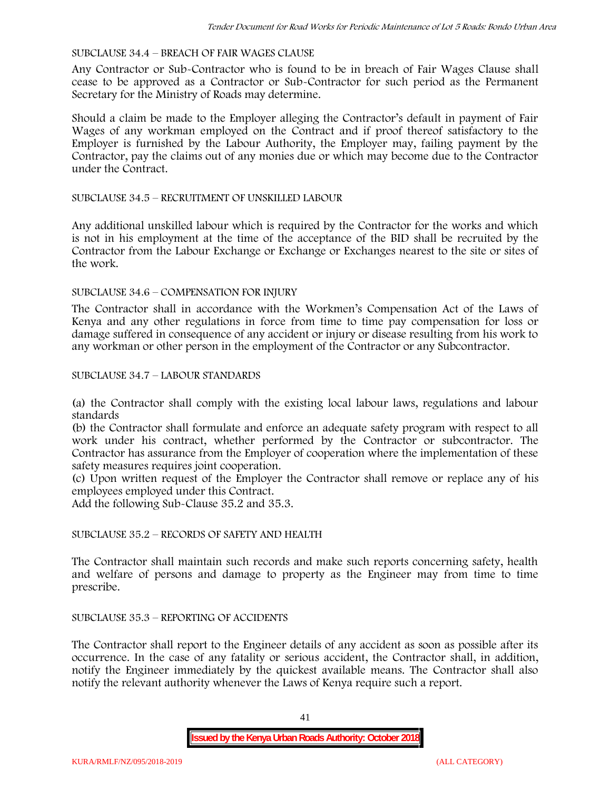# SUBCLAUSE 34.4 – BREACH OF FAIR WAGES CLAUSE

Any Contractor or Sub-Contractor who is found to be in breach of Fair Wages Clause shall cease to be approved as a Contractor or Sub-Contractor for such period as the Permanent Secretary for the Ministry of Roads may determine.

Should a claim be made to the Employer alleging the Contractor's default in payment of Fair Wages of any workman employed on the Contract and if proof thereof satisfactory to the Employer is furnished by the Labour Authority, the Employer may, failing payment by the Contractor, pay the claims out of any monies due or which may become due to the Contractor under the Contract.

### SUBCLAUSE 34.5 – RECRUITMENT OF UNSKILLED LABOUR

Any additional unskilled labour which is required by the Contractor for the works and which is not in his employment at the time of the acceptance of the BID shall be recruited by the Contractor from the Labour Exchange or Exchange or Exchanges nearest to the site or sites of the work.

### SUBCLAUSE 34.6 – COMPENSATION FOR INJURY

The Contractor shall in accordance with the Workmen's Compensation Act of the Laws of Kenya and any other regulations in force from time to time pay compensation for loss or damage suffered in consequence of any accident or injury or disease resulting from his work to any workman or other person in the employment of the Contractor or any Subcontractor.

### SUBCLAUSE 34.7 – LABOUR STANDARDS

(a) the Contractor shall comply with the existing local labour laws, regulations and labour standards

(b) the Contractor shall formulate and enforce an adequate safety program with respect to all work under his contract, whether performed by the Contractor or subcontractor. The Contractor has assurance from the Employer of cooperation where the implementation of these safety measures requires joint cooperation.

(c) Upon written request of the Employer the Contractor shall remove or replace any of his employees employed under this Contract.

Add the following Sub-Clause 35.2 and 35.3.

# SUBCLAUSE 35.2 – RECORDS OF SAFETY AND HEALTH

The Contractor shall maintain such records and make such reports concerning safety, health and welfare of persons and damage to property as the Engineer may from time to time prescribe.

# SUBCLAUSE 35.3 – REPORTING OF ACCIDENTS

The Contractor shall report to the Engineer details of any accident as soon as possible after its occurrence. In the case of any fatality or serious accident, the Contractor shall, in addition, notify the Engineer immediately by the quickest available means. The Contractor shall also notify the relevant authority whenever the Laws of Kenya require such a report.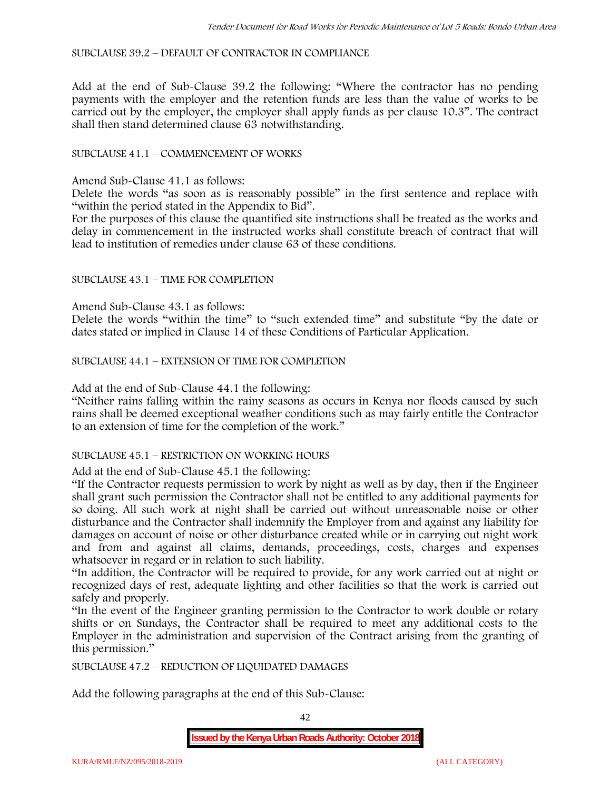SUBCLAUSE 39.2 – DEFAULT OF CONTRACTOR IN COMPLIANCE

Add at the end of Sub-Clause 39.2 the following: "Where the contractor has no pending payments with the employer and the retention funds are less than the value of works to be carried out by the employer, the employer shall apply funds as per clause 10.3". The contract shall then stand determined clause 63 notwithstanding.

# SUBCLAUSE 41.1 – COMMENCEMENT OF WORKS

Amend Sub-Clause 41.1 as follows:

Delete the words "as soon as is reasonably possible" in the first sentence and replace with "within the period stated in the Appendix to Bid".

For the purposes of this clause the quantified site instructions shall be treated as the works and delay in commencement in the instructed works shall constitute breach of contract that will lead to institution of remedies under clause 63 of these conditions.

## SUBCLAUSE 43.1 – TIME FOR COMPLETION

Amend Sub-Clause 43.1 as follows:

Delete the words "within the time" to "such extended time" and substitute "by the date or dates stated or implied in Clause 14 of these Conditions of Particular Application.

SUBCLAUSE 44.1 – EXTENSION OF TIME FOR COMPLETION

Add at the end of Sub-Clause 44.1 the following:

"Neither rains falling within the rainy seasons as occurs in Kenya nor floods caused by such rains shall be deemed exceptional weather conditions such as may fairly entitle the Contractor to an extension of time for the completion of the work."

#### SUBCLAUSE 45.1 – RESTRICTION ON WORKING HOURS

Add at the end of Sub-Clause 45.1 the following:

"If the Contractor requests permission to work by night as well as by day, then if the Engineer shall grant such permission the Contractor shall not be entitled to any additional payments for so doing. All such work at night shall be carried out without unreasonable noise or other disturbance and the Contractor shall indemnify the Employer from and against any liability for damages on account of noise or other disturbance created while or in carrying out night work and from and against all claims, demands, proceedings, costs, charges and expenses whatsoever in regard or in relation to such liability.

"In addition, the Contractor will be required to provide, for any work carried out at night or recognized days of rest, adequate lighting and other facilities so that the work is carried out safely and properly.

"In the event of the Engineer granting permission to the Contractor to work double or rotary shifts or on Sundays, the Contractor shall be required to meet any additional costs to the Employer in the administration and supervision of the Contract arising from the granting of this permission."

SUBCLAUSE 47.2 – REDUCTION OF LIQUIDATED DAMAGES

Add the following paragraphs at the end of this Sub-Clause: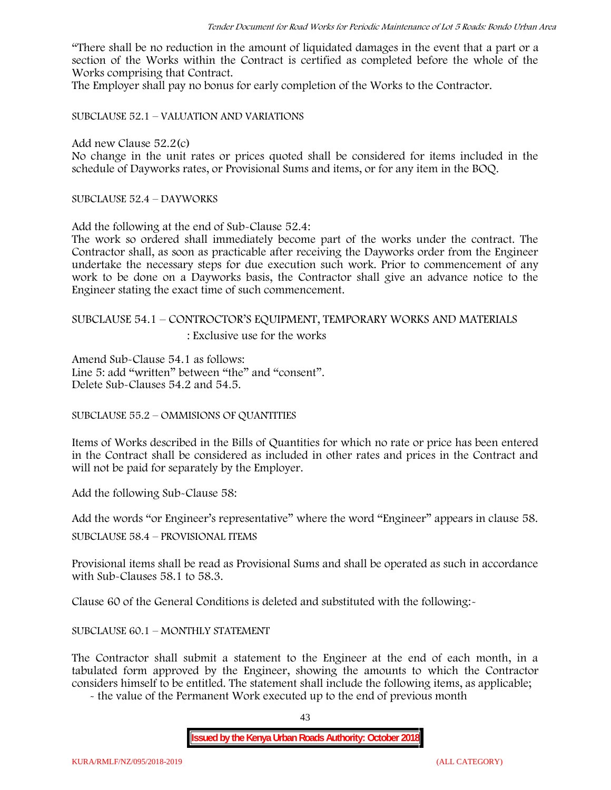"There shall be no reduction in the amount of liquidated damages in the event that a part or a section of the Works within the Contract is certified as completed before the whole of the Works comprising that Contract.

The Employer shall pay no bonus for early completion of the Works to the Contractor.

SUBCLAUSE 52.1 – VALUATION AND VARIATIONS

Add new Clause 52.2(c)

No change in the unit rates or prices quoted shall be considered for items included in the schedule of Dayworks rates, or Provisional Sums and items, or for any item in the BOQ.

SUBCLAUSE 52.4 – DAYWORKS

Add the following at the end of Sub-Clause 52.4:

The work so ordered shall immediately become part of the works under the contract. The Contractor shall, as soon as practicable after receiving the Dayworks order from the Engineer undertake the necessary steps for due execution such work. Prior to commencement of any work to be done on a Dayworks basis, the Contractor shall give an advance notice to the Engineer stating the exact time of such commencement.

# SUBCLAUSE 54.1 – CONTROCTOR'S EQUIPMENT, TEMPORARY WORKS AND MATERIALS

: Exclusive use for the works

Amend Sub-Clause 54.1 as follows: Line 5: add "written" between "the" and "consent". Delete Sub-Clauses 54.2 and 54.5.

SUBCLAUSE 55.2 – OMMISIONS OF QUANTITIES

Items of Works described in the Bills of Quantities for which no rate or price has been entered in the Contract shall be considered as included in other rates and prices in the Contract and will not be paid for separately by the Employer.

Add the following Sub-Clause 58:

Add the words "or Engineer's representative" where the word "Engineer" appears in clause 58.

SUBCLAUSE 58.4 – PROVISIONAL ITEMS

Provisional items shall be read as Provisional Sums and shall be operated as such in accordance with Sub-Clauses 58.1 to 58.3.

Clause 60 of the General Conditions is deleted and substituted with the following:-

# SUBCLAUSE 60.1 – MONTHLY STATEMENT

The Contractor shall submit a statement to the Engineer at the end of each month, in a tabulated form approved by the Engineer, showing the amounts to which the Contractor considers himself to be entitled. The statement shall include the following items, as applicable;

- the value of the Permanent Work executed up to the end of previous month

43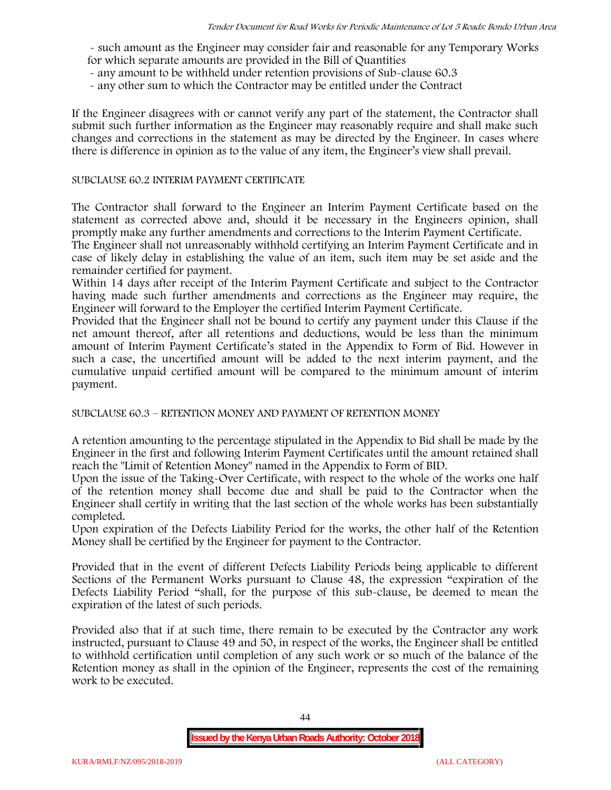- such amount as the Engineer may consider fair and reasonable for any Temporary Works for which separate amounts are provided in the Bill of Quantities

- any amount to be withheld under retention provisions of Sub-clause 60.3
- any other sum to which the Contractor may be entitled under the Contract

If the Engineer disagrees with or cannot verify any part of the statement, the Contractor shall submit such further information as the Engineer may reasonably require and shall make such changes and corrections in the statement as may be directed by the Engineer. In cases where there is difference in opinion as to the value of any item, the Engineer's view shall prevail.

### SUBCLAUSE 60.2 INTERIM PAYMENT CERTIFICATE

The Contractor shall forward to the Engineer an Interim Payment Certificate based on the statement as corrected above and, should it be necessary in the Engineers opinion, shall promptly make any further amendments and corrections to the Interim Payment Certificate.

The Engineer shall not unreasonably withhold certifying an Interim Payment Certificate and in case of likely delay in establishing the value of an item, such item may be set aside and the remainder certified for payment.

Within 14 days after receipt of the Interim Payment Certificate and subject to the Contractor having made such further amendments and corrections as the Engineer may require, the Engineer will forward to the Employer the certified Interim Payment Certificate.

Provided that the Engineer shall not be bound to certify any payment under this Clause if the net amount thereof, after all retentions and deductions, would be less than the minimum amount of Interim Payment Certificate's stated in the Appendix to Form of Bid. However in such a case, the uncertified amount will be added to the next interim payment, and the cumulative unpaid certified amount will be compared to the minimum amount of interim payment.

SUBCLAUSE 60.3 – RETENTION MONEY AND PAYMENT OF RETENTION MONEY

A retention amounting to the percentage stipulated in the Appendix to Bid shall be made by the Engineer in the first and following Interim Payment Certificates until the amount retained shall reach the "Limit of Retention Money" named in the Appendix to Form of BID.

Upon the issue of the Taking-Over Certificate, with respect to the whole of the works one half of the retention money shall become due and shall be paid to the Contractor when the Engineer shall certify in writing that the last section of the whole works has been substantially completed.

Upon expiration of the Defects Liability Period for the works, the other half of the Retention Money shall be certified by the Engineer for payment to the Contractor.

Provided that in the event of different Defects Liability Periods being applicable to different Sections of the Permanent Works pursuant to Clause 48, the expression "expiration of the Defects Liability Period "shall, for the purpose of this sub-clause, be deemed to mean the expiration of the latest of such periods.

Provided also that if at such time, there remain to be executed by the Contractor any work instructed, pursuant to Clause 49 and 50, in respect of the works, the Engineer shall be entitled to withhold certification until completion of any such work or so much of the balance of the Retention money as shall in the opinion of the Engineer, represents the cost of the remaining work to be executed.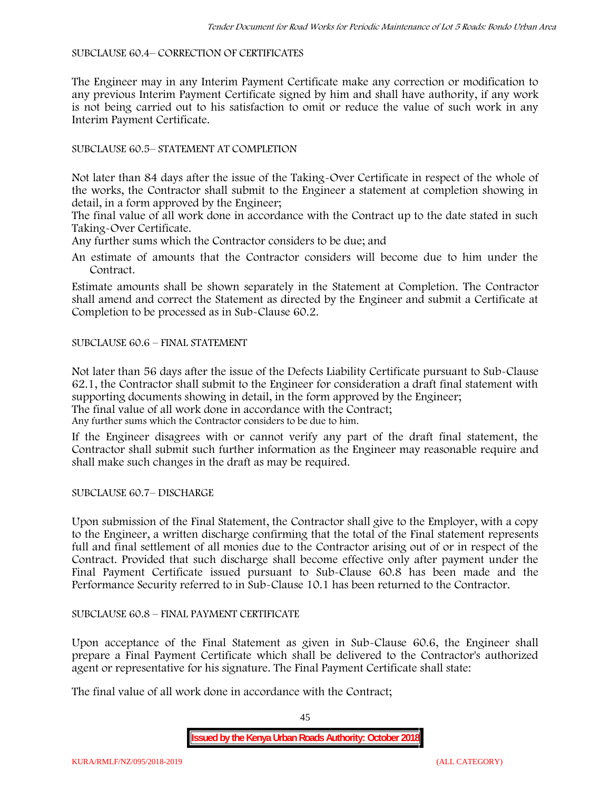### SUBCLAUSE 60.4– CORRECTION OF CERTIFICATES

The Engineer may in any Interim Payment Certificate make any correction or modification to any previous Interim Payment Certificate signed by him and shall have authority, if any work is not being carried out to his satisfaction to omit or reduce the value of such work in any Interim Payment Certificate.

# SUBCLAUSE 60.5– STATEMENT AT COMPLETION

Not later than 84 days after the issue of the Taking-Over Certificate in respect of the whole of the works, the Contractor shall submit to the Engineer a statement at completion showing in detail, in a form approved by the Engineer;

The final value of all work done in accordance with the Contract up to the date stated in such Taking-Over Certificate.

Any further sums which the Contractor considers to be due; and

An estimate of amounts that the Contractor considers will become due to him under the Contract.

Estimate amounts shall be shown separately in the Statement at Completion. The Contractor shall amend and correct the Statement as directed by the Engineer and submit a Certificate at Completion to be processed as in Sub-Clause 60.2.

# SUBCLAUSE 60.6 – FINAL STATEMENT

Not later than 56 days after the issue of the Defects Liability Certificate pursuant to Sub-Clause 62.1, the Contractor shall submit to the Engineer for consideration a draft final statement with supporting documents showing in detail, in the form approved by the Engineer; The final value of all work done in accordance with the Contract;

Any further sums which the Contractor considers to be due to him.

If the Engineer disagrees with or cannot verify any part of the draft final statement, the Contractor shall submit such further information as the Engineer may reasonable require and shall make such changes in the draft as may be required.

SUBCLAUSE 60.7– DISCHARGE

Upon submission of the Final Statement, the Contractor shall give to the Employer, with a copy to the Engineer, a written discharge confirming that the total of the Final statement represents full and final settlement of all monies due to the Contractor arising out of or in respect of the Contract. Provided that such discharge shall become effective only after payment under the Final Payment Certificate issued pursuant to Sub-Clause 60.8 has been made and the Performance Security referred to in Sub-Clause 10.1 has been returned to the Contractor.

# SUBCLAUSE 60.8 – FINAL PAYMENT CERTIFICATE

Upon acceptance of the Final Statement as given in Sub-Clause 60.6, the Engineer shall prepare a Final Payment Certificate which shall be delivered to the Contractor's authorized agent or representative for his signature. The Final Payment Certificate shall state:

The final value of all work done in accordance with the Contract;

45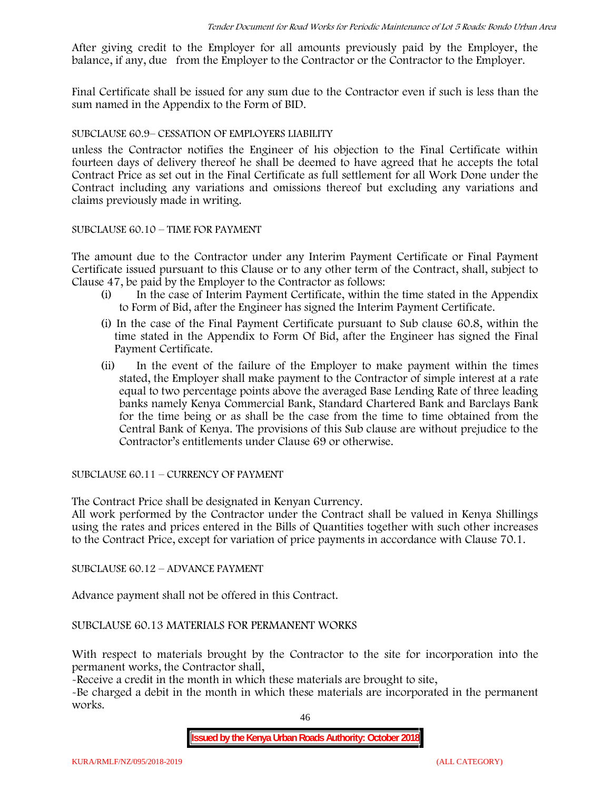After giving credit to the Employer for all amounts previously paid by the Employer, the balance, if any, due from the Employer to the Contractor or the Contractor to the Employer.

Final Certificate shall be issued for any sum due to the Contractor even if such is less than the sum named in the Appendix to the Form of BID.

# SUBCLAUSE 60.9– CESSATION OF EMPLOYERS LIABILITY

unless the Contractor notifies the Engineer of his objection to the Final Certificate within fourteen days of delivery thereof he shall be deemed to have agreed that he accepts the total Contract Price as set out in the Final Certificate as full settlement for all Work Done under the Contract including any variations and omissions thereof but excluding any variations and claims previously made in writing.

# SUBCLAUSE 60.10 – TIME FOR PAYMENT

The amount due to the Contractor under any Interim Payment Certificate or Final Payment Certificate issued pursuant to this Clause or to any other term of the Contract, shall, subject to Clause 47, be paid by the Employer to the Contractor as follows:

- (i) In the case of Interim Payment Certificate, within the time stated in the Appendix to Form of Bid, after the Engineer has signed the Interim Payment Certificate.
- (i) In the case of the Final Payment Certificate pursuant to Sub clause 60.8, within the time stated in the Appendix to Form Of Bid, after the Engineer has signed the Final Payment Certificate.
- (ii) In the event of the failure of the Employer to make payment within the times stated, the Employer shall make payment to the Contractor of simple interest at a rate equal to two percentage points above the averaged Base Lending Rate of three leading banks namely Kenya Commercial Bank, Standard Chartered Bank and Barclays Bank for the time being or as shall be the case from the time to time obtained from the Central Bank of Kenya. The provisions of this Sub clause are without prejudice to the Contractor's entitlements under Clause 69 or otherwise.

SUBCLAUSE 60.11 – CURRENCY OF PAYMENT

The Contract Price shall be designated in Kenyan Currency.

All work performed by the Contractor under the Contract shall be valued in Kenya Shillings using the rates and prices entered in the Bills of Quantities together with such other increases to the Contract Price, except for variation of price payments in accordance with Clause 70.1.

SUBCLAUSE 60.12 – ADVANCE PAYMENT

Advance payment shall not be offered in this Contract.

SUBCLAUSE 60.13 MATERIALS FOR PERMANENT WORKS

With respect to materials brought by the Contractor to the site for incorporation into the permanent works, the Contractor shall,

-Receive a credit in the month in which these materials are brought to site,

-Be charged a debit in the month in which these materials are incorporated in the permanent works.

46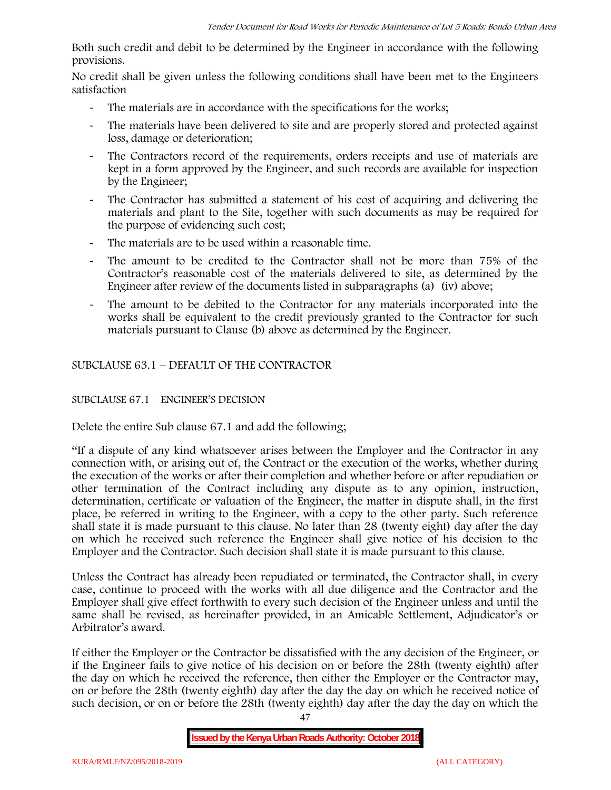Both such credit and debit to be determined by the Engineer in accordance with the following provisions.

No credit shall be given unless the following conditions shall have been met to the Engineers satisfaction

- The materials are in accordance with the specifications for the works;
- The materials have been delivered to site and are properly stored and protected against loss, damage or deterioration;
- The Contractors record of the requirements, orders receipts and use of materials are kept in a form approved by the Engineer, and such records are available for inspection by the Engineer;
- The Contractor has submitted a statement of his cost of acquiring and delivering the materials and plant to the Site, together with such documents as may be required for the purpose of evidencing such cost;
- The materials are to be used within a reasonable time.
- The amount to be credited to the Contractor shall not be more than 75% of the Contractor's reasonable cost of the materials delivered to site, as determined by the Engineer after review of the documents listed in subparagraphs (a) (iv) above;
- The amount to be debited to the Contractor for any materials incorporated into the works shall be equivalent to the credit previously granted to the Contractor for such materials pursuant to Clause (b) above as determined by the Engineer.

SUBCLAUSE 63.1 – DEFAULT OF THE CONTRACTOR

# SUBCLAUSE 67.1 – ENGINEER'S DECISION

Delete the entire Sub clause 67.1 and add the following;

"If a dispute of any kind whatsoever arises between the Employer and the Contractor in any connection with, or arising out of, the Contract or the execution of the works, whether during the execution of the works or after their completion and whether before or after repudiation or other termination of the Contract including any dispute as to any opinion, instruction, determination, certificate or valuation of the Engineer, the matter in dispute shall, in the first place, be referred in writing to the Engineer, with a copy to the other party. Such reference shall state it is made pursuant to this clause. No later than 28 (twenty eight) day after the day on which he received such reference the Engineer shall give notice of his decision to the Employer and the Contractor. Such decision shall state it is made pursuant to this clause.

Unless the Contract has already been repudiated or terminated, the Contractor shall, in every case, continue to proceed with the works with all due diligence and the Contractor and the Employer shall give effect forthwith to every such decision of the Engineer unless and until the same shall be revised, as hereinafter provided, in an Amicable Settlement, Adjudicator's or Arbitrator's award.

If either the Employer or the Contractor be dissatisfied with the any decision of the Engineer, or if the Engineer fails to give notice of his decision on or before the 28th (twenty eighth) after the day on which he received the reference, then either the Employer or the Contractor may, on or before the 28th (twenty eighth) day after the day the day on which he received notice of such decision, or on or before the 28th (twenty eighth) day after the day the day on which the

**Issued by the Kenya Urban Roads Authority: October 2018**

47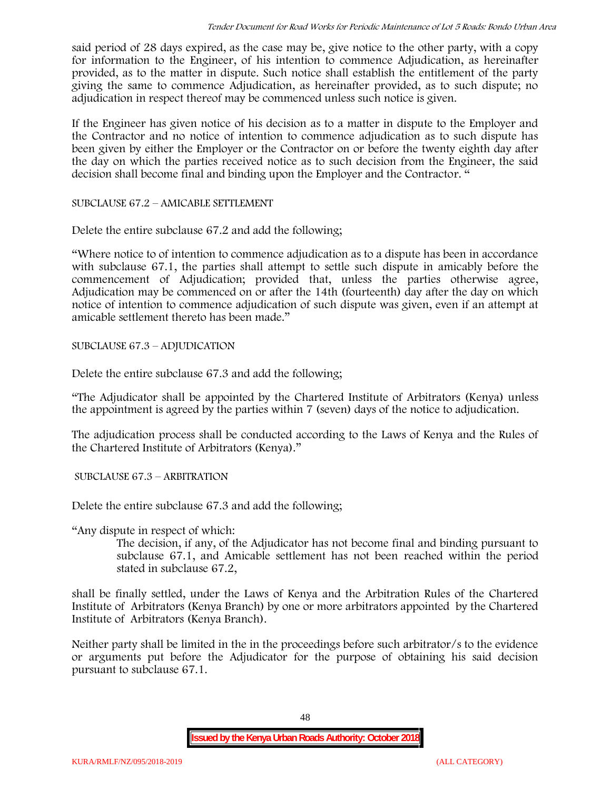said period of 28 days expired, as the case may be, give notice to the other party, with a copy for information to the Engineer, of his intention to commence Adjudication, as hereinafter provided, as to the matter in dispute. Such notice shall establish the entitlement of the party giving the same to commence Adjudication, as hereinafter provided, as to such dispute; no adjudication in respect thereof may be commenced unless such notice is given.

If the Engineer has given notice of his decision as to a matter in dispute to the Employer and the Contractor and no notice of intention to commence adjudication as to such dispute has been given by either the Employer or the Contractor on or before the twenty eighth day after the day on which the parties received notice as to such decision from the Engineer, the said decision shall become final and binding upon the Employer and the Contractor. "

SUBCLAUSE 67.2 – AMICABLE SETTLEMENT

Delete the entire subclause 67.2 and add the following;

"Where notice to of intention to commence adjudication as to a dispute has been in accordance with subclause 67.1, the parties shall attempt to settle such dispute in amicably before the commencement of Adjudication; provided that, unless the parties otherwise agree, Adjudication may be commenced on or after the 14th (fourteenth) day after the day on which notice of intention to commence adjudication of such dispute was given, even if an attempt at amicable settlement thereto has been made."

SUBCLAUSE 67.3 – ADJUDICATION

Delete the entire subclause 67.3 and add the following;

"The Adjudicator shall be appointed by the Chartered Institute of Arbitrators (Kenya) unless the appointment is agreed by the parties within 7 (seven) days of the notice to adjudication.

The adjudication process shall be conducted according to the Laws of Kenya and the Rules of the Chartered Institute of Arbitrators (Kenya)."

SUBCLAUSE 67.3 – ARBITRATION

Delete the entire subclause 67.3 and add the following;

"Any dispute in respect of which:

The decision, if any, of the Adjudicator has not become final and binding pursuant to subclause 67.1, and Amicable settlement has not been reached within the period stated in subclause 67.2,

shall be finally settled, under the Laws of Kenya and the Arbitration Rules of the Chartered Institute of Arbitrators (Kenya Branch) by one or more arbitrators appointed by the Chartered Institute of Arbitrators (Kenya Branch).

Neither party shall be limited in the in the proceedings before such arbitrator/s to the evidence or arguments put before the Adjudicator for the purpose of obtaining his said decision pursuant to subclause 67.1.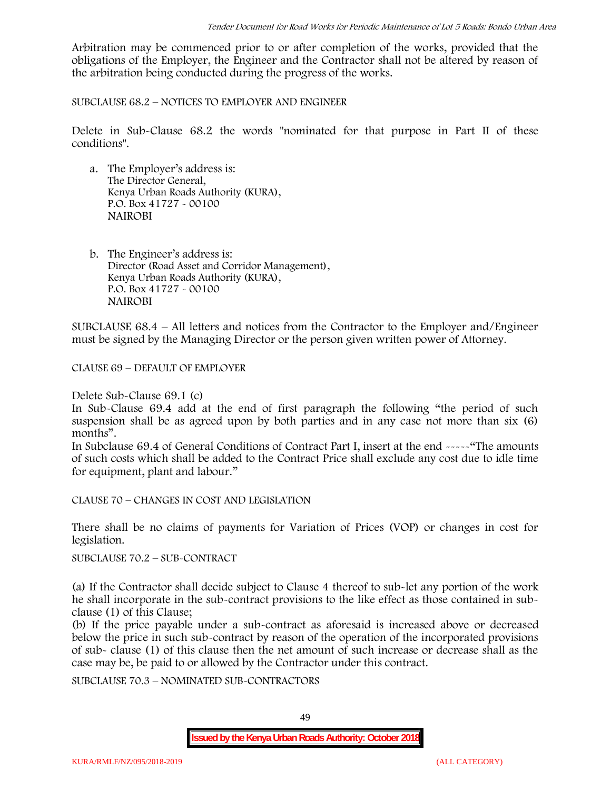Arbitration may be commenced prior to or after completion of the works, provided that the obligations of the Employer, the Engineer and the Contractor shall not be altered by reason of the arbitration being conducted during the progress of the works.

SUBCLAUSE 68.2 – NOTICES TO EMPLOYER AND ENGINEER

Delete in Sub-Clause 68.2 the words "nominated for that purpose in Part II of these conditions".

- a. The Employer's address is: The Director General, Kenya Urban Roads Authority (KURA), P.O. Box 41727 - 00100 **NAIROBI**
- b. The Engineer's address is: Director (Road Asset and Corridor Management), Kenya Urban Roads Authority (KURA), P.O. Box 41727 - 00100 **NAIROBI**

SUBCLAUSE 68.4 – All letters and notices from the Contractor to the Employer and/Engineer must be signed by the Managing Director or the person given written power of Attorney.

CLAUSE 69 – DEFAULT OF EMPLOYER

Delete Sub-Clause 69.1 (c)

In Sub-Clause 69.4 add at the end of first paragraph the following "the period of such suspension shall be as agreed upon by both parties and in any case not more than six (6) months".

In Subclause 69.4 of General Conditions of Contract Part I, insert at the end -----"The amounts of such costs which shall be added to the Contract Price shall exclude any cost due to idle time for equipment, plant and labour."

CLAUSE 70 – CHANGES IN COST AND LEGISLATION

There shall be no claims of payments for Variation of Prices (VOP) or changes in cost for legislation.

SUBCLAUSE 70.2 – SUB-CONTRACT

(a) If the Contractor shall decide subject to Clause 4 thereof to sub-let any portion of the work he shall incorporate in the sub-contract provisions to the like effect as those contained in sub clause (1) of this Clause;

(b) If the price payable under a sub-contract as aforesaid is increased above or decreased below the price in such sub-contract by reason of the operation of the incorporated provisions of sub- clause (1) of this clause then the net amount of such increase or decrease shall as the case may be, be paid to or allowed by the Contractor under this contract.

SUBCLAUSE 70.3 – NOMINATED SUB-CONTRACTORS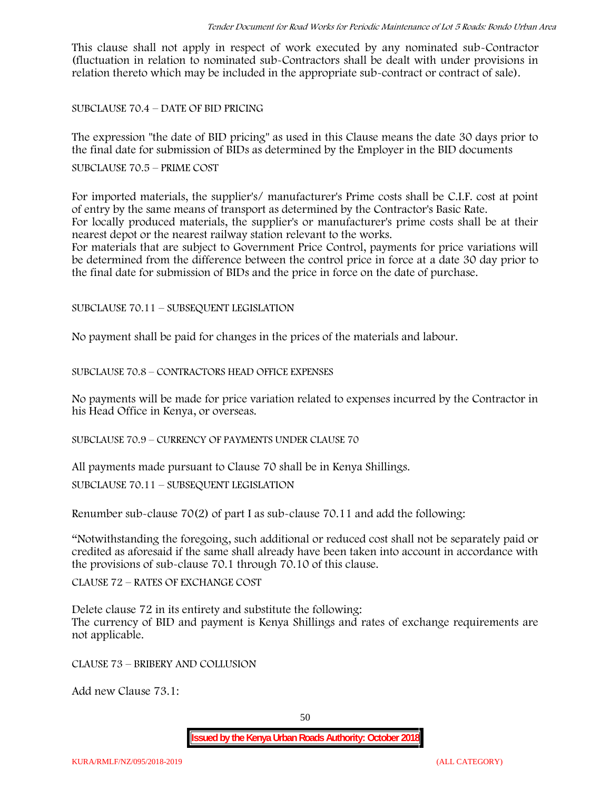This clause shall not apply in respect of work executed by any nominated sub-Contractor (fluctuation in relation to nominated sub-Contractors shall be dealt with under provisions in relation thereto which may be included in the appropriate sub-contract or contract of sale).

SUBCLAUSE 70.4 – DATE OF BID PRICING

The expression "the date of BID pricing" as used in this Clause means the date 30 days prior to the final date for submission of BIDs as determined by the Employer in the BID documents

# SUBCLAUSE 70.5 – PRIME COST

For imported materials, the supplier's/ manufacturer's Prime costs shall be C.I.F. cost at point of entry by the same means of transport as determined by the Contractor's Basic Rate. For locally produced materials, the supplier's or manufacturer's prime costs shall be at their nearest depot or the nearest railway station relevant to the works.

For materials that are subject to Government Price Control, payments for price variations will be determined from the difference between the control price in force at a date 30 day prior to the final date for submission of BIDs and the price in force on the date of purchase.

SUBCLAUSE 70.11 – SUBSEQUENT LEGISLATION

No payment shall be paid for changes in the prices of the materials and labour.

SUBCLAUSE 70.8 – CONTRACTORS HEAD OFFICE EXPENSES

No payments will be made for price variation related to expenses incurred by the Contractor in his Head Office in Kenya, or overseas.

SUBCLAUSE 70.9 – CURRENCY OF PAYMENTS UNDER CLAUSE 70

All payments made pursuant to Clause 70 shall be in Kenya Shillings.

SUBCLAUSE 70.11 – SUBSEQUENT LEGISLATION

Renumber sub-clause 70(2) of part I as sub-clause 70.11 and add the following:

"Notwithstanding the foregoing, such additional or reduced cost shall not be separately paid or credited as aforesaid if the same shall already have been taken into account in accordance with the provisions of sub-clause 70.1 through 70.10 of this clause.

CLAUSE 72 – RATES OF EXCHANGE COST

Delete clause 72 in its entirety and substitute the following: The currency of BID and payment is Kenya Shillings and rates of exchange requirements are not applicable.

CLAUSE 73 – BRIBERY AND COLLUSION

Add new Clause 73.1: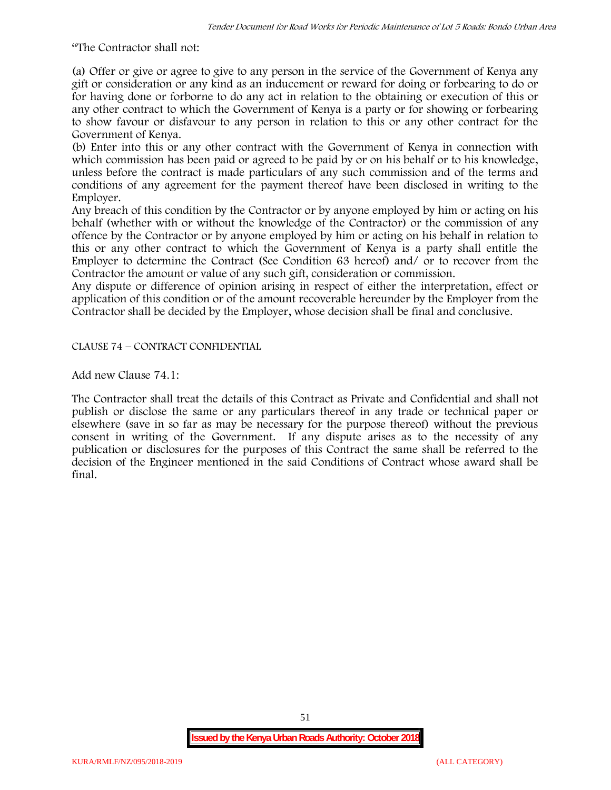"The Contractor shall not:

(a) Offer or give or agree to give to any person in the service of the Government of Kenya any gift or consideration or any kind as an inducement or reward for doing or forbearing to do or for having done or forborne to do any act in relation to the obtaining or execution of this or any other contract to which the Government of Kenya is a party or for showing or forbearing to show favour or disfavour to any person in relation to this or any other contract for the Government of Kenya.

(b) Enter into this or any other contract with the Government of Kenya in connection with which commission has been paid or agreed to be paid by or on his behalf or to his knowledge, unless before the contract is made particulars of any such commission and of the terms and conditions of any agreement for the payment thereof have been disclosed in writing to the Employer.

Any breach of this condition by the Contractor or by anyone employed by him or acting on his behalf (whether with or without the knowledge of the Contractor) or the commission of any offence by the Contractor or by anyone employed by him or acting on his behalf in relation to this or any other contract to which the Government of Kenya is a party shall entitle the Employer to determine the Contract (See Condition 63 hereof) and/ or to recover from the Contractor the amount or value of any such gift, consideration or commission.

Any dispute or difference of opinion arising in respect of either the interpretation, effect or application of this condition or of the amount recoverable hereunder by the Employer from the Contractor shall be decided by the Employer, whose decision shall be final and conclusive.

CLAUSE 74 – CONTRACT CONFIDENTIAL

Add new Clause 74.1:

The Contractor shall treat the details of this Contract as Private and Confidential and shall not publish or disclose the same or any particulars thereof in any trade or technical paper or elsewhere (save in so far as may be necessary for the purpose thereof) without the previous consent in writing of the Government. If any dispute arises as to the necessity of any publication or disclosures for the purposes of this Contract the same shall be referred to the decision of the Engineer mentioned in the said Conditions of Contract whose award shall be final.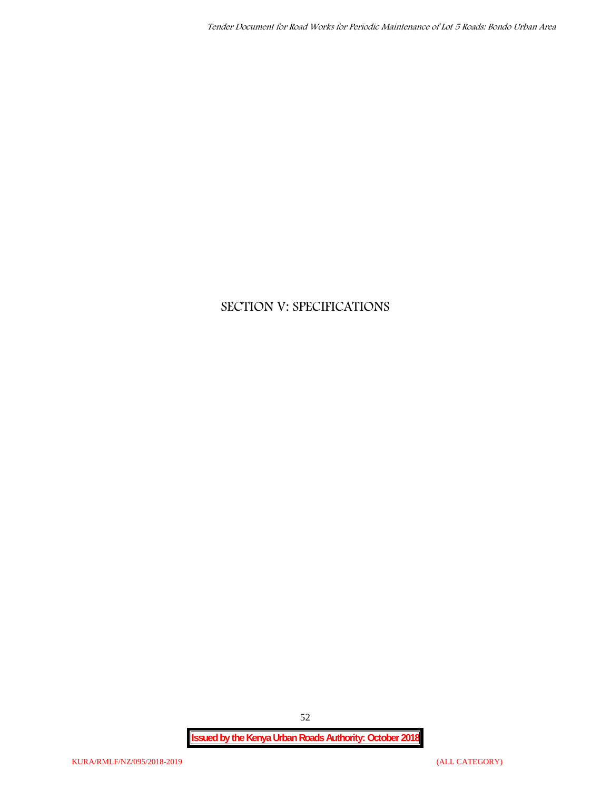# **SECTION V: SPECIFICATIONS**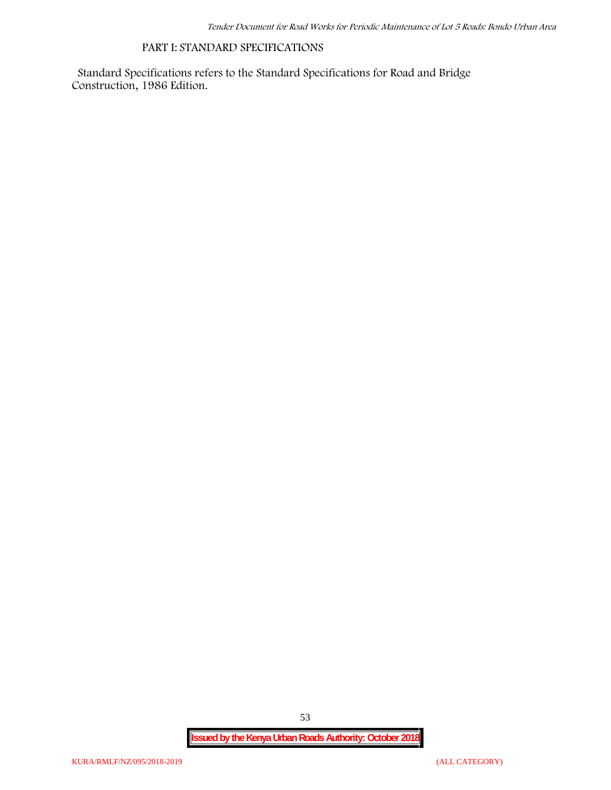#### **PART I: STANDARD SPECIFICATIONS**

Standard Specifications refers to the Standard Specifications for Road and Bridge Construction, 1986 Edition.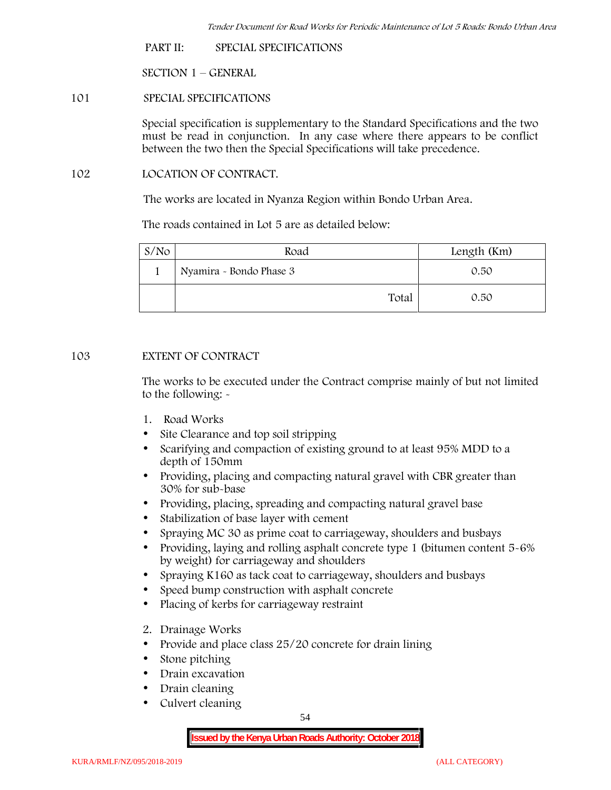**PART II: SPECIAL SPECIFICATIONS**

**SECTION 1 – GENERAL**

**101 SPECIAL SPECIFICATIONS**

Special specification is supplementary to the Standard Specifications and the two must be read in conjunction. In any case where there appears to be conflict between the two then the Special Specifications will take precedence.

**102 LOCATION OF CONTRACT.**

The works are located in Nyanza Region within Bondo Urban Area.

The roads contained in Lot 5 are as detailed below:

| S/N <sub>O</sub> | Road                    | Length (Km) |
|------------------|-------------------------|-------------|
|                  | Nyamira - Bondo Phase 3 | 0.50        |
|                  | Total                   | 0.50        |

# **103 EXTENT OF CONTRACT**

The works to be executed under the Contract comprise mainly of but not limited to the following: -

- **1. Road Works**
- Site Clearance and top soil stripping
- Scarifying and compaction of existing ground to at least 95% MDD to a depth of 150mm
- Providing, placing and compacting natural gravel with CBR greater than 30% for sub-base
- Providing, placing, spreading and compacting natural gravel base
- Stabilization of base layer with cement
- Spraying MC 30 as prime coat to carriageway, shoulders and busbays
- Providing, laying and rolling asphalt concrete type 1 (bitumen content 5-6%) by weight) for carriageway and shoulders
- Spraying K160 as tack coat to carriageway, shoulders and busbays
- Speed bump construction with asphalt concrete
- Placing of kerbs for carriageway restraint
- **2. Drainage Works**
- Provide and place class 25/20 concrete for drain lining
- Stone pitching
- Drain excavation
- Drain cleaning
- Culvert cleaning

54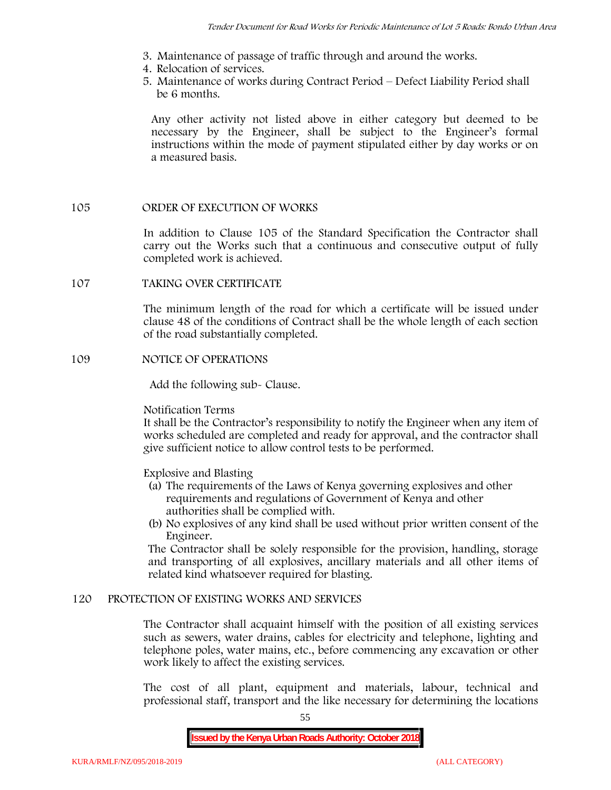- **3. Maintenance of passage of traffic through and around the works.**
- **4. Relocation of services.**
- **5. Maintenance of works during Contract Period – Defect Liability Period shall be 6 months.**

Any other activity not listed above in either category but deemed to be necessary by the Engineer, shall be subject to the Engineer's formal instructions within the mode of payment stipulated either by day works or on a measured basis.

# **105 ORDER OF EXECUTION OF WORKS**

In addition to Clause 105 of the Standard Specification the Contractor shall carry out the Works such that a continuous and consecutive output of fully completed work is achieved.

**107 TAKING OVER CERTIFICATE**

The minimum length of the road for which a certificate will be issued under clause 48 of the conditions of Contract shall be the whole length of each section of the road substantially completed.

### **109 NOTICE OF OPERATIONS**

Add the following sub- Clause.

#### Notification Terms

It shall be the Contractor's responsibility to notify the Engineer when any item of works scheduled are completed and ready for approval, and the contractor shall give sufficient notice to allow control tests to be performed.

Explosive and Blasting

- (a) The requirements of the Laws of Kenya governing explosives and other requirements and regulations of Government of Kenya and other authorities shall be complied with.
- (b) No explosives of any kind shall be used without prior written consent of the Engineer.

The Contractor shall be solely responsible for the provision, handling, storage and transporting of all explosives, ancillary materials and all other items of related kind whatsoever required for blasting.

### **120 PROTECTION OF EXISTING WORKS AND SERVICES**

The Contractor shall acquaint himself with the position of all existing services such as sewers, water drains, cables for electricity and telephone, lighting and telephone poles, water mains, etc., before commencing any excavation or other work likely to affect the existing services.

The cost of all plant, equipment and materials, labour, technical and professional staff, transport and the like necessary for determining the locations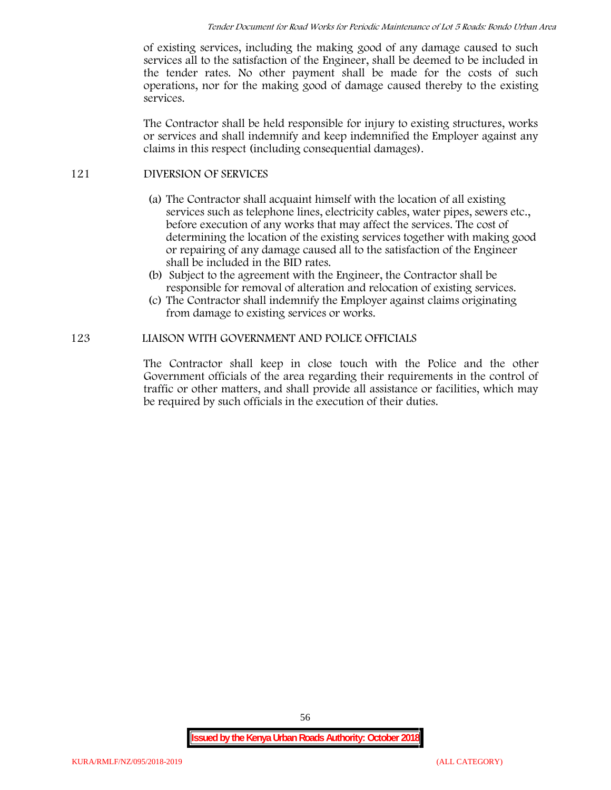of existing services, including the making good of any damage caused to such services all to the satisfaction of the Engineer, shall be deemed to be included in the tender rates. No other payment shall be made for the costs of such operations, nor for the making good of damage caused thereby to the existing services.

The Contractor shall be held responsible for injury to existing structures, works or services and shall indemnify and keep indemnified the Employer against any claims in this respect (including consequential damages).

# **121 DIVERSION OF SERVICES**

- (a) The Contractor shall acquaint himself with the location of all existing services such as telephone lines, electricity cables, water pipes, sewers etc., before execution of any works that may affect the services. The cost of determining the location of the existing services together with making good or repairing of any damage caused all to the satisfaction of the Engineer shall be included in the BID rates.
- (b) Subject to the agreement with the Engineer, the Contractor shall be responsible for removal of alteration and relocation of existing services.
- (c) The Contractor shall indemnify the Employer against claims originating from damage to existing services or works.

# **123 LIAISON WITH GOVERNMENT AND POLICE OFFICIALS**

The Contractor shall keep in close touch with the Police and the other Government officials of the area regarding their requirements in the control of traffic or other matters, and shall provide all assistance or facilities, which may be required by such officials in the execution of their duties.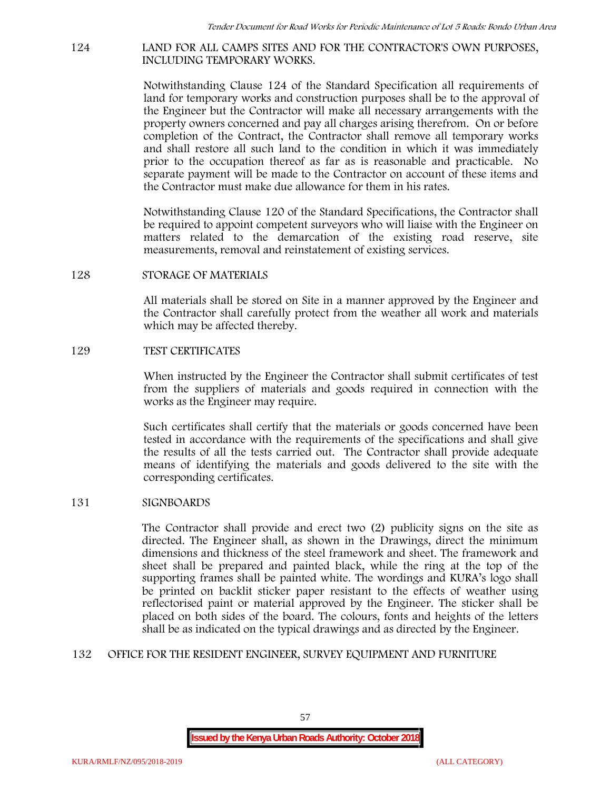#### **124 LAND FOR ALL CAMPS SITES AND FOR THE CONTRACTOR'S OWN PURPOSES, INCLUDING TEMPORARY WORKS.**

Notwithstanding Clause 124 of the Standard Specification all requirements of land for temporary works and construction purposes shall be to the approval of the Engineer but the Contractor will make all necessary arrangements with the property owners concerned and pay all charges arising therefrom. On or before completion of the Contract, the Contractor shall remove all temporary works and shall restore all such land to the condition in which it was immediately prior to the occupation thereof as far as is reasonable and practicable. No separate payment will be made to the Contractor on account of these items and the Contractor must make due allowance for them in his rates.

Notwithstanding Clause 120 of the Standard Specifications, the Contractor shall be required to appoint competent surveyors who will liaise with the Engineer on matters related to the demarcation of the existing road reserve, site measurements, removal and reinstatement of existing services.

### **128 STORAGE OF MATERIALS**

All materials shall be stored on Site in a manner approved by the Engineer and the Contractor shall carefully protect from the weather all work and materials which may be affected thereby.

### **129 TEST CERTIFICATES**

When instructed by the Engineer the Contractor shall submit certificates of test from the suppliers of materials and goods required in connection with the works as the Engineer may require.

Such certificates shall certify that the materials or goods concerned have been tested in accordance with the requirements of the specifications and shall give the results of all the tests carried out. The Contractor shall provide adequate means of identifying the materials and goods delivered to the site with the corresponding certificates.

# **131 SIGNBOARDS**

The Contractor shall provide and erect two (2) publicity signs on the site as directed. The Engineer shall, as shown in the Drawings, direct the minimum dimensions and thickness of the steel framework and sheet. The framework and sheet shall be prepared and painted black, while the ring at the top of the supporting frames shall be painted white. The wordings and KURA's logo shall be printed on backlit sticker paper resistant to the effects of weather using reflectorised paint or material approved by the Engineer. The sticker shall be placed on both sides of the board. The colours, fonts and heights of the letters shall be as indicated on the typical drawings and as directed by the Engineer.

# **132 OFFICE FOR THE RESIDENT ENGINEER, SURVEY EQUIPMENT AND FURNITURE**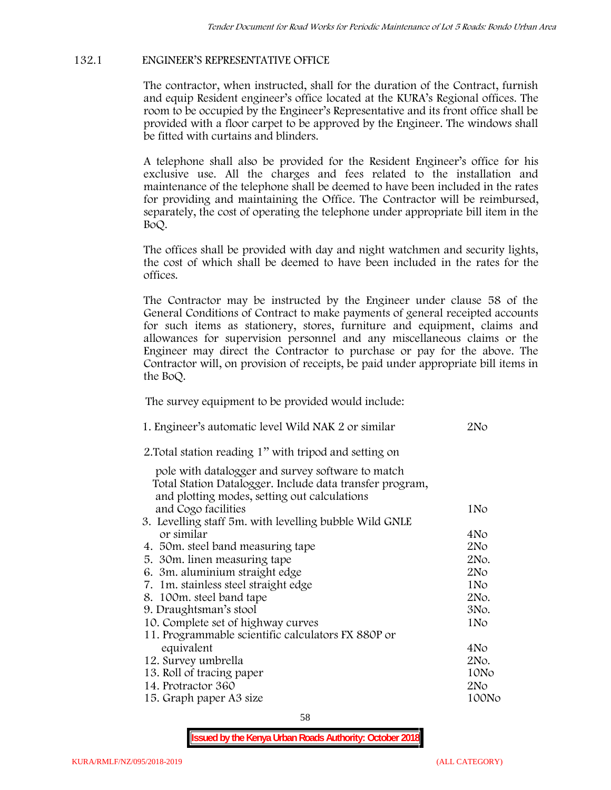# **132.1 ENGINEER'S REPRESENTATIVE OFFICE**

The contractor, when instructed, shall for the duration of the Contract, furnish and equip Resident engineer's office located at the KURA's Regional offices. The room to be occupied by the Engineer's Representative and its front office shall be provided with a floor carpet to be approved by the Engineer. The windows shall be fitted with curtains and blinders.

A telephone shall also be provided for the Resident Engineer's office for his exclusive use. All the charges and fees related to the installation and maintenance of the telephone shall be deemed to have been included in the rates for providing and maintaining the Office. The Contractor will be reimbursed, separately, the cost of operating the telephone under appropriate bill item in the BoQ.

The offices shall be provided with day and night watchmen and security lights, the cost of which shall be deemed to have been included in the rates for the offices.

The Contractor may be instructed by the Engineer under clause 58 of the General Conditions of Contract to make payments of general receipted accounts for such items as stationery, stores, furniture and equipment, claims and allowances for supervision personnel and any miscellaneous claims or the Engineer may direct the Contractor to purchase or pay for the above. The Contractor will, on provision of receipts, be paid under appropriate bill items in the BoQ.

**The survey equipment to be provided would include:**

| 1. Engineer's automatic level Wild NAK 2 or similar                 | 2N <sub>O</sub> |
|---------------------------------------------------------------------|-----------------|
| 2. Total station reading 1" with tripod and setting on              |                 |
| pole with datalogger and survey software to match                   |                 |
| Total Station Datalogger. Include data transfer program,            |                 |
| and plotting modes, setting out calculations<br>and Cogo facilities | 1No             |
| 3. Levelling staff 5m. with levelling bubble Wild GNLE              |                 |
| or similar                                                          | 4No             |
| 4. 50 m. steel band measuring tape                                  | 2N <sub>O</sub> |
| 5. 30 m. linen measuring tape                                       | 2No.            |
| 6. 3m. aluminium straight edge                                      | 2No             |
| 7. 1m. stainless steel straight edge                                | 1N <sub>o</sub> |
| 8. 100m. steel band tape                                            | 2No.            |
| 9. Draughtsman's stool                                              | 3No.            |
| 10. Complete set of highway curves                                  | 1N <sub>o</sub> |
| 11. Programmable scientific calculators FX 880P or                  |                 |
| equivalent                                                          | 4No             |
| 12. Survey umbrella                                                 | 2No.            |
| 13. Roll of tracing paper                                           | 10No            |
| 14. Protractor 360                                                  | 2No             |
| 15. Graph paper A3 size                                             | 100No           |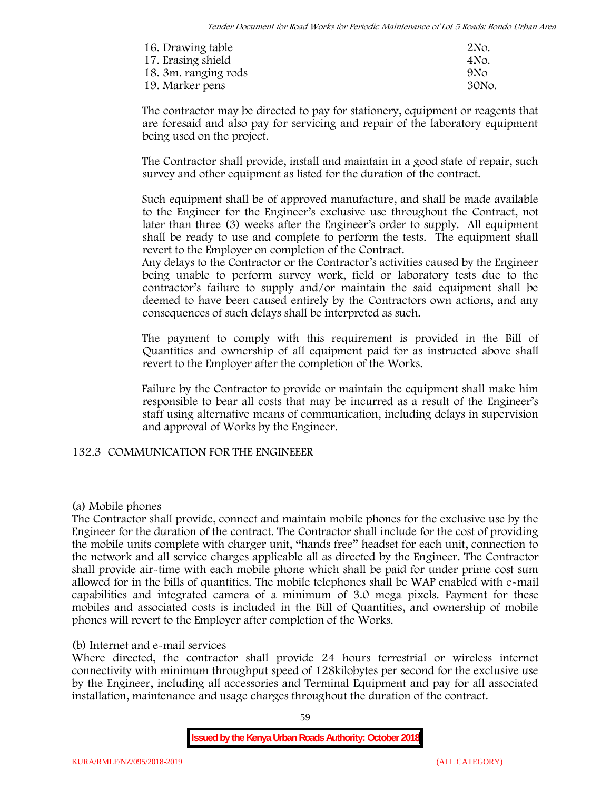| 16. Drawing table    | 2No.            |
|----------------------|-----------------|
| 17. Erasing shield   | 4No.            |
| 18. 3m. ranging rods | 9N <sub>O</sub> |
| 19. Marker pens      | 30No.           |

The contractor may be directed to pay for stationery, equipment or reagents that are foresaid and also pay for servicing and repair of the laboratory equipment being used on the project.

The Contractor shall provide, install and maintain in a good state of repair, such survey and other equipment as listed for the duration of the contract.

Such equipment shall be of approved manufacture, and shall be made available to the Engineer for the Engineer's exclusive use throughout the Contract, not later than three (3) weeks after the Engineer's order to supply. All equipment shall be ready to use and complete to perform the tests. The equipment shall revert to the Employer on completion of the Contract.

Any delays to the Contractor or the Contractor's activities caused by the Engineer being unable to perform survey work, field or laboratory tests due to the contractor's failure to supply and/or maintain the said equipment shall be deemed to have been caused entirely by the Contractors own actions, and any consequences of such delays shall be interpreted as such.

The payment to comply with this requirement is provided in the Bill of Quantities and ownership of all equipment paid for as instructed above shall revert to the Employer after the completion of the Works.

Failure by the Contractor to provide or maintain the equipment shall make him responsible to bear all costs that may be incurred as a result of the Engineer's staff using alternative means of communication, including delays in supervision and approval of Works by the Engineer.

# **132.3 COMMUNICATION FOR THE ENGINEEER**

# **(a) Mobile phones**

The Contractor shall provide, connect and maintain mobile phones for the exclusive use by the Engineer for the duration of the contract. The Contractor shall include for the cost of providing the mobile units complete with charger unit, "hands free" headset for each unit, connection to the network and all service charges applicable all as directed by the Engineer. The Contractor shall provide air-time with each mobile phone which shall be paid for under prime cost sum allowed for in the bills of quantities. The mobile telephones shall be WAP enabled with e-mail capabilities and integrated camera of a minimum of 3.0 mega pixels. Payment for these mobiles and associated costs is included in the Bill of Quantities, and ownership of mobile phones will revert to the Employer after completion of the Works.

# **(b) Internet and e-mail services**

Where directed, the contractor shall provide 24 hours terrestrial or wireless internet connectivity with minimum throughput speed of 128kilobytes per second for the exclusive use by the Engineer, including all accessories and Terminal Equipment and pay for all associated installation, maintenance and usage charges throughout the duration of the contract.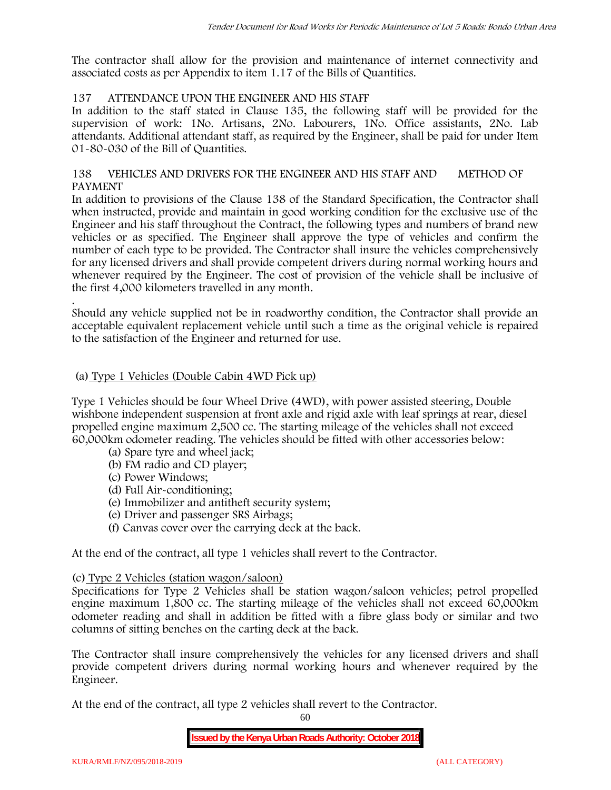The contractor shall allow for the provision and maintenance of internet connectivity and associated costs as per Appendix to item 1.17 of the Bills of Quantities.

# **137 ATTENDANCE UPON THE ENGINEER AND HIS STAFF**

In addition to the staff stated in Clause 135, the following staff will be provided for the supervision of work: 1No. Artisans, 2No. Labourers, 1No. Office assistants, 2No. Lab attendants. Additional attendant staff, as required by the Engineer, shall be paid for under Item 01-80-030 of the Bill of Quantities.

# **138 VEHICLES AND DRIVERS FOR THE ENGINEER AND HIS STAFF AND METHOD OF PAYMENT**

In addition to provisions of the Clause 138 of the Standard Specification, the Contractor shall when instructed, provide and maintain in good working condition for the exclusive use of the Engineer and his staff throughout the Contract, the following types and numbers of brand new vehicles or as specified. The Engineer shall approve the type of vehicles and confirm the number of each type to be provided. The Contractor shall insure the vehicles comprehensively for any licensed drivers and shall provide competent drivers during normal working hours and whenever required by the Engineer. The cost of provision of the vehicle shall be inclusive of the first 4,000 kilometers travelled in any month.

.Should any vehicle supplied not be in roadworthy condition, the Contractor shall provide an acceptable equivalent replacement vehicle until such a time as the original vehicle is repaired to the satisfaction of the Engineer and returned for use.

# **(a) Type 1 Vehicles (Double Cabin 4WD Pick up)**

Type 1 Vehicles should be four Wheel Drive (4WD), with power assisted steering, Double wishbone independent suspension at front axle and rigid axle with leaf springs at rear, diesel propelled engine maximum 2,500 cc. The starting mileage of the vehicles shall not exceed 60,000km odometer reading. The vehicles should be fitted with other accessories below:

- (a) Spare tyre and wheel jack;
- (b) FM radio and CD player;
- (c) Power Windows;
- (d) Full Air-conditioning;
- (e) Immobilizer and antitheft security system;
- (e) Driver and passenger SRS Airbags;
- (f) Canvas cover over the carrying deck at the back.

At the end of the contract, all type 1 vehicles shall revert to the Contractor.

# **(c) Type 2 Vehicles (station wagon/saloon)**

Specifications for Type 2 Vehicles shall be station wagon/saloon vehicles; petrol propelled engine maximum 1,800 cc. The starting mileage of the vehicles shall not exceed 60,000km odometer reading and shall in addition be fitted with a fibre glass body or similar and two columns of sitting benches on the carting deck at the back.

The Contractor shall insure comprehensively the vehicles for any licensed drivers and shall provide competent drivers during normal working hours and whenever required by the Engineer.

At the end of the contract, all type 2 vehicles shall revert to the Contractor.

60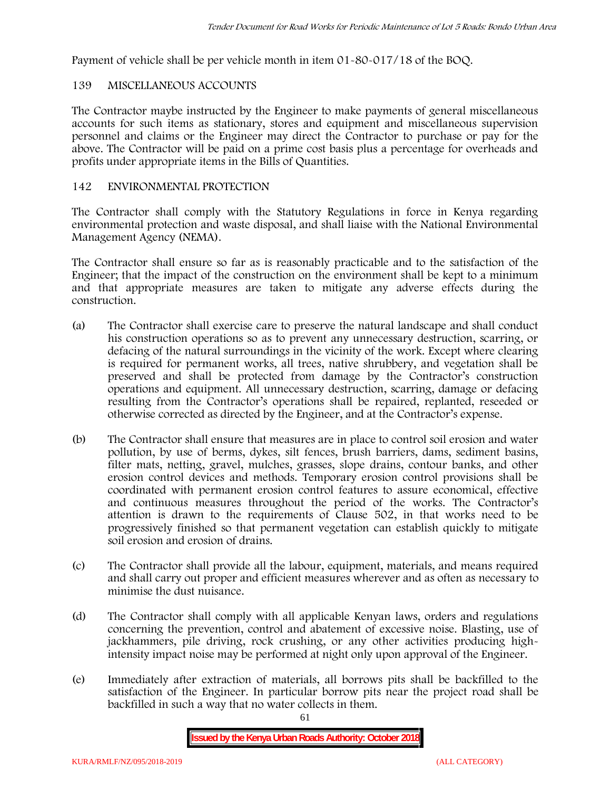Payment of vehicle shall be per vehicle month in item 01-80-017/18 of the BOQ.

# **139 MISCELLANEOUS ACCOUNTS**

The Contractor maybe instructed by the Engineer to make payments of general miscellaneous accounts for such items as stationary, stores and equipment and miscellaneous supervision personnel and claims or the Engineer may direct the Contractor to purchase or pay for the above. The Contractor will be paid on a prime cost basis plus a percentage for overheads and profits under appropriate items in the Bills of Quantities.

# **142 ENVIRONMENTAL PROTECTION**

The Contractor shall comply with the Statutory Regulations in force in Kenya regarding environmental protection and waste disposal, and shall liaise with the National Environmental Management Agency (NEMA).

The Contractor shall ensure so far as is reasonably practicable and to the satisfaction of the Engineer; that the impact of the construction on the environment shall be kept to a minimum and that appropriate measures are taken to mitigate any adverse effects during the construction.

- (a) The Contractor shall exercise care to preserve the natural landscape and shall conduct his construction operations so as to prevent any unnecessary destruction, scarring, or defacing of the natural surroundings in the vicinity of the work. Except where clearing is required for permanent works, all trees, native shrubbery, and vegetation shall be preserved and shall be protected from damage by the Contractor's construction operations and equipment. All unnecessary destruction, scarring, damage or defacing resulting from the Contractor's operations shall be repaired, replanted, reseeded or otherwise corrected as directed by the Engineer, and at the Contractor's expense.
- (b) The Contractor shall ensure that measures are in place to control soil erosion and water pollution, by use of berms, dykes, silt fences, brush barriers, dams, sediment basins, filter mats, netting, gravel, mulches, grasses, slope drains, contour banks, and other erosion control devices and methods. Temporary erosion control provisions shall be coordinated with permanent erosion control features to assure economical, effective and continuous measures throughout the period of the works. The Contractor's attention is drawn to the requirements of Clause 502, in that works need to be progressively finished so that permanent vegetation can establish quickly to mitigate soil erosion and erosion of drains.
- (c) The Contractor shall provide all the labour, equipment, materials, and means required and shall carry out proper and efficient measures wherever and as often as necessary to minimise the dust nuisance.
- (d) The Contractor shall comply with all applicable Kenyan laws, orders and regulations concerning the prevention, control and abatement of excessive noise. Blasting, use of jackhammers, pile driving, rock crushing, or any other activities producing highintensity impact noise may be performed at night only upon approval of the Engineer.
- (e) Immediately after extraction of materials, all borrows pits shall be backfilled to the satisfaction of the Engineer. In particular borrow pits near the project road shall be backfilled in such a way that no water collects in them.

61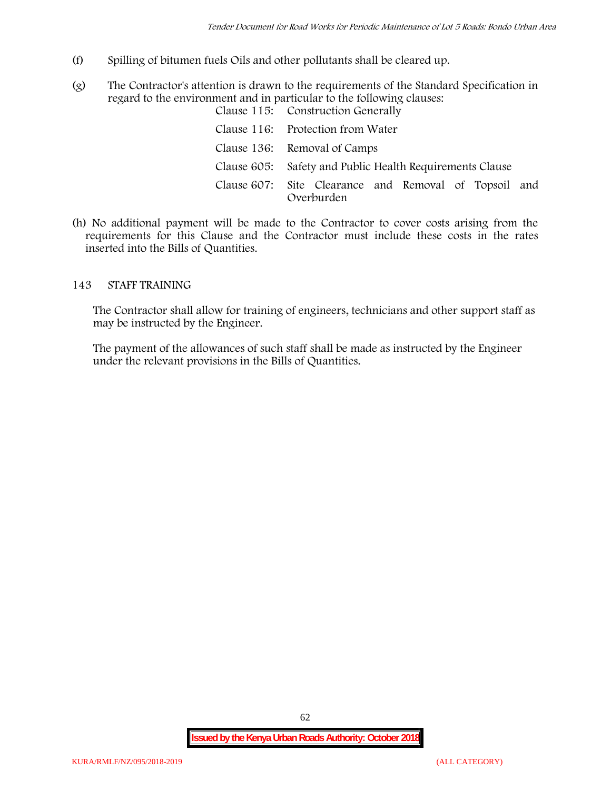- (f) Spilling of bitumen fuels Oils and other pollutants shall be cleared up.
- (g) The Contractor's attention is drawn to the requirements of the Standard Specification in regard to the environment and in particular to the following clauses: Clause 115: Construction Generally

| Clause 110. Construction dencrally                                  |  |  |
|---------------------------------------------------------------------|--|--|
| Clause 116: Protection from Water                                   |  |  |
| Clause 136: Removal of Camps                                        |  |  |
| Clause 605: Safety and Public Health Requirements Clause            |  |  |
| Clause 607: Site Clearance and Removal of Topsoil and<br>Overburden |  |  |

(h) No additional payment will be made to the Contractor to cover costs arising from the requirements for this Clause and the Contractor must include these costs in the rates inserted into the Bills of Quantities.

# **143 STAFF TRAINING**

The Contractor shall allow for training of engineers, technicians and other support staff as may be instructed by the Engineer.

The payment of the allowances of such staff shall be made as instructed by the Engineer under the relevant provisions in the Bills of Quantities.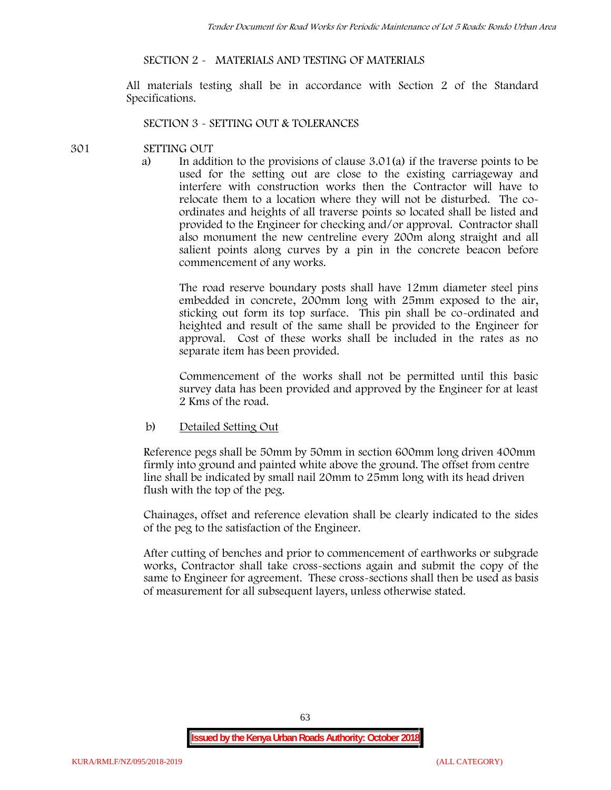# **SECTION 2 - MATERIALS AND TESTING OF MATERIALS**

All materials testing shall be in accordance with Section 2 of the Standard Specifications.

# **SECTION 3 - SETTING OUT & TOLERANCES**

## **301 SETTING OUT**

a) In addition to the provisions of clause 3.01(a) if the traverse points to be used for the setting out are close to the existing carriageway and interfere with construction works then the Contractor will have to relocate them to a location where they will not be disturbed. The co ordinates and heights of all traverse points so located shall be listed and provided to the Engineer for checking and/or approval. Contractor shall also monument the new centreline every 200m along straight and all salient points along curves by a pin in the concrete beacon before commencement of any works.

The road reserve boundary posts shall have 12mm diameter steel pins embedded in concrete, 200mm long with 25mm exposed to the air, sticking out form its top surface. This pin shall be co-ordinated and heighted and result of the same shall be provided to the Engineer for approval. Cost of these works shall be included in the rates as no separate item has been provided.

Commencement of the works shall not be permitted until this basic survey data has been provided and approved by the Engineer for at least 2 Kms of the road.

b) Detailed Setting Out

Reference pegs shall be 50mm by 50mm in section 600mm long driven 400mm firmly into ground and painted white above the ground. The offset from centre line shall be indicated by small nail 20mm to 25mm long with its head driven flush with the top of the peg.

Chainages, offset and reference elevation shall be clearly indicated to the sides of the peg to the satisfaction of the Engineer.

After cutting of benches and prior to commencement of earthworks or subgrade works, Contractor shall take cross-sections again and submit the copy of the same to Engineer for agreement. These cross-sections shall then be used as basis of measurement for all subsequent layers, unless otherwise stated.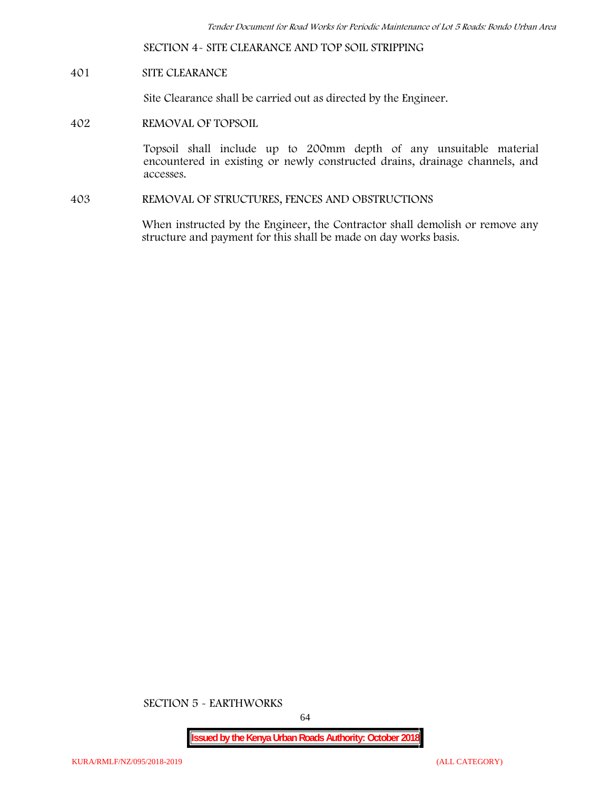**SECTION 4- SITE CLEARANCE AND TOP SOIL STRIPPING**

# **401 SITE CLEARANCE**

Site Clearance shall be carried out as directed by the Engineer.

**402 REMOVAL OF TOPSOIL**

Topsoil shall include up to 200mm depth of any unsuitable material encountered in existing or newly constructed drains, drainage channels, and accesses.

**403 REMOVAL OF STRUCTURES, FENCES AND OBSTRUCTIONS**

When instructed by the Engineer, the Contractor shall demolish or remove any structure and payment for this shall be made on day works basis.

**SECTION 5 - EARTHWORKS**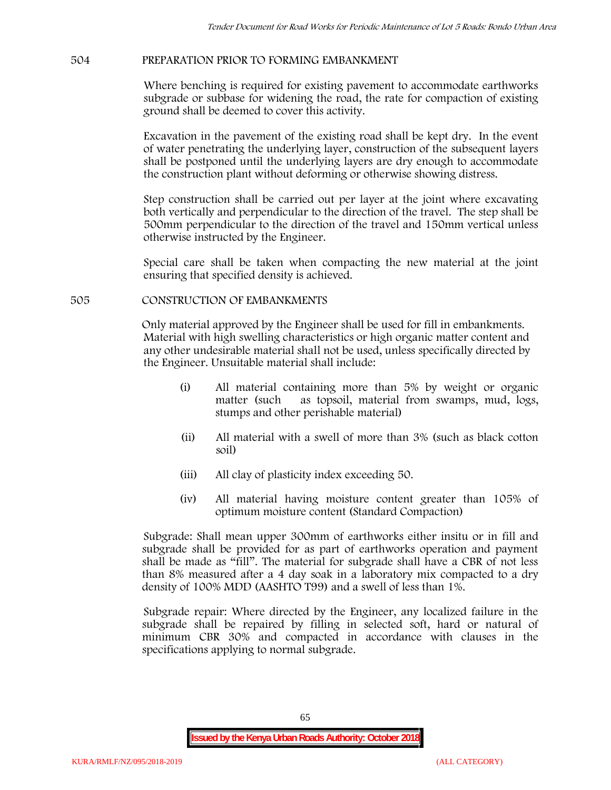### **504 PREPARATION PRIOR TO FORMING EMBANKMENT**

Where benching is required for existing pavement to accommodate earthworks subgrade or subbase for widening the road, the rate for compaction of existing ground shall be deemed to cover this activity.

Excavation in the pavement of the existing road shall be kept dry. In the event of water penetrating the underlying layer, construction of the subsequent layers shall be postponed until the underlying layers are dry enough to accommodate the construction plant without deforming or otherwise showing distress.

Step construction shall be carried out per layer at the joint where excavating both vertically and perpendicular to the direction of the travel. The step shall be 500mm perpendicular to the direction of the travel and 150mm vertical unless otherwise instructed by the Engineer.

Special care shall be taken when compacting the new material at the joint ensuring that specified density is achieved.

#### **505 CONSTRUCTION OF EMBANKMENTS**

Only material approved by the Engineer shall be used for fill in embankments. Material with high swelling characteristics or high organic matter content and any other undesirable material shall not be used, unless specifically directed by the Engineer. Unsuitable material shall include:

- (i) All material containing more than 5% by weight or organic matter (such as topsoil, material from swamps, mud, logs, stumps and other perishable material)
- (ii) All material with a swell of more than 3% (such as black cotton soil)
- (iii) All clay of plasticity index exceeding 50.
- (iv) All material having moisture content greater than 105% of optimum moisture content (Standard Compaction)

Subgrade: Shall mean upper 300mm of earthworks either insitu or in fill and subgrade shall be provided for as part of earthworks operation and payment shall be made as "fill". The material for subgrade shall have a CBR of not less than 8% measured after a 4 day soak in a laboratory mix compacted to a dry density of 100% MDD (AASHTO T99) and a swell of less than 1%.

Subgrade repair: Where directed by the Engineer, any localized failure in the subgrade shall be repaired by filling in selected soft, hard or natural of minimum CBR 30% and compacted in accordance with clauses in the specifications applying to normal subgrade.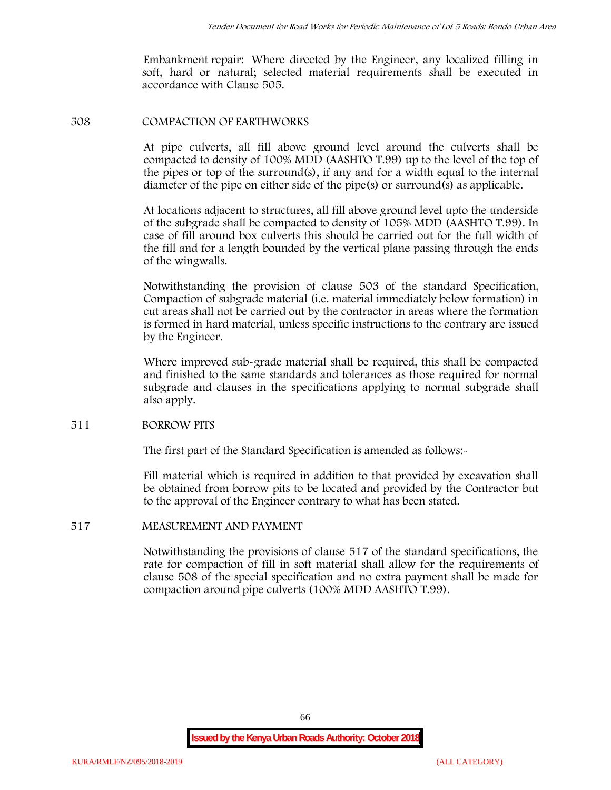Embankment repair: Where directed by the Engineer, any localized filling in soft, hard or natural; selected material requirements shall be executed in accordance with Clause 505.

### **508 COMPACTION OF EARTHWORKS**

At pipe culverts, all fill above ground level around the culverts shall be compacted to density of 100% MDD (AASHTO T.99) up to the level of the top of the pipes or top of the surround(s), if any and for a width equal to the internal diameter of the pipe on either side of the pipe(s) or surround(s) as applicable.

At locations adjacent to structures, all fill above ground level upto the underside of the subgrade shall be compacted to density of 105% MDD (AASHTO T.99). In case of fill around box culverts this should be carried out for the full width of the fill and for a length bounded by the vertical plane passing through the ends of the wingwalls.

Notwithstanding the provision of clause 503 of the standard Specification, Compaction of subgrade material (i.e. material immediately below formation) in cut areas shall not be carried out by the contractor in areas where the formation is formed in hard material, unless specific instructions to the contrary are issued by the Engineer.

Where improved sub-grade material shall be required, this shall be compacted and finished to the same standards and tolerances as those required for normal subgrade and clauses in the specifications applying to normal subgrade shall also apply.

# **511 BORROW PITS**

The first part of the Standard Specification is amended as follows:

Fill material which is required in addition to that provided by excavation shall be obtained from borrow pits to be located and provided by the Contractor but to the approval of the Engineer contrary to what has been stated.

# **517 MEASUREMENT AND PAYMENT**

Notwithstanding the provisions of clause 517 of the standard specifications, the rate for compaction of fill in soft material shall allow for the requirements of clause 508 of the special specification and no extra payment shall be made for compaction around pipe culverts (100% MDD AASHTO T.99).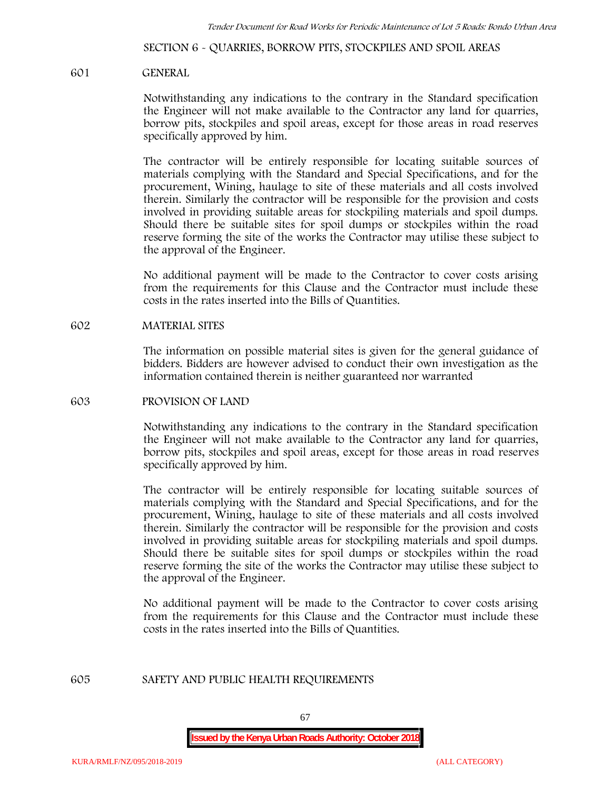**SECTION 6 - QUARRIES, BORROW PITS, STOCKPILES AND SPOIL AREAS**

#### **601 GENERAL**

Notwithstanding any indications to the contrary in the Standard specification the Engineer will not make available to the Contractor any land for quarries, borrow pits, stockpiles and spoil areas, except for those areas in road reserves specifically approved by him.

The contractor will be entirely responsible for locating suitable sources of materials complying with the Standard and Special Specifications, and for the procurement, Wining, haulage to site of these materials and all costs involved therein. Similarly the contractor will be responsible for the provision and costs involved in providing suitable areas for stockpiling materials and spoil dumps. Should there be suitable sites for spoil dumps or stockpiles within the road reserve forming the site of the works the Contractor may utilise these subject to the approval of the Engineer.

No additional payment will be made to the Contractor to cover costs arising from the requirements for this Clause and the Contractor must include these costs in the rates inserted into the Bills of Quantities.

### **602 MATERIAL SITES**

The information on possible material sites is given for the general guidance of bidders. Bidders are however advised to conduct their own investigation as the information contained therein is neither guaranteed nor warranted

### **603 PROVISION OF LAND**

Notwithstanding any indications to the contrary in the Standard specification the Engineer will not make available to the Contractor any land for quarries, borrow pits, stockpiles and spoil areas, except for those areas in road reserves specifically approved by him.

The contractor will be entirely responsible for locating suitable sources of materials complying with the Standard and Special Specifications, and for the procurement, Wining, haulage to site of these materials and all costs involved therein. Similarly the contractor will be responsible for the provision and costs involved in providing suitable areas for stockpiling materials and spoil dumps. Should there be suitable sites for spoil dumps or stockpiles within the road reserve forming the site of the works the Contractor may utilise these subject to the approval of the Engineer.

No additional payment will be made to the Contractor to cover costs arising from the requirements for this Clause and the Contractor must include these costs in the rates inserted into the Bills of Quantities.

#### **605 SAFETY AND PUBLIC HEALTH REQUIREMENTS**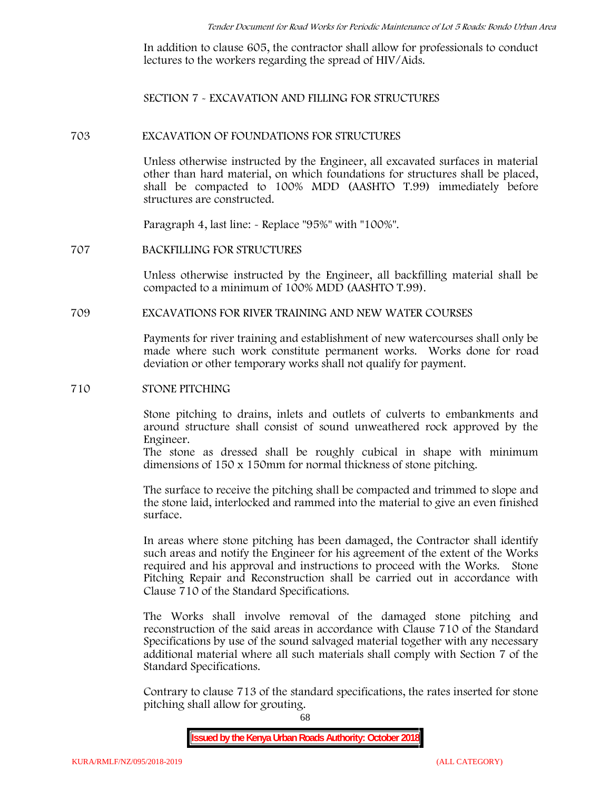In addition to clause 605, the contractor shall allow for professionals to conduct lectures to the workers regarding the spread of HIV/Aids.

**SECTION 7 - EXCAVATION AND FILLING FOR STRUCTURES**

#### **703 EXCAVATION OF FOUNDATIONS FOR STRUCTURES**

Unless otherwise instructed by the Engineer, all excavated surfaces in material other than hard material, on which foundations for structures shall be placed, shall be compacted to 100% MDD (AASHTO T.99) immediately before structures are constructed.

Paragraph 4, last line: - Replace "95%" with "100%".

#### **707 BACKFILLING FOR STRUCTURES**

Unless otherwise instructed by the Engineer, all backfilling material shall be compacted to a minimum of 100% MDD (AASHTO T.99).

# **709 EXCAVATIONS FOR RIVER TRAINING AND NEW WATER COURSES**

Payments for river training and establishment of new watercourses shall only be made where such work constitute permanent works. Works done for road deviation or other temporary works shall not qualify for payment.

#### **710 STONE PITCHING**

Stone pitching to drains, inlets and outlets of culverts to embankments and around structure shall consist of sound unweathered rock approved by the Engineer.

The stone as dressed shall be roughly cubical in shape with minimum dimensions of 150 x 150mm for normal thickness of stone pitching.

The surface to receive the pitching shall be compacted and trimmed to slope and the stone laid, interlocked and rammed into the material to give an even finished surface.

In areas where stone pitching has been damaged, the Contractor shall identify such areas and notify the Engineer for his agreement of the extent of the Works required and his approval and instructions to proceed with the Works. Stone Pitching Repair and Reconstruction shall be carried out in accordance with Clause 710 of the Standard Specifications.

The Works shall involve removal of the damaged stone pitching and reconstruction of the said areas in accordance with Clause 710 of the Standard Specifications by use of the sound salvaged material together with any necessary additional material where all such materials shall comply with Section 7 of the Standard Specifications.

Contrary to clause 713 of the standard specifications, the rates inserted for stone pitching shall allow for grouting.

68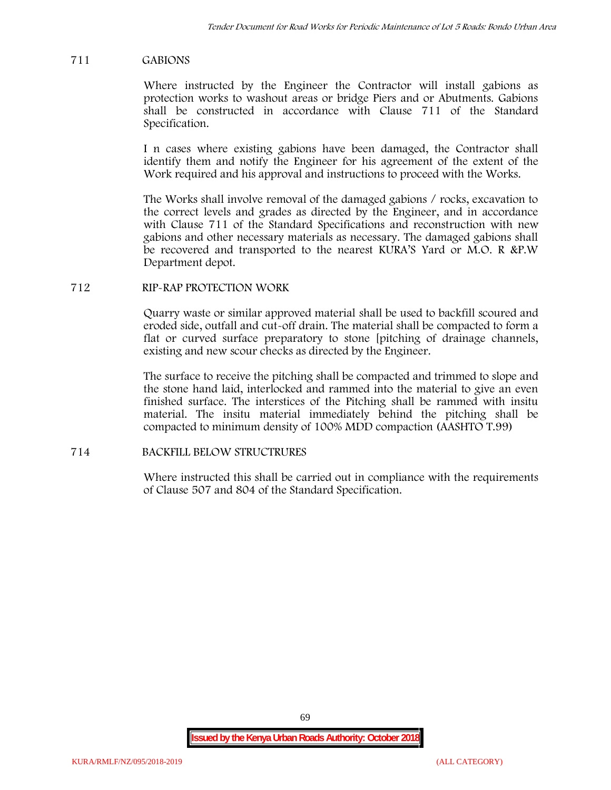### **711 GABIONS**

Where instructed by the Engineer the Contractor will install gabions as protection works to washout areas or bridge Piers and or Abutments. Gabions shall be constructed in accordance with Clause 711 of the Standard Specification.

I n cases where existing gabions have been damaged, the Contractor shall identify them and notify the Engineer for his agreement of the extent of the Work required and his approval and instructions to proceed with the Works.

The Works shall involve removal of the damaged gabions / rocks, excavation to the correct levels and grades as directed by the Engineer, and in accordance with Clause 711 of the Standard Specifications and reconstruction with new gabions and other necessary materials as necessary. The damaged gabions shall be recovered and transported to the nearest KURA'S Yard or M.O. R &P.W Department depot.

### **712 RIP-RAP PROTECTION WORK**

Quarry waste or similar approved material shall be used to backfill scoured and eroded side, outfall and cut-off drain. The material shall be compacted to form a flat or curved surface preparatory to stone [pitching of drainage channels, existing and new scour checks as directed by the Engineer.

The surface to receive the pitching shall be compacted and trimmed to slope and the stone hand laid, interlocked and rammed into the material to give an even finished surface. The interstices of the Pitching shall be rammed with insitu material. The insitu material immediately behind the pitching shall be compacted to minimum density of 100% MDD compaction (AASHTO T.99)

### **714 BACKFILL BELOW STRUCTRURES**

Where instructed this shall be carried out in compliance with the requirements of Clause 507 and 804 of the Standard Specification.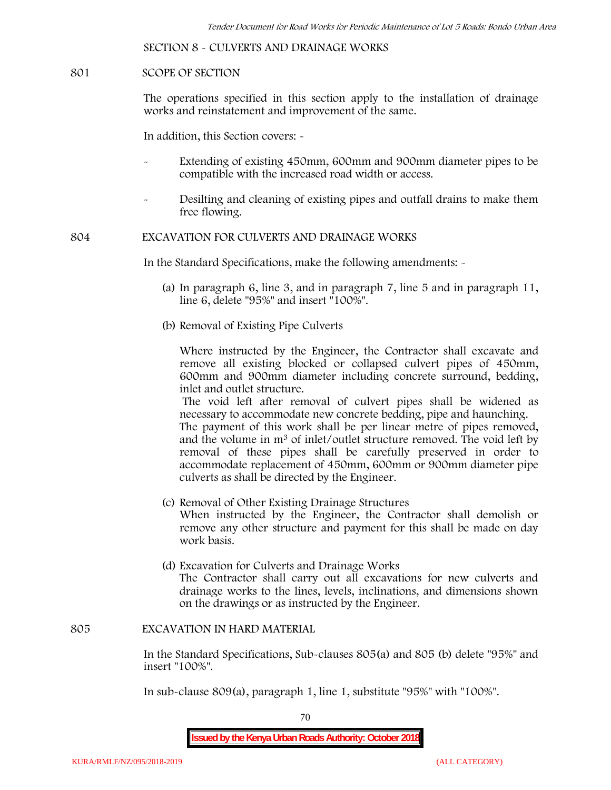**SECTION 8 - CULVERTS AND DRAINAGE WORKS**

### **801 SCOPE OF SECTION**

The operations specified in this section apply to the installation of drainage works and reinstatement and improvement of the same.

In addition, this Section covers: -

- Extending of existing 450mm, 600mm and 900mm diameter pipes to be compatible with the increased road width or access.
- Desilting and cleaning of existing pipes and outfall drains to make them free flowing.

**804 EXCAVATION FOR CULVERTS AND DRAINAGE WORKS**

In the Standard Specifications, make the following amendments: -

- (a) In paragraph 6, line 3, and in paragraph 7, line 5 and in paragraph 11, line 6, delete "95%" and insert "100%".
- (b) Removal of Existing Pipe Culverts

Where instructed by the Engineer, the Contractor shall excavate and remove all existing blocked or collapsed culvert pipes of 450mm, 600mm and 900mm diameter including concrete surround, bedding, inlet and outlet structure.

The void left after removal of culvert pipes shall be widened as necessary to accommodate new concrete bedding, pipe and haunching. The payment of this work shall be per linear metre of pipes removed, and the volume in m<sup>3</sup> of inlet/outlet structure removed. The void left by

removal of these pipes shall be carefully preserved in order to accommodate replacement of 450mm, 600mm or 900mm diameter pipe culverts as shall be directed by the Engineer.

- (c) Removal of Other Existing Drainage Structures When instructed by the Engineer, the Contractor shall demolish or remove any other structure and payment for this shall be made on day work basis.
- (d) Excavation for Culverts and Drainage Works The Contractor shall carry out all excavations for new culverts and drainage works to the lines, levels, inclinations, and dimensions shown on the drawings or as instructed by the Engineer.

#### **805 EXCAVATION IN HARD MATERIAL**

In the Standard Specifications, Sub-clauses 805(a) and 805 (b) delete "95%" and insert "100%".

In sub-clause 809(a), paragraph 1, line 1, substitute "95%" with "100%".

70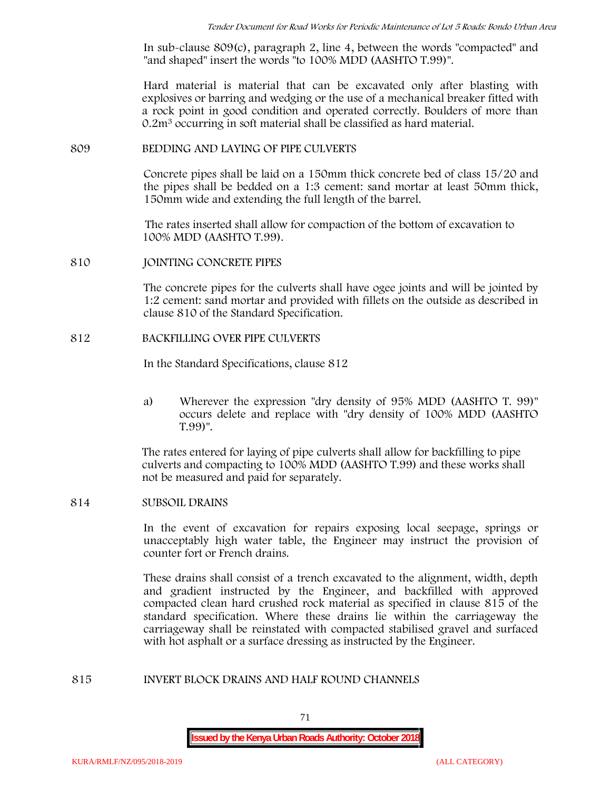In sub-clause 809(c), paragraph 2, line 4, between the words "compacted" and "and shaped" insert the words "to 100% MDD (AASHTO T.99)".

Hard material is material that can be excavated only after blasting with explosives or barring and wedging or the use of a mechanical breaker fitted with a rock point in good condition and operated correctly. Boulders of more than 0.2m<sup>3</sup> occurring in soft material shall be classified as hard material.

#### **809 BEDDING AND LAYING OF PIPE CULVERTS**

Concrete pipes shall be laid on a 150mm thick concrete bed of class 15/20 and the pipes shall be bedded on a 1:3 cement: sand mortar at least 50mm thick, 150mm wide and extending the full length of the barrel.

The rates inserted shall allow for compaction of the bottom of excavation to 100% MDD (AASHTO T.99).

### **810 JOINTING CONCRETE PIPES**

The concrete pipes for the culverts shall have ogee joints and will be jointed by 1:2 cement: sand mortar and provided with fillets on the outside as described in clause 810 of the Standard Specification.

### **812 BACKFILLING OVER PIPE CULVERTS**

In the Standard Specifications, clause 812

a) Wherever the expression "dry density of 95% MDD (AASHTO T. 99)" occurs delete and replace with "dry density of 100% MDD (AASHTO T.99)".

The rates entered for laying of pipe culverts shall allow for backfilling to pipe culverts and compacting to 100% MDD (AASHTO T.99) and these works shall not be measured and paid for separately.

# **814 SUBSOIL DRAINS**

In the event of excavation for repairs exposing local seepage, springs or unacceptably high water table, the Engineer may instruct the provision of counter fort or French drains.

These drains shall consist of a trench excavated to the alignment, width, depth and gradient instructed by the Engineer, and backfilled with approved compacted clean hard crushed rock material as specified in clause 815 of the standard specification. Where these drains lie within the carriageway the carriageway shall be reinstated with compacted stabilised gravel and surfaced with hot asphalt or a surface dressing as instructed by the Engineer.

#### **815 INVERT BLOCK DRAINS AND HALF ROUND CHANNELS**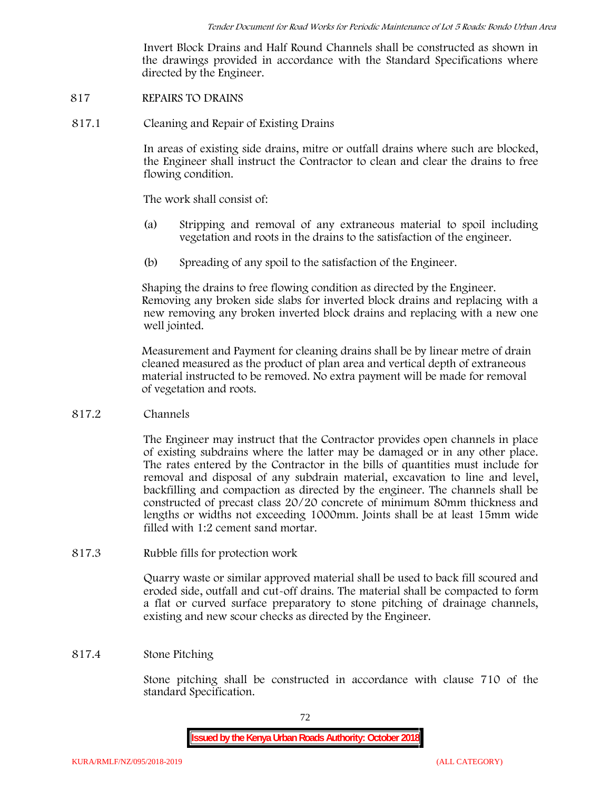Invert Block Drains and Half Round Channels shall be constructed as shown in the drawings provided in accordance with the Standard Specifications where directed by the Engineer.

#### **817 REPAIRS TO DRAINS**

**817.1 Cleaning and Repair of Existing Drains**

In areas of existing side drains, mitre or outfall drains where such are blocked, the Engineer shall instruct the Contractor to clean and clear the drains to free flowing condition.

The work shall consist of:

- (a) Stripping and removal of any extraneous material to spoil including vegetation and roots in the drains to the satisfaction of the engineer.
- (b) Spreading of any spoil to the satisfaction of the Engineer.

Shaping the drains to free flowing condition as directed by the Engineer. Removing any broken side slabs for inverted block drains and replacing with a new removing any broken inverted block drains and replacing with a new one well jointed.

Measurement and Payment for cleaning drains shall be by linear metre of drain cleaned measured as the product of plan area and vertical depth of extraneous material instructed to be removed. No extra payment will be made for removal of vegetation and roots.

**817.2 Channels**

The Engineer may instruct that the Contractor provides open channels in place of existing subdrains where the latter may be damaged or in any other place. The rates entered by the Contractor in the bills of quantities must include for removal and disposal of any subdrain material, excavation to line and level, backfilling and compaction as directed by the engineer. The channels shall be constructed of precast class 20/20 concrete of minimum 80mm thickness and lengths or widths not exceeding 1000mm. Joints shall be at least 15mm wide filled with 1:2 cement sand mortar.

**817.3 Rubble fills for protection work**

Quarry waste or similar approved material shall be used to back fill scoured and eroded side, outfall and cut-off drains. The material shall be compacted to form a flat or curved surface preparatory to stone pitching of drainage channels, existing and new scour checks as directed by the Engineer.

#### **817.4 Stone Pitching**

Stone pitching shall be constructed in accordance with clause 710 of the standard Specification.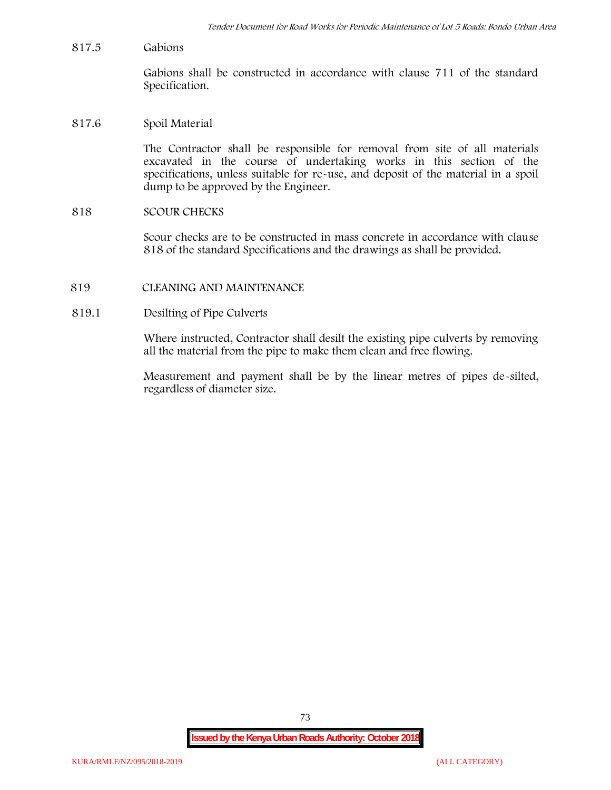**817.5 Gabions**

Gabions shall be constructed in accordance with clause 711 of the standard Specification.

**817.6 Spoil Material**

The Contractor shall be responsible for removal from site of all materials excavated in the course of undertaking works in this section of the specifications, unless suitable for re-use, and deposit of the material in a spoil dump to be approved by the Engineer.

**818 SCOUR CHECKS**

Scour checks are to be constructed in mass concrete in accordance with clause 818 of the standard Specifications and the drawings as shall be provided.

- **819 CLEANING AND MAINTENANCE**
- **819.1 Desilting of Pipe Culverts**

Where instructed, Contractor shall desilt the existing pipe culverts by removing all the material from the pipe to make them clean and free flowing.

Measurement and payment shall be by the linear metres of pipes de-silted, regardless of diameter size.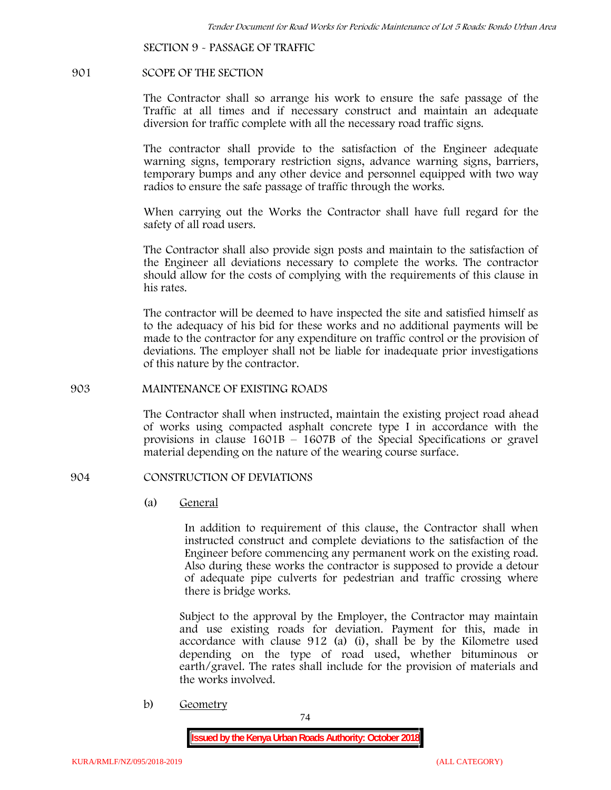**SECTION 9 - PASSAGE OF TRAFFIC**

#### **901 SCOPE OF THE SECTION**

The Contractor shall so arrange his work to ensure the safe passage of the Traffic at all times and if necessary construct and maintain an adequate diversion for traffic complete with all the necessary road traffic signs.

The contractor shall provide to the satisfaction of the Engineer adequate warning signs, temporary restriction signs, advance warning signs, barriers, temporary bumps and any other device and personnel equipped with two way radios to ensure the safe passage of traffic through the works.

When carrying out the Works the Contractor shall have full regard for the safety of all road users.

The Contractor shall also provide sign posts and maintain to the satisfaction of the Engineer all deviations necessary to complete the works. The contractor should allow for the costs of complying with the requirements of this clause in his rates.

The contractor will be deemed to have inspected the site and satisfied himself as to the adequacy of his bid for these works and no additional payments will be made to the contractor for any expenditure on traffic control or the provision of deviations. The employer shall not be liable for inadequate prior investigations of this nature by the contractor.

### **903 MAINTENANCE OF EXISTING ROADS**

The Contractor shall when instructed, maintain the existing project road ahead of works using compacted asphalt concrete type I in accordance with the provisions in clause 1601B – 1607B of the Special Specifications or gravel material depending on the nature of the wearing course surface.

### **904 CONSTRUCTION OF DEVIATIONS**

(a) **General**

In addition to requirement of this clause, the Contractor shall when instructed construct and complete deviations to the satisfaction of the Engineer before commencing any permanent work on the existing road. Also during these works the contractor is supposed to provide a detour of adequate pipe culverts for pedestrian and traffic crossing where there is bridge works.

Subject to the approval by the Employer, the Contractor may maintain and use existing roads for deviation. Payment for this, made in accordance with clause 912 (a) (i), shall be by the Kilometre used depending on the type of road used, whether bituminous or earth/gravel. The rates shall include for the provision of materials and the works involved.

b) **Geometry**

74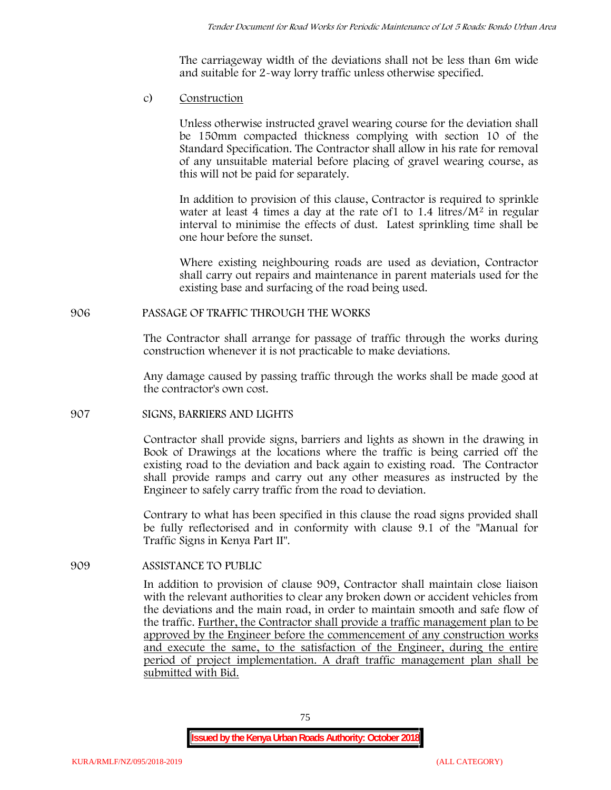The carriageway width of the deviations shall not be less than 6m wide and suitable for 2-way lorry traffic unless otherwise specified.

c) **Construction**

Unless otherwise instructed gravel wearing course for the deviation shall be 150mm compacted thickness complying with section 10 of the Standard Specification. The Contractor shall allow in his rate for removal of any unsuitable material before placing of gravel wearing course, as this will not be paid for separately.

In addition to provision of this clause, Contractor is required to sprinkle water at least 4 times a day at the rate of 1 to  $1.4$  litres/ $M<sup>2</sup>$  in regular interval to minimise the effects of dust. Latest sprinkling time shall be one hour before the sunset.

Where existing neighbouring roads are used as deviation, Contractor shall carry out repairs and maintenance in parent materials used for the existing base and surfacing of the road being used.

# **906 PASSAGE OF TRAFFIC THROUGH THE WORKS**

The Contractor shall arrange for passage of traffic through the works during construction whenever it is not practicable to make deviations.

Any damage caused by passing traffic through the works shall be made good at the contractor's own cost.

# **907 SIGNS, BARRIERS AND LIGHTS**

Contractor shall provide signs, barriers and lights as shown in the drawing in Book of Drawings at the locations where the traffic is being carried off the existing road to the deviation and back again to existing road. The Contractor shall provide ramps and carry out any other measures as instructed by the Engineer to safely carry traffic from the road to deviation.

Contrary to what has been specified in this clause the road signs provided shall be fully reflectorised and in conformity with clause 9.1 of the "Manual for Traffic Signs in Kenya Part II".

# **909 ASSISTANCE TO PUBLIC**

In addition to provision of clause 909, Contractor shall maintain close liaison with the relevant authorities to clear any broken down or accident vehicles from the deviations and the main road, in order to maintain smooth and safe flow of the traffic. Further, the Contractor shall provide a traffic management plan to be approved by the Engineer before the commencement of any construction works and execute the same, to the satisfaction of the Engineer, during the entire period of project implementation. A draft traffic management plan shall be submitted with Bid.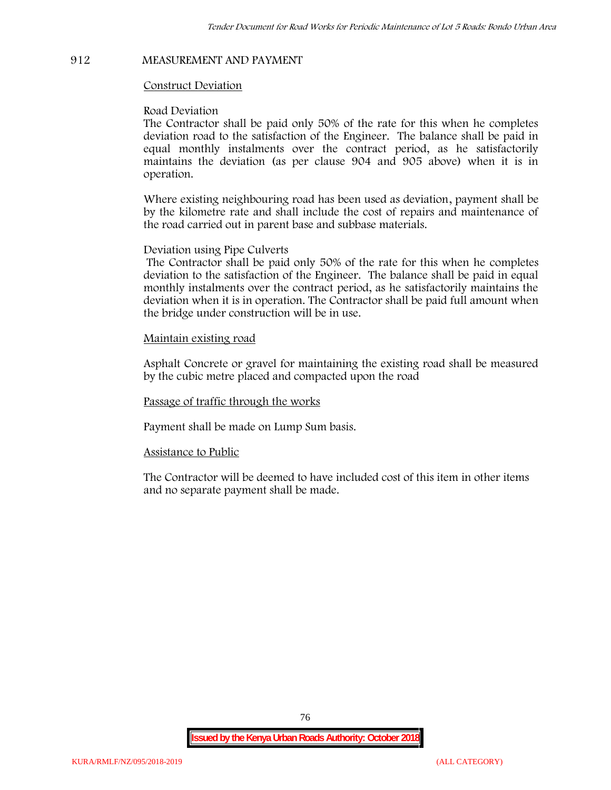# **912 MEASUREMENT AND PAYMENT**

### **Construct Deviation**

#### **Road Deviation**

The Contractor shall be paid only 50% of the rate for this when he completes deviation road to the satisfaction of the Engineer. The balance shall be paid in equal monthly instalments over the contract period, as he satisfactorily maintains the deviation (as per clause 904 and 905 above) when it is in operation.

Where existing neighbouring road has been used as deviation, payment shall be by the kilometre rate and shall include the cost of repairs and maintenance of the road carried out in parent base and subbase materials.

### **Deviation using Pipe Culverts**

The Contractor shall be paid only 50% of the rate for this when he completes deviation to the satisfaction of the Engineer. The balance shall be paid in equal monthly instalments over the contract period, as he satisfactorily maintains the deviation when it is in operation. The Contractor shall be paid full amount when the bridge under construction will be in use.

### **Maintain existing road**

Asphalt Concrete or gravel for maintaining the existing road shall be measured by the cubic metre placed and compacted upon the road

**Passage of traffic through the works**

Payment shall be made on Lump Sum basis.

#### **Assistance to Public**

The Contractor will be deemed to have included cost of this item in other items and no separate payment shall be made.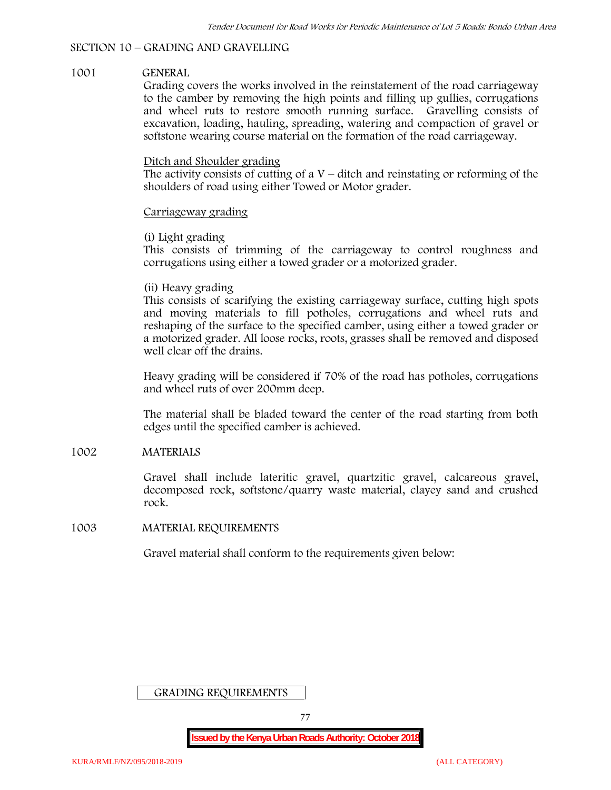### **SECTION 10 – GRADING AND GRAVELLING**

# **1001 GENERAL**

Grading covers the works involved in the reinstatement of the road carriageway to the camber by removing the high points and filling up gullies, corrugations and wheel ruts to restore smooth running surface. Gravelling consists of excavation, loading, hauling, spreading, watering and compaction of gravel or softstone wearing course material on the formation of the road carriageway.

### Ditch and Shoulder grading

The activity consists of cutting of a  $V$  – ditch and reinstating or reforming of the shoulders of road using either Towed or Motor grader.

### Carriageway grading

### **(i) Light grading**

This consists of trimming of the carriageway to control roughness and corrugations using either a towed grader or a motorized grader.

### **(ii) Heavy grading**

This consists of scarifying the existing carriageway surface, cutting high spots and moving materials to fill potholes, corrugations and wheel ruts and reshaping of the surface to the specified camber, using either a towed grader or a motorized grader. All loose rocks, roots, grasses shall be removed and disposed well clear off the drains.

Heavy grading will be considered if 70% of the road has potholes, corrugations and wheel ruts of over 200mm deep.

The material shall be bladed toward the center of the road starting from both edges until the specified camber is achieved.

# **1002 MATERIALS**

Gravel shall include lateritic gravel, quartzitic gravel, calcareous gravel, decomposed rock, softstone/quarry waste material, clayey sand and crushed rock.

#### **1003 MATERIAL REQUIREMENTS**

Gravel material shall conform to the requirements given below:

GRADING REQUIREMENTS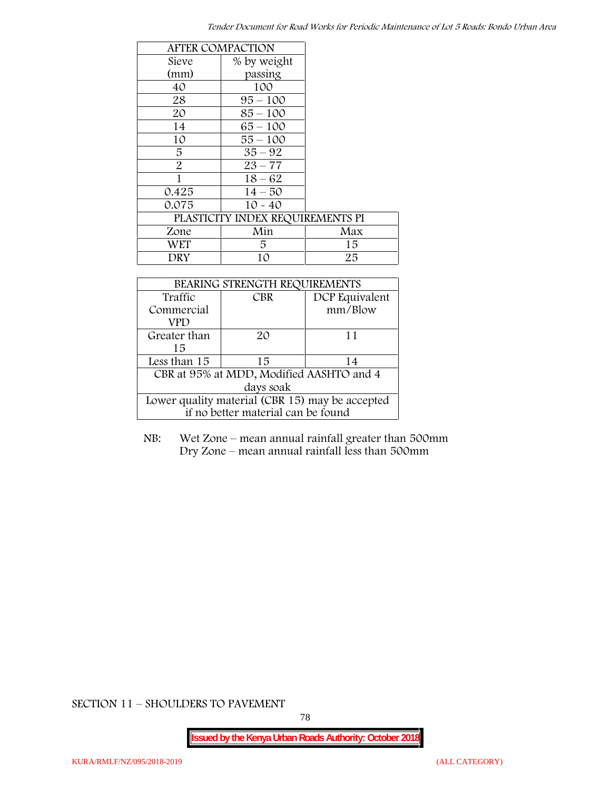|                | <b>AFTER COMPACTION</b>          |     |
|----------------|----------------------------------|-----|
| Sieve          | % by weight                      |     |
| (mm)           | passing                          |     |
| 40             | 100                              |     |
| 28             | $95 - 100$                       |     |
| 20             | $85 - 100$                       |     |
| 14             | $65 - 100$                       |     |
| 10             | $55 - 100$                       |     |
| 5              | $35 - 92$                        |     |
| $\overline{2}$ | $23 - 77$                        |     |
| 1              | $18 - 62$                        |     |
| 0.425          | $14 - 50$                        |     |
| 0.075          | $10 - 40$                        |     |
|                | PLASTICITY INDEX REQUIREMENTS PI |     |
| Zone           | Min                              | Max |
| <b>WET</b>     | 5.                               | 15  |
| DRY            | 10                               | 25  |

| BEARING STRENGTH REQUIREMENTS                   |            |                |  |  |
|-------------------------------------------------|------------|----------------|--|--|
| Traffic                                         | <b>CBR</b> | DCP Equivalent |  |  |
| Commercial                                      |            | mm/Blow        |  |  |
| VPD                                             |            |                |  |  |
| Greater than                                    | $2\Omega$  | 11             |  |  |
| 15                                              |            |                |  |  |
| Less than 15                                    | 15         | 14             |  |  |
| CBR at 95% at MDD, Modified AASHTO and 4        |            |                |  |  |
| days soak                                       |            |                |  |  |
| Lower quality material (CBR 15) may be accepted |            |                |  |  |
| if no better material can be found              |            |                |  |  |

NB: Wet Zone – mean annual rainfall greater than 500mm Dry Zone – mean annual rainfall less than 500mm

**SECTION 11 – SHOULDERS TO PAVEMENT**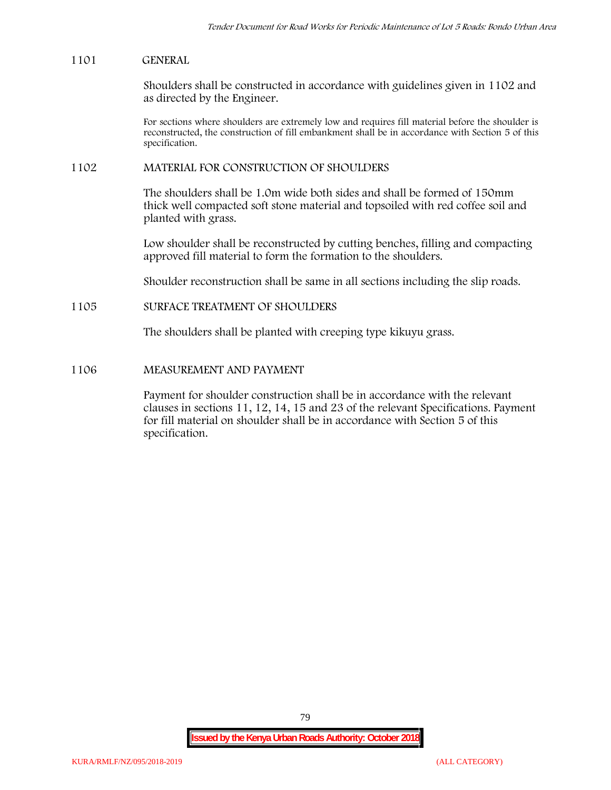#### **1101 GENERAL**

Shoulders shall be constructed in accordance with guidelines given in 1102 and as directed by the Engineer.

For sections where shoulders are extremely low and requires fill material before the shoulder is reconstructed, the construction of fill embankment shall be in accordance with Section 5 of this specification.

### **1102 MATERIAL FOR CONSTRUCTION OF SHOULDERS**

The shoulders shall be 1.0m wide both sides and shall be formed of 150mm thick well compacted soft stone material and topsoiled with red coffee soil and planted with grass.

Low shoulder shall be reconstructed by cutting benches, filling and compacting approved fill material to form the formation to the shoulders.

Shoulder reconstruction shall be same in all sections including the slip roads.

### **1105 SURFACE TREATMENT OF SHOULDERS**

The shoulders shall be planted with creeping type kikuyu grass.

### **1106 MEASUREMENT AND PAYMENT**

Payment for shoulder construction shall be in accordance with the relevant clauses in sections 11, 12, 14, 15 and 23 of the relevant Specifications. Payment for fill material on shoulder shall be in accordance with Section 5 of this specification.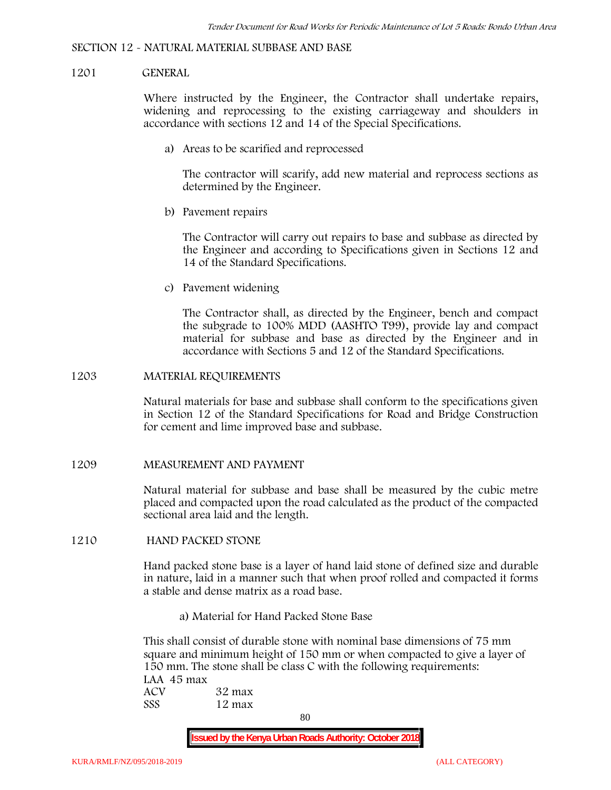#### **SECTION 12 - NATURAL MATERIAL SUBBASE AND BASE**

### **1201 GENERAL**

Where instructed by the Engineer, the Contractor shall undertake repairs, widening and reprocessing to the existing carriageway and shoulders in accordance with sections 12 and 14 of the Special Specifications.

**a) Areas to be scarified and reprocessed**

The contractor will scarify, add new material and reprocess sections as determined by the Engineer.

**b) Pavement repairs**

The Contractor will carry out repairs to base and subbase as directed by the Engineer and according to Specifications given in Sections 12 and 14 of the Standard Specifications.

**c) Pavement widening**

The Contractor shall, as directed by the Engineer, bench and compact the subgrade to 100% MDD (AASHTO T99), provide lay and compact material for subbase and base as directed by the Engineer and in accordance with Sections 5 and 12 of the Standard Specifications.

#### **1203 MATERIAL REQUIREMENTS**

Natural materials for base and subbase shall conform to the specifications given in Section 12 of the Standard Specifications for Road and Bridge Construction for cement and lime improved base and subbase.

**1209 MEASUREMENT AND PAYMENT**

Natural material for subbase and base shall be measured by the cubic metre placed and compacted upon the road calculated as the product of the compacted sectional area laid and the length.

**1210 HAND PACKED STONE**

Hand packed stone base is a layer of hand laid stone of defined size and durable in nature, laid in a manner such that when proof rolled and compacted it forms a stable and dense matrix as a road base.

**a) Material for Hand Packed Stone Base**

This shall consist of durable stone with nominal base dimensions of 75 mm square and minimum height of 150 mm or when compacted to give a layer of 150 mm. The stone shall be class C with the following requirements: **LAA 45 max ACV 32 max SSS 12 max**

80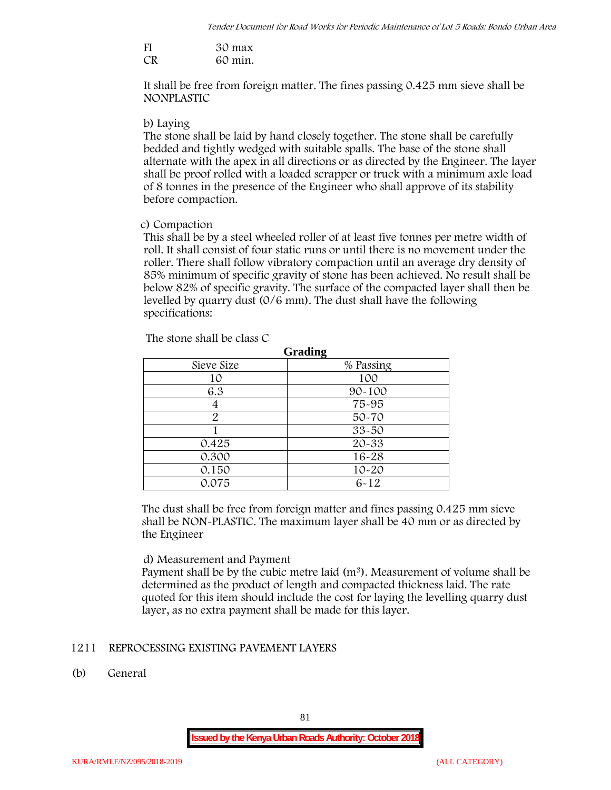| FI | 30 max  |
|----|---------|
| CR | 60 min. |

It shall be free from foreign matter. The fines passing 0.425 mm sieve shall be **NONPLASTIC**

# **b) Laying**

The stone shall be laid by hand closely together. The stone shall be carefully bedded and tightly wedged with suitable spalls. The base of the stone shall alternate with the apex in all directions or as directed by the Engineer. The layer shall be proof rolled with a loaded scrapper or truck with a minimum axle load of 8 tonnes in the presence of the Engineer who shall approve of its stability before compaction.

# **c) Compaction**

This shall be by a steel wheeled roller of at least five tonnes per metre width of roll. It shall consist of four static runs or until there is no movement under the roller. There shall follow vibratory compaction until an average dry density of 85% minimum of specific gravity of stone has been achieved. No result shall be below 82% of specific gravity. The surface of the compacted layer shall then be levelled by quarry dust (0/6 mm). The dust shall have the following specifications:

| Grading    |            |  |  |  |  |
|------------|------------|--|--|--|--|
| Sieve Size | % Passing  |  |  |  |  |
| 10         | 100        |  |  |  |  |
| 6.3        | $90 - 100$ |  |  |  |  |
|            | 75-95      |  |  |  |  |
| 2          | $50 - 70$  |  |  |  |  |
|            | $33 - 50$  |  |  |  |  |
| 0.425      | 20-33      |  |  |  |  |
| 0.300      | 16-28      |  |  |  |  |
| 0.150      | $10 - 20$  |  |  |  |  |
| 0.075      | $6 - 12$   |  |  |  |  |

The stone shall be class C

The dust shall be free from foreign matter and fines passing 0.425 mm sieve shall be **NON-PLASTIC**. The maximum layer shall be 40 mm or as directed by the Engineer

# **d) Measurement and Payment**

Payment shall be by the cubic metre laid  $(m<sup>3</sup>)$ . Measurement of volume shall be determined as the product of length and compacted thickness laid. The rate quoted for this item should include the cost for laying the levelling quarry dust layer, as no extra payment shall be made for this layer.

# **1211 REPROCESSING EXISTING PAVEMENT LAYERS**

**(b) General**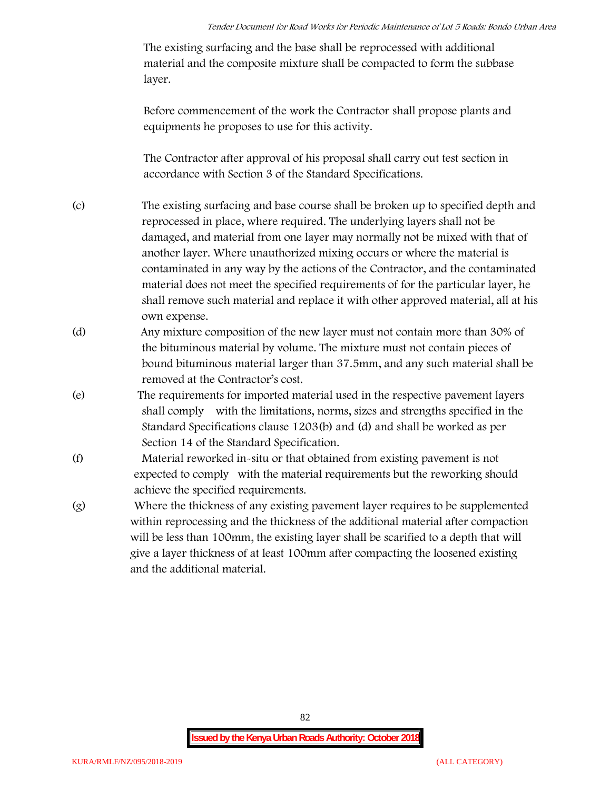The existing surfacing and the base shall be reprocessed with additional material and the composite mixture shall be compacted to form the subbase layer.

Before commencement of the work the Contractor shall propose plants and equipments he proposes to use for this activity.

The Contractor after approval of his proposal shall carry out test section in accordance with Section 3 of the Standard Specifications.

- (c) The existing surfacing and base course shall be broken up to specified depth and reprocessed in place, where required. The underlying layers shall not be damaged, and material from one layer may normally not be mixed with that of another layer. Where unauthorized mixing occurs or where the material is contaminated in any way by the actions of the Contractor, and the contaminated material does not meet the specified requirements of for the particular layer, he shall remove such material and replace it with other approved material, all at his own expense.
- (d) Any mixture composition of the new layer must not contain more than 30% of the bituminous material by volume. The mixture must not contain pieces of bound bituminous material larger than 37.5mm, and any such material shall be removed at the Contractor's cost.
- (e) The requirements for imported material used in the respective pavement layers shall comply with the limitations, norms, sizes and strengths specified in the Standard Specifications clause 1203(b) and (d) and shall be worked as per Section 14 of the Standard Specification.
- (f) Material reworked in-situ or that obtained from existing pavement is not expected to comply with the material requirements but the reworking should achieve the specified requirements.
- (g) Where the thickness of any existing pavement layer requires to be supplemented within reprocessing and the thickness of the additional material after compaction will be less than 100mm, the existing layer shall be scarified to a depth that will give a layer thickness of at least 100mm after compacting the loosened existing and the additional material.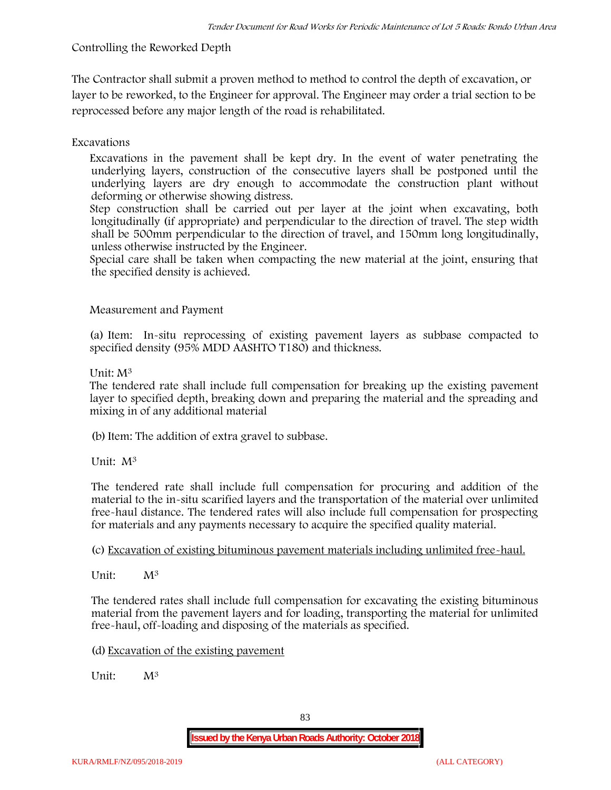# **Controlling the Reworked Depth**

The Contractor shall submit a proven method to method to control the depth of excavation, or layer to be reworked, to the Engineer for approval. The Engineer may order a trial section to be reprocessed before any major length of the road is rehabilitated.

# **Excavations**

Excavations in the pavement shall be kept dry. In the event of water penetrating the underlying layers, construction of the consecutive layers shall be postponed until the underlying layers are dry enough to accommodate the construction plant without deforming or otherwise showing distress.

Step construction shall be carried out per layer at the joint when excavating, both longitudinally (if appropriate) and perpendicular to the direction of travel. The step width shall be 500mm perpendicular to the direction of travel, and 150mm long longitudinally, unless otherwise instructed by the Engineer.

Special care shall be taken when compacting the new material at the joint, ensuring that the specified density is achieved.

# **Measurement and Payment**

(a) Item: In-situ reprocessing of existing pavement layers as subbase compacted to specified density (95% MDD AASHTO T180) and thickness.

# Unit: M<sup>3</sup>

The tendered rate shall include full compensation for breaking up the existing pavement layer to specified depth, breaking down and preparing the material and the spreading and mixing in of any additional material

(b)Item: The addition of extra gravel to subbase.

Unit: M<sup>3</sup>

The tendered rate shall include full compensation for procuring and addition of the material to the in-situ scarified layers and the transportation of the material over unlimited free-haul distance. The tendered rates will also include full compensation for prospecting for materials and any payments necessary to acquire the specified quality material.

(c) Excavation of existing bituminous pavement materials including unlimited free-haul.

Unit: M<sup>3</sup>

The tendered rates shall include full compensation for excavating the existing bituminous material from the pavement layers and for loading, transporting the material for unlimited free-haul, off-loading and disposing of the materials as specified.

(d) Excavation of the existing pavement

Unit:  $M^3$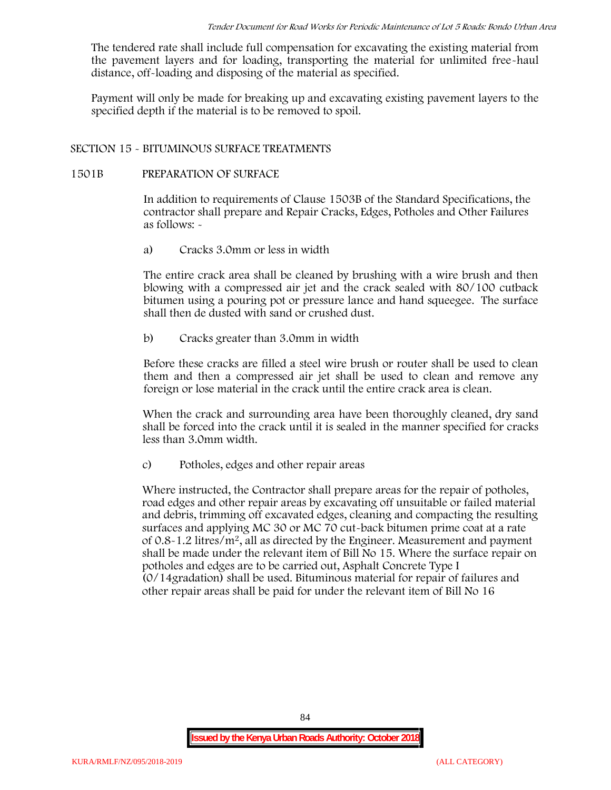The tendered rate shall include full compensation for excavating the existing material from the pavement layers and for loading, transporting the material for unlimited free-haul distance, off-loading and disposing of the material as specified.

Payment will only be made for breaking up and excavating existing pavement layers to the specified depth if the material is to be removed to spoil.

# **SECTION 15 - BITUMINOUS SURFACE TREATMENTS**

### **1501B PREPARATION OF SURFACE**

In addition to requirements of Clause 1503B of the Standard Specifications, the contractor shall prepare and Repair Cracks, Edges, Potholes and Other Failures as follows: **-**

a) **Cracks 3.0mm or less in width**

The entire crack area shall be cleaned by brushing with a wire brush and then blowing with a compressed air jet and the crack sealed with 80/100 cutback bitumen using a pouring pot or pressure lance and hand squeegee. The surface shall then de dusted with sand or crushed dust.

b) **Cracks greater than 3.0mm in width**

Before these cracks are filled a steel wire brush or router shall be used to clean them and then a compressed air jet shall be used to clean and remove any foreign or lose material in the crack until the entire crack area is clean.

When the crack and surrounding area have been thoroughly cleaned, dry sand shall be forced into the crack until it is sealed in the manner specified for cracks less than 3.0mm width.

c) **Potholes, edges and other repair areas**

Where instructed, the Contractor shall prepare areas for the repair of potholes, road edges and other repair areas by excavating off unsuitable or failed material and debris, trimming off excavated edges, cleaning and compacting the resulting surfaces and applying MC 30 or MC 70 cut-back bitumen prime coat at a rate of  $0.8-1.2$  litres/m<sup>2</sup>, all as directed by the Engineer. Measurement and payment shall be made under the relevant item of Bill No 15. Where the surface repair on potholes and edges are to be carried out, Asphalt Concrete Type I (0/14gradation) shall be used. Bituminous material for repair of failures and other repair areas shall be paid for under the relevant item of Bill No 16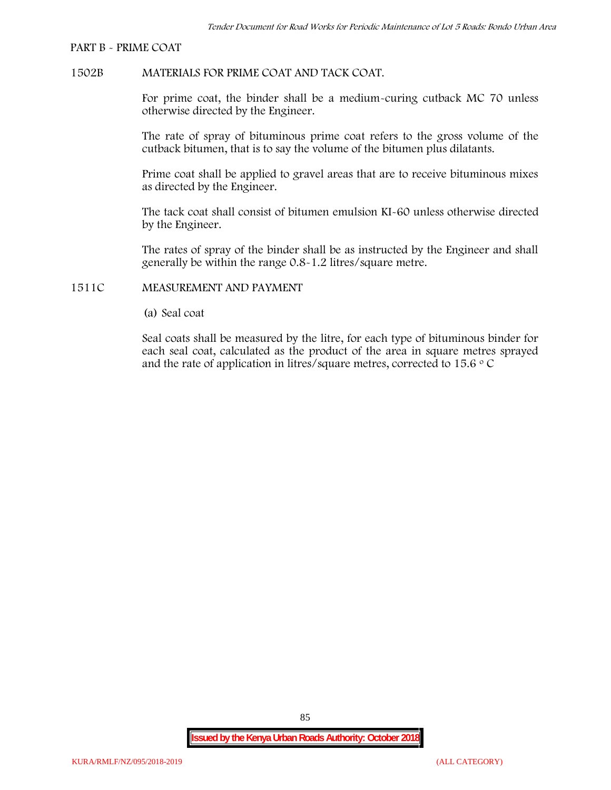#### **PART B - PRIME COAT**

### **1502B MATERIALS FOR PRIME COAT AND TACK COAT.**

For prime coat, the binder shall be a medium-curing cutback MC 70 unless otherwise directed by the Engineer.

The rate of spray of bituminous prime coat refers to the gross volume of the cutback bitumen, that is to say the volume of the bitumen plus dilatants.

Prime coat shall be applied to gravel areas that are to receive bituminous mixes as directed by the Engineer.

The tack coat shall consist of bitumen emulsion KI-60 unless otherwise directed by the Engineer.

The rates of spray of the binder shall be as instructed by the Engineer and shall generally be within the range 0.8-1.2 litres/square metre.

### **1511C MEASUREMENT AND PAYMENT**

(a) Seal coat

Seal coats shall be measured by the litre, for each type of bituminous binder for each seal coat, calculated as the product of the area in square metres sprayed and the rate of application in litres/square metres, corrected to 15.6  $\circ$  C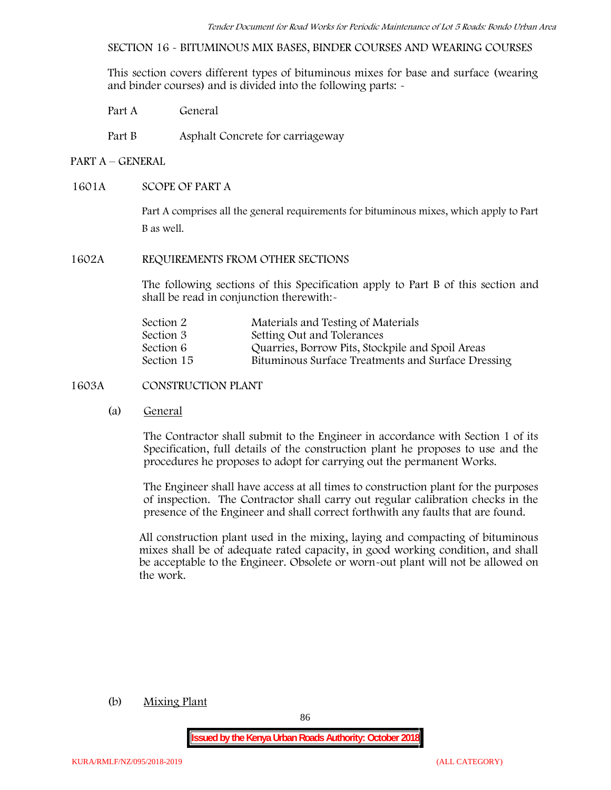**SECTION 16 - BITUMINOUS MIX BASES, BINDER COURSES AND WEARING COURSES**

This section covers different types of bituminous mixes for base and surface (wearing and binder courses) and is divided into the following parts: -

- Part A General
- Part B Asphalt Concrete for carriageway

# **PART A –GENERAL**

# **1601A SCOPE OF PART A**

Part A comprises all the general requirements for bituminous mixes, which apply to Part B as well.

### **1602A REQUIREMENTS FROM OTHER SECTIONS**

The following sections of this Specification apply to Part B of this section and shall be read in conjunction therewith:-

| Section 2  | Materials and Testing of Materials                 |
|------------|----------------------------------------------------|
| Section 3  | Setting Out and Tolerances                         |
| Section 6  | Quarries, Borrow Pits, Stockpile and Spoil Areas   |
| Section 15 | Bituminous Surface Treatments and Surface Dressing |

# **1603A CONSTRUCTION PLANT**

(a) **General**

The Contractor shall submit to the Engineer in accordance with Section 1 of its Specification, full details of the construction plant he proposes to use and the procedures he proposes to adopt for carrying out the permanent Works.

The Engineer shall have access at all times to construction plant for the purposes of inspection. The Contractor shall carry out regular calibration checks in the presence of the Engineer and shall correct forthwith any faults that are found.

All construction plant used in the mixing, laying and compacting of bituminous mixes shall be of adequate rated capacity, in good working condition, and shall be acceptable to the Engineer. Obsolete or worn-out plant will not be allowed on the work.

### (b) **Mixing Plant**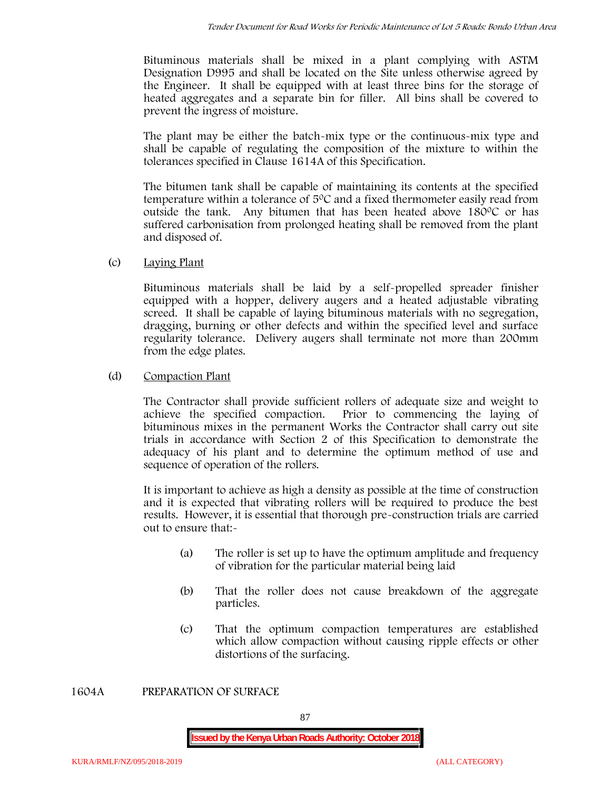Bituminous materials shall be mixed in a plant complying with ASTM Designation D995 and shall be located on the Site unless otherwise agreed by the Engineer. It shall be equipped with at least three bins for the storage of heated aggregates and a separate bin for filler. All bins shall be covered to prevent the ingress of moisture.

The plant may be either the batch-mix type or the continuous-mix type and shall be capable of regulating the composition of the mixture to within the tolerances specified in Clause 1614A of this Specification.

The bitumen tank shall be capable of maintaining its contents at the specified temperature within a tolerance of  $5^{\circ}$ C and a fixed thermometer easily read from outside the tank. Any bitumen that has been heated above  $180^{\circ}$ C or has suffered carbonisation from prolonged heating shall be removed from the plant and disposed of.

# (c) **Laying Plant**

Bituminous materials shall be laid by a self-propelled spreader finisher equipped with a hopper, delivery augers and a heated adjustable vibrating screed. It shall be capable of laying bituminous materials with no segregation, dragging, burning or other defects and within the specified level and surface regularity tolerance. Delivery augers shall terminate not more than 200mm from the edge plates.

# (d) **Compaction Plant**

The Contractor shall provide sufficient rollers of adequate size and weight to achieve the specified compaction. Prior to commencing the laying of bituminous mixes in the permanent Works the Contractor shall carry out site trials in accordance with Section 2 of this Specification to demonstrate the adequacy of his plant and to determine the optimum method of use and sequence of operation of the rollers.

It is important to achieve as high a density as possible at the time of construction and it is expected that vibrating rollers will be required to produce the best results. However, it is essential that thorough pre-construction trials are carried out to ensure that:-

- (a) The roller is set up to have the optimum amplitude and frequency of vibration for the particular material being laid
- (b) That the roller does not cause breakdown of the aggregate particles.
- (c) That the optimum compaction temperatures are established which allow compaction without causing ripple effects or other distortions of the surfacing.

**1604A PREPARATION OF SURFACE**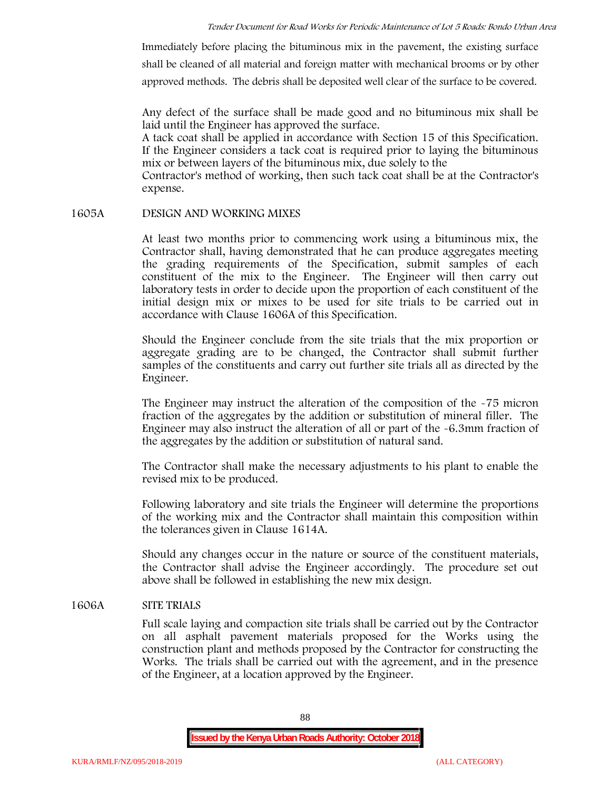Immediately before placing the bituminous mix in the pavement, the existing surface shall be cleaned of all material and foreign matter with mechanical brooms or by other approved methods. The debris shall be deposited well clear of the surface to be covered.

Any defect of the surface shall be made good and no bituminous mix shall be laid until the Engineer has approved the surface.

A tack coat shall be applied in accordance with Section 15 of this Specification. If the Engineer considers a tack coat is required prior to laying the bituminous mix or between layers of the bituminous mix, due solely to the

Contractor's method of working, then such tack coat shall be at the Contractor's expense.

# **1605A DESIGN AND WORKING MIXES**

At least two months prior to commencing work using a bituminous mix, the Contractor shall, having demonstrated that he can produce aggregates meeting the grading requirements of the Specification, submit samples of each constituent of the mix to the Engineer. The Engineer will then carry out laboratory tests in order to decide upon the proportion of each constituent of the initial design mix or mixes to be used for site trials to be carried out in accordance with Clause 1606A of this Specification.

Should the Engineer conclude from the site trials that the mix proportion or aggregate grading are to be changed, the Contractor shall submit further samples of the constituents and carry out further site trials all as directed by the Engineer.

The Engineer may instruct the alteration of the composition of the -75 micron fraction of the aggregates by the addition or substitution of mineral filler. The Engineer may also instruct the alteration of all or part of the -6.3mm fraction of the aggregates by the addition or substitution of natural sand.

The Contractor shall make the necessary adjustments to his plant to enable the revised mix to be produced.

Following laboratory and site trials the Engineer will determine the proportions of the working mix and the Contractor shall maintain this composition within the tolerances given in Clause 1614A.

Should any changes occur in the nature or source of the constituent materials, the Contractor shall advise the Engineer accordingly. The procedure set out above shall be followed in establishing the new mix design.

# **1606A SITE TRIALS**

Full scale laying and compaction site trials shall be carried out by the Contractor on all asphalt pavement materials proposed for the Works using the construction plant and methods proposed by the Contractor for constructing the Works. The trials shall be carried out with the agreement, and in the presence of the Engineer, at a location approved by the Engineer.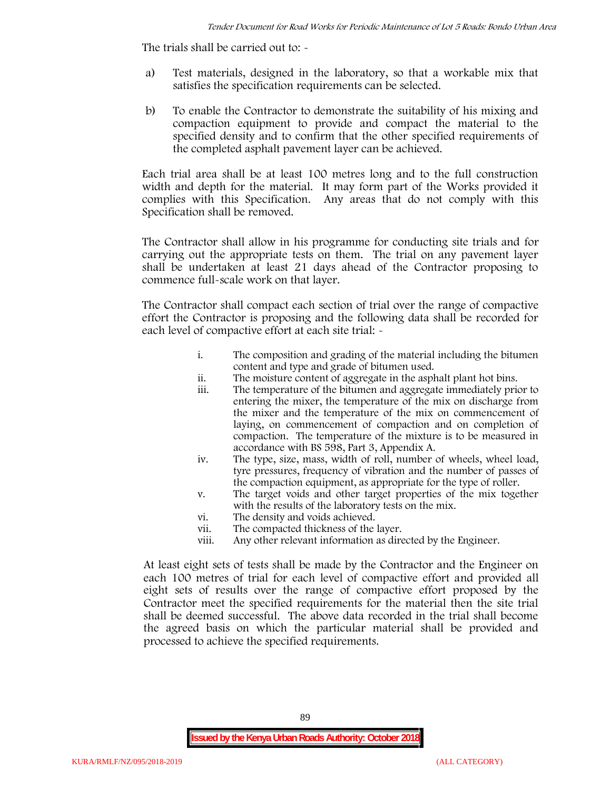The trials shall be carried out to:  $\sim$ 

- a) Test materials, designed in the laboratory, so that a workable mix that satisfies the specification requirements can be selected.
- b) To enable the Contractor to demonstrate the suitability of his mixing and compaction equipment to provide and compact the material to the specified density and to confirm that the other specified requirements of the completed asphalt pavement layer can be achieved.

Each trial area shall be at least 100 metres long and to the full construction width and depth for the material. It may form part of the Works provided it complies with this Specification. Any areas that do not comply with this Specification shall be removed.

The Contractor shall allow in his programme for conducting site trials and for carrying out the appropriate tests on them. The trial on any pavement layer shall be undertaken at least 21 days ahead of the Contractor proposing to commence full-scale work on that layer.

The Contractor shall compact each section of trial over the range of compactive effort the Contractor is proposing and the following data shall be recorded for each level of compactive effort at each site trial:  $\sim$ 

- i. The composition and grading of the material including the bitumen content and type and grade of bitumen used.
- ii. The moisture content of aggregate in the asphalt plant hot bins.
- iii. The temperature of the bitumen and aggregate immediately prior to entering the mixer, the temperature of the mix on discharge from the mixer and the temperature of the mix on commencement of laying, on commencement of compaction and on completion of compaction. The temperature of the mixture is to be measured in accordance with BS 598, Part 3, Appendix A.
- iv. The type, size, mass, width of roll, number of wheels, wheel load, tyre pressures, frequency of vibration and the number of passes of the compaction equipment, as appropriate for the type of roller.
- v. The target voids and other target properties of the mix together with the results of the laboratory tests on the mix.
- vi. The density and voids achieved.
- vii. The compacted thickness of the layer.
- viii. Any other relevant information as directed by the Engineer.

At least eight sets of tests shall be made by the Contractor and the Engineer on each 100 metres of trial for each level of compactive effort and provided all eight sets of results over the range of compactive effort proposed by the Contractor meet the specified requirements for the material then the site trial shall be deemed successful. The above data recorded in the trial shall become the agreed basis on which the particular material shall be provided and processed to achieve the specified requirements.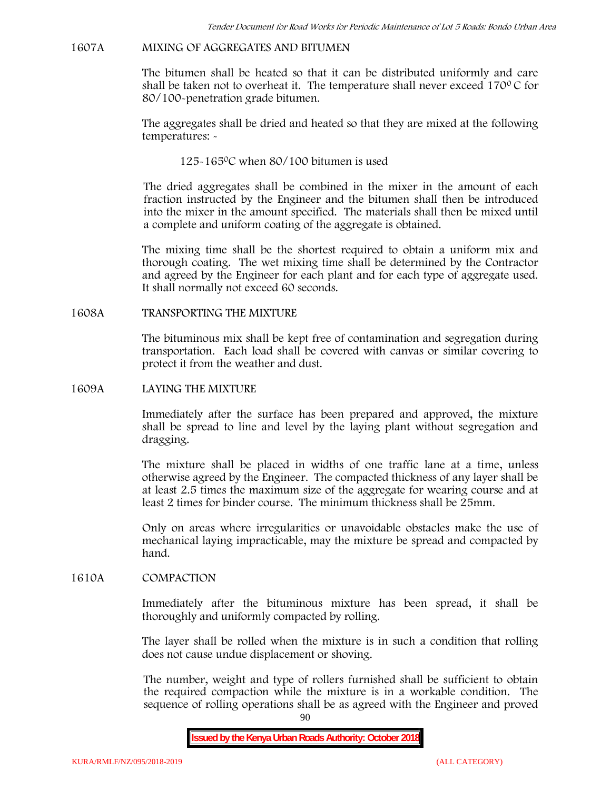#### **1607A MIXING OF AGGREGATES AND BITUMEN**

The bitumen shall be heated so that it can be distributed uniformly and care shall be taken not to overheat it. The temperature shall never exceed  $170^{\circ}$ C for 80/100-penetration grade bitumen.

The aggregates shall be dried and heated so that they are mixed at the following temperatures: -

125-1650C when 80/100 bitumen is used

The dried aggregates shall be combined in the mixer in the amount of each fraction instructed by the Engineer and the bitumen shall then be introduced into the mixer in the amount specified. The materials shall then be mixed until a complete and uniform coating of the aggregate is obtained.

The mixing time shall be the shortest required to obtain a uniform mix and thorough coating. The wet mixing time shall be determined by the Contractor and agreed by the Engineer for each plant and for each type of aggregate used. It shall normally not exceed 60 seconds.

**1608A TRANSPORTING THE MIXTURE**

The bituminous mix shall be kept free of contamination and segregation during transportation. Each load shall be covered with canvas or similar covering to protect it from the weather and dust.

### **1609A LAYING THE MIXTURE**

Immediately after the surface has been prepared and approved, the mixture shall be spread to line and level by the laying plant without segregation and dragging.

The mixture shall be placed in widths of one traffic lane at a time, unless otherwise agreed by the Engineer. The compacted thickness of any layer shall be at least 2.5 times the maximum size of the aggregate for wearing course and at least 2 times for binder course. The minimum thickness shall be 25mm.

Only on areas where irregularities or unavoidable obstacles make the use of mechanical laying impracticable, may the mixture be spread and compacted by hand.

### **1610A COMPACTION**

Immediately after the bituminous mixture has been spread, it shall be thoroughly and uniformly compacted by rolling.

The layer shall be rolled when the mixture is in such a condition that rolling does not cause undue displacement or shoving.

The number, weight and type of rollers furnished shall be sufficient to obtain the required compaction while the mixture is in a workable condition. The sequence of rolling operations shall be as agreed with the Engineer and proved

90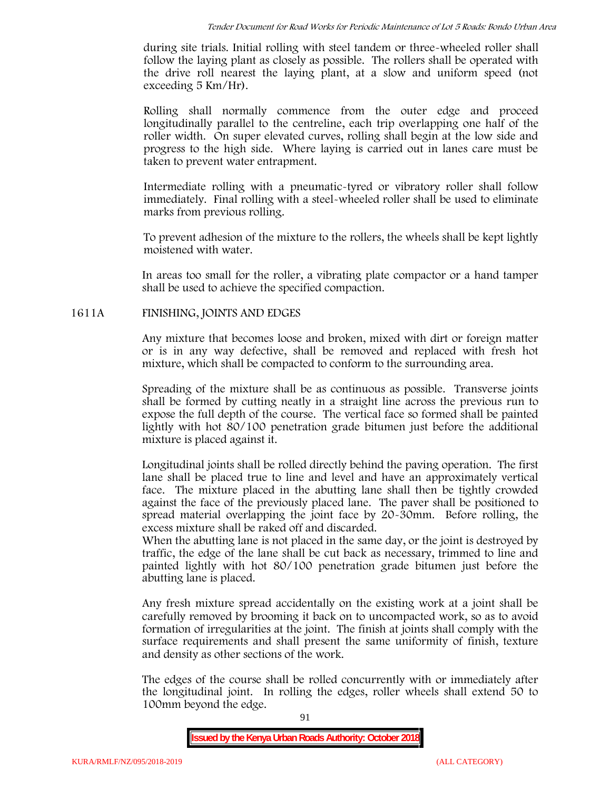during site trials. Initial rolling with steel tandem or three-wheeled roller shall follow the laying plant as closely as possible. The rollers shall be operated with the drive roll nearest the laying plant, at a slow and uniform speed (not exceeding 5 Km/Hr).

Rolling shall normally commence from the outer edge and proceed longitudinally parallel to the centreline, each trip overlapping one half of the roller width. On super elevated curves, rolling shall begin at the low side and progress to the high side. Where laying is carried out in lanes care must be taken to prevent water entrapment.

Intermediate rolling with a pneumatic-tyred or vibratory roller shall follow immediately. Final rolling with a steel-wheeled roller shall be used to eliminate marks from previous rolling.

To prevent adhesion of the mixture to the rollers, the wheels shall be kept lightly moistened with water.

In areas too small for the roller, a vibrating plate compactor or a hand tamper shall be used to achieve the specified compaction.

# **1611A FINISHING, JOINTS AND EDGES**

Any mixture that becomes loose and broken, mixed with dirt or foreign matter or is in any way defective, shall be removed and replaced with fresh hot mixture, which shall be compacted to conform to the surrounding area.

Spreading of the mixture shall be as continuous as possible. Transverse joints shall be formed by cutting neatly in a straight line across the previous run to expose the full depth of the course. The vertical face so formed shall be painted lightly with hot 80/100 penetration grade bitumen just before the additional mixture is placed against it.

Longitudinal joints shall be rolled directly behind the paving operation. The first lane shall be placed true to line and level and have an approximately vertical face. The mixture placed in the abutting lane shall then be tightly crowded against the face of the previously placed lane. The paver shall be positioned to spread material overlapping the joint face by 20-30mm. Before rolling, the excess mixture shall be raked off and discarded.

When the abutting lane is not placed in the same day, or the joint is destroyed by traffic, the edge of the lane shall be cut back as necessary, trimmed to line and painted lightly with hot 80/100 penetration grade bitumen just before the abutting lane is placed.

Any fresh mixture spread accidentally on the existing work at a joint shall be carefully removed by brooming it back on to uncompacted work, so as to avoid formation of irregularities at the joint. The finish at joints shall comply with the surface requirements and shall present the same uniformity of finish, texture and density as other sections of the work.

The edges of the course shall be rolled concurrently with or immediately after the longitudinal joint. In rolling the edges, roller wheels shall extend 50 to 100mm beyond the edge.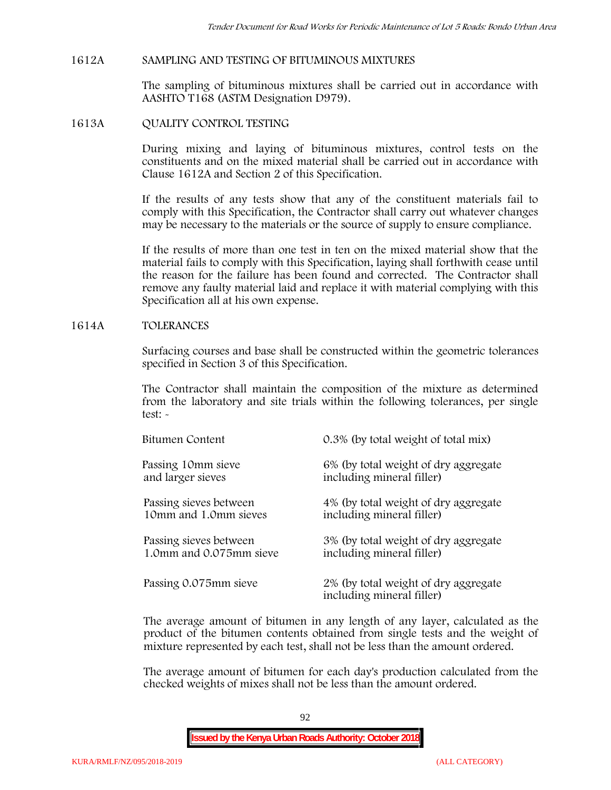### **1612A SAMPLING AND TESTING OF BITUMINOUS MIXTURES**

The sampling of bituminous mixtures shall be carried out in accordance with AASHTO T168 (ASTM Designation D979).

#### **1613A QUALITY CONTROL TESTING**

During mixing and laying of bituminous mixtures, control tests on the constituents and on the mixed material shall be carried out in accordance with Clause 1612A and Section 2 of this Specification.

If the results of any tests show that any of the constituent materials fail to comply with this Specification, the Contractor shall carry out whatever changes may be necessary to the materials or the source of supply to ensure compliance.

If the results of more than one test in ten on the mixed material show that the material fails to comply with this Specification, laying shall forthwith cease until the reason for the failure has been found and corrected. The Contractor shall remove any faulty material laid and replace it with material complying with this Specification all at his own expense.

### **1614A TOLERANCES**

Surfacing courses and base shall be constructed within the geometric tolerances specified in Section 3 of this Specification.

The Contractor shall maintain the composition of the mixture as determined from the laboratory and site trials within the following tolerances, per single test: -

| Bitumen Content         | 0.3% (by total weight of total mix)                               |
|-------------------------|-------------------------------------------------------------------|
| Passing 10mm sieve      | 6% (by total weight of dry aggregate                              |
| and larger sieves       | including mineral filler)                                         |
| Passing sieves between  | 4% (by total weight of dry aggregate                              |
| 10mm and 1.0mm sieves   | including mineral filler)                                         |
| Passing sieves between  | 3% (by total weight of dry aggregate                              |
| 1.0mm and 0.075mm sieve | including mineral filler)                                         |
| Passing 0.075mm sieve   | 2% (by total weight of dry aggregate<br>including mineral filler) |

The average amount of bitumen in any length of any layer, calculated as the product of the bitumen contents obtained from single tests and the weight of mixture represented by each test, shall not be less than the amount ordered.

The average amount of bitumen for each day's production calculated from the checked weights of mixes shall not be less than the amount ordered.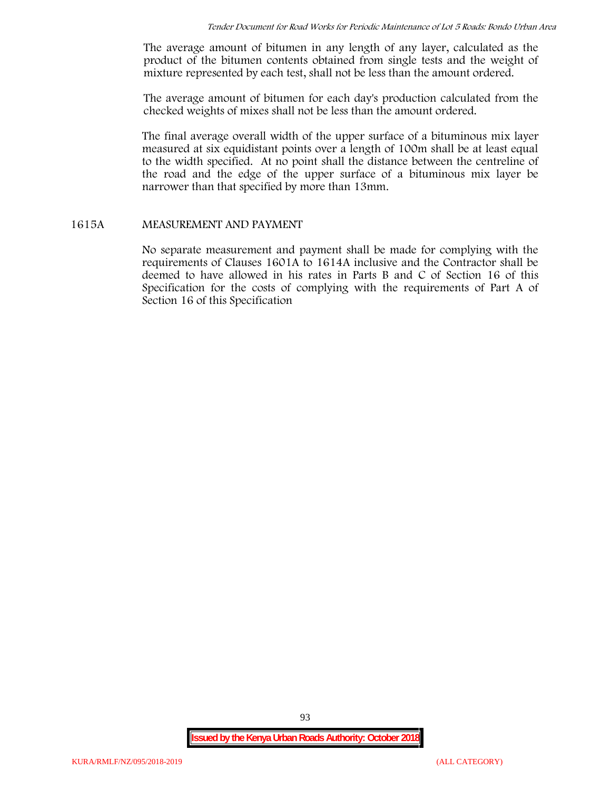The average amount of bitumen in any length of any layer, calculated as the product of the bitumen contents obtained from single tests and the weight of mixture represented by each test, shall not be less than the amount ordered.

The average amount of bitumen for each day's production calculated from the checked weights of mixes shall not be less than the amount ordered.

The final average overall width of the upper surface of a bituminous mix layer measured at six equidistant points over a length of 100m shall be at least equal to the width specified. At no point shall the distance between the centreline of the road and the edge of the upper surface of a bituminous mix layer be narrower than that specified by more than 13mm.

#### **1615A MEASUREMENT AND PAYMENT**

No separate measurement and payment shall be made for complying with the requirements of Clauses 1601A to 1614A inclusive and the Contractor shall be deemed to have allowed in his rates in Parts B and C of Section 16 of this Specification for the costs of complying with the requirements of Part A of Section 16 of this Specification

93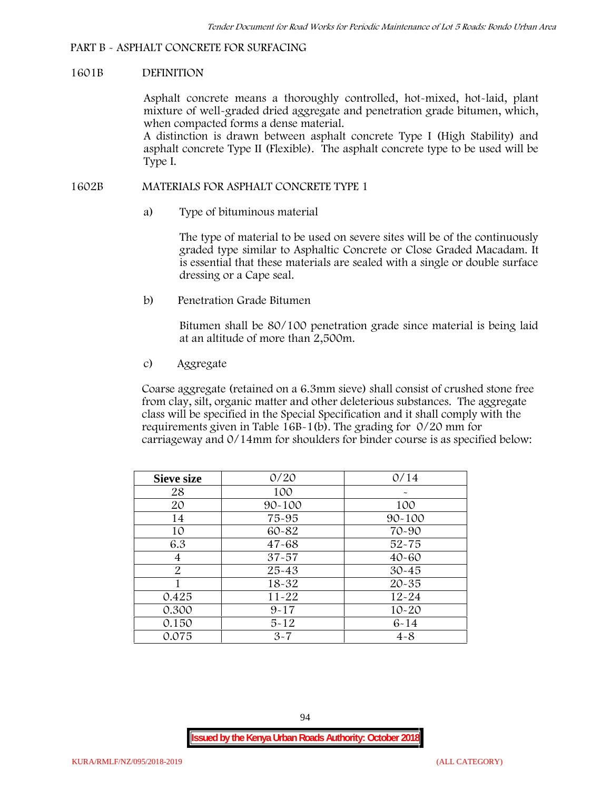#### **PART B - ASPHALT CONCRETE FOR SURFACING**

#### **1601B DEFINITION**

Asphalt concrete means a thoroughly controlled, hot-mixed, hot-laid, plant mixture of well-graded dried aggregate and penetration grade bitumen, which, when compacted forms a dense material.

A distinction is drawn between asphalt concrete Type I (High Stability) and asphalt concrete Type II (Flexible). The asphalt concrete type to be used will be Type I.

### **1602B MATERIALS FOR ASPHALT CONCRETE TYPE 1**

a) **Type of bituminous material**

The type of material to be used on severe sites will be of the continuously graded type similar to Asphaltic Concrete or Close Graded Macadam. It is essential that these materials are sealed with a single or double surface dressing or a Cape seal.

b) **Penetration Grade Bitumen**

Bitumen shall be 80/100 penetration grade since material is being laid at an altitude of more than 2,500m.

c) **Aggregate**

Coarse aggregate (retained on a 6.3mm sieve) shall consist of crushed stone free from clay, silt, organic matter and other deleterious substances. The aggregate class will be specified in the Special Specification and it shall comply with the requirements given in Table 16B-1(b). The grading for 0/20 mm for carriageway and 0/14mm for shoulders for binder course is as specified below:

| <b>Sieve size</b> | 0/20       | 0/14       |  |  |
|-------------------|------------|------------|--|--|
| 28                | 100        |            |  |  |
| 20                | $90 - 100$ | 100        |  |  |
| 14                | 75-95      | $90 - 100$ |  |  |
| 10                | 60-82      | 70-90      |  |  |
| 6.3               | $47 - 68$  | $52 - 75$  |  |  |
| 4                 | $37 - 57$  | $40 - 60$  |  |  |
| $\overline{2}$    | 25-43      | $30 - 45$  |  |  |
|                   | 18-32      | $20 - 35$  |  |  |
| 0.425             | $11 - 22$  | $12 - 24$  |  |  |
| 0.300             | $9 - 17$   | $10 - 20$  |  |  |
| 0.150             | $5 - 12$   | $6 - 14$   |  |  |
| 0.075             | $3 - 7$    | $4 - 8$    |  |  |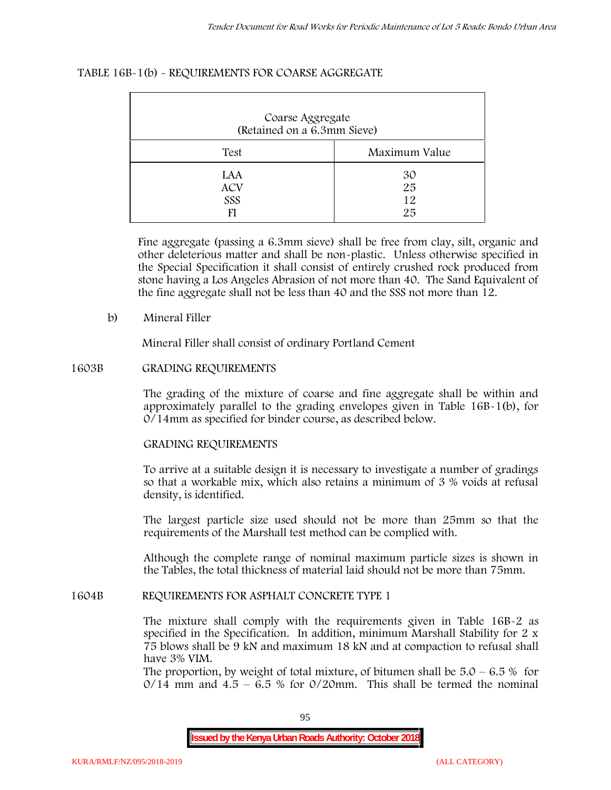| Coarse Aggregate<br>(Retained on a 6.3mm Sieve) |               |
|-------------------------------------------------|---------------|
| Test                                            | Maximum Value |
| LAA<br><b>ACV</b>                               | 30<br>25      |
| SSS                                             | 12<br>25      |

# **TABLE 16B-1(b) - REQUIREMENTS FOR COARSE AGGREGATE**

Fine aggregate (passing a 6.3mm sieve) shall be free from clay, silt, organic and other deleterious matter and shall be non-plastic. Unless otherwise specified in the Special Specification it shall consist of entirely crushed rock produced from stone having a Los Angeles Abrasion of not more than 40. The Sand Equivalent of the fine aggregate shall not be less than 40 and the SSS not more than 12.

#### **b) Mineral Filler**

Mineral Filler shall consist of ordinary Portland Cement

#### **1603B GRADING REQUIREMENTS**

The grading of the mixture of coarse and fine aggregate shall be within and approximately parallel to the grading envelopes given in Table 16B-1(b), for 0/14mm as specified for binder course, as described below.

#### **GRADING REQUIREMENTS**

To arrive at a suitable design it is necessary to investigate a number of gradings so that a workable mix, which also retains a minimum of 3 % voids at refusal density, is identified.

The largest particle size used should not be more than 25mm so that the requirements of the Marshall test method can be complied with.

Although the complete range of nominal maximum particle sizes is shown in the Tables, the total thickness of material laid should not be more than 75mm.

#### **1604B REQUIREMENTS FOR ASPHALT CONCRETE TYPE 1**

The mixture shall comply with the requirements given in Table 16B-2 as specified in the Specification. In addition, minimum Marshall Stability for 2 x 75 blows shall be 9 kN and maximum 18 kN and at compaction to refusal shall have 3% VIM.

The proportion, by weight of total mixture, of bitumen shall be  $5.0 - 6.5 %$  for  $0/14$  mm and  $4.5 - 6.5$  % for  $0/20$ mm. This shall be termed the nominal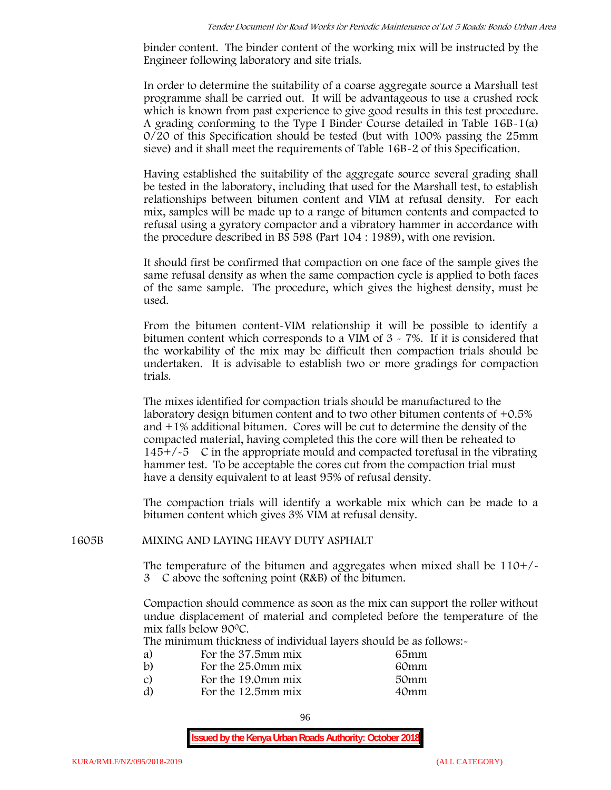binder content. The binder content of the working mix will be instructed by the Engineer following laboratory and site trials.

In order to determine the suitability of a coarse aggregate source a Marshall test programme shall be carried out. It will be advantageous to use a crushed rock which is known from past experience to give good results in this test procedure. A grading conforming to the Type I Binder Course detailed in Table 16B-1(a) 0/20 of this Specification should be tested (but with 100% passing the 25mm sieve) and it shall meet the requirements of Table 16B-2 of this Specification.

Having established the suitability of the aggregate source several grading shall be tested in the laboratory, including that used for the Marshall test, to establish relationships between bitumen content and VIM at refusal density. For each mix, samples will be made up to a range of bitumen contents and compacted to refusal using a gyratory compactor and a vibratory hammer in accordance with the procedure described in BS 598 (Part 104 : 1989), with one revision.

It should first be confirmed that compaction on one face of the sample gives the same refusal density as when the same compaction cycle is applied to both faces of the same sample. The procedure, which gives the highest density, must be used.

From the bitumen content-VIM relationship it will be possible to identify a bitumen content which corresponds to a VIM of 3 - 7%. If it is considered that the workability of the mix may be difficult then compaction trials should be undertaken. It is advisable to establish two or more gradings for compaction trials.

The mixes identified for compaction trials should be manufactured to the laboratory design bitumen content and to two other bitumen contents of +0.5% and +1% additional bitumen. Cores will be cut to determine the density of the compacted material, having completed this the core will then be reheated to  $145+/5$  C in the appropriate mould and compacted torefusal in the vibrating hammer test. To be acceptable the cores cut from the compaction trial must have a density equivalent to at least 95% of refusal density.

The compaction trials will identify a workable mix which can be made to a bitumen content which gives 3% VIM at refusal density.

#### **1605B MIXING AND LAYING HEAVY DUTY ASPHALT**

The temperature of the bitumen and aggregates when mixed shall be 110+/- 3C above the softening point (R&B) of the bitumen.

Compaction should commence as soon as the mix can support the roller without undue displacement of material and completed before the temperature of the mix falls below 900C.

The minimum thickness of individual layers should be as follows:-

| a) | For the 37.5mm mix | 65mm |  |
|----|--------------------|------|--|
| b) | For the 25.0mm mix | 60mm |  |
| C) | For the 19.0mm mix | 50mm |  |
| d) | For the 12.5mm mix | 40mm |  |
|    |                    |      |  |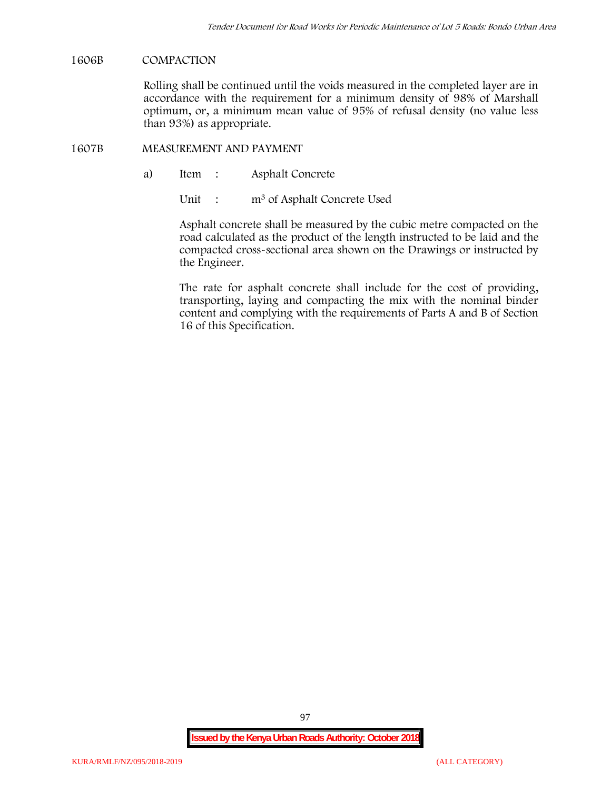### **1606B COMPACTION**

Rolling shall be continued until the voids measured in the completed layer are in accordance with the requirement for a minimum density of 98% of Marshall optimum, or, a minimum mean value of 95% of refusal density (no value less than 93%) as appropriate.

# **1607B MEASUREMENT AND PAYMENT**

a) Item : Asphalt Concrete

Unit : m<sup>3</sup> of Asphalt Concrete Used

Asphalt concrete shall be measured by the cubic metre compacted on the road calculated as the product of the length instructed to be laid and the compacted cross-sectional area shown on the Drawings or instructed by the Engineer.

The rate for asphalt concrete shall include for the cost of providing, transporting, laying and compacting the mix with the nominal binder content and complying with the requirements of Parts A and B of Section 16 of this Specification.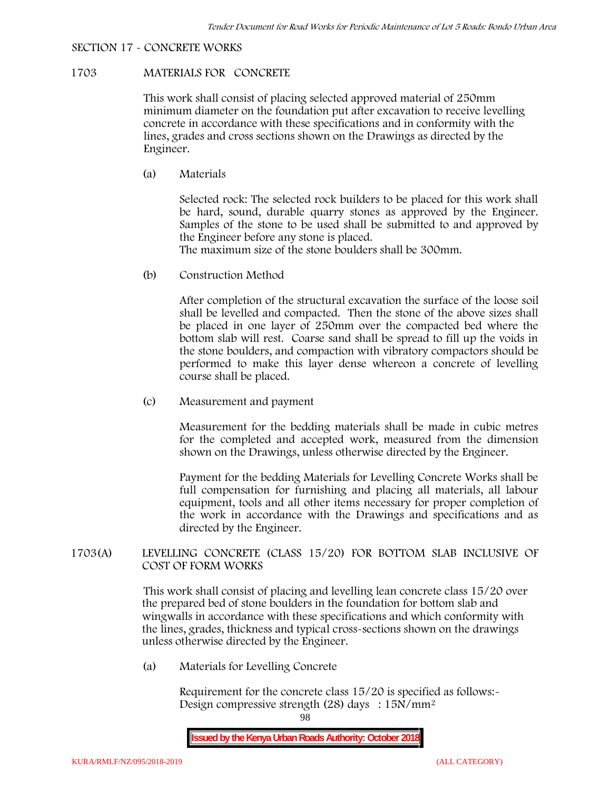### **SECTION 17 - CONCRETE WORKS**

# **1703 MATERIALS FOR CONCRETE**

This work shall consist of placing selected approved material of 250mm minimum diameter on the foundation put after excavation to receive levelling concrete in accordance with these specifications and in conformity with the lines, grades and cross sections shown on the Drawings as directed by the Engineer.

(a) **Materials**

Selected rock: The selected rock builders to be placed for this work shall be hard, sound, durable quarry stones as approved by the Engineer. Samples of the stone to be used shall be submitted to and approved by the Engineer before any stone is placed.

The maximum size of the stone boulders shall be 300mm.

(b) **Construction Method**

After completion of the structural excavation the surface of the loose soil shall be levelled and compacted. Then the stone of the above sizes shall be placed in one layer of 250mm over the compacted bed where the bottom slab will rest. Coarse sand shall be spread to fill up the voids in the stone boulders, and compaction with vibratory compactors should be performed to make this layer dense whereon a concrete of levelling course shall be placed.

(c) **Measurement and payment**

Measurement for the bedding materials shall be made in cubic metres for the completed and accepted work, measured from the dimension shown on the Drawings, unless otherwise directed by the Engineer.

Payment for the bedding Materials for Levelling Concrete Works shall be full compensation for furnishing and placing all materials, all labour equipment, tools and all other items necessary for proper completion of the work in accordance with the Drawings and specifications and as directed by the Engineer.

# **1703(A) LEVELLING CONCRETE (CLASS 15/20) FOR BOTTOM SLAB INCLUSIVE OF COST OF FORM WORKS**

This work shall consist of placing and levelling lean concrete class 15/20 over the prepared bed of stone boulders in the foundation for bottom slab and wingwalls in accordance with these specifications and which conformity with the lines, grades, thickness and typical cross-sections shown on the drawings unless otherwise directed by the Engineer.

(a) **Materials for Levelling Concrete**

Requirement for the concrete class  $15/20$  is specified as follows:-Design compressive strength (28) days : 15N/mm2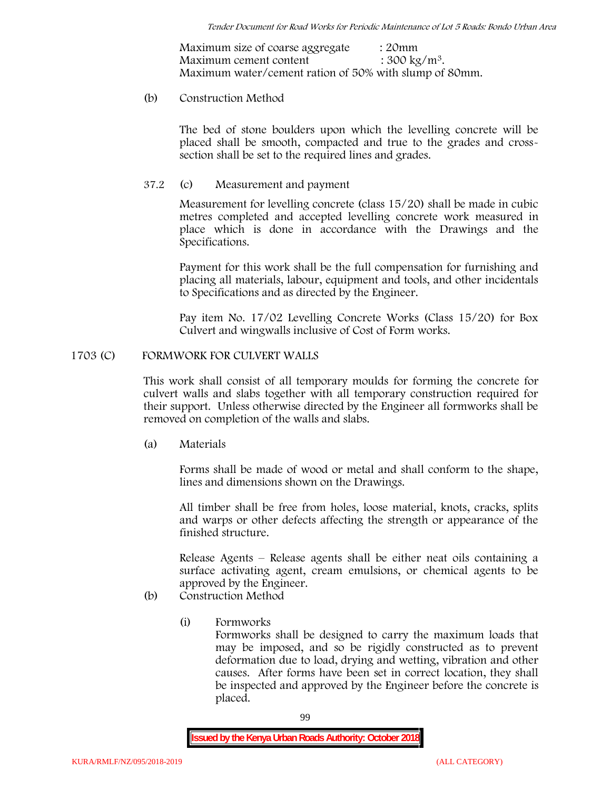Maximum size of coarse aggregate : 20mm Maximum cement content  $: 300 \text{ kg/m}^3$ . Maximum water/cement ration of 50% with slump of 80mm.

# (b) **Construction Method**

The bed of stone boulders upon which the levelling concrete will be placed shall be smooth, compacted and true to the grades and crosssection shall be set to the required lines and grades.

# **37.2** (c) **Measurement and payment**

Measurement for levelling concrete (class 15/20) shall be made in cubic metres completed and accepted levelling concrete work measured in place which is done in accordance with the Drawings and the Specifications.

Payment for this work shall be the full compensation for furnishing and placing all materials, labour, equipment and tools, and other incidentals to Specifications and as directed by the Engineer.

Pay item No. 17/02 Levelling Concrete Works (Class 15/20) for Box Culvert and wingwalls inclusive of Cost of Form works.

# **1703 (C) FORMWORK FOR CULVERT WALLS**

This work shall consist of all temporary moulds for forming the concrete for culvert walls and slabs together with all temporary construction required for their support. Unless otherwise directed by the Engineer all formworks shall be removed on completion of the walls and slabs.

(a) **Materials**

Forms shall be made of wood or metal and shall conform to the shape, lines and dimensions shown on the Drawings.

All timber shall be free from holes, loose material, knots, cracks, splits and warps or other defects affecting the strength or appearance of the finished structure.

Release Agents – Release agents shall be either neat oils containing a surface activating agent, cream emulsions, or chemical agents to be approved by the Engineer.

# (b) **Construction Method**

(i) **Formworks**

Formworks shall be designed to carry the maximum loads that may be imposed, and so be rigidly constructed as to prevent deformation due to load, drying and wetting, vibration and other causes. After forms have been set in correct location, they shall be inspected and approved by the Engineer before the concrete is placed.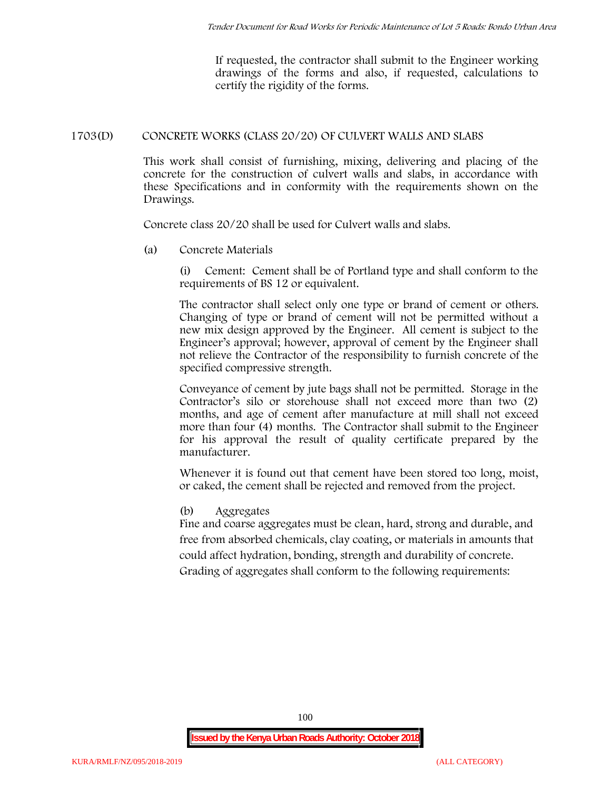If requested, the contractor shall submit to the Engineer working drawings of the forms and also, if requested, calculations to certify the rigidity of the forms.

# **1703(D) CONCRETE WORKS (CLASS 20/20) OF CULVERT WALLS AND SLABS**

This work shall consist of furnishing, mixing, delivering and placing of the concrete for the construction of culvert walls and slabs, in accordance with these Specifications and in conformity with the requirements shown on the Drawings.

Concrete class 20/20 shall be used for Culvert walls and slabs.

**(a) Concrete Materials**

(i) Cement: Cement shall be of Portland type and shall conform to the requirements of BS 12 or equivalent.

The contractor shall select only one type or brand of cement or others. Changing of type or brand of cement will not be permitted without a new mix design approved by the Engineer. All cement is subject to the Engineer's approval; however, approval of cement by the Engineer shall not relieve the Contractor of the responsibility to furnish concrete of the specified compressive strength.

Conveyance of cement by jute bags shall not be permitted. Storage in the Contractor's silo or storehouse shall not exceed more than two (2) months, and age of cement after manufacture at mill shall not exceed more than four (4) months. The Contractor shall submit to the Engineer for his approval the result of quality certificate prepared by the manufacturer.

Whenever it is found out that cement have been stored too long, moist, or caked, the cement shall be rejected and removed from the project.

# **(b) Aggregates**

Fine and coarse aggregates must be clean, hard, strong and durable, and free from absorbed chemicals, clay coating, or materials in amounts that could affect hydration, bonding, strength and durability of concrete. Grading of aggregates shall conform to the following requirements: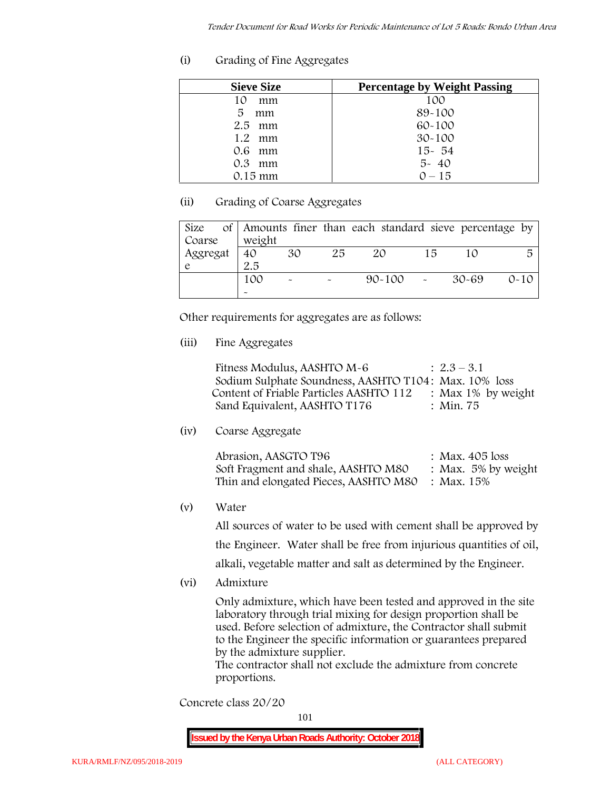**(i) Grading of Fine Aggregates**

| <b>Sieve Size</b> | <b>Percentage by Weight Passing</b> |
|-------------------|-------------------------------------|
| mm<br>10          | 100                                 |
| 5<br>mm           | 89-100                              |
| $2.5$ mm          | $60 - 100$                          |
| 1.2<br>mm         | $30 - 100$                          |
| 0.6 mm            | $15 - 54$                           |
| $0.3$ mm          | $5 - 40$                            |
| $0.15 \text{ mm}$ | $0 - 15$                            |

# **(ii) Grading of Coarse Aggregates**

| Size     |                       |                       |    | of Amounts finer than each standard sieve percentage by |    |         |          |
|----------|-----------------------|-----------------------|----|---------------------------------------------------------|----|---------|----------|
| Coarse   | weight                |                       |    |                                                         |    |         |          |
| Aggregat | 40                    | 30                    | 25 | 20                                                      | 15 |         | 局        |
|          | 2.5                   |                       |    |                                                         |    |         |          |
|          | 100                   | $\tilde{\phantom{a}}$ |    | $90 - 100$ -                                            |    | - 30-69 | $0 - 10$ |
|          | $\tilde{\phantom{a}}$ |                       |    |                                                         |    |         |          |

Other requirements for aggregates are as follows:

**(iii) Fine Aggregates**

| Fitness Modulus, AASHTO M-6                           | $: 2.3 - 3.1$      |
|-------------------------------------------------------|--------------------|
| Sodium Sulphate Soundness, AASHTO T104: Max. 10% loss |                    |
| Content of Friable Particles AASHTO 112               | : Max 1% by weight |
| Sand Equivalent, AASHTO T176                          | : Min. 75          |

**(iv) Coarse Aggregate**

| Abrasion, AASGTO T96                             | : Max. $405$ loss      |
|--------------------------------------------------|------------------------|
| Soft Fragment and shale, AASHTO M80              | : Max. $5\%$ by weight |
| Thin and elongated Pieces, AASHTO M80 : Max. 15% |                        |

**(v) Water**

All sources of water to be used with cement shall be approved by the Engineer. Water shall be free from injurious quantities of oil, alkali, vegetable matter and salt as determined by the Engineer.

**(vi) Admixture**

Only admixture, which have been tested and approved in the site laboratory through trial mixing for design proportion shall be used. Before selection of admixture, the Contractor shall submit to the Engineer the specific information or guarantees prepared by the admixture supplier.

The contractor shall not exclude the admixture from concrete proportions.

**Concrete class 20/20**

101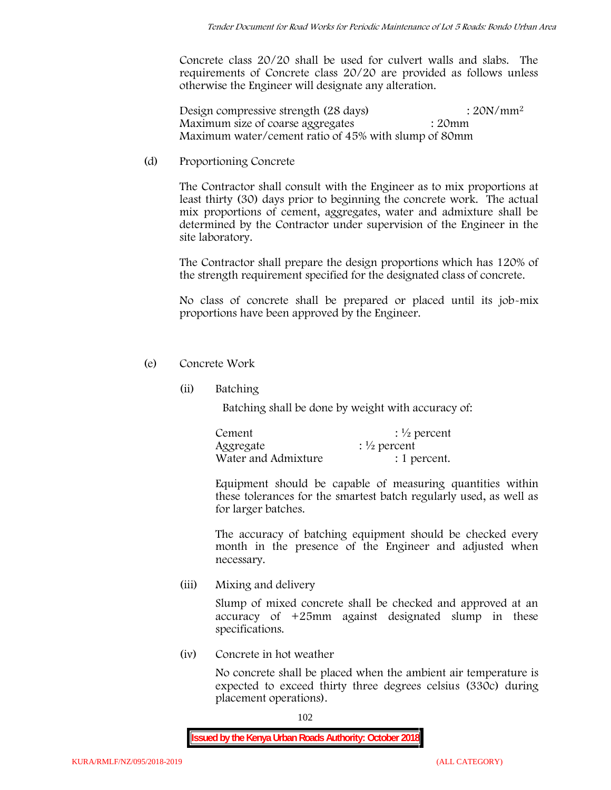Concrete class 20/20 shall be used for culvert walls and slabs. The requirements of Concrete class 20/20 are provided as follows unless otherwise the Engineer will designate any alteration.

Design compressive strength (28 days) : 20N/mm<sup>2</sup> Maximum size of coarse aggregates : 20mm Maximum water/cement ratio of 45% with slump of 80mm

(d) **Proportioning Concrete**

The Contractor shall consult with the Engineer as to mix proportions at least thirty (30) days prior to beginning the concrete work. The actual mix proportions of cement, aggregates, water and admixture shall be determined by the Contractor under supervision of the Engineer in the site laboratory.

The Contractor shall prepare the design proportions which has 120% of the strength requirement specified for the designated class of concrete.

No class of concrete shall be prepared or placed until its job-mix proportions have been approved by the Engineer.

- (e) **Concrete Work**
	- **(ii) Batching**

Batching shall be done by weight with accuracy of:

| Cement              | $\frac{1}{2}$ percent |
|---------------------|-----------------------|
| Aggregate           | $\frac{1}{2}$ percent |
| Water and Admixture | : 1 percent.          |

Equipment should be capable of measuring quantities within these tolerances for the smartest batch regularly used, as well as for larger batches.

The accuracy of batching equipment should be checked every month in the presence of the Engineer and adjusted when necessary.

**(iii) Mixing and delivery**

Slump of mixed concrete shall be checked and approved at an accuracy of +25mm against designated slump in these specifications.

**(iv) Concrete in hot weather**

No concrete shall be placed when the ambient air temperature is expected to exceed thirty three degrees celsius (330c) during placement operations).

102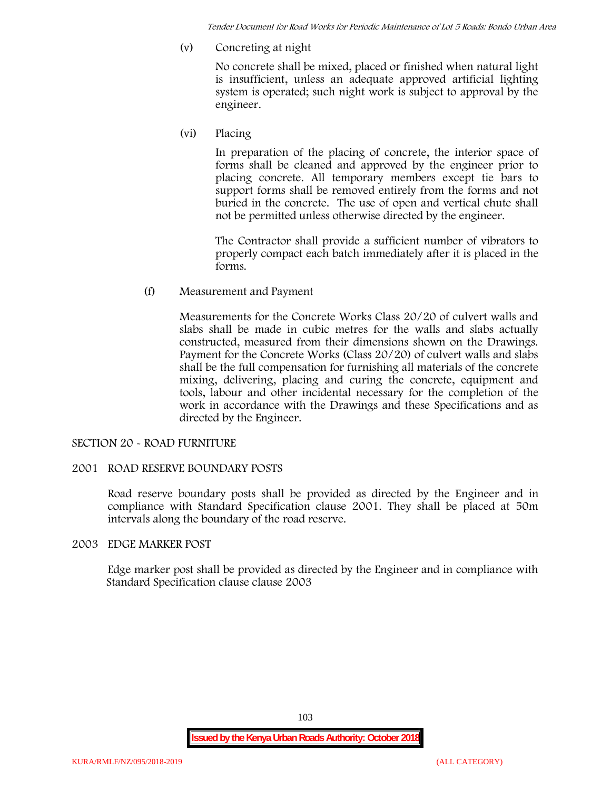*Tender Document for Road Works for Periodic Maintenance of Lot 5 Roads: Bondo Urban Area*

**(v) Concreting at night**

No concrete shall be mixed, placed or finished when natural light is insufficient, unless an adequate approved artificial lighting system is operated; such night work is subject to approval by the engineer.

**(vi) Placing**

In preparation of the placing of concrete, the interior space of forms shall be cleaned and approved by the engineer prior to placing concrete. All temporary members except tie bars to support forms shall be removed entirely from the forms and not buried in the concrete. The use of open and vertical chute shall not be permitted unless otherwise directed by the engineer.

The Contractor shall provide a sufficient number of vibrators to properly compact each batch immediately after it is placed in the forms.

(f) **Measurement and Payment**

Measurements for the Concrete Works Class 20/20 of culvert walls and slabs shall be made in cubic metres for the walls and slabs actually constructed, measured from their dimensions shown on the Drawings. Payment for the Concrete Works (Class 20/20) of culvert walls and slabs shall be the full compensation for furnishing all materials of the concrete mixing, delivering, placing and curing the concrete, equipment and tools, labour and other incidental necessary for the completion of the work in accordance with the Drawings and these Specifications and as directed by the Engineer.

# **SECTION 20 - ROAD FURNITURE**

# **2001 ROAD RESERVE BOUNDARY POSTS**

Road reserve boundary posts shall be provided as directed by the Engineer and in compliance with Standard Specification clause 2001. They shall be placed at 50m intervals along the boundary of the road reserve.

# **2003 EDGE MARKER POST**

Edge marker post shall be provided as directed by the Engineer and in compliance with Standard Specification clause clause 2003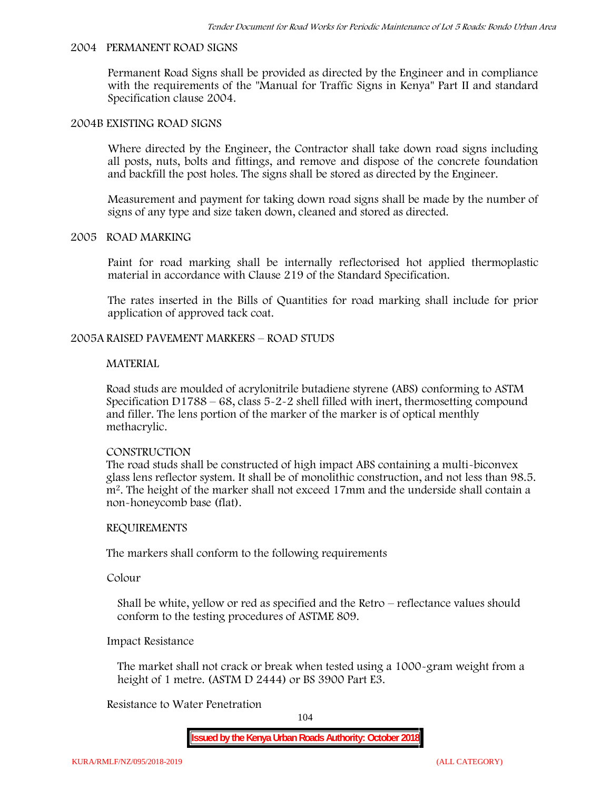#### **2004 PERMANENT ROAD SIGNS**

Permanent Road Signs shall be provided as directed by the Engineer and in compliance with the requirements of the "Manual for Traffic Signs in Kenya" Part II and standard Specification clause 2004.

#### **2004B EXISTING ROAD SIGNS**

Where directed by the Engineer, the Contractor shall take down road signs including all posts, nuts, bolts and fittings, and remove and dispose of the concrete foundation and backfill the post holes. The signs shall be stored as directed by the Engineer.

Measurement and payment for taking down road signs shall be made by the number of signs of any type and size taken down, cleaned and stored as directed.

#### **2005 ROAD MARKING**

Paint for road marking shall be internally reflectorised hot applied thermoplastic material in accordance with Clause 219 of the Standard Specification.

The rates inserted in the Bills of Quantities for road marking shall include for prior application of approved tack coat.

### **2005A RAISED PAVEMENT MARKERS – ROAD STUDS**

#### **MATERIAL**

Road studs are moulded of acrylonitrile butadiene styrene (ABS) conforming to ASTM Specification D1788 – 68, class  $5 - 2 - 2$  shell filled with inert, thermosetting compound and filler. The lens portion of the marker of the marker is of optical menthly methacrylic.

#### **CONSTRUCTION**

The road studs shall be constructed of high impact ABS containing a multi-biconvex glass lens reflector system. It shall be of monolithic construction, and not less than 98.5. m2. The height of the marker shall not exceed 17mm and the underside shall contain a non-honeycomb base (flat).

#### **REQUIREMENTS**

The markers shall conform to the following requirements

**Colour**

Shall be white, yellow or red as specified and the Retro – reflectance values should conform to the testing procedures of ASTME 809.

# **Impact Resistance**

The market shall not crack or break when tested using a 1000**-**gram weight from a height of 1 metre. (ASTM D 2444) or BS 3900 Part E3.

### **Resistance to Water Penetration**

104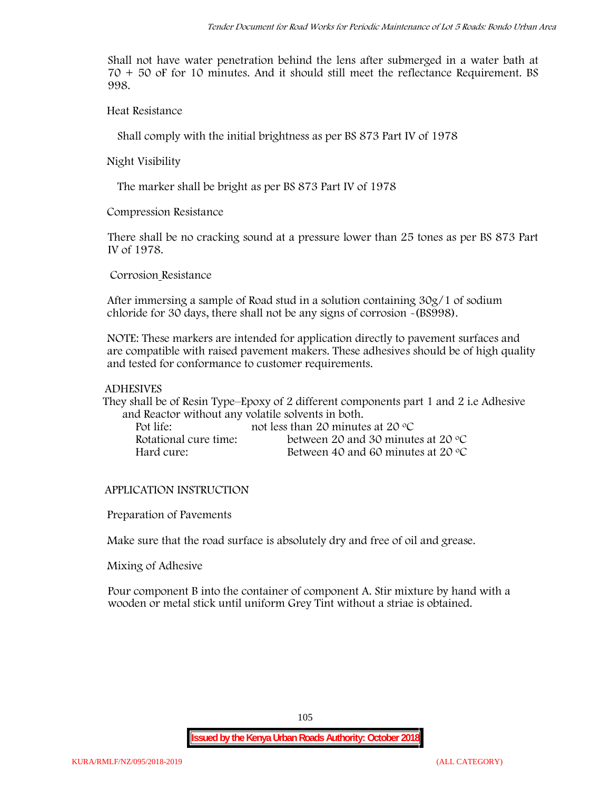Shall not have water penetration behind the lens after submerged in a water bath at 70 + 50 oF for 10 minutes. And it should still meet the reflectance Requirement. BS 998.

**Heat Resistance**

Shall comply with the initial brightness as per BS 873 Part IV of 1978

**Night Visibility**

The marker shall be bright as per BS 873 Part IV of 1978

**Compression Resistance**

There shall be no cracking sound at a pressure lower than 25 tones as per BS 873 Part IV of 1978.

**Corrosion Resistance**

After immersing a sample of Road stud in a solution containing 30g/1 of sodium chloride for 30 days, there shall not be any signs of corrosion **-**(BS998).

**NOTE**: These markers are intended for application directly to pavement surfaces and are compatible with raised pavement makers. These adhesives should be of high quality and tested for conformance to customer requirements.

# **ADHESIVES**

They shall be of Resin Type–Epoxy of 2 different components part 1 and 2 i.e Adhesive and Reactor without any volatile solvents in both.

| Pot life:             | not less than 20 minutes at 20 $\mathrm{^{\circ}C}$ |
|-----------------------|-----------------------------------------------------|
| Rotational cure time: | between 20 and 30 minutes at 20 $\degree$ C         |
| Hard cure:            | Between 40 and 60 minutes at 20 $\degree$ C         |

# **APPLICATION INSTRUCTION**

**Preparation of Pavements**

Make sure that the road surface is absolutely dry and free of oil and grease**.**

**Mixing of Adhesive**

Pour component B into the container of component A. Stir mixture by hand with a wooden or metal stick until uniform Grey Tint without a striae is obtained.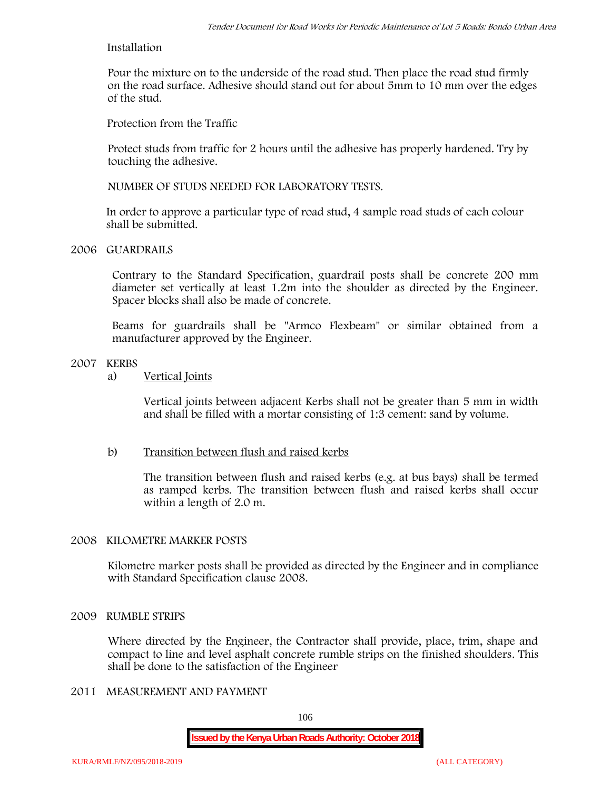# **Installation**

Pour the mixture on to the underside of the road stud. Then place the road stud firmly on the road surface. Adhesive should stand out for about 5mm to 10 mm over the edges of the stud.

**Protection from the Traffic**

Protect studs from traffic for 2 hours until the adhesive has properly hardened. Try by touching the adhesive.

**NUMBER OF STUDS NEEDED FOR LABORATORY TESTS.**

In order to approve a particular type of road stud, 4 sample road studs of each colour shall be submitted.

# **2006 GUARDRAILS**

Contrary to the Standard Specification, guardrail posts shall be concrete 200 mm diameter set vertically at least 1.2m into the shoulder as directed by the Engineer. Spacer blocks shall also be made of concrete.

Beams for guardrails shall be "Armco Flexbeam" or similar obtained from a manufacturer approved by the Engineer.

# **2007 KERBS**

a) **Vertical Joints**

Vertical joints between adjacent Kerbs shall not be greater than 5 mm in width and shall be filled with a mortar consisting of 1:3 cement: sand by volume.

# b) **Transition between flush and raised kerbs**

The transition between flush and raised kerbs (e.g. at bus bays) shall be termed as ramped kerbs. The transition between flush and raised kerbs shall occur within a length of 2.0 m.

# **2008 KILOMETRE MARKER POSTS**

Kilometre marker posts shall be provided as directed by the Engineer and in compliance with Standard Specification clause 2008.

# **2009 RUMBLE STRIPS**

Where directed by the Engineer, the Contractor shall provide, place, trim, shape and compact to line and level asphalt concrete rumble strips on the finished shoulders. This shall be done to the satisfaction of the Engineer

# **2011 MEASUREMENT AND PAYMENT**

106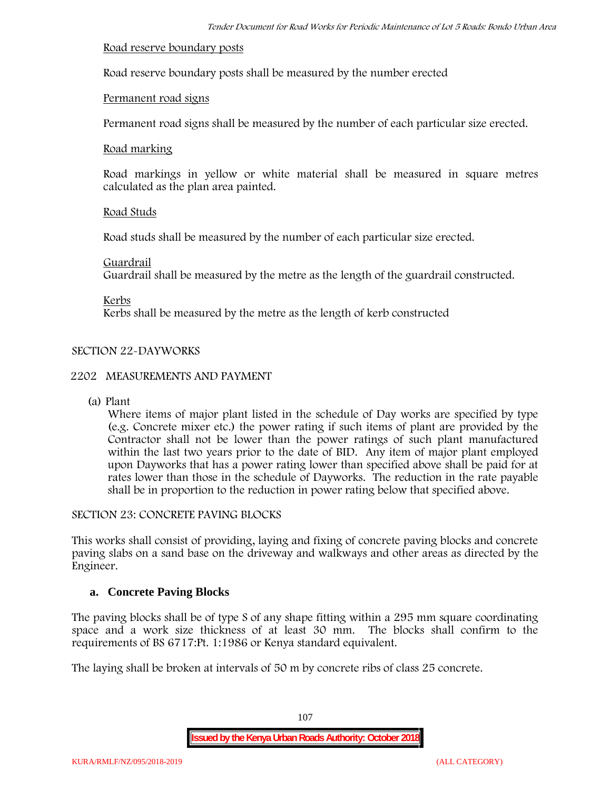# **Road reserve boundary posts**

Road reserve boundary posts shall be measured by the number erected

# **Permanent road signs**

Permanent road signs shall be measured by the number of each particular size erected.

# **Road marking**

Road markings in yellow or white material shall be measured in square metres calculated as the plan area painted.

# **Road Studs**

Road studs shall be measured by the number of each particular size erected.

# **Guardrail**

Guardrail shall be measured by the metre as the length of the guardrail constructed.

**Kerbs**

Kerbs shall be measured by the metre as the length of kerb constructed

# **SECTION 22-DAYWORKS**

# **2202 MEASUREMENTS AND PAYMENT**

(a) Plant

Where items of major plant listed in the schedule of Day works are specified by type (e.g. Concrete mixer etc.) the power rating if such items of plant are provided by the Contractor shall not be lower than the power ratings of such plant manufactured within the last two years prior to the date of BID. Any item of major plant employed upon Dayworks that has a power rating lower than specified above shall be paid for at rates lower than those in the schedule of Dayworks. The reduction in the rate payable shall be in proportion to the reduction in power rating below that specified above.

# **SECTION 23: CONCRETE PAVING BLOCKS**

This works shall consist of providing, laying and fixing of concrete paving blocks and concrete paving slabs on a sand base on the driveway and walkways and other areas as directed by the Engineer.

# **a. Concrete Paving Blocks**

The paving blocks shall be of type S of any shape fitting within a 295 mm square coordinating space and a work size thickness of at least 30 mm. The blocks shall confirm to the requirements of BS 6717:Pt. 1:1986 or Kenya standard equivalent.

The laying shall be broken at intervals of 50 m by concrete ribs of class 25 concrete.

107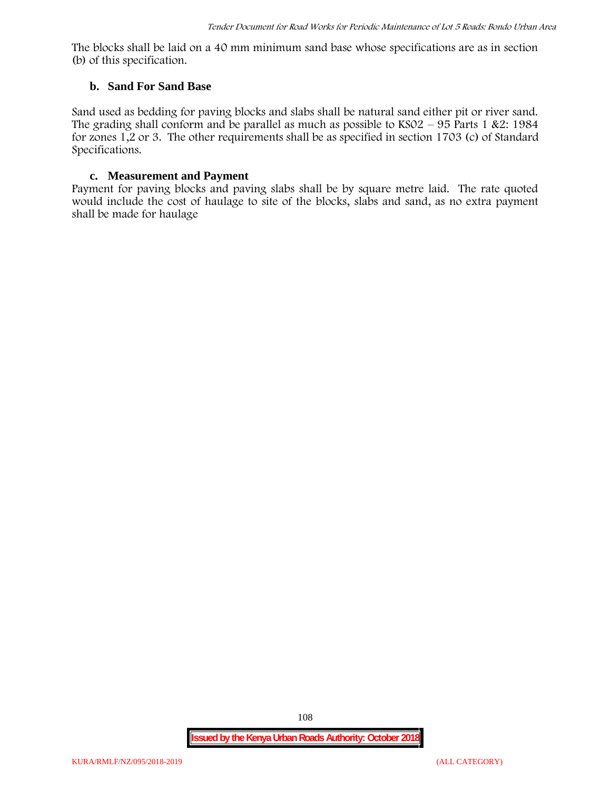The blocks shall be laid on a 40 mm minimum sand base whose specifications are as in section (b) of this specification.

#### **b. Sand For Sand Base**

Sand used as bedding for paving blocks and slabs shall be natural sand either pit or river sand. The grading shall conform and be parallel as much as possible to  $KSO2 - 95$  Parts 1 &2: 1984 for zones 1,2 or 3. The other requirements shall be as specified in section 1703 (c) of Standard Specifications.

#### **c. Measurement and Payment**

Payment for paving blocks and paving slabs shall be by square metre laid. The rate quoted would include the cost of haulage to site of the blocks, slabs and sand, as no extra payment shall be made for haulage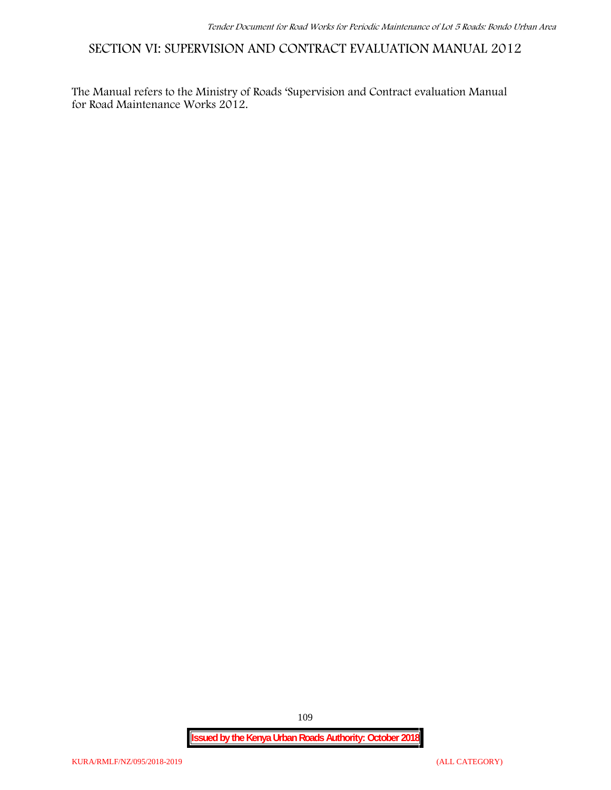**SECTION VI: SUPERVISION AND CONTRACT EVALUATION MANUAL 2012**

The Manual refers to the Ministry of Roads 'Supervision and Contract evaluation Manual for Road Maintenance Works 2012.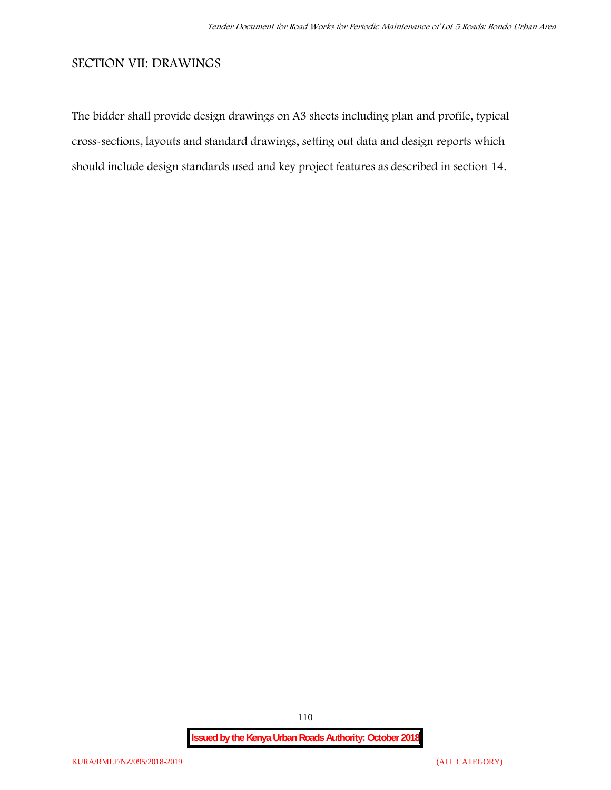# **SECTION VII: DRAWINGS**

The bidder shall provide design drawings on A3 sheets including plan and profile, typical cross-sections, layouts and standard drawings, setting out data and design reports which should include design standards used and key project features as described in section 14.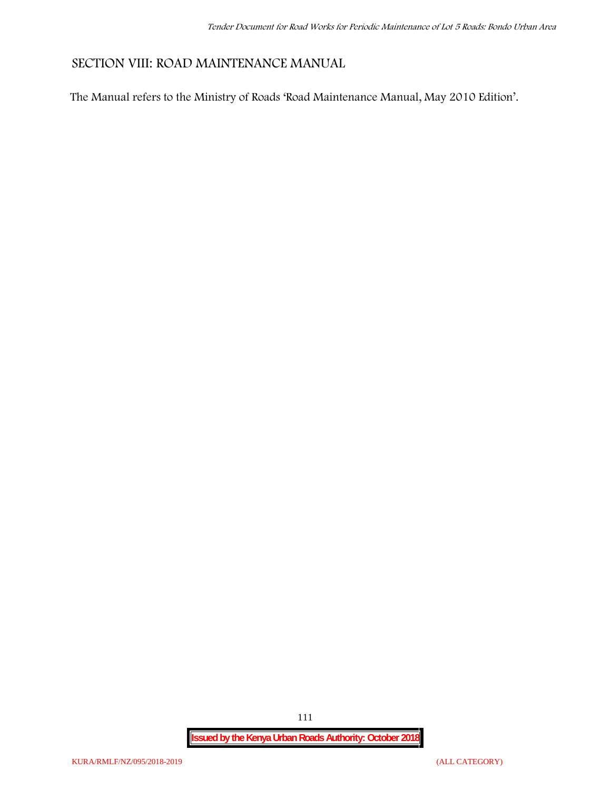# **SECTION VIII: ROAD MAINTENANCE MANUAL**

The Manual refers to the Ministry of Roads 'Road Maintenance Manual, May 2010 Edition'.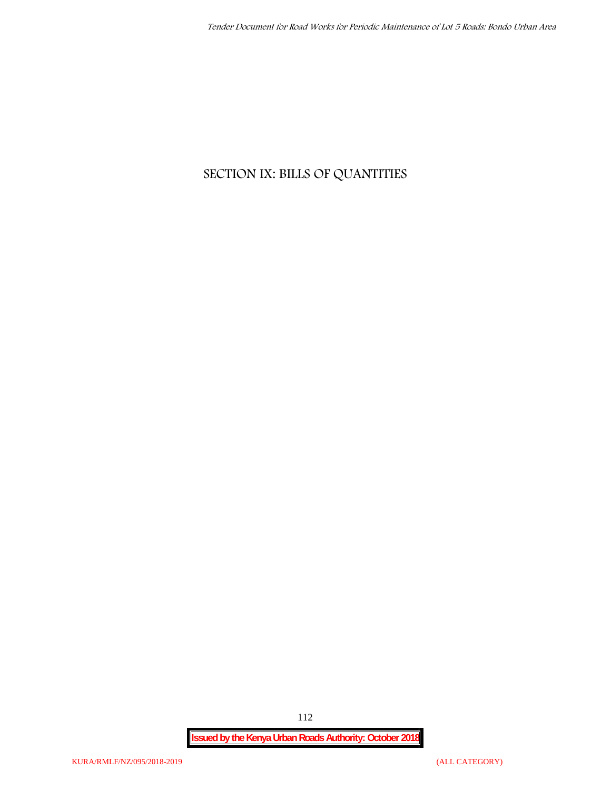# **SECTION IX: BILLS OF QUANTITIES**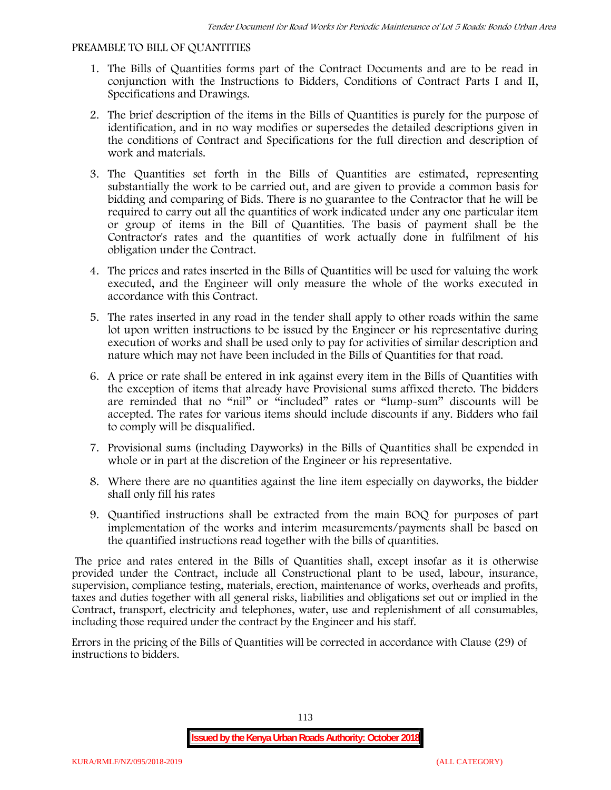#### **PREAMBLE TO BILL OF QUANTITIES**

- 1. The Bills of Quantities forms part of the Contract Documents and are to be read in conjunction with the Instructions to Bidders, Conditions of Contract Parts I and II, Specifications and Drawings.
- 2. The brief description of the items in the Bills of Quantities is purely for the purpose of identification, and in no way modifies or supersedes the detailed descriptions given in the conditions of Contract and Specifications for the full direction and description of work and materials.
- 3. The Quantities set forth in the Bills of Quantities are estimated, representing substantially the work to be carried out, and are given to provide a common basis for bidding and comparing of Bids. There is no guarantee to the Contractor that he will be required to carry out all the quantities of work indicated under any one particular item or group of items in the Bill of Quantities. The basis of payment shall be the Contractor's rates and the quantities of work actually done in fulfilment of his obligation under the Contract.
- 4. The prices and rates inserted in the Bills of Quantities will be used for valuing the work executed, and the Engineer will only measure the whole of the works executed in accordance with this Contract.
- 5. The rates inserted in any road in the tender shall apply to other roads within the same lot upon written instructions to be issued by the Engineer or his representative during execution of works and shall be used only to pay for activities of similar description and nature which may not have been included in the Bills of Quantities for that road.
- 6. A price or rate shall be entered in ink against every item in the Bills of Quantities with the exception of items that already have Provisional sums affixed thereto. The bidders are reminded that no "nil" or "included" rates or "lump-sum" discounts will be accepted. The rates for various items should include discounts if any. Bidders who fail to comply will be disqualified.
- 7. Provisional sums (including Dayworks) in the Bills of Quantities shall be expended in whole or in part at the discretion of the Engineer or his representative.
- 8. Where there are no quantities against the line item especially on dayworks, the bidder shall only fill his rates
- 9. Quantified instructions shall be extracted from the main BOQ for purposes of part implementation of the works and interim measurements/payments shall be based on the quantified instructions read together with the bills of quantities.

The price and rates entered in the Bills of Quantities shall, except insofar as it is otherwise provided under the Contract, include all Constructional plant to be used, labour, insurance, supervision, compliance testing, materials, erection, maintenance of works, overheads and profits, taxes and duties together with all general risks, liabilities and obligations set out or implied in the Contract, transport, electricity and telephones, water, use and replenishment of all consumables, including those required under the contract by the Engineer and his staff.

Errors in the pricing of the Bills of Quantities will be corrected in accordance with Clause (29) of instructions to bidders.

113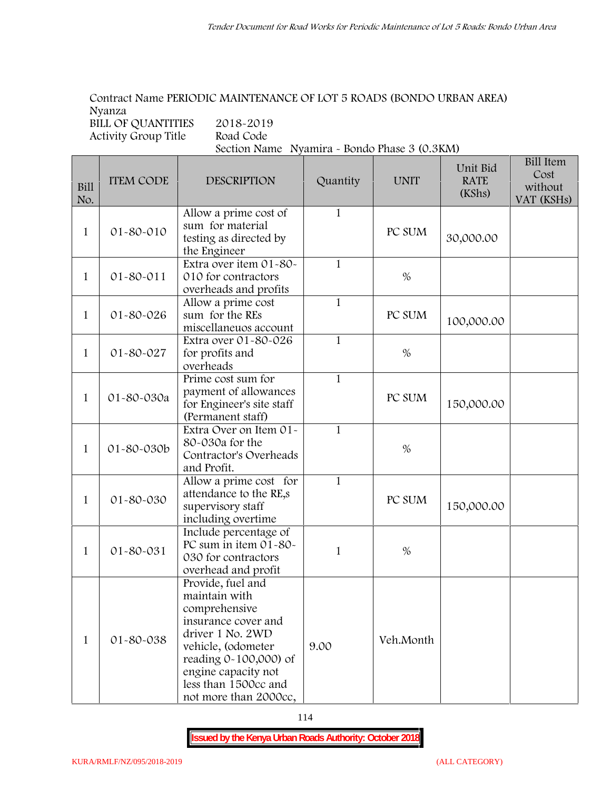### **Contract Name PERIODIC MAINTENANCE OF LOT 5 ROADS (BONDO URBAN AREA) Nyanza**

**BILL OF QUANTITIES 2018-2019 Activity Group Title** 

**Section Name Nyamira - Bondo Phase 3 (0.3KM)**

| Bill<br>No.  | <b>ITEM CODE</b> | <b>DESCRIPTION</b>                                                                                                                                                                                                    | Quantity     | <b>UNIT</b> | Unit Bid<br><b>RATE</b><br>(KShs) | <b>Bill Item</b><br>Cost<br>without<br>VAT (KSHs) |
|--------------|------------------|-----------------------------------------------------------------------------------------------------------------------------------------------------------------------------------------------------------------------|--------------|-------------|-----------------------------------|---------------------------------------------------|
| $\mathbf{1}$ | 01-80-010        | Allow a prime cost of<br>sum for material<br>testing as directed by<br>the Engineer                                                                                                                                   | $\mathbf{1}$ | PC SUM      | 30,000.00                         |                                                   |
| $\mathbf{1}$ | $01 - 80 - 011$  | Extra over item 01-80-<br>010 for contractors<br>overheads and profits                                                                                                                                                | $\mathbf{1}$ | $\%$        |                                   |                                                   |
| $\mathbf{1}$ | 01-80-026        | Allow a prime cost<br>sum for the REs<br>miscellaneuos account                                                                                                                                                        | $\mathbf{1}$ | PC SUM      | 100,000.00                        |                                                   |
| $\mathbf{1}$ | 01-80-027        | Extra over 01-80-026<br>for profits and<br>overheads                                                                                                                                                                  | $\mathbf{1}$ | $\%$        |                                   |                                                   |
| $\mathbf{1}$ | 01-80-030a       | Prime cost sum for<br>payment of allowances<br>for Engineer's site staff<br>(Permanent staff)                                                                                                                         | $\mathbf{1}$ | PC SUM      | 150,000.00                        |                                                   |
| $\mathbf{1}$ | 01-80-030b       | Extra Over on Item 01-<br>80-030a for the<br>Contractor's Overheads<br>and Profit.                                                                                                                                    | $\mathbf{1}$ | $\%$        |                                   |                                                   |
| $\mathbf{1}$ | 01-80-030        | Allow a prime cost for<br>attendance to the RE,s<br>supervisory staff<br>including overtime                                                                                                                           | $\mathbf{1}$ | PC SUM      | 150,000.00                        |                                                   |
| $\mathbf{1}$ | 01-80-031        | Include percentage of<br>PC sum in item 01-80-<br>030 for contractors<br>overhead and profit                                                                                                                          | $\mathbf{1}$ | $\%$        |                                   |                                                   |
| $\mathbf{1}$ | 01-80-038        | Provide, fuel and<br>maintain with<br>comprehensive<br>insurance cover and<br>driver 1 No. 2WD<br>vehicle, (odometer<br>reading 0-100,000) of<br>engine capacity not<br>less than 1500cc and<br>not more than 2000cc, | 9.00         | Veh.Month   |                                   |                                                   |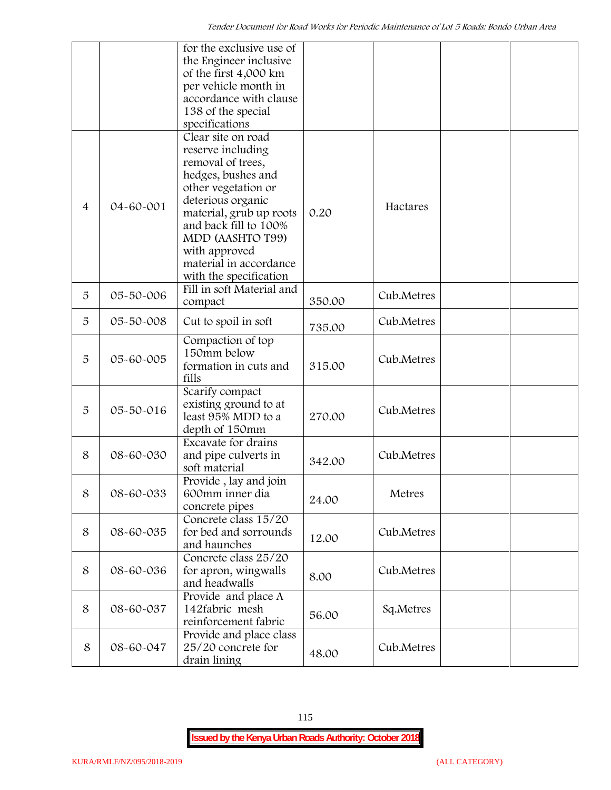|                |           | for the exclusive use of<br>the Engineer inclusive<br>of the first 4,000 km<br>per vehicle month in                                                                                                                                                                         |        |            |  |
|----------------|-----------|-----------------------------------------------------------------------------------------------------------------------------------------------------------------------------------------------------------------------------------------------------------------------------|--------|------------|--|
|                |           | accordance with clause<br>138 of the special<br>specifications                                                                                                                                                                                                              |        |            |  |
| $\overline{4}$ | 04-60-001 | Clear site on road<br>reserve including<br>removal of trees,<br>hedges, bushes and<br>other vegetation or<br>deterious organic<br>material, grub up roots<br>and back fill to 100%<br>MDD (AASHTO T99)<br>with approved<br>material in accordance<br>with the specification | 0.20   | Hactares   |  |
| 5              | 05-50-006 | Fill in soft Material and<br>compact                                                                                                                                                                                                                                        | 350.00 | Cub.Metres |  |
| 5              | 05-50-008 | Cut to spoil in soft                                                                                                                                                                                                                                                        | 735.00 | Cub.Metres |  |
| 5              | 05-60-005 | Compaction of top<br>150mm below<br>formation in cuts and<br>fills                                                                                                                                                                                                          | 315.00 | Cub.Metres |  |
| 5              | 05-50-016 | Scarify compact<br>existing ground to at<br>least 95% MDD to a<br>depth of 150mm                                                                                                                                                                                            | 270.00 | Cub.Metres |  |
| 8              | 08-60-030 | Excavate for drains<br>and pipe culverts in<br>soft material                                                                                                                                                                                                                | 342.00 | Cub.Metres |  |
| 8              | 08-60-033 | Provide, lay and join<br>600mm inner dia<br>concrete pipes                                                                                                                                                                                                                  | 24.00  | Metres     |  |
| 8              | 08-60-035 | Concrete class 15/20<br>for bed and sorrounds<br>and haunches                                                                                                                                                                                                               | 12.00  | Cub.Metres |  |
| 8              | 08-60-036 | Concrete class 25/20<br>for apron, wingwalls<br>and headwalls                                                                                                                                                                                                               | 8.00   | Cub.Metres |  |
| 8              | 08-60-037 | Provide and place A<br>142fabric mesh<br>reinforcement fabric                                                                                                                                                                                                               | 56.00  | Sq.Metres  |  |
| 8              | 08-60-047 | Provide and place class<br>25/20 concrete for<br>drain lining                                                                                                                                                                                                               | 48.00  | Cub.Metres |  |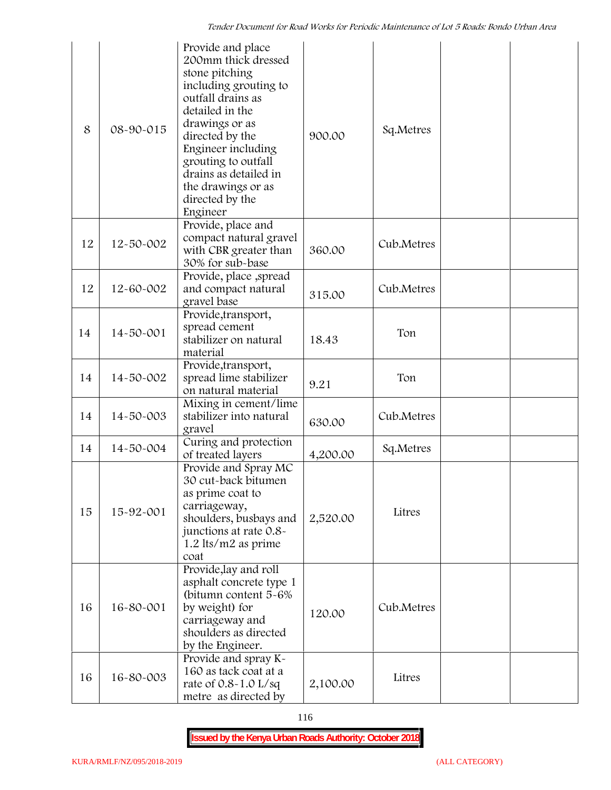| 8  | 08-90-015       | Provide and place<br>200mm thick dressed<br>stone pitching<br>including grouting to<br>outfall drains as<br>detailed in the<br>drawings or as<br>directed by the<br>Engineer including<br>grouting to outfall<br>drains as detailed in<br>the drawings or as<br>directed by the<br>Engineer | 900.00   | Sq.Metres  |  |
|----|-----------------|---------------------------------------------------------------------------------------------------------------------------------------------------------------------------------------------------------------------------------------------------------------------------------------------|----------|------------|--|
| 12 | 12-50-002       | Provide, place and<br>compact natural gravel<br>with CBR greater than<br>30% for sub-base                                                                                                                                                                                                   | 360.00   | Cub.Metres |  |
| 12 | 12-60-002       | Provide, place , spread<br>and compact natural<br>gravel base                                                                                                                                                                                                                               | 315.00   | Cub.Metres |  |
| 14 | $14 - 50 - 001$ | Provide, transport,<br>spread cement<br>stabilizer on natural<br>material                                                                                                                                                                                                                   | 18.43    | Ton        |  |
| 14 | 14-50-002       | Provide, transport,<br>spread lime stabilizer<br>on natural material                                                                                                                                                                                                                        | 9.21     | Ton        |  |
| 14 | 14-50-003       | Mixing in cement/lime<br>stabilizer into natural<br>gravel                                                                                                                                                                                                                                  | 630.00   | Cub.Metres |  |
| 14 | 14-50-004       | Curing and protection<br>of treated layers                                                                                                                                                                                                                                                  | 4,200.00 | Sq.Metres  |  |
| 15 | 15-92-001       | Provide and Spray MC<br>30 cut-back bitumen<br>as prime coat to<br>carriageway,<br>shoulders, busbays and<br>junctions at rate 0.8-<br>1.2 lts/m2 as prime<br>coat                                                                                                                          | 2,520.00 | Litres     |  |
| 16 | 16-80-001       | Provide, lay and roll<br>asphalt concrete type 1<br>(bitumn content 5-6%<br>by weight) for<br>carriageway and<br>shoulders as directed<br>by the Engineer.                                                                                                                                  | 120.00   | Cub.Metres |  |
| 16 | 16-80-003       | Provide and spray K-<br>160 as tack coat at a<br>rate of $0.8 - 1.0$ L/sq<br>metre as directed by                                                                                                                                                                                           | 2,100.00 | Litres     |  |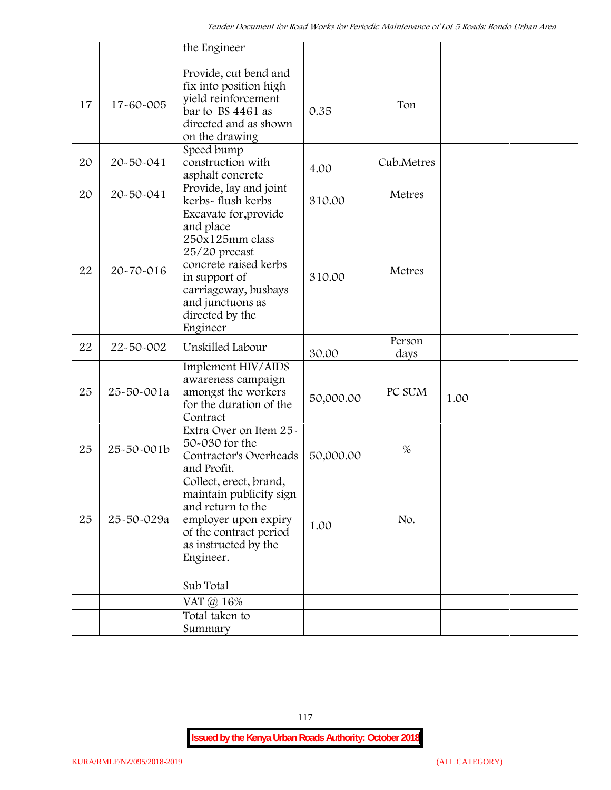|    |                 | the Engineer                                                                                                                                                                                |           |                |      |  |
|----|-----------------|---------------------------------------------------------------------------------------------------------------------------------------------------------------------------------------------|-----------|----------------|------|--|
| 17 | 17-60-005       | Provide, cut bend and<br>fix into position high<br>yield reinforcement<br>bar to BS 4461 as<br>directed and as shown<br>on the drawing                                                      | 0.35      | Ton            |      |  |
| 20 | $20 - 50 - 041$ | Speed bump<br>construction with<br>asphalt concrete                                                                                                                                         | 4.00      | Cub.Metres     |      |  |
| 20 | 20-50-041       | Provide, lay and joint<br>kerbs-flush kerbs                                                                                                                                                 | 310.00    | Metres         |      |  |
| 22 | 20-70-016       | Excavate for, provide<br>and place<br>250x125mm class<br>25/20 precast<br>concrete raised kerbs<br>in support of<br>carriageway, busbays<br>and junctuons as<br>directed by the<br>Engineer | 310.00    | Metres         |      |  |
| 22 | 22-50-002       | Unskilled Labour                                                                                                                                                                            | 30.00     | Person<br>days |      |  |
| 25 | 25-50-001a      | Implement HIV/AIDS<br>awareness campaign<br>amongst the workers<br>for the duration of the<br>Contract                                                                                      | 50,000.00 | PC SUM         | 1.00 |  |
| 25 | 25-50-001b      | Extra Over on Item 25~<br>50-030 for the<br>Contractor's Overheads<br>and Profit.                                                                                                           | 50,000.00 | $\%$           |      |  |
| 25 | 25-50-029a      | Collect, erect, brand,<br>maintain publicity sign<br>and return to the<br>employer upon expiry<br>of the contract period<br>as instructed by the<br>Engineer.                               | 1.00      | No.            |      |  |
|    |                 | Sub Total                                                                                                                                                                                   |           |                |      |  |
|    |                 | VAT @ 16%                                                                                                                                                                                   |           |                |      |  |
|    |                 | Total taken to<br>Summary                                                                                                                                                                   |           |                |      |  |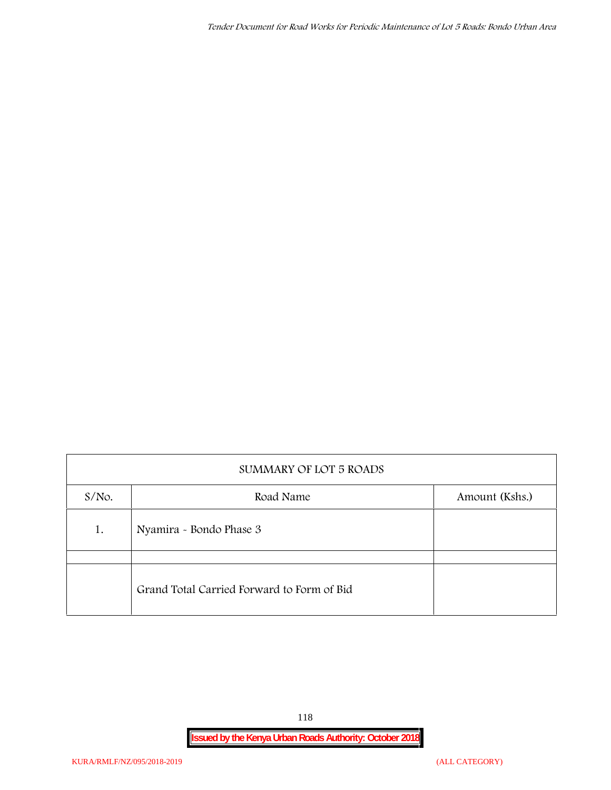|          | <b>SUMMARY OF LOT 5 ROADS</b>              |                |
|----------|--------------------------------------------|----------------|
| $S/NO$ . | Road Name                                  | Amount (Kshs.) |
| 1.       | Nyamira - Bondo Phase 3                    |                |
|          |                                            |                |
|          | Grand Total Carried Forward to Form of Bid |                |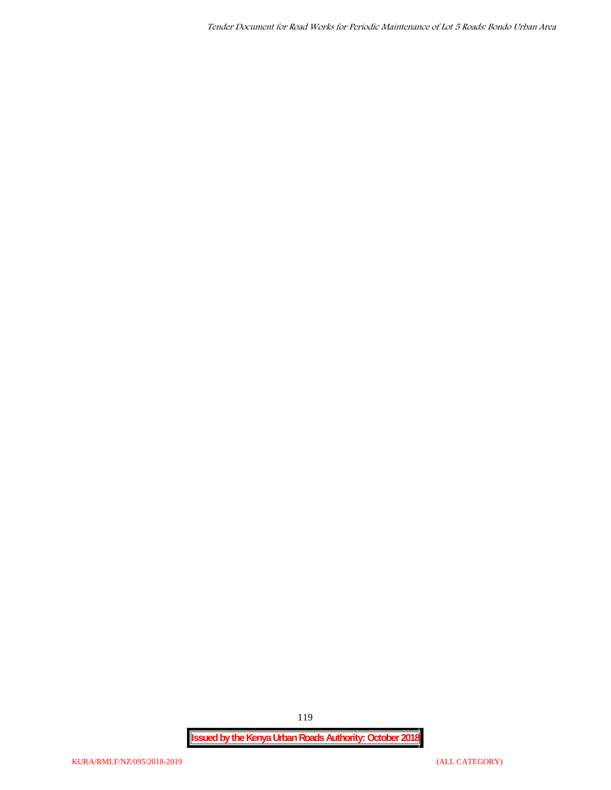*Tender Document for Road Works for Periodic Maintenance of Lot 5 Roads: Bondo Urban Area*

**Issued by the Kenya Urban Roads Authority: October 2018**

119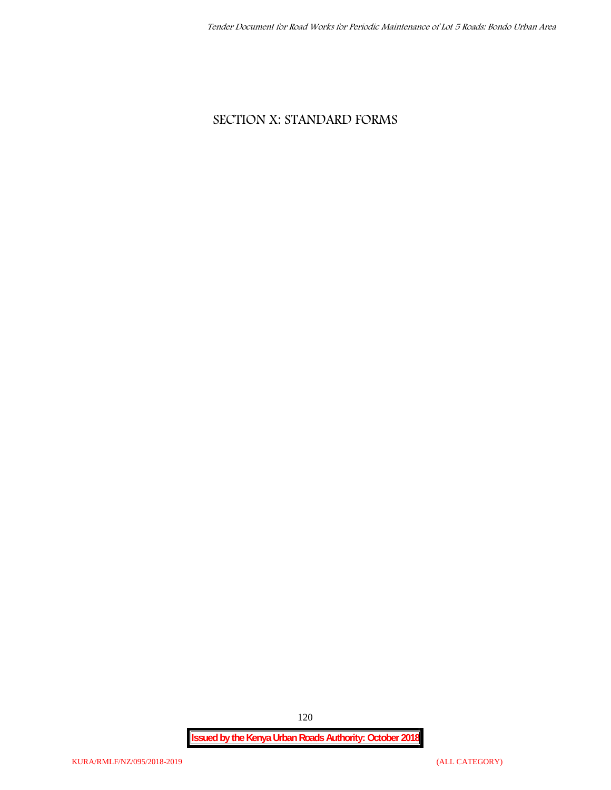# **SECTION X: STANDARD FORMS**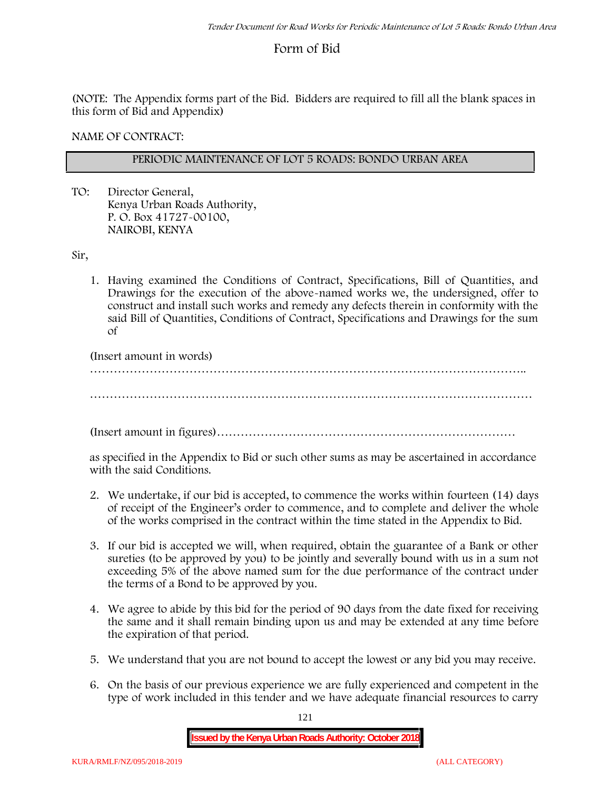# **Form of Bid**

(NOTE: The Appendix forms part of the Bid. Bidders are required to fill all the blank spaces in this form of Bid and Appendix)

**NAME OF CONTRACT:**

#### **PERIODIC MAINTENANCE OF LOT 5 ROADS: BONDO URBAN AREA**

TO: Director General, Kenya Urban Roads Authority, P. O. Box 41727-00100, **NAIROBI, KENYA**

Sir,

1. Having examined the Conditions of Contract, Specifications, Bill of Quantities, and Drawings for the execution of the above-named works we, the undersigned, offer to construct and install such works and remedy any defects therein in conformity with the said Bill of Quantities, Conditions of Contract, Specifications and Drawings for the sum of

(Insert amount in words)

………………………………………………………………………………………………..

…………………………………………………………………………………………………

(Insert amount in figures)…………………………………………………………………

as specified in the Appendix to Bid or such other sums as may be ascertained in accordance with the said Conditions.

- 2. We undertake, if our bid is accepted, to commence the works within fourteen (14) days of receipt of the Engineer's order to commence, and to complete and deliver the whole of the works comprised in the contract within the time stated in the Appendix to Bid.
- 3. If our bid is accepted we will, when required, obtain the guarantee of a Bank or other sureties (to be approved by you) to be jointly and severally bound with us in a sum not exceeding 5% of the above named sum for the due performance of the contract under the terms of a Bond to be approved by you.
- 4. We agree to abide by this bid for the period of 90 days from the date fixed for receiving the same and it shall remain binding upon us and may be extended at any time before the expiration of that period.
- 5. We understand that you are not bound to accept the lowest or any bid you may receive.
- 6. On the basis of our previous experience we are fully experienced and competent in the type of work included in this tender and we have adequate financial resources to carry

121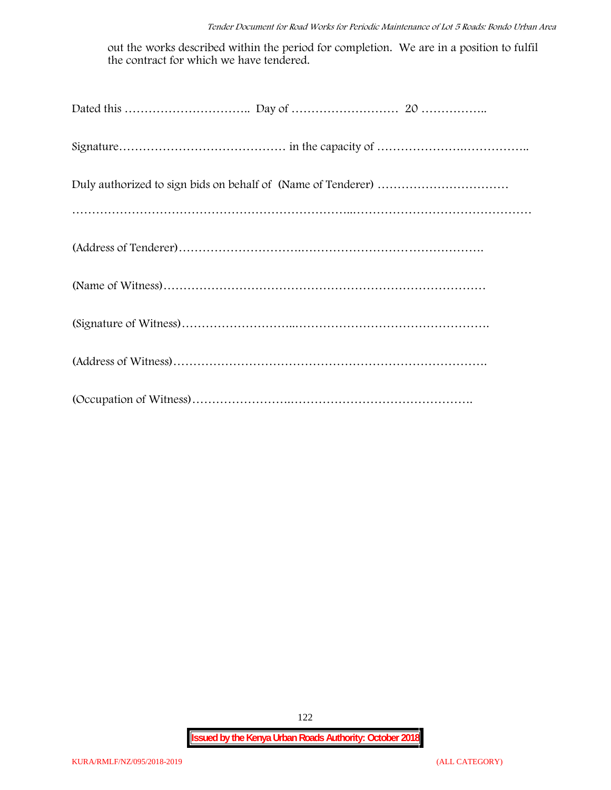out the works described within the period for completion. We are in a position to fulfil the contract for which we have tendered.

122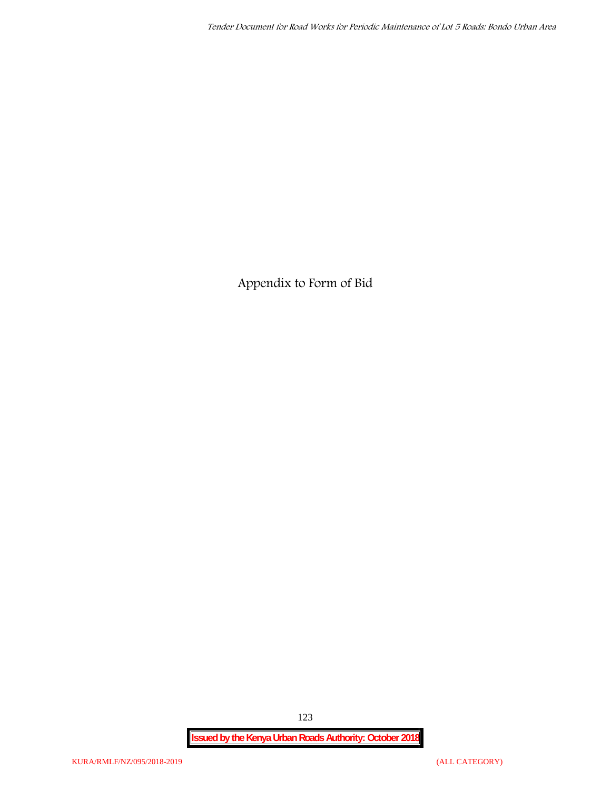**Appendix to Form of Bid**

**Issued by the Kenya Urban Roads Authority: October 2018**

123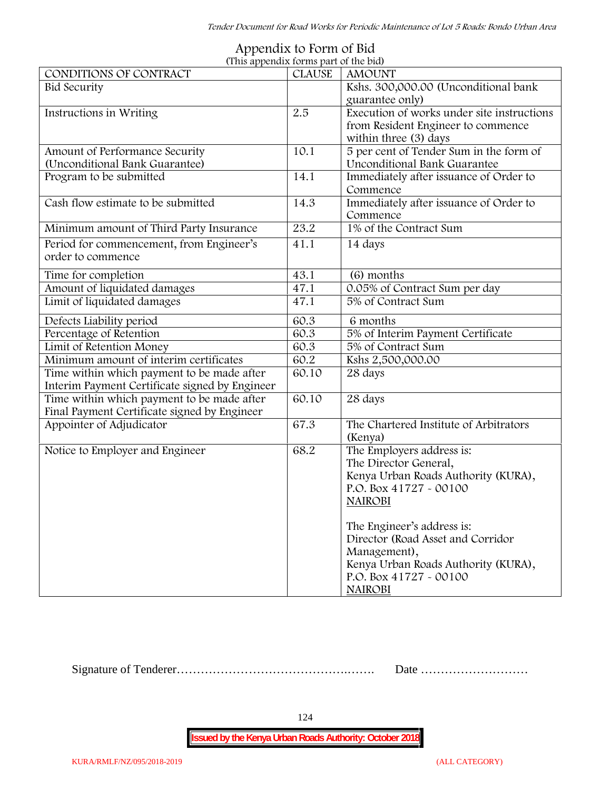| CONDITIONS OF CONTRACT                                                                                                                                                                                   | <b>CLAUSE</b>                | <b>AMOUNT</b>                                                                                                                                                                                                                                                                                                                                                                                                                                                     |
|----------------------------------------------------------------------------------------------------------------------------------------------------------------------------------------------------------|------------------------------|-------------------------------------------------------------------------------------------------------------------------------------------------------------------------------------------------------------------------------------------------------------------------------------------------------------------------------------------------------------------------------------------------------------------------------------------------------------------|
| <b>Bid Security</b>                                                                                                                                                                                      |                              | Kshs. 300,000.00 (Unconditional bank                                                                                                                                                                                                                                                                                                                                                                                                                              |
|                                                                                                                                                                                                          |                              | guarantee only)                                                                                                                                                                                                                                                                                                                                                                                                                                                   |
| Instructions in Writing                                                                                                                                                                                  | 2.5                          | Execution of works under site instructions                                                                                                                                                                                                                                                                                                                                                                                                                        |
|                                                                                                                                                                                                          |                              |                                                                                                                                                                                                                                                                                                                                                                                                                                                                   |
|                                                                                                                                                                                                          |                              |                                                                                                                                                                                                                                                                                                                                                                                                                                                                   |
|                                                                                                                                                                                                          |                              |                                                                                                                                                                                                                                                                                                                                                                                                                                                                   |
|                                                                                                                                                                                                          |                              |                                                                                                                                                                                                                                                                                                                                                                                                                                                                   |
|                                                                                                                                                                                                          |                              |                                                                                                                                                                                                                                                                                                                                                                                                                                                                   |
|                                                                                                                                                                                                          |                              |                                                                                                                                                                                                                                                                                                                                                                                                                                                                   |
|                                                                                                                                                                                                          |                              |                                                                                                                                                                                                                                                                                                                                                                                                                                                                   |
|                                                                                                                                                                                                          |                              |                                                                                                                                                                                                                                                                                                                                                                                                                                                                   |
|                                                                                                                                                                                                          |                              |                                                                                                                                                                                                                                                                                                                                                                                                                                                                   |
| Period for commencement, from Engineer's                                                                                                                                                                 | 41.1                         | 14 days                                                                                                                                                                                                                                                                                                                                                                                                                                                           |
| order to commence                                                                                                                                                                                        |                              |                                                                                                                                                                                                                                                                                                                                                                                                                                                                   |
| Time for completion                                                                                                                                                                                      | 43.1                         | (6) months                                                                                                                                                                                                                                                                                                                                                                                                                                                        |
| Amount of liquidated damages                                                                                                                                                                             | 47.1                         |                                                                                                                                                                                                                                                                                                                                                                                                                                                                   |
| Limit of liquidated damages                                                                                                                                                                              | 47.1                         | 5% of Contract Sum                                                                                                                                                                                                                                                                                                                                                                                                                                                |
| Defects Liability period                                                                                                                                                                                 | 60.3                         | 6 months                                                                                                                                                                                                                                                                                                                                                                                                                                                          |
| Percentage of Retention                                                                                                                                                                                  | 60.3                         | 5% of Interim Payment Certificate                                                                                                                                                                                                                                                                                                                                                                                                                                 |
|                                                                                                                                                                                                          | 60.3                         | 5% of Contract Sum                                                                                                                                                                                                                                                                                                                                                                                                                                                |
| Minimum amount of interim certificates                                                                                                                                                                   | 60.2                         | Kshs 2,500,000.00                                                                                                                                                                                                                                                                                                                                                                                                                                                 |
| Time within which payment to be made after                                                                                                                                                               | 60.10                        | 28 days                                                                                                                                                                                                                                                                                                                                                                                                                                                           |
| Interim Payment Certificate signed by Engineer                                                                                                                                                           |                              |                                                                                                                                                                                                                                                                                                                                                                                                                                                                   |
| Time within which payment to be made after                                                                                                                                                               | 60.10                        | 28 days                                                                                                                                                                                                                                                                                                                                                                                                                                                           |
| Final Payment Certificate signed by Engineer                                                                                                                                                             |                              |                                                                                                                                                                                                                                                                                                                                                                                                                                                                   |
| Appointer of Adjudicator                                                                                                                                                                                 | 67.3                         | The Chartered Institute of Arbitrators                                                                                                                                                                                                                                                                                                                                                                                                                            |
|                                                                                                                                                                                                          |                              | (Kenya)                                                                                                                                                                                                                                                                                                                                                                                                                                                           |
| Notice to Employer and Engineer                                                                                                                                                                          | 68.2                         | The Employers address is:                                                                                                                                                                                                                                                                                                                                                                                                                                         |
|                                                                                                                                                                                                          |                              | The Director General,                                                                                                                                                                                                                                                                                                                                                                                                                                             |
|                                                                                                                                                                                                          |                              | Kenya Urban Roads Authority (KURA),                                                                                                                                                                                                                                                                                                                                                                                                                               |
|                                                                                                                                                                                                          |                              | P.O. Box 41727 - 00100                                                                                                                                                                                                                                                                                                                                                                                                                                            |
|                                                                                                                                                                                                          |                              | <b>NAIROBI</b>                                                                                                                                                                                                                                                                                                                                                                                                                                                    |
|                                                                                                                                                                                                          |                              |                                                                                                                                                                                                                                                                                                                                                                                                                                                                   |
|                                                                                                                                                                                                          |                              |                                                                                                                                                                                                                                                                                                                                                                                                                                                                   |
|                                                                                                                                                                                                          |                              |                                                                                                                                                                                                                                                                                                                                                                                                                                                                   |
|                                                                                                                                                                                                          |                              |                                                                                                                                                                                                                                                                                                                                                                                                                                                                   |
|                                                                                                                                                                                                          |                              |                                                                                                                                                                                                                                                                                                                                                                                                                                                                   |
|                                                                                                                                                                                                          |                              | <b>NAIROBI</b>                                                                                                                                                                                                                                                                                                                                                                                                                                                    |
| Amount of Performance Security<br>(Unconditional Bank Guarantee)<br>Program to be submitted<br>Cash flow estimate to be submitted<br>Minimum amount of Third Party Insurance<br>Limit of Retention Money | 10.1<br>14.1<br>14.3<br>23.2 | from Resident Engineer to commence<br>within three (3) days<br>5 per cent of Tender Sum in the form of<br>Unconditional Bank Guarantee<br>Immediately after issuance of Order to<br>Commence<br>Immediately after issuance of Order to<br>Commence<br>1% of the Contract Sum<br>0.05% of Contract Sum per day<br>The Engineer's address is:<br>Director (Road Asset and Corridor<br>Management),<br>Kenya Urban Roads Authority (KURA),<br>P.O. Box 41727 - 00100 |

# **Appendix to Form of Bid**

Signature of Tenderer…………………………………….……. Date ………………………

124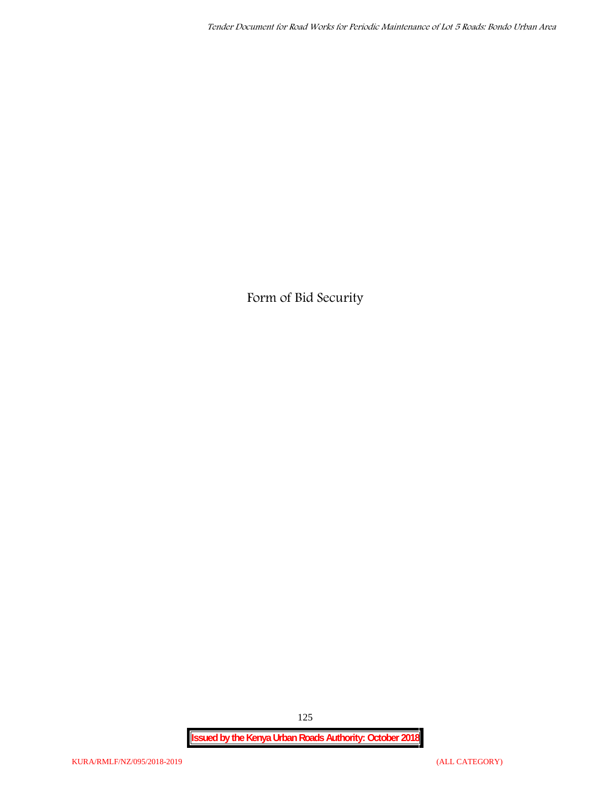**Form of Bid Security**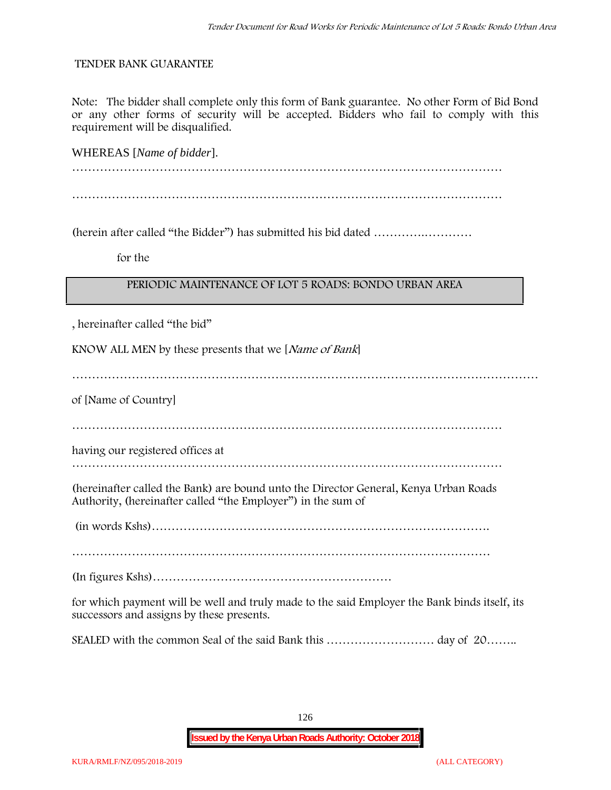#### **TENDER BANK GUARANTEE**

Note: The bidder shall complete only this form of Bank guarantee. No other Form of Bid Bond or any other forms of security will be accepted. Bidders who fail to comply with this requirement will be disqualified.

WHEREAS [*Name of bidder*]. ………………………………………………………………………………………………

(herein after called "the Bidder") has submitted his bid dated ………….…………

**for the**

#### **PERIODIC MAINTENANCE OF LOT 5 ROADS: BONDO URBAN AREA**

, hereinafter called "the bid"

KNOW ALL MEN by these presents that we [*Name of Bank*]

………………………………………………………………………………………………………

of [Name of Country]

………………………………………………………………………………………………

having our registered offices at

………………………………………………………………………………………………

(hereinafter called the Bank) are bound unto the Director General, Kenya Urban Roads Authority, (hereinafter called "the Employer") in the sum of

(in words Kshs)………………………………………………………………………….

……………………………………………………………………………………………

(In figures Kshs)……………………………………………………

for which payment will be well and truly made to the said Employer the Bank binds itself, its successors and assigns by these presents.

SEALED with the common Seal of the said Bank this ……………………… day of 20……..

126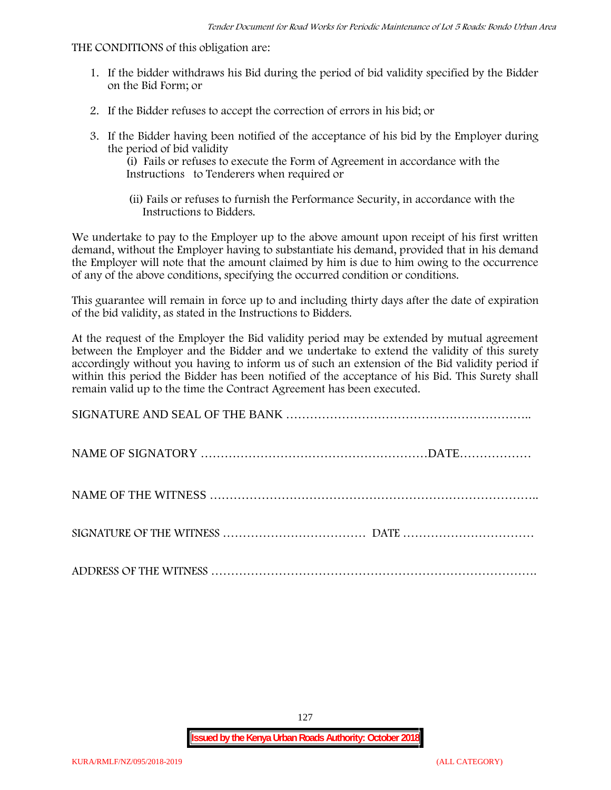#### THE CONDITIONS of this obligation are:

- 1. If the bidder withdraws his Bid during the period of bid validity specified by the Bidder on the Bid Form; or
- 2. If the Bidder refuses to accept the correction of errors in his bid; or
- 3. If the Bidder having been notified of the acceptance of his bid by the Employer during the period of bid validity

(i) Fails or refuses to execute the Form of Agreement in accordance with the Instructions to Tenderers when required or

(ii) Fails or refuses to furnish the Performance Security, in accordance with the Instructions to Bidders.

We undertake to pay to the Employer up to the above amount upon receipt of his first written demand, without the Employer having to substantiate his demand, provided that in his demand the Employer will note that the amount claimed by him is due to him owing to the occurrence of any of the above conditions, specifying the occurred condition or conditions.

This guarantee will remain in force up to and including thirty days after the date of expiration of the bid validity, as stated in the Instructions to Bidders.

At the request of the Employer the Bid validity period may be extended by mutual agreement between the Employer and the Bidder and we undertake to extend the validity of this surety accordingly without you having to inform us of such an extension of the Bid validity period if within this period the Bidder has been notified of the acceptance of his Bid. This Surety shall remain valid up to the time the Contract Agreement has been executed.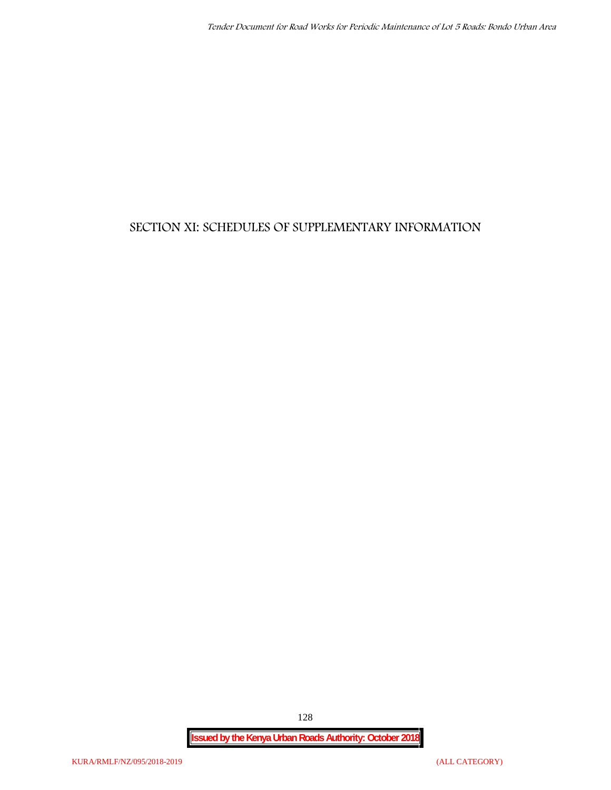# **SECTION XI: SCHEDULES OF SUPPLEMENTARY INFORMATION**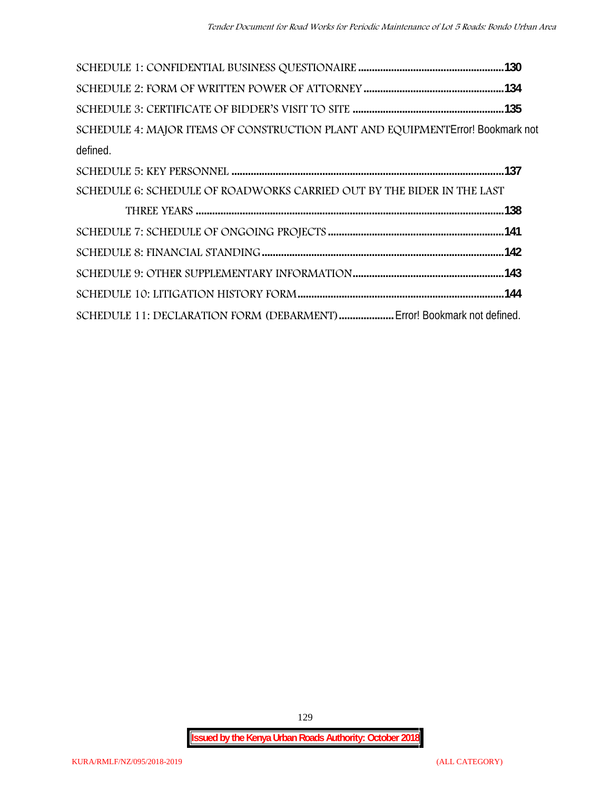| SCHEDULE 4: MAJOR ITEMS OF CONSTRUCTION PLANT AND EQUIPMENT Error! Bookmark not |  |
|---------------------------------------------------------------------------------|--|
| defined.                                                                        |  |
|                                                                                 |  |
| SCHEDULE 6: SCHEDULE OF ROADWORKS CARRIED OUT BY THE BIDER IN THE LAST          |  |
|                                                                                 |  |
|                                                                                 |  |
|                                                                                 |  |
|                                                                                 |  |
|                                                                                 |  |
| SCHEDULE 11: DECLARATION FORM (DEBARMENT)  Error! Bookmark not defined.         |  |

129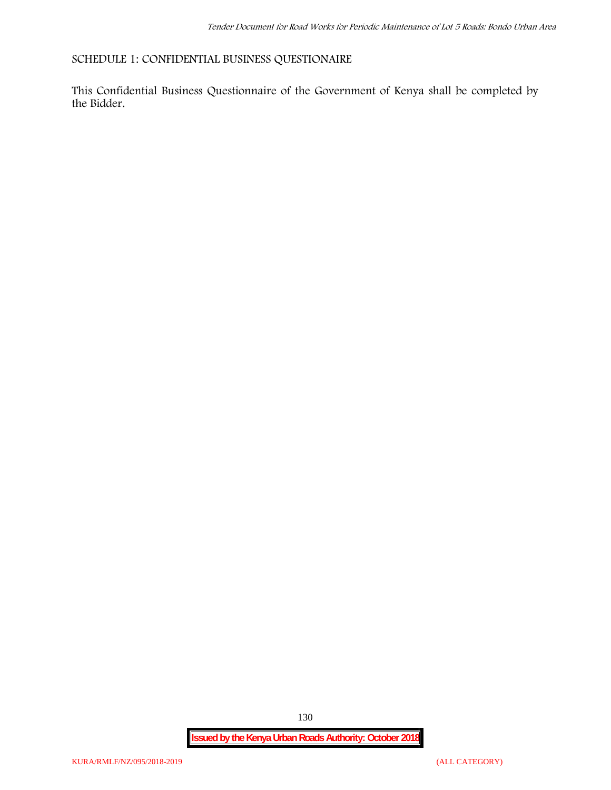#### **SCHEDULE 1: CONFIDENTIAL BUSINESS QUESTIONAIRE**

This Confidential Business Questionnaire of the Government of Kenya shall be completed by the Bidder.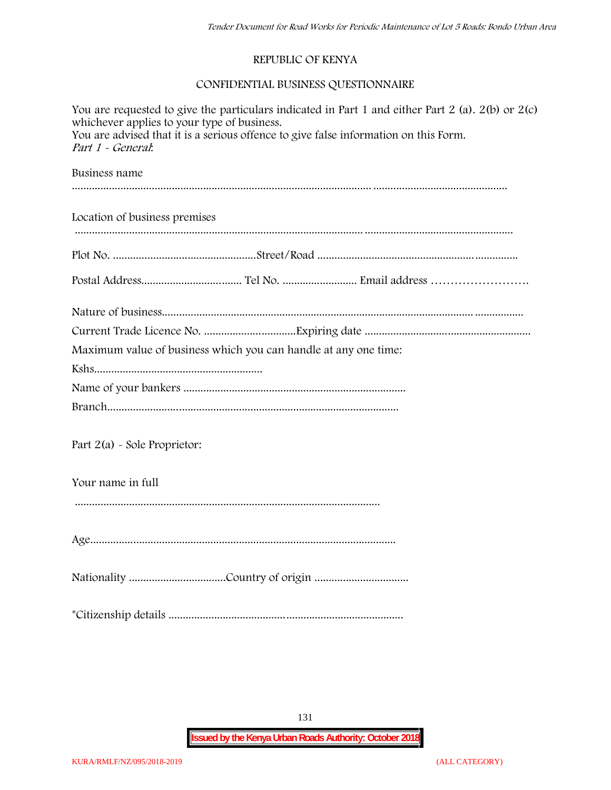#### **REPUBLIC OF KENYA**

#### **CONFIDENTIAL BUSINESS QUESTIONNAIRE**

| You are requested to give the particulars indicated in Part 1 and either Part 2 (a). $2(b)$ or $2(c)$<br>whichever applies to your type of business.<br>You are advised that it is a serious offence to give false information on this Form.<br>Part 1 - General. |
|-------------------------------------------------------------------------------------------------------------------------------------------------------------------------------------------------------------------------------------------------------------------|
| Business name                                                                                                                                                                                                                                                     |
| Location of business premises                                                                                                                                                                                                                                     |
|                                                                                                                                                                                                                                                                   |
|                                                                                                                                                                                                                                                                   |
|                                                                                                                                                                                                                                                                   |
|                                                                                                                                                                                                                                                                   |
| Maximum value of business which you can handle at any one time:                                                                                                                                                                                                   |
|                                                                                                                                                                                                                                                                   |
|                                                                                                                                                                                                                                                                   |
|                                                                                                                                                                                                                                                                   |
| Part 2(a) - Sole Proprietor:                                                                                                                                                                                                                                      |
| Your name in full                                                                                                                                                                                                                                                 |
|                                                                                                                                                                                                                                                                   |
|                                                                                                                                                                                                                                                                   |
|                                                                                                                                                                                                                                                                   |
|                                                                                                                                                                                                                                                                   |

131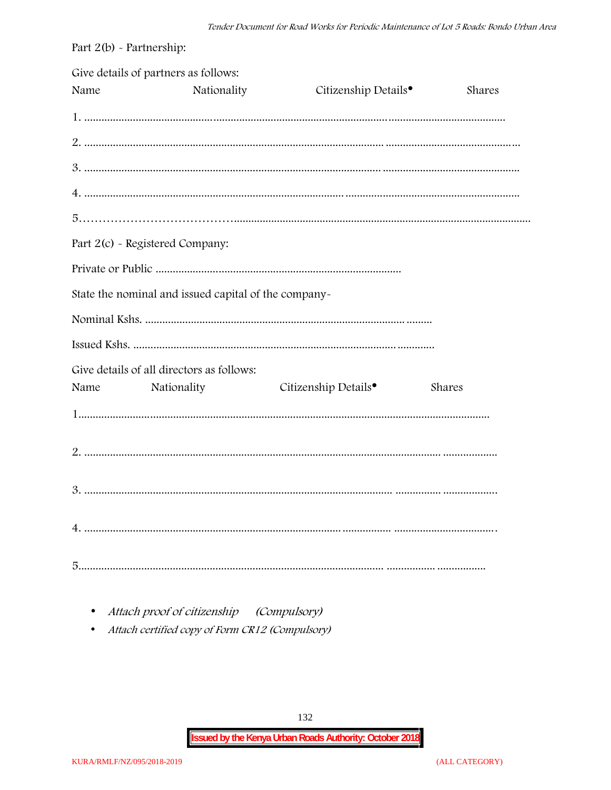| Part $2(b)$ - Partnership: |                                                          |                                  |        |
|----------------------------|----------------------------------------------------------|----------------------------------|--------|
| Name                       | Give details of partners as follows:<br>Nationality      | Citizenship Details <sup>•</sup> | Shares |
|                            |                                                          |                                  |        |
|                            |                                                          |                                  |        |
|                            |                                                          |                                  |        |
|                            |                                                          |                                  |        |
|                            |                                                          |                                  |        |
|                            | Part 2(c) - Registered Company:                          |                                  |        |
|                            |                                                          |                                  |        |
|                            | State the nominal and issued capital of the company-     |                                  |        |
|                            |                                                          |                                  |        |
|                            |                                                          |                                  |        |
| Name                       | Give details of all directors as follows:<br>Nationality | Citizenship Details <sup>•</sup> | Shares |
|                            |                                                          |                                  |        |
|                            |                                                          |                                  |        |
|                            |                                                          |                                  |        |
|                            |                                                          |                                  |        |
|                            |                                                          |                                  |        |

• Attach proof of citizenship (Compulsory)

• Attach certified copy of Form CR12 (Compulsory)

132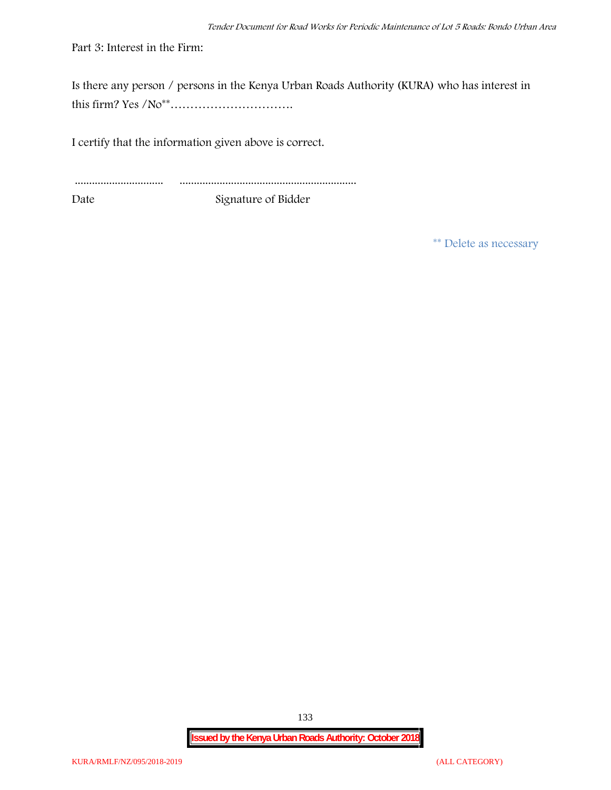Part 3: Interest in the Firm:

Is there any person / persons in the Kenya Urban Roads Authority (KURA) who has interest in this firm? Yes /No\*\*………………………….

I certify that the information given above is correct.

............................... .............................................................. Date Signature of Bidder

**\*\* Delete as necessary**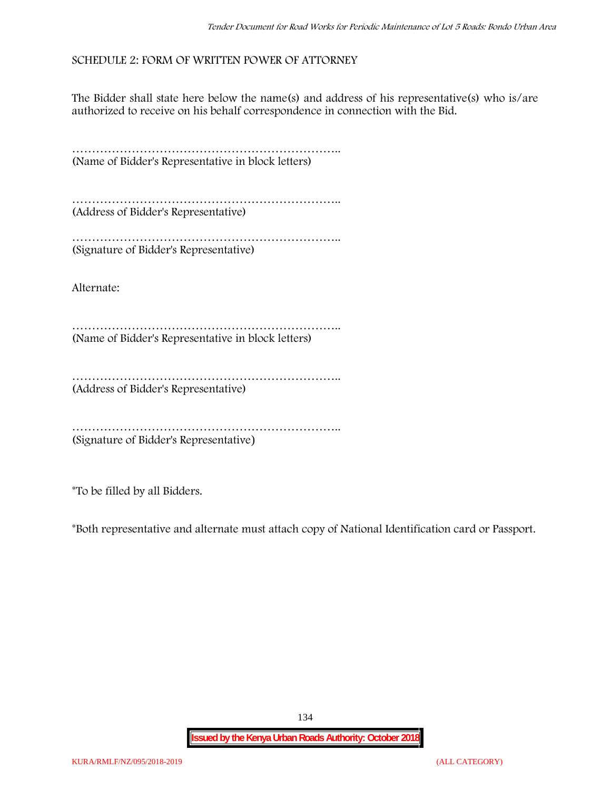#### **SCHEDULE 2: FORM OF WRITTEN POWER OF ATTORNEY**

The Bidder shall state here below the name(s) and address of his representative(s) who is/are authorized to receive on his behalf correspondence in connection with the Bid.

………………………………………………………….. (Name of Bidder's Representative in block letters)

………………………………………………………….. (Address of Bidder's Representative)

………………………………………………………….. (Signature of Bidder's Representative)

Alternate:

………………………………………………………….. (Name of Bidder's Representative in block letters)

……………………………………………………………………… (Address of Bidder's Representative)

………………………………………………………….. (Signature of Bidder's Representative)

\*To be filled by all Bidders.

\*Both representative and alternate **must** attach copy of National Identification card or Passport.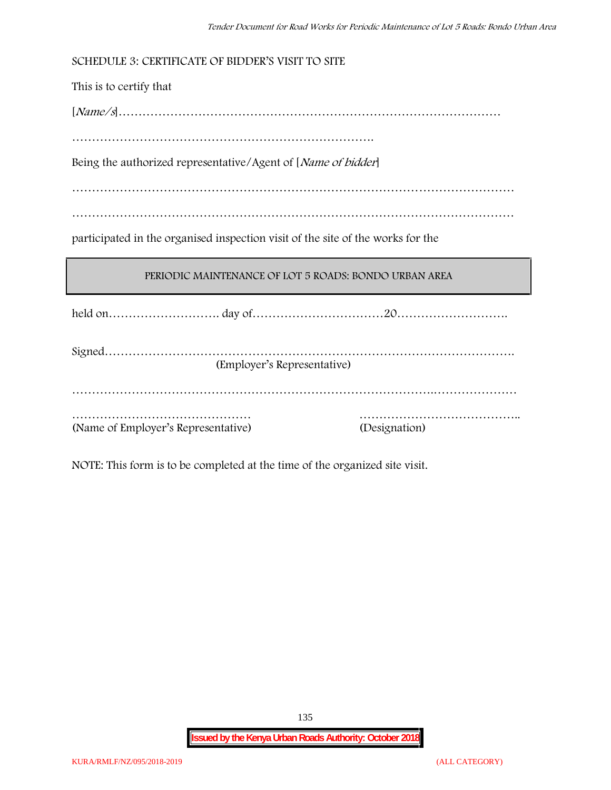| SCHEDULE 3: CERTIFICATE OF BIDDER'S VISIT TO SITE                               |  |
|---------------------------------------------------------------------------------|--|
| This is to certify that                                                         |  |
|                                                                                 |  |
|                                                                                 |  |
| Being the authorized representative/Agent of [Name of bidder]                   |  |
|                                                                                 |  |
|                                                                                 |  |
| participated in the organised inspection visit of the site of the works for the |  |
|                                                                                 |  |
| PERIODIC MAINTENANCE OF LOT 5 ROADS: BONDO URBAN AREA                           |  |
|                                                                                 |  |
| (Employer's Representative)                                                     |  |
|                                                                                 |  |

NOTE: This form is to be completed at the time of the organized site visit.

135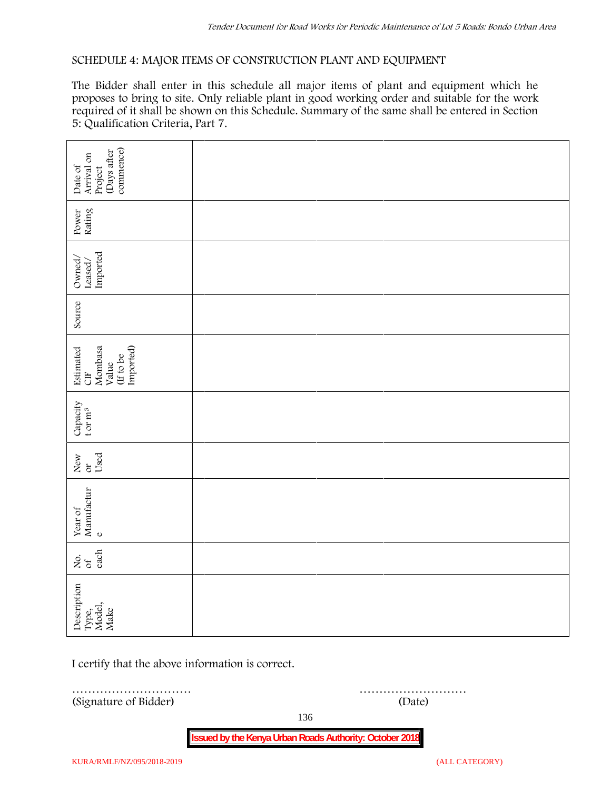#### **SCHEDULE 4: MAJOR ITEMS OF CONSTRUCTION PLANT AND EQUIPMENT**

The Bidder shall enter in this schedule all major items of plant and equipment which he proposes to bring to site. Only reliable plant in good working order and suitable for the work required of it shall be shown on this Schedule. Summary of the same shall be entered in Section 5: Qualification Criteria, Part 7.

| commence)<br>(Days after<br>Arrival on<br>Date of<br>Project   |        |  |  |  |  |  |  |
|----------------------------------------------------------------|--------|--|--|--|--|--|--|
| Power<br>Rating                                                |        |  |  |  |  |  |  |
| $\frac{Leased}{\text{imported}}$<br>Owned/                     |        |  |  |  |  |  |  |
| Source                                                         |        |  |  |  |  |  |  |
| Imported)<br>Estimated<br>CIF<br>Mombasa<br>Value<br>(If to be |        |  |  |  |  |  |  |
| Capacity t or $\mathbf{m}^3$                                   |        |  |  |  |  |  |  |
| New $_{\rm Used}$                                              |        |  |  |  |  |  |  |
| Year of Manufactur $_{\rm e}$                                  |        |  |  |  |  |  |  |
| each<br>Σό.                                                    |        |  |  |  |  |  |  |
| Description<br>Type,<br>Model,<br>Make                         |        |  |  |  |  |  |  |
| I certify that the above information is correct.               |        |  |  |  |  |  |  |
| .<br>(Signature of Bidder)                                     | (Date) |  |  |  |  |  |  |

136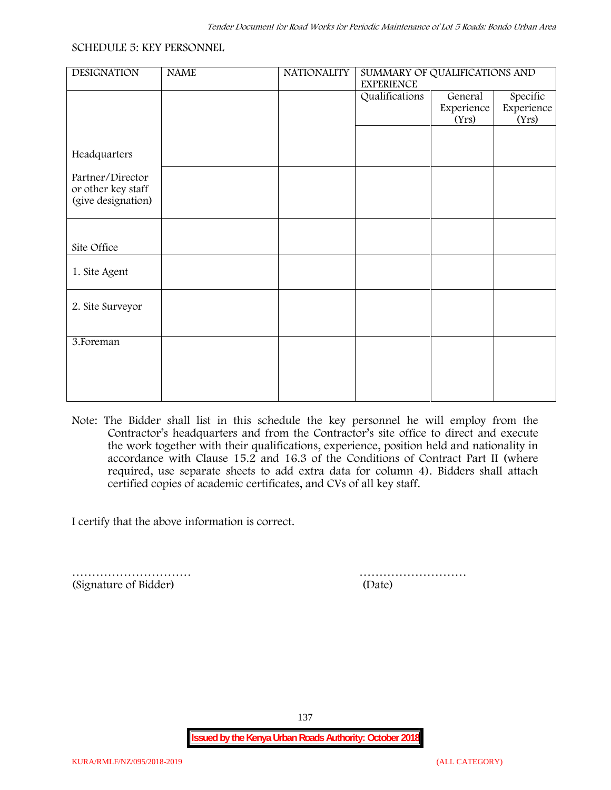#### **SCHEDULE 5: KEY PERSONNEL**

| <b>NAME</b> | <b>NATIONALITY</b> | SUMMARY OF QUALIFICATIONS AND |                                |                                 |  |
|-------------|--------------------|-------------------------------|--------------------------------|---------------------------------|--|
|             |                    | Qualifications                | General<br>Experience<br>(Yrs) | Specific<br>Experience<br>(Yrs) |  |
|             |                    |                               |                                |                                 |  |
|             |                    |                               |                                |                                 |  |
|             |                    |                               |                                |                                 |  |
|             |                    |                               |                                |                                 |  |
|             |                    |                               |                                |                                 |  |
|             |                    |                               |                                |                                 |  |
|             |                    |                               |                                |                                 |  |
|             |                    |                               |                                |                                 |  |
|             |                    |                               |                                |                                 |  |
|             |                    |                               |                                |                                 |  |
|             |                    |                               | <b>EXPERIENCE</b>              |                                 |  |

**Note:** The Bidder shall list in this schedule the key personnel he will employ from the Contractor's headquarters and from the Contractor's site office to direct and execute the work together with their qualifications, experience, position held and nationality in accordance with Clause 15.2 and 16.3 of the Conditions of Contract Part II (where required, use separate sheets to add extra data for column 4). Bidders shall attach certified copies of academic certificates, and CVs of all key staff.

I certify that the above information is correct.

(Signature of Bidder) (Date)

………………………… ………………………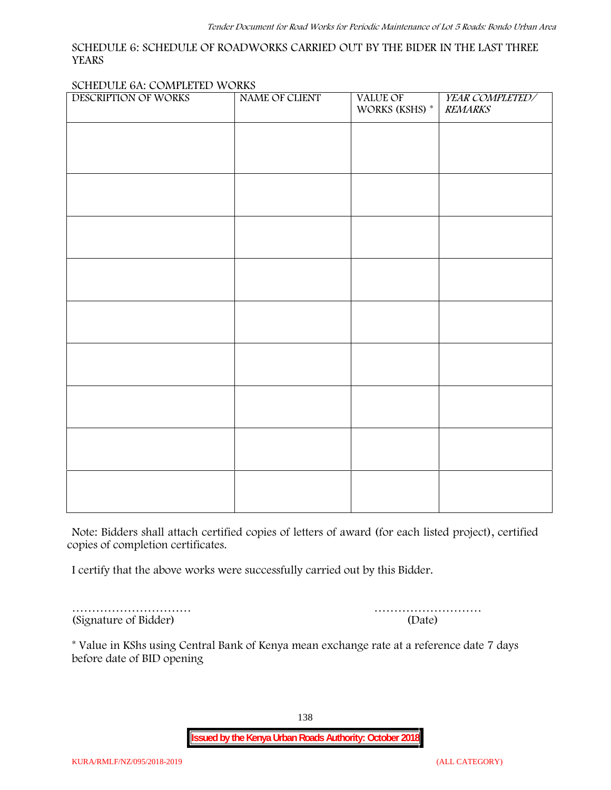#### **SCHEDULE 6: SCHEDULE OF ROADWORKS CARRIED OUT BY THE BIDER IN THE LAST THREE YEARS**

#### **SCHEDULE 6A: COMPLETED WORKS**

| DESCRIPTION OF WORKS | NAME OF CLIENT | VALUE OF<br>WORKS (KSHS) $^\ast$ | YEAR COMPLETED/<br><b>REMARKS</b> |
|----------------------|----------------|----------------------------------|-----------------------------------|
|                      |                |                                  |                                   |
|                      |                |                                  |                                   |
|                      |                |                                  |                                   |
|                      |                |                                  |                                   |
|                      |                |                                  |                                   |
|                      |                |                                  |                                   |
|                      |                |                                  |                                   |
|                      |                |                                  |                                   |
|                      |                |                                  |                                   |
|                      |                |                                  |                                   |
|                      |                |                                  |                                   |
|                      |                |                                  |                                   |
|                      |                |                                  |                                   |
|                      |                |                                  |                                   |
|                      |                |                                  |                                   |

**Note:** Bidders shall attach certified copies of letters of award (for each listed project), certified copies of completion certificates.

I certify that the above works were successfully carried out by this Bidder.

(Signature of Bidder) (Date)

………………………… ………………………

\* **Value in KShs using Central Bank of Kenya mean exchange rate at a reference date 7 days before date of BID opening**

138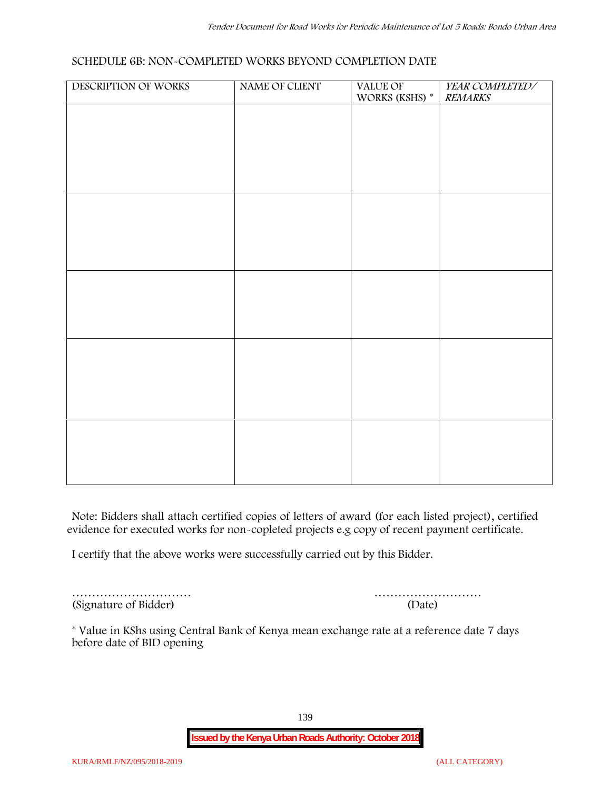#### **SCHEDULE 6B: NON-COMPLETED WORKS BEYOND COMPLETION DATE**

| DESCRIPTION OF WORKS | NAME OF CLIENT | VALUE OF<br>WORKS (KSHS) * | YEAR COMPLETED/<br><b>REMARKS</b> |
|----------------------|----------------|----------------------------|-----------------------------------|
|                      |                |                            |                                   |
|                      |                |                            |                                   |
|                      |                |                            |                                   |
|                      |                |                            |                                   |
|                      |                |                            |                                   |
|                      |                |                            |                                   |
|                      |                |                            |                                   |
|                      |                |                            |                                   |
|                      |                |                            |                                   |
|                      |                |                            |                                   |
|                      |                |                            |                                   |
|                      |                |                            |                                   |
|                      |                |                            |                                   |
|                      |                |                            |                                   |
|                      |                |                            |                                   |
|                      |                |                            |                                   |
|                      |                |                            |                                   |
|                      |                |                            |                                   |

**Note:** Bidders shall attach certified copies of letters of award (for each listed project), certified evidence for executed works for non-copleted projects e.g copy of recent payment certificate.

I certify that the above works were successfully carried out by this Bidder.

………………………… (Signature of Bidder)

|  |  |  |  |  | (Date) |  |  |  |  |  |  |  |  |  |
|--|--|--|--|--|--------|--|--|--|--|--|--|--|--|--|

\* **Value in KShs using Central Bank of Kenya mean exchange rate at a reference date 7 days before date of BID opening**

139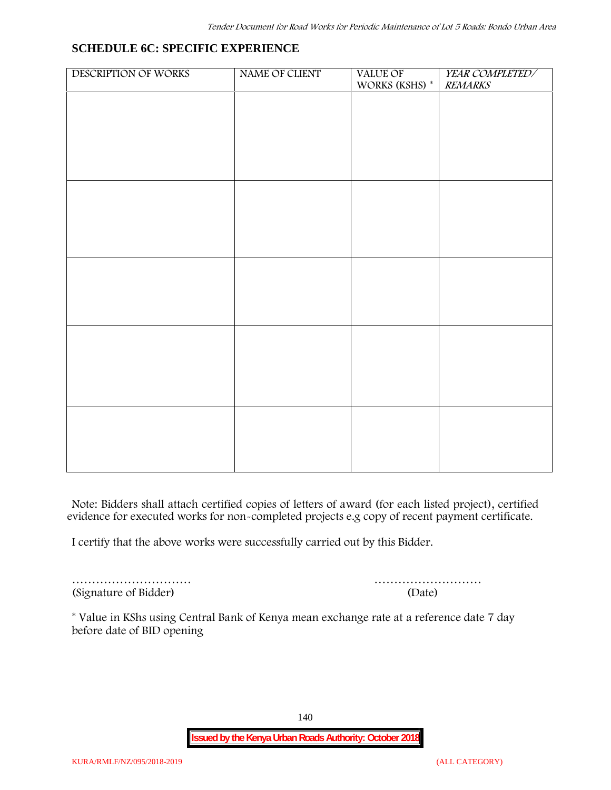## **SCHEDULE 6C: SPECIFIC EXPERIENCE**

| WORKS (KSHS) $^\ast$<br><b>REMARKS</b> | DESCRIPTION OF WORKS | NAME OF CLIENT | VALUE OF | YEAR COMPLETED/ |
|----------------------------------------|----------------------|----------------|----------|-----------------|
|                                        |                      |                |          |                 |
|                                        |                      |                |          |                 |
|                                        |                      |                |          |                 |
|                                        |                      |                |          |                 |
|                                        |                      |                |          |                 |
|                                        |                      |                |          |                 |
|                                        |                      |                |          |                 |
|                                        |                      |                |          |                 |
|                                        |                      |                |          |                 |
|                                        |                      |                |          |                 |
|                                        |                      |                |          |                 |
|                                        |                      |                |          |                 |
|                                        |                      |                |          |                 |
|                                        |                      |                |          |                 |
|                                        |                      |                |          |                 |
|                                        |                      |                |          |                 |
|                                        |                      |                |          |                 |
|                                        |                      |                |          |                 |
|                                        |                      |                |          |                 |
|                                        |                      |                |          |                 |
|                                        |                      |                |          |                 |
|                                        |                      |                |          |                 |
|                                        |                      |                |          |                 |
|                                        |                      |                |          |                 |
|                                        |                      |                |          |                 |
|                                        |                      |                |          |                 |
|                                        |                      |                |          |                 |
|                                        |                      |                |          |                 |
|                                        |                      |                |          |                 |
|                                        |                      |                |          |                 |
|                                        |                      |                |          |                 |
|                                        |                      |                |          |                 |
|                                        |                      |                |          |                 |

**Note:** Bidders shall attach certified copies of letters of award (for each listed project), certified evidence for executed works for non-completed projects e.g copy of recent payment certificate.

I certify that the above works were successfully carried out by this Bidder.

(Signature of Bidder) (Date)

………………………… ………………………

\* **Value in KShs using Central Bank of Kenya mean exchange rate at a reference date 7 day before date of BID opening**

140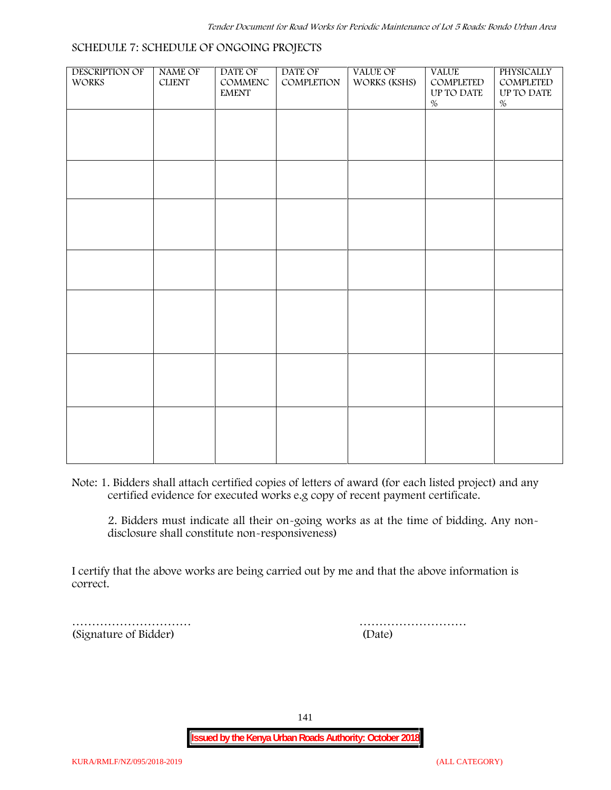| DESCRIPTION OF<br><b>WORKS</b> | NAME OF<br><b>CLIENT</b> | DATE OF<br>COMMENC<br><b>EMENT</b> | DATE OF<br><b>COMPLETION</b> | <b>VALUE OF</b><br>WORKS (KSHS) | <b>VALUE</b><br><b>COMPLE</b><br>UP TO D.<br>$\%$ |
|--------------------------------|--------------------------|------------------------------------|------------------------------|---------------------------------|---------------------------------------------------|
|                                |                          |                                    |                              |                                 |                                                   |

#### **SCHEDULE 7: SCHEDULE OF ONGOING PROJECTS**

| <b>DESCRIPTION OF</b> | NAME OF       | DATE OF                            | DATE OF    | <b>VALUE OF</b> | <b>VALUE</b>            | PHYSICALLY              |  |
|-----------------------|---------------|------------------------------------|------------|-----------------|-------------------------|-------------------------|--|
| <b>WORKS</b>          | <b>CLIENT</b> | $\mathsf{COMMENC}$<br><b>EMENT</b> | COMPLETION | WORKS (KSHS)    | COMPLETED<br>UP TO DATE | COMPLETED<br>UP TO DATE |  |
|                       |               |                                    |            |                 | $\%$                    | $\%$                    |  |
|                       |               |                                    |            |                 |                         |                         |  |
|                       |               |                                    |            |                 |                         |                         |  |
|                       |               |                                    |            |                 |                         |                         |  |
|                       |               |                                    |            |                 |                         |                         |  |
|                       |               |                                    |            |                 |                         |                         |  |
|                       |               |                                    |            |                 |                         |                         |  |
|                       |               |                                    |            |                 |                         |                         |  |
|                       |               |                                    |            |                 |                         |                         |  |
|                       |               |                                    |            |                 |                         |                         |  |
|                       |               |                                    |            |                 |                         |                         |  |
|                       |               |                                    |            |                 |                         |                         |  |
|                       |               |                                    |            |                 |                         |                         |  |
|                       |               |                                    |            |                 |                         |                         |  |
|                       |               |                                    |            |                 |                         |                         |  |
|                       |               |                                    |            |                 |                         |                         |  |
|                       |               |                                    |            |                 |                         |                         |  |
|                       |               |                                    |            |                 |                         |                         |  |
|                       |               |                                    |            |                 |                         |                         |  |
|                       |               |                                    |            |                 |                         |                         |  |
|                       |               |                                    |            |                 |                         |                         |  |
|                       |               |                                    |            |                 |                         |                         |  |
|                       |               |                                    |            |                 |                         |                         |  |
|                       |               |                                    |            |                 |                         |                         |  |

**Note:** 1. Bidders shall attach certified copies of letters of award (for each listed project) and any certified evidence for executed works e.g copy of recent payment certificate.

2. Bidders must indicate all their on-going works as at the time of bidding. Any non disclosure shall constitute non-responsiveness)

I certify that the above works are being carried out by me and that the above information is correct.

(Signature of Bidder) (Date)

………………………… ………………………

141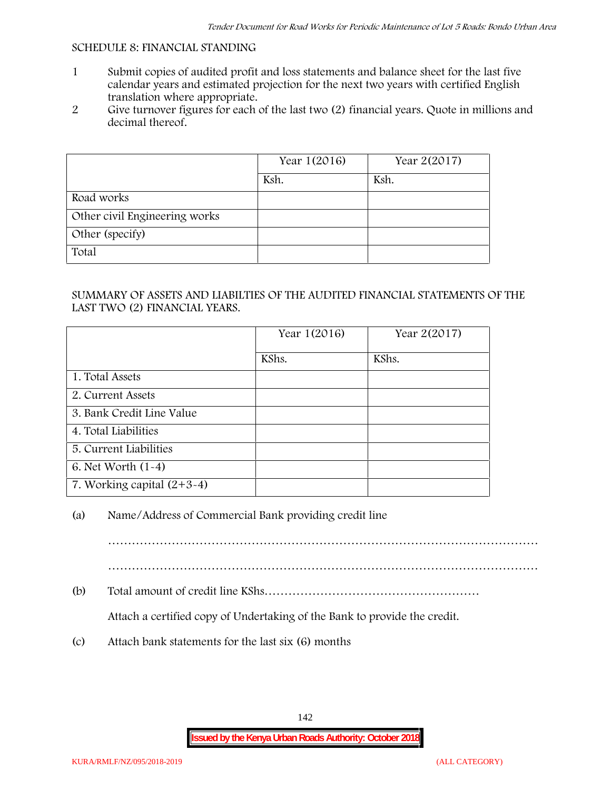#### **SCHEDULE 8: FINANCIAL STANDING**

- 1 Submit copies of audited profit and loss statements and balance sheet for the last five calendar years and estimated projection for the next two years with certified English translation where appropriate.
- 2 Give turnover figures for each of the last two (2) financial years. Quote in millions and decimal thereof.

|                               | Year 1(2016) | Year 2(2017) |
|-------------------------------|--------------|--------------|
|                               | Ksh.         | Ksh.         |
| Road works                    |              |              |
| Other civil Engineering works |              |              |
| Other (specify)               |              |              |
| Total                         |              |              |

#### SUMMARY OF ASSETS AND LIABILTIES OF THE AUDITED FINANCIAL STATEMENTS OF THE LAST TWO (2) FINANCIAL YEARS.

|                              | Year 1(2016) | Year 2(2017) |
|------------------------------|--------------|--------------|
|                              | KShs.        | KShs.        |
| 1. Total Assets              |              |              |
| 2. Current Assets            |              |              |
| 3. Bank Credit Line Value    |              |              |
| 4. Total Liabilities         |              |              |
| 5. Current Liabilities       |              |              |
| 6. Net Worth $(1-4)$         |              |              |
| 7. Working capital $(2+3-4)$ |              |              |

#### (a) Name/Address of Commercial Bank providing credit line

………………………………………………………………………………………………

………………………………………………………………………………………………

(b) Total amount of credit line KShs………………………………………………

Attach a certified copy of Undertaking of the Bank to provide the credit.

(c) Attach bank statements for the last six (6) months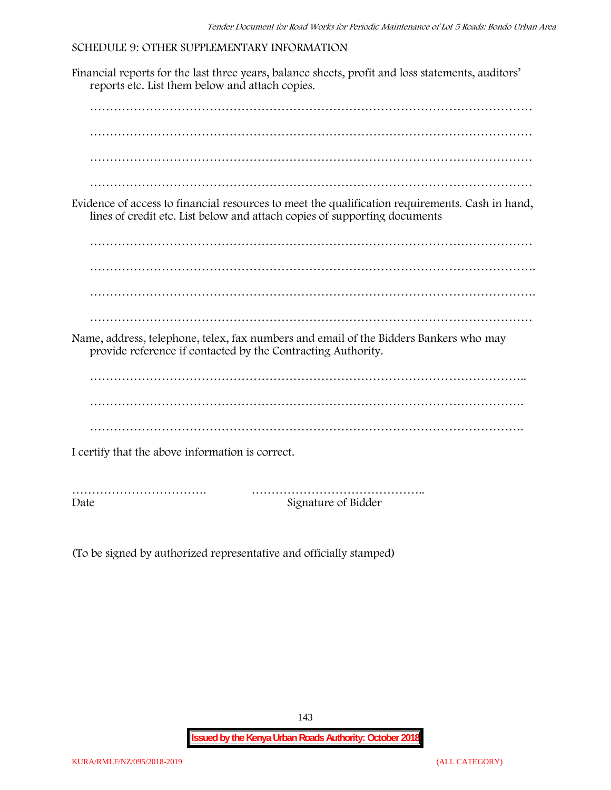#### **SCHEDULE 9: OTHER SUPPLEMENTARY INFORMATION**

Financial reports for the last three years, balance sheets, profit and loss statements, auditors' reports etc. List them below and attach copies. ………………………………………………………………………………………………… ………………………………………………………………………………………………… ………………………………………………………………………………………………… ………………………………………………………………………………………………… Evidence of access to financial resources to meet the qualification requirements. Cash in hand, lines of credit etc. List below and attach copies of supporting documents ………………………………………………………………………………………………… …………………………………………………………………………………………………. ………………………………………………………………………………………………… Name, address, telephone, telex, fax numbers and email of the Bidders Bankers who may provide reference if contacted by the Contracting Authority. ……………………………………………………………………………………………….. ………………………………………………………………………………………………. ………………………………………………………………………………………………. I certify that the above information is correct. ……………………………. …………………………………….. Date Signature of Bidder

(To be signed by authorized representative and officially stamped)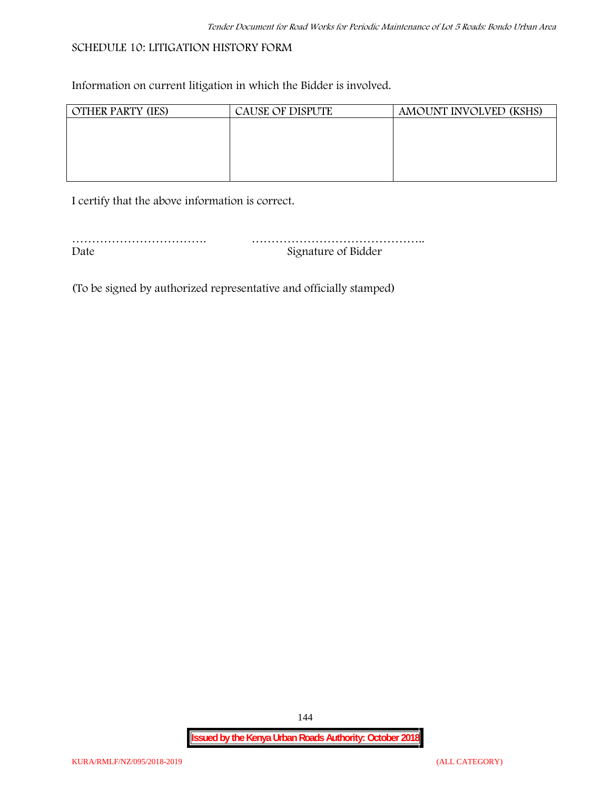## **SCHEDULE 10: LITIGATION HISTORY FORM**

Information on current litigation in which the Bidder is involved.

| <b>OTHER PARTY (IES)</b> | <b>CAUSE OF DISPUTE</b> | AMOUNT INVOLVED (KSHS) |
|--------------------------|-------------------------|------------------------|
|                          |                         |                        |
|                          |                         |                        |
|                          |                         |                        |
|                          |                         |                        |
|                          |                         |                        |

I certify that the above information is correct.

| Date | Signature of Bidder |
|------|---------------------|

(To be signed by authorized representative and officially stamped)

144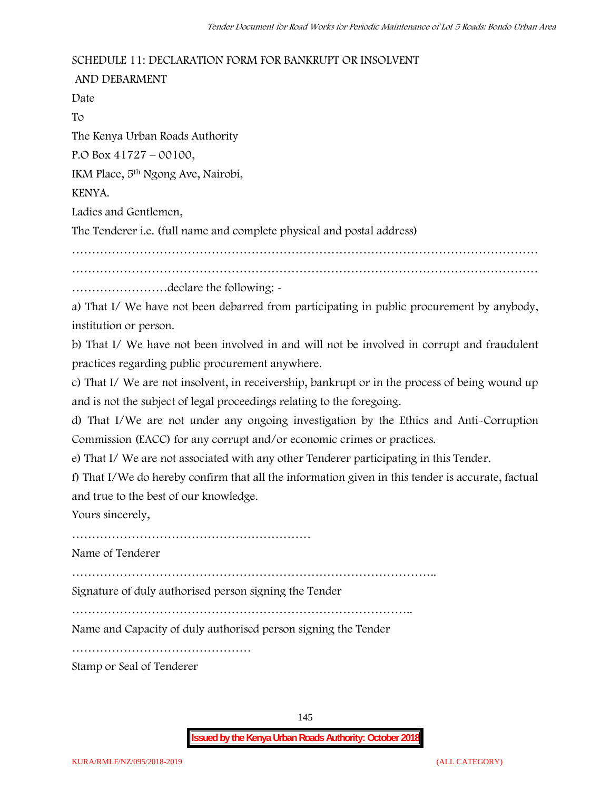# **SCHEDULE 11: DECLARATION FORM FOR BANKRUPT OR INSOLVENT**

**AND DEBARMENT** Date To The Kenya Urban Roads Authority P.O Box 41727 – 00100, IKM Place, 5th Ngong Ave, Nairobi, KENYA. Ladies and Gentlemen, The Tenderer i.e. (full name and complete physical and postal address) ……………………………………………………………………………………………………… ……………………declare the following: a) That I/ We have not been debarred from participating in public procurement by anybody,

institution or person.

b) That I/ We have not been involved in and will not be involved in corrupt and fraudulent practices regarding public procurement anywhere.

c) That I/ We are not insolvent, in receivership, bankrupt or in the process of being wound up and is not the subject of legal proceedings relating to the foregoing.

d) That I/We are not under any ongoing investigation by the Ethics and Anti-Corruption Commission (EACC) for any corrupt and/or economic crimes or practices.

e) That I/ We are not associated with any other Tenderer participating in this Tender.

f) That I/We do hereby confirm that all the information given in this tender is accurate, factual and true to the best of our knowledge.

Yours sincerely,

……………………………………………………

Name of Tenderer

………………………………………………………………………………..

Signature of duly authorised person signing the Tender

…………………………………………………………………………..

Name and Capacity of duly authorised person signing the Tender

………………………………………

Stamp or Seal of Tenderer

145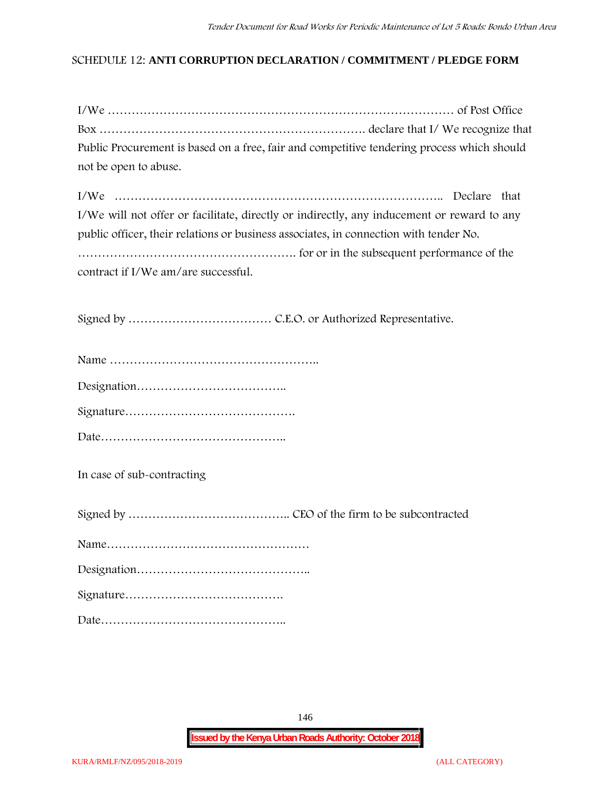# **SCHEDULE 12: ANTI CORRUPTION DECLARATION / COMMITMENT / PLEDGE FORM**

| Public Procurement is based on a free, fair and competitive tendering process which should |  |
|--------------------------------------------------------------------------------------------|--|
| not be open to abuse.                                                                      |  |

| I/We will not offer or facilitate, directly or indirectly, any inducement or reward to any |
|--------------------------------------------------------------------------------------------|
| public officer, their relations or business associates, in connection with tender No.      |
|                                                                                            |
| contract if I/We am/are successful.                                                        |

Signed by ……………………………… C.E.O. or Authorized Representative.

Date………………………………………..

**In case of sub-contracting**

Signed by ………………………………….. CEO of the firm to be subcontracted

Name……………………………………………

Designation……………………………………..

Signature………………………………….

Date………………………………………..

146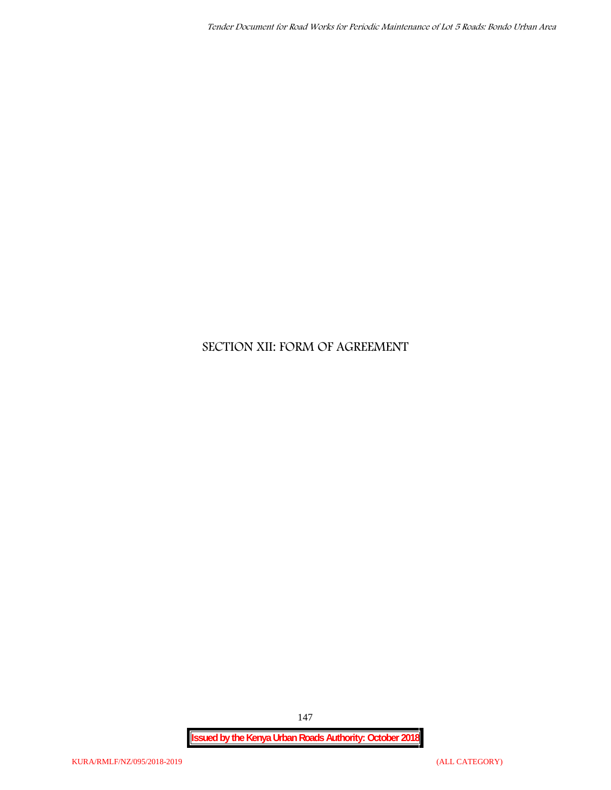# **SECTION XII: FORM OF AGREEMENT**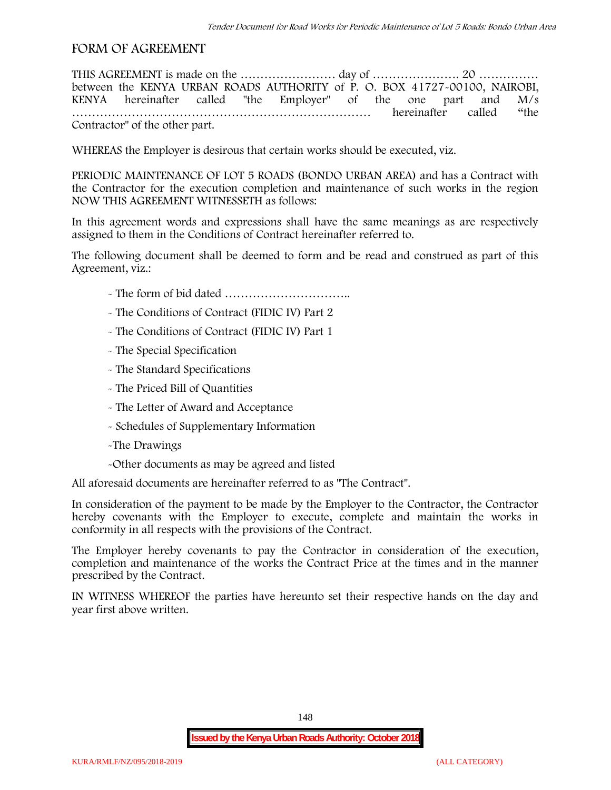# **FORM OF AGREEMENT**

THIS AGREEMENT is made on the …………………… day of …………………. 20 …………… between the **KENYA URBAN ROADS AUTHORITY** of **P. O. BOX 41727-00100, NAIROBI, KENYA** hereinafter called "the Employer" of the one part and **M/s …………………………………………………………………** hereinafter called "the Contractor" of the other part.

WHEREAS the Employer is desirous that certain works should be executed, viz.

**PERIODIC MAINTENANCE OF LOT 5 ROADS (BONDO URBAN AREA)** and has a Contract with the Contractor for the execution completion and maintenance of such works in the region NOW THIS AGREEMENT WITNESSETH as follows:

In this agreement words and expressions shall have the same meanings as are respectively assigned to them in the Conditions of Contract hereinafter referred to.

The following document shall be deemed to form and be read and construed as part of this Agreement, viz.:

- The form of bid dated **…………………………..**
- The Conditions of Contract (FIDIC IV) Part 2
- The Conditions of Contract (FIDIC IV) Part 1
- The Special Specification
- The Standard Specifications
- The Priced Bill of Quantities
- The Letter of Award and Acceptance
- Schedules of Supplementary Information
- -The Drawings
- -Other documents as may be agreed and listed

All aforesaid documents are hereinafter referred to as "The Contract".

In consideration of the payment to be made by the Employer to the Contractor, the Contractor hereby covenants with the Employer to execute, complete and maintain the works in conformity in all respects with the provisions of the Contract.

The Employer hereby covenants to pay the Contractor in consideration of the execution, completion and maintenance of the works the Contract Price at the times and in the manner prescribed by the Contract.

IN WITNESS WHEREOF the parties have hereunto set their respective hands on the day and year first above written.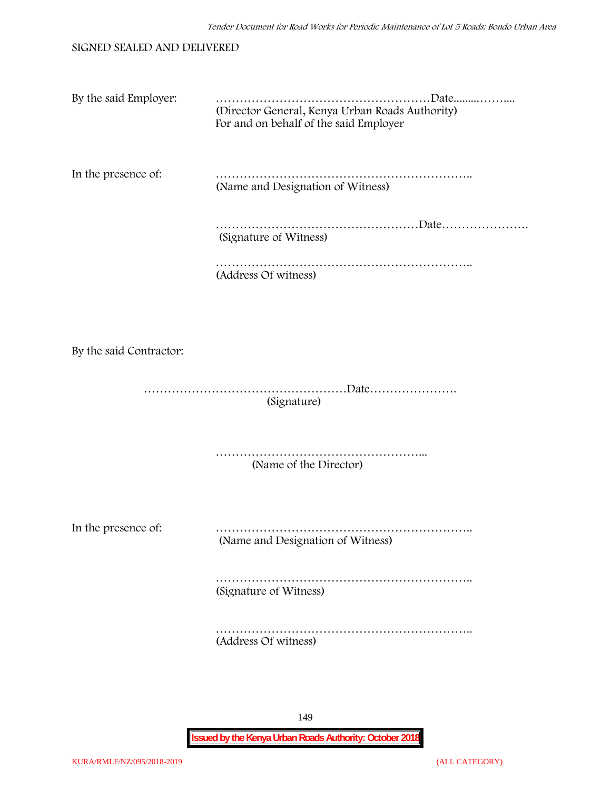### SIGNED SEALED AND DELIVERED

| By the said Employer:   | (Director General, Kenya Urban Roads Authority)<br>For and on behalf of the said Employer |
|-------------------------|-------------------------------------------------------------------------------------------|
| In the presence of:     | (Name and Designation of Witness)                                                         |
|                         | (Signature of Witness)                                                                    |
|                         | (Address Of witness)                                                                      |
|                         |                                                                                           |
| By the said Contractor: |                                                                                           |
|                         | (Signature)                                                                               |
|                         | (Name of the Director)                                                                    |
| In the presence of:     | (Name and Designation of Witness)                                                         |
|                         | (Signature of Witness)                                                                    |
|                         | (Address Of witness)                                                                      |

149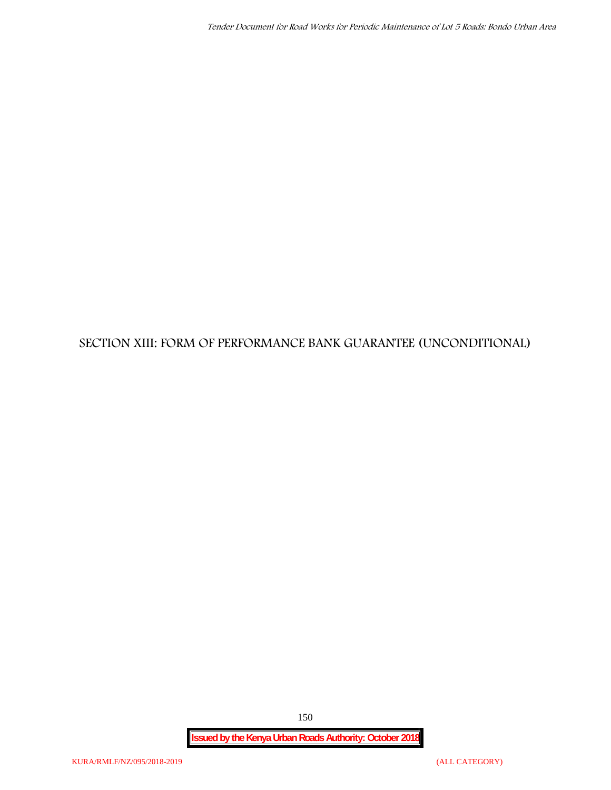# **SECTION XIII: FORM OF PERFORMANCE BANK GUARANTEE (UNCONDITIONAL)**